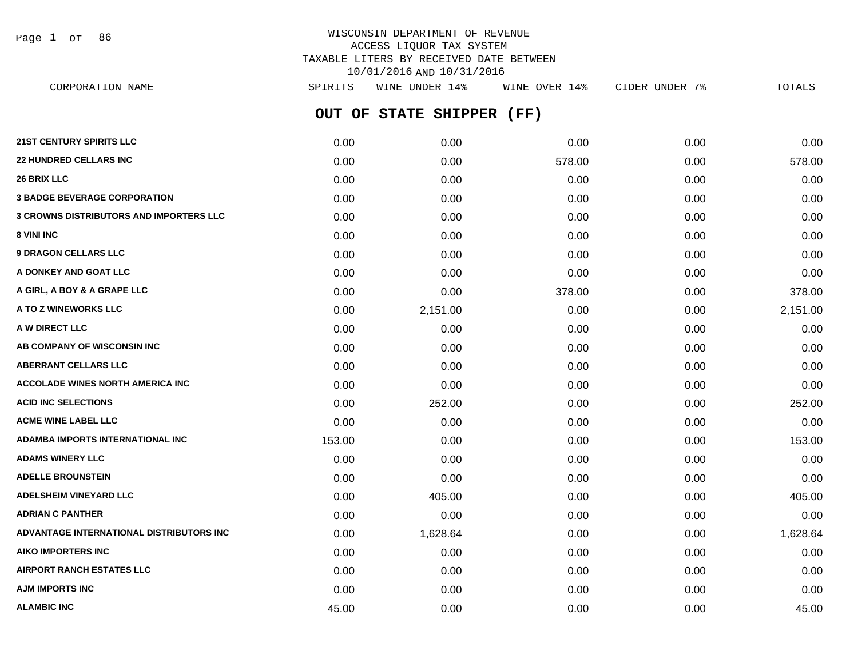Page 1 of 86

# WISCONSIN DEPARTMENT OF REVENUE ACCESS LIQUOR TAX SYSTEM TAXABLE LITERS BY RECEIVED DATE BETWEEN 10/01/2016 AND 10/31/2016

**OUT OF STATE SHIPPER (FF) 21ST CENTURY SPIRITS LLC** 0.00 0.00 0.00 0.00 0.00 **22 HUNDRED CELLARS INC** 0.00 0.00 578.00 0.00 578.00 **26 BRIX LLC** 0.00 0.00 0.00 0.00 0.00 **3 BADGE BEVERAGE CORPORATION** 0.00 0.00 0.00 0.00 0.00 **3 CROWNS DISTRIBUTORS AND IMPORTERS LLC** 0.00 0.00 0.00 0.00 0.00 **8 VINI INC** 0.00 0.00 0.00 0.00 0.00 **9 DRAGON CELLARS LLC** 0.00 0.00 0.00 0.00 0.00 **A DONKEY AND GOAT LLC**  $\begin{array}{ccc} 0.00 & 0.00 & 0.00 & 0.00 & 0.00 & 0.00 \end{array}$ **A GIRL, A BOY & A GRAPE LLC** 0.00 0.00 378.00 0.00 378.00 **A TO Z WINEWORKS LLC** 0.00 2,151.00 0.00 0.00 2,151.00 **A W DIRECT LLC** 0.00 0.00 0.00 0.00 0.00 **AB COMPANY OF WISCONSIN INC**  $0.00$   $0.00$   $0.00$   $0.00$   $0.00$   $0.00$   $0.00$   $0.00$   $0.00$   $0.00$   $0.00$   $0.00$   $0.00$   $0.00$   $0.00$   $0.00$   $0.00$   $0.00$   $0.00$   $0.00$   $0.00$   $0.00$   $0.00$   $0.00$   $0.00$   $0.00$   $0.00$   $0.$ **ABERRANT CELLARS LLC** 0.00 0.00 0.00 0.00 0.00 **ACCOLADE WINES NORTH AMERICA INC** 0.00 0.00 0.00 0.00 0.00 **ACID INC SELECTIONS** 0.00 252.00 0.00 0.00 252.00 **ACME WINE LABEL LLC** 0.00 0.00 0.00 0.00 0.00 **ADAMBA IMPORTS INTERNATIONAL INC** 153.00 0.00 0.00 0.00 153.00 **ADAMS WINERY LLC** 0.00 0.00 0.00 0.00 0.00 **ADELLE BROUNSTEIN** 0.00 0.00 0.00 0.00 0.00 **ADELSHEIM VINEYARD LLC** 0.00 405.00 0.00 0.00 405.00 **ADRIAN C PANTHER** 0.00 0.00 0.00 0.00 0.00 **ADVANTAGE INTERNATIONAL DISTRIBUTORS INC** 0.00 1,628.64 0.00 0.00 1,628.64 **AIKO IMPORTERS INC** 0.00 0.00 0.00 0.00 0.00 **AIRPORT RANCH ESTATES LLC** 0.00 0.00 0.00 0.00 0.00 **AJM IMPORTS INC** 0.00 0.00 0.00 0.00 0.00 CORPORATION NAME SPIRITS WINE UNDER 14% WINE OVER 14% CIDER UNDER 7% TOTALS

**ALAMBIC INC** 45.00 0.00 0.00 0.00 45.00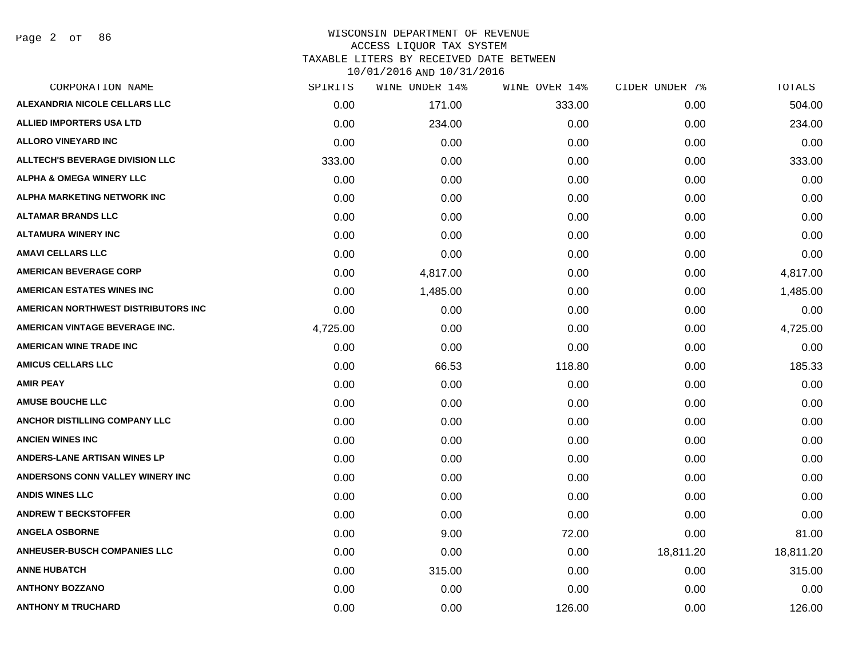| CORPORATION NAME                       | SPIRITS  | WINE UNDER 14% | WINE OVER 14% | CIDER UNDER 7% | <b>TOTALS</b> |
|----------------------------------------|----------|----------------|---------------|----------------|---------------|
| ALEXANDRIA NICOLE CELLARS LLC          | 0.00     | 171.00         | 333.00        | 0.00           | 504.00        |
| <b>ALLIED IMPORTERS USA LTD</b>        | 0.00     | 234.00         | 0.00          | 0.00           | 234.00        |
| <b>ALLORO VINEYARD INC</b>             | 0.00     | 0.00           | 0.00          | 0.00           | 0.00          |
| <b>ALLTECH'S BEVERAGE DIVISION LLC</b> | 333.00   | 0.00           | 0.00          | 0.00           | 333.00        |
| <b>ALPHA &amp; OMEGA WINERY LLC</b>    | 0.00     | 0.00           | 0.00          | 0.00           | 0.00          |
| ALPHA MARKETING NETWORK INC            | 0.00     | 0.00           | 0.00          | 0.00           | 0.00          |
| <b>ALTAMAR BRANDS LLC</b>              | 0.00     | 0.00           | 0.00          | 0.00           | 0.00          |
| <b>ALTAMURA WINERY INC</b>             | 0.00     | 0.00           | 0.00          | 0.00           | 0.00          |
| <b>AMAVI CELLARS LLC</b>               | 0.00     | 0.00           | 0.00          | 0.00           | 0.00          |
| <b>AMERICAN BEVERAGE CORP</b>          | 0.00     | 4,817.00       | 0.00          | 0.00           | 4,817.00      |
| <b>AMERICAN ESTATES WINES INC</b>      | 0.00     | 1,485.00       | 0.00          | 0.00           | 1,485.00      |
| AMERICAN NORTHWEST DISTRIBUTORS INC    | 0.00     | 0.00           | 0.00          | 0.00           | 0.00          |
| AMERICAN VINTAGE BEVERAGE INC.         | 4,725.00 | 0.00           | 0.00          | 0.00           | 4,725.00      |
| <b>AMERICAN WINE TRADE INC</b>         | 0.00     | 0.00           | 0.00          | 0.00           | 0.00          |
| <b>AMICUS CELLARS LLC</b>              | 0.00     | 66.53          | 118.80        | 0.00           | 185.33        |
| <b>AMIR PEAY</b>                       | 0.00     | 0.00           | 0.00          | 0.00           | 0.00          |
| <b>AMUSE BOUCHE LLC</b>                | 0.00     | 0.00           | 0.00          | 0.00           | 0.00          |
| ANCHOR DISTILLING COMPANY LLC          | 0.00     | 0.00           | 0.00          | 0.00           | 0.00          |
| <b>ANCIEN WINES INC</b>                | 0.00     | 0.00           | 0.00          | 0.00           | 0.00          |
| ANDERS-LANE ARTISAN WINES LP           | 0.00     | 0.00           | 0.00          | 0.00           | 0.00          |
| ANDERSONS CONN VALLEY WINERY INC       | 0.00     | 0.00           | 0.00          | 0.00           | 0.00          |
| <b>ANDIS WINES LLC</b>                 | 0.00     | 0.00           | 0.00          | 0.00           | 0.00          |
| <b>ANDREW T BECKSTOFFER</b>            | 0.00     | 0.00           | 0.00          | 0.00           | 0.00          |
| <b>ANGELA OSBORNE</b>                  | 0.00     | 9.00           | 72.00         | 0.00           | 81.00         |
| <b>ANHEUSER-BUSCH COMPANIES LLC</b>    | 0.00     | 0.00           | 0.00          | 18,811.20      | 18,811.20     |
| <b>ANNE HUBATCH</b>                    | 0.00     | 315.00         | 0.00          | 0.00           | 315.00        |
| <b>ANTHONY BOZZANO</b>                 | 0.00     | 0.00           | 0.00          | 0.00           | 0.00          |
| <b>ANTHONY M TRUCHARD</b>              | 0.00     | 0.00           | 126.00        | 0.00           | 126.00        |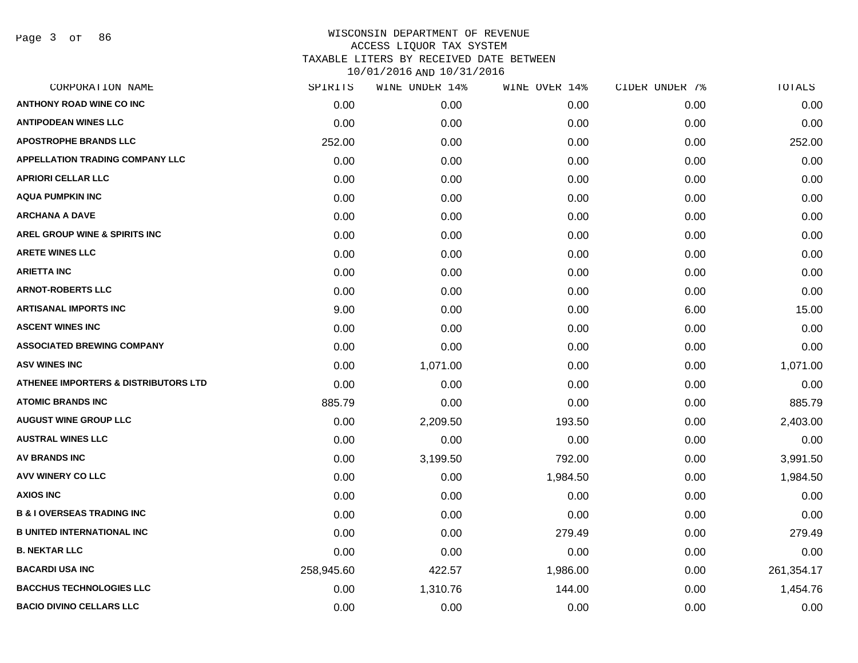| SPIRITS    | WINE UNDER 14% | WINE OVER 14% | CIDER UNDER 7% | TOTALS     |
|------------|----------------|---------------|----------------|------------|
| 0.00       | 0.00           | 0.00          | 0.00           | 0.00       |
| 0.00       | 0.00           | 0.00          | 0.00           | 0.00       |
| 252.00     | 0.00           | 0.00          | 0.00           | 252.00     |
| 0.00       | 0.00           | 0.00          | 0.00           | 0.00       |
| 0.00       | 0.00           | 0.00          | 0.00           | 0.00       |
| 0.00       | 0.00           | 0.00          | 0.00           | 0.00       |
| 0.00       | 0.00           | 0.00          | 0.00           | 0.00       |
| 0.00       | 0.00           | 0.00          | 0.00           | 0.00       |
| 0.00       | 0.00           | 0.00          | 0.00           | 0.00       |
| 0.00       | 0.00           | 0.00          | 0.00           | 0.00       |
| 0.00       | 0.00           | 0.00          | 0.00           | 0.00       |
| 9.00       | 0.00           | 0.00          | 6.00           | 15.00      |
| 0.00       | 0.00           | 0.00          | 0.00           | 0.00       |
| 0.00       | 0.00           | 0.00          | 0.00           | 0.00       |
| 0.00       | 1,071.00       | 0.00          | 0.00           | 1,071.00   |
| 0.00       | 0.00           | 0.00          | 0.00           | 0.00       |
| 885.79     | 0.00           | 0.00          | 0.00           | 885.79     |
| 0.00       | 2,209.50       | 193.50        | 0.00           | 2,403.00   |
| 0.00       | 0.00           | 0.00          | 0.00           | 0.00       |
| 0.00       | 3,199.50       | 792.00        | 0.00           | 3,991.50   |
| 0.00       | 0.00           | 1,984.50      | 0.00           | 1,984.50   |
| 0.00       | 0.00           | 0.00          | 0.00           | 0.00       |
| 0.00       | 0.00           | 0.00          | 0.00           | 0.00       |
| 0.00       | 0.00           | 279.49        | 0.00           | 279.49     |
| 0.00       | 0.00           | 0.00          | 0.00           | 0.00       |
| 258,945.60 | 422.57         | 1,986.00      | 0.00           | 261,354.17 |
| 0.00       | 1,310.76       | 144.00        | 0.00           | 1,454.76   |
| 0.00       | 0.00           | 0.00          | 0.00           | 0.00       |
|            |                |               |                |            |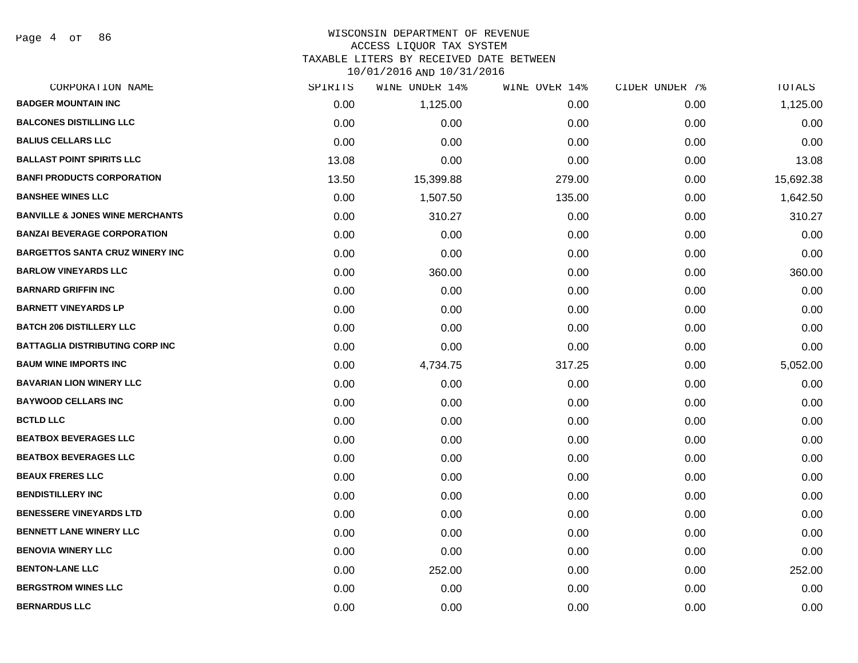Page 4 of 86

### WISCONSIN DEPARTMENT OF REVENUE ACCESS LIQUOR TAX SYSTEM TAXABLE LITERS BY RECEIVED DATE BETWEEN

| CORPORATION NAME                           | SPIRITS | WINE UNDER 14% | WINE OVER 14% | CIDER UNDER 7% | TOTALS    |
|--------------------------------------------|---------|----------------|---------------|----------------|-----------|
| <b>BADGER MOUNTAIN INC</b>                 | 0.00    | 1,125.00       | 0.00          | 0.00           | 1,125.00  |
| <b>BALCONES DISTILLING LLC</b>             | 0.00    | 0.00           | 0.00          | 0.00           | 0.00      |
| <b>BALIUS CELLARS LLC</b>                  | 0.00    | 0.00           | 0.00          | 0.00           | 0.00      |
| <b>BALLAST POINT SPIRITS LLC</b>           | 13.08   | 0.00           | 0.00          | 0.00           | 13.08     |
| <b>BANFI PRODUCTS CORPORATION</b>          | 13.50   | 15,399.88      | 279.00        | 0.00           | 15,692.38 |
| <b>BANSHEE WINES LLC</b>                   | 0.00    | 1,507.50       | 135.00        | 0.00           | 1,642.50  |
| <b>BANVILLE &amp; JONES WINE MERCHANTS</b> | 0.00    | 310.27         | 0.00          | 0.00           | 310.27    |
| <b>BANZAI BEVERAGE CORPORATION</b>         | 0.00    | 0.00           | 0.00          | 0.00           | 0.00      |
| <b>BARGETTOS SANTA CRUZ WINERY INC</b>     | 0.00    | 0.00           | 0.00          | 0.00           | 0.00      |
| <b>BARLOW VINEYARDS LLC</b>                | 0.00    | 360.00         | 0.00          | 0.00           | 360.00    |
| <b>BARNARD GRIFFIN INC</b>                 | 0.00    | 0.00           | 0.00          | 0.00           | 0.00      |
| <b>BARNETT VINEYARDS LP</b>                | 0.00    | 0.00           | 0.00          | 0.00           | 0.00      |
| <b>BATCH 206 DISTILLERY LLC</b>            | 0.00    | 0.00           | 0.00          | 0.00           | 0.00      |
| <b>BATTAGLIA DISTRIBUTING CORP INC</b>     | 0.00    | 0.00           | 0.00          | 0.00           | 0.00      |
| <b>BAUM WINE IMPORTS INC</b>               | 0.00    | 4,734.75       | 317.25        | 0.00           | 5,052.00  |
| <b>BAVARIAN LION WINERY LLC</b>            | 0.00    | 0.00           | 0.00          | 0.00           | 0.00      |
| <b>BAYWOOD CELLARS INC</b>                 | 0.00    | 0.00           | 0.00          | 0.00           | 0.00      |
| <b>BCTLD LLC</b>                           | 0.00    | 0.00           | 0.00          | 0.00           | 0.00      |
| <b>BEATBOX BEVERAGES LLC</b>               | 0.00    | 0.00           | 0.00          | 0.00           | 0.00      |
| <b>BEATBOX BEVERAGES LLC</b>               | 0.00    | 0.00           | 0.00          | 0.00           | 0.00      |
| <b>BEAUX FRERES LLC</b>                    | 0.00    | 0.00           | 0.00          | 0.00           | 0.00      |
| <b>BENDISTILLERY INC</b>                   | 0.00    | 0.00           | 0.00          | 0.00           | 0.00      |
| <b>BENESSERE VINEYARDS LTD</b>             | 0.00    | 0.00           | 0.00          | 0.00           | 0.00      |
| <b>BENNETT LANE WINERY LLC</b>             | 0.00    | 0.00           | 0.00          | 0.00           | 0.00      |
| <b>BENOVIA WINERY LLC</b>                  | 0.00    | 0.00           | 0.00          | 0.00           | 0.00      |
| <b>BENTON-LANE LLC</b>                     | 0.00    | 252.00         | 0.00          | 0.00           | 252.00    |
| <b>BERGSTROM WINES LLC</b>                 | 0.00    | 0.00           | 0.00          | 0.00           | 0.00      |
| <b>BERNARDUS LLC</b>                       | 0.00    | 0.00           | 0.00          | 0.00           | 0.00      |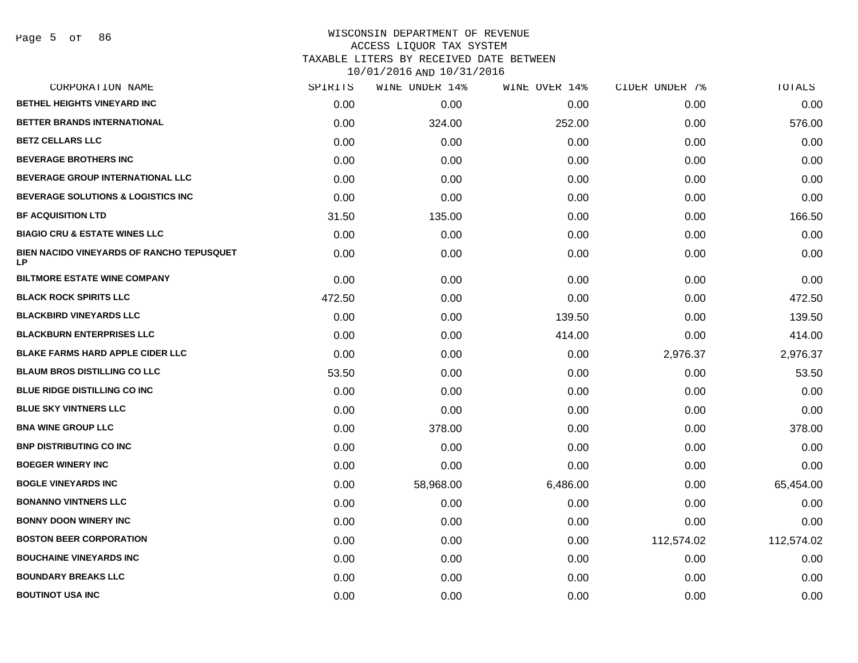| CORPORATION NAME                                | SPIRITS | WINE UNDER 14% | WINE OVER 14% | CIDER UNDER 7% | TOTALS     |
|-------------------------------------------------|---------|----------------|---------------|----------------|------------|
| <b>BETHEL HEIGHTS VINEYARD INC</b>              | 0.00    | 0.00           | 0.00          | 0.00           | 0.00       |
| BETTER BRANDS INTERNATIONAL                     | 0.00    | 324.00         | 252.00        | 0.00           | 576.00     |
| <b>BETZ CELLARS LLC</b>                         | 0.00    | 0.00           | 0.00          | 0.00           | 0.00       |
| <b>BEVERAGE BROTHERS INC</b>                    | 0.00    | 0.00           | 0.00          | 0.00           | 0.00       |
| BEVERAGE GROUP INTERNATIONAL LLC                | 0.00    | 0.00           | 0.00          | 0.00           | 0.00       |
| BEVERAGE SOLUTIONS & LOGISTICS INC              | 0.00    | 0.00           | 0.00          | 0.00           | 0.00       |
| <b>BF ACQUISITION LTD</b>                       | 31.50   | 135.00         | 0.00          | 0.00           | 166.50     |
| <b>BIAGIO CRU &amp; ESTATE WINES LLC</b>        | 0.00    | 0.00           | 0.00          | 0.00           | 0.00       |
| BIEN NACIDO VINEYARDS OF RANCHO TEPUSQUET<br>LP | 0.00    | 0.00           | 0.00          | 0.00           | 0.00       |
| <b>BILTMORE ESTATE WINE COMPANY</b>             | 0.00    | 0.00           | 0.00          | 0.00           | 0.00       |
| <b>BLACK ROCK SPIRITS LLC</b>                   | 472.50  | 0.00           | 0.00          | 0.00           | 472.50     |
| <b>BLACKBIRD VINEYARDS LLC</b>                  | 0.00    | 0.00           | 139.50        | 0.00           | 139.50     |
| <b>BLACKBURN ENTERPRISES LLC</b>                | 0.00    | 0.00           | 414.00        | 0.00           | 414.00     |
| <b>BLAKE FARMS HARD APPLE CIDER LLC</b>         | 0.00    | 0.00           | 0.00          | 2,976.37       | 2,976.37   |
| <b>BLAUM BROS DISTILLING CO LLC</b>             | 53.50   | 0.00           | 0.00          | 0.00           | 53.50      |
| BLUE RIDGE DISTILLING CO INC                    | 0.00    | 0.00           | 0.00          | 0.00           | 0.00       |
| <b>BLUE SKY VINTNERS LLC</b>                    | 0.00    | 0.00           | 0.00          | 0.00           | 0.00       |
| <b>BNA WINE GROUP LLC</b>                       | 0.00    | 378.00         | 0.00          | 0.00           | 378.00     |
| <b>BNP DISTRIBUTING CO INC</b>                  | 0.00    | 0.00           | 0.00          | 0.00           | 0.00       |
| <b>BOEGER WINERY INC</b>                        | 0.00    | 0.00           | 0.00          | 0.00           | 0.00       |
| <b>BOGLE VINEYARDS INC</b>                      | 0.00    | 58,968.00      | 6,486.00      | 0.00           | 65,454.00  |
| <b>BONANNO VINTNERS LLC</b>                     | 0.00    | 0.00           | 0.00          | 0.00           | 0.00       |
| <b>BONNY DOON WINERY INC</b>                    | 0.00    | 0.00           | 0.00          | 0.00           | 0.00       |
| <b>BOSTON BEER CORPORATION</b>                  | 0.00    | 0.00           | 0.00          | 112,574.02     | 112,574.02 |
| <b>BOUCHAINE VINEYARDS INC</b>                  | 0.00    | 0.00           | 0.00          | 0.00           | 0.00       |
| <b>BOUNDARY BREAKS LLC</b>                      | 0.00    | 0.00           | 0.00          | 0.00           | 0.00       |
| <b>BOUTINOT USA INC</b>                         | 0.00    | 0.00           | 0.00          | 0.00           | 0.00       |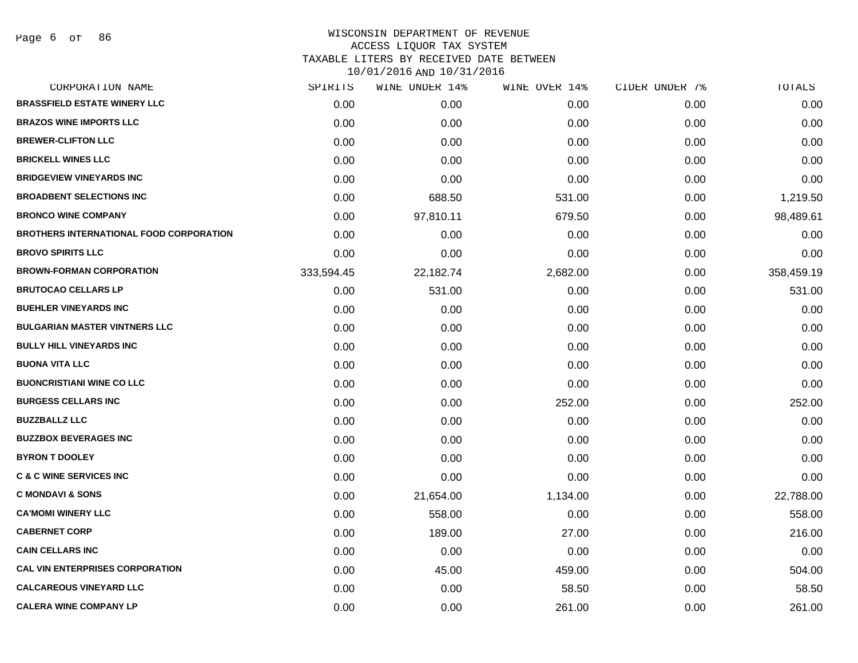Page 6 of 86

# WISCONSIN DEPARTMENT OF REVENUE ACCESS LIQUOR TAX SYSTEM

TAXABLE LITERS BY RECEIVED DATE BETWEEN

| CORPORATION NAME                               | SPIRITS    | WINE UNDER 14% | WINE OVER 14% | CIDER UNDER 7% | TOTALS     |
|------------------------------------------------|------------|----------------|---------------|----------------|------------|
| <b>BRASSFIELD ESTATE WINERY LLC</b>            | 0.00       | 0.00           | 0.00          | 0.00           | 0.00       |
| <b>BRAZOS WINE IMPORTS LLC</b>                 | 0.00       | 0.00           | 0.00          | 0.00           | 0.00       |
| <b>BREWER-CLIFTON LLC</b>                      | 0.00       | 0.00           | 0.00          | 0.00           | 0.00       |
| <b>BRICKELL WINES LLC</b>                      | 0.00       | 0.00           | 0.00          | 0.00           | 0.00       |
| <b>BRIDGEVIEW VINEYARDS INC</b>                | 0.00       | 0.00           | 0.00          | 0.00           | 0.00       |
| <b>BROADBENT SELECTIONS INC</b>                | 0.00       | 688.50         | 531.00        | 0.00           | 1,219.50   |
| <b>BRONCO WINE COMPANY</b>                     | 0.00       | 97,810.11      | 679.50        | 0.00           | 98,489.61  |
| <b>BROTHERS INTERNATIONAL FOOD CORPORATION</b> | 0.00       | 0.00           | 0.00          | 0.00           | 0.00       |
| <b>BROVO SPIRITS LLC</b>                       | 0.00       | 0.00           | 0.00          | 0.00           | 0.00       |
| <b>BROWN-FORMAN CORPORATION</b>                | 333,594.45 | 22,182.74      | 2,682.00      | 0.00           | 358,459.19 |
| <b>BRUTOCAO CELLARS LP</b>                     | 0.00       | 531.00         | 0.00          | 0.00           | 531.00     |
| <b>BUEHLER VINEYARDS INC</b>                   | 0.00       | 0.00           | 0.00          | 0.00           | 0.00       |
| <b>BULGARIAN MASTER VINTNERS LLC</b>           | 0.00       | 0.00           | 0.00          | 0.00           | 0.00       |
| <b>BULLY HILL VINEYARDS INC</b>                | 0.00       | 0.00           | 0.00          | 0.00           | 0.00       |
| <b>BUONA VITA LLC</b>                          | 0.00       | 0.00           | 0.00          | 0.00           | 0.00       |
| <b>BUONCRISTIANI WINE CO LLC</b>               | 0.00       | 0.00           | 0.00          | 0.00           | 0.00       |
| <b>BURGESS CELLARS INC</b>                     | 0.00       | 0.00           | 252.00        | 0.00           | 252.00     |
| <b>BUZZBALLZ LLC</b>                           | 0.00       | 0.00           | 0.00          | 0.00           | 0.00       |
| <b>BUZZBOX BEVERAGES INC</b>                   | 0.00       | 0.00           | 0.00          | 0.00           | 0.00       |
| <b>BYRON T DOOLEY</b>                          | 0.00       | 0.00           | 0.00          | 0.00           | 0.00       |
| <b>C &amp; C WINE SERVICES INC</b>             | 0.00       | 0.00           | 0.00          | 0.00           | 0.00       |
| <b>C MONDAVI &amp; SONS</b>                    | 0.00       | 21,654.00      | 1,134.00      | 0.00           | 22,788.00  |
| <b>CA'MOMI WINERY LLC</b>                      | 0.00       | 558.00         | 0.00          | 0.00           | 558.00     |
| <b>CABERNET CORP</b>                           | 0.00       | 189.00         | 27.00         | 0.00           | 216.00     |
| <b>CAIN CELLARS INC</b>                        | 0.00       | 0.00           | 0.00          | 0.00           | 0.00       |
| <b>CAL VIN ENTERPRISES CORPORATION</b>         | 0.00       | 45.00          | 459.00        | 0.00           | 504.00     |
| <b>CALCAREOUS VINEYARD LLC</b>                 | 0.00       | 0.00           | 58.50         | 0.00           | 58.50      |
| <b>CALERA WINE COMPANY LP</b>                  | 0.00       | 0.00           | 261.00        | 0.00           | 261.00     |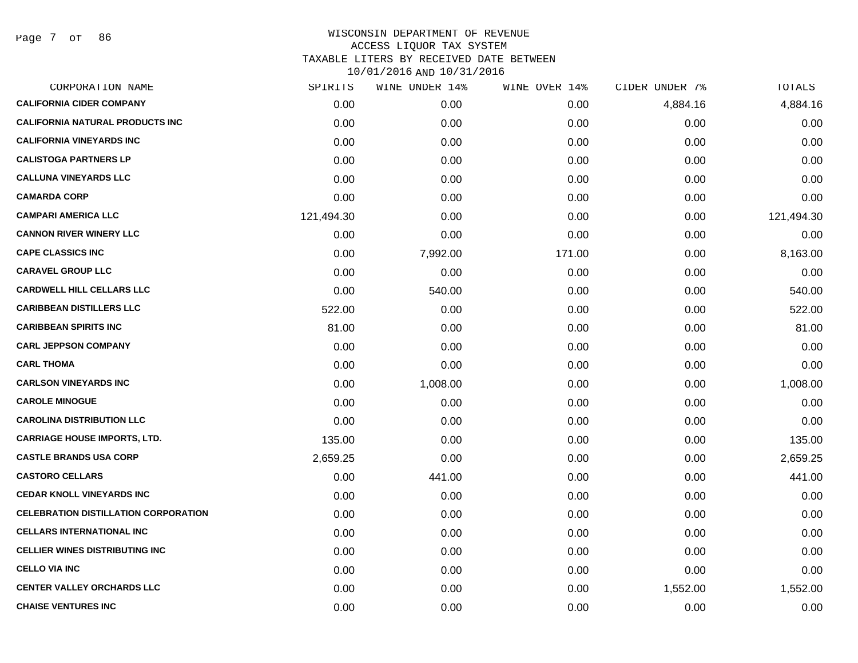Page 7 of 86

| CORPORATION NAME                            | SPIRITS    | WINE UNDER 14% | WINE OVER 14% | CIDER UNDER 7% | TOTALS     |
|---------------------------------------------|------------|----------------|---------------|----------------|------------|
| <b>CALIFORNIA CIDER COMPANY</b>             | 0.00       | 0.00           | 0.00          | 4,884.16       | 4,884.16   |
| <b>CALIFORNIA NATURAL PRODUCTS INC</b>      | 0.00       | 0.00           | 0.00          | 0.00           | 0.00       |
| <b>CALIFORNIA VINEYARDS INC</b>             | 0.00       | 0.00           | 0.00          | 0.00           | 0.00       |
| <b>CALISTOGA PARTNERS LP</b>                | 0.00       | 0.00           | 0.00          | 0.00           | 0.00       |
| <b>CALLUNA VINEYARDS LLC</b>                | 0.00       | 0.00           | 0.00          | 0.00           | 0.00       |
| <b>CAMARDA CORP</b>                         | 0.00       | 0.00           | 0.00          | 0.00           | 0.00       |
| <b>CAMPARI AMERICA LLC</b>                  | 121,494.30 | 0.00           | 0.00          | 0.00           | 121,494.30 |
| <b>CANNON RIVER WINERY LLC</b>              | 0.00       | 0.00           | 0.00          | 0.00           | 0.00       |
| <b>CAPE CLASSICS INC</b>                    | 0.00       | 7,992.00       | 171.00        | 0.00           | 8,163.00   |
| <b>CARAVEL GROUP LLC</b>                    | 0.00       | 0.00           | 0.00          | 0.00           | 0.00       |
| <b>CARDWELL HILL CELLARS LLC</b>            | 0.00       | 540.00         | 0.00          | 0.00           | 540.00     |
| <b>CARIBBEAN DISTILLERS LLC</b>             | 522.00     | 0.00           | 0.00          | 0.00           | 522.00     |
| <b>CARIBBEAN SPIRITS INC</b>                | 81.00      | 0.00           | 0.00          | 0.00           | 81.00      |
| <b>CARL JEPPSON COMPANY</b>                 | 0.00       | 0.00           | 0.00          | 0.00           | 0.00       |
| <b>CARL THOMA</b>                           | 0.00       | 0.00           | 0.00          | 0.00           | 0.00       |
| <b>CARLSON VINEYARDS INC</b>                | 0.00       | 1,008.00       | 0.00          | 0.00           | 1,008.00   |
| <b>CAROLE MINOGUE</b>                       | 0.00       | 0.00           | 0.00          | 0.00           | 0.00       |
| <b>CAROLINA DISTRIBUTION LLC</b>            | 0.00       | 0.00           | 0.00          | 0.00           | 0.00       |
| <b>CARRIAGE HOUSE IMPORTS, LTD.</b>         | 135.00     | 0.00           | 0.00          | 0.00           | 135.00     |
| <b>CASTLE BRANDS USA CORP</b>               | 2,659.25   | 0.00           | 0.00          | 0.00           | 2,659.25   |
| <b>CASTORO CELLARS</b>                      | 0.00       | 441.00         | 0.00          | 0.00           | 441.00     |
| <b>CEDAR KNOLL VINEYARDS INC</b>            | 0.00       | 0.00           | 0.00          | 0.00           | 0.00       |
| <b>CELEBRATION DISTILLATION CORPORATION</b> | 0.00       | 0.00           | 0.00          | 0.00           | 0.00       |
| <b>CELLARS INTERNATIONAL INC</b>            | 0.00       | 0.00           | 0.00          | 0.00           | 0.00       |
| <b>CELLIER WINES DISTRIBUTING INC</b>       | 0.00       | 0.00           | 0.00          | 0.00           | 0.00       |
| <b>CELLO VIA INC</b>                        | 0.00       | 0.00           | 0.00          | 0.00           | 0.00       |
| <b>CENTER VALLEY ORCHARDS LLC</b>           | 0.00       | 0.00           | 0.00          | 1,552.00       | 1,552.00   |
| <b>CHAISE VENTURES INC</b>                  | 0.00       | 0.00           | 0.00          | 0.00           | 0.00       |
|                                             |            |                |               |                |            |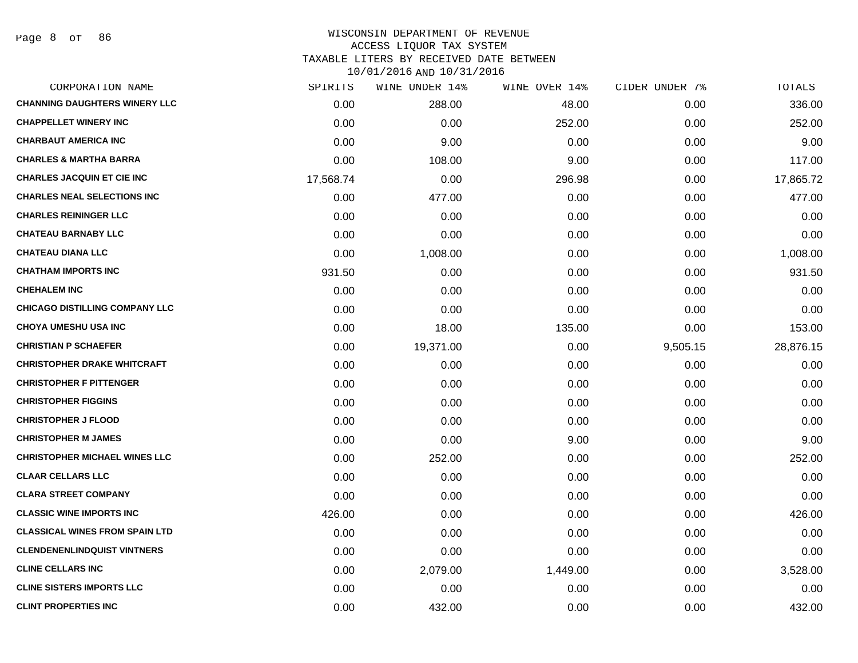| CORPORATION NAME                      | SPIRITS   | WINE UNDER 14% | WINE OVER 14% | CIDER UNDER 7% | TOTALS    |
|---------------------------------------|-----------|----------------|---------------|----------------|-----------|
| <b>CHANNING DAUGHTERS WINERY LLC</b>  | 0.00      | 288.00         | 48.00         | 0.00           | 336.00    |
| <b>CHAPPELLET WINERY INC</b>          | 0.00      | 0.00           | 252.00        | 0.00           | 252.00    |
| <b>CHARBAUT AMERICA INC</b>           | 0.00      | 9.00           | 0.00          | 0.00           | 9.00      |
| <b>CHARLES &amp; MARTHA BARRA</b>     | 0.00      | 108.00         | 9.00          | 0.00           | 117.00    |
| <b>CHARLES JACQUIN ET CIE INC</b>     | 17,568.74 | 0.00           | 296.98        | 0.00           | 17,865.72 |
| <b>CHARLES NEAL SELECTIONS INC</b>    | 0.00      | 477.00         | 0.00          | 0.00           | 477.00    |
| <b>CHARLES REININGER LLC</b>          | 0.00      | 0.00           | 0.00          | 0.00           | 0.00      |
| <b>CHATEAU BARNABY LLC</b>            | 0.00      | 0.00           | 0.00          | 0.00           | 0.00      |
| <b>CHATEAU DIANA LLC</b>              | 0.00      | 1,008.00       | 0.00          | 0.00           | 1,008.00  |
| <b>CHATHAM IMPORTS INC</b>            | 931.50    | 0.00           | 0.00          | 0.00           | 931.50    |
| <b>CHEHALEM INC</b>                   | 0.00      | 0.00           | 0.00          | 0.00           | 0.00      |
| <b>CHICAGO DISTILLING COMPANY LLC</b> | 0.00      | 0.00           | 0.00          | 0.00           | 0.00      |
| <b>CHOYA UMESHU USA INC</b>           | 0.00      | 18.00          | 135.00        | 0.00           | 153.00    |
| <b>CHRISTIAN P SCHAEFER</b>           | 0.00      | 19,371.00      | 0.00          | 9,505.15       | 28,876.15 |
| <b>CHRISTOPHER DRAKE WHITCRAFT</b>    | 0.00      | 0.00           | 0.00          | 0.00           | 0.00      |
| <b>CHRISTOPHER F PITTENGER</b>        | 0.00      | 0.00           | 0.00          | 0.00           | 0.00      |
| <b>CHRISTOPHER FIGGINS</b>            | 0.00      | 0.00           | 0.00          | 0.00           | 0.00      |
| <b>CHRISTOPHER J FLOOD</b>            | 0.00      | 0.00           | 0.00          | 0.00           | 0.00      |
| <b>CHRISTOPHER M JAMES</b>            | 0.00      | 0.00           | 9.00          | 0.00           | 9.00      |
| <b>CHRISTOPHER MICHAEL WINES LLC</b>  | 0.00      | 252.00         | 0.00          | 0.00           | 252.00    |
| <b>CLAAR CELLARS LLC</b>              | 0.00      | 0.00           | 0.00          | 0.00           | 0.00      |
| <b>CLARA STREET COMPANY</b>           | 0.00      | 0.00           | 0.00          | 0.00           | 0.00      |
| <b>CLASSIC WINE IMPORTS INC</b>       | 426.00    | 0.00           | 0.00          | 0.00           | 426.00    |
| <b>CLASSICAL WINES FROM SPAIN LTD</b> | 0.00      | 0.00           | 0.00          | 0.00           | 0.00      |
| <b>CLENDENENLINDQUIST VINTNERS</b>    | 0.00      | 0.00           | 0.00          | 0.00           | 0.00      |
| <b>CLINE CELLARS INC</b>              | 0.00      | 2,079.00       | 1,449.00      | 0.00           | 3,528.00  |
| <b>CLINE SISTERS IMPORTS LLC</b>      | 0.00      | 0.00           | 0.00          | 0.00           | 0.00      |
| <b>CLINT PROPERTIES INC</b>           | 0.00      | 432.00         | 0.00          | 0.00           | 432.00    |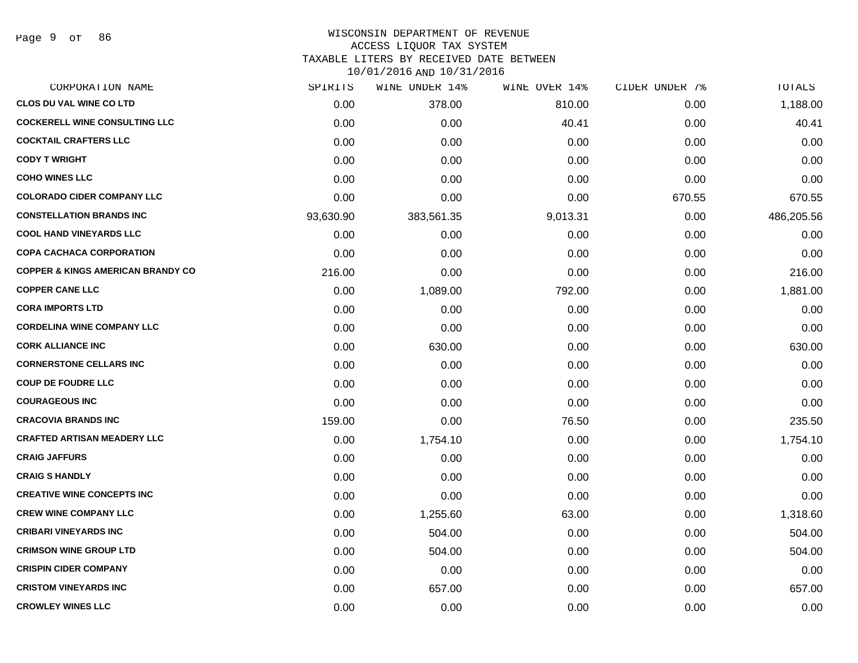| CORPORATION NAME                             | SPIRITS   | WINE UNDER 14% | WINE OVER 14% | CIDER UNDER 7% | TOTALS     |
|----------------------------------------------|-----------|----------------|---------------|----------------|------------|
| <b>CLOS DU VAL WINE CO LTD</b>               | 0.00      | 378.00         | 810.00        | 0.00           | 1,188.00   |
| <b>COCKERELL WINE CONSULTING LLC</b>         | 0.00      | 0.00           | 40.41         | 0.00           | 40.41      |
| <b>COCKTAIL CRAFTERS LLC</b>                 | 0.00      | 0.00           | 0.00          | 0.00           | 0.00       |
| <b>CODY T WRIGHT</b>                         | 0.00      | 0.00           | 0.00          | 0.00           | 0.00       |
| <b>COHO WINES LLC</b>                        | 0.00      | 0.00           | 0.00          | 0.00           | 0.00       |
| <b>COLORADO CIDER COMPANY LLC</b>            | 0.00      | 0.00           | 0.00          | 670.55         | 670.55     |
| <b>CONSTELLATION BRANDS INC</b>              | 93,630.90 | 383,561.35     | 9,013.31      | 0.00           | 486,205.56 |
| <b>COOL HAND VINEYARDS LLC</b>               | 0.00      | 0.00           | 0.00          | 0.00           | 0.00       |
| <b>COPA CACHACA CORPORATION</b>              | 0.00      | 0.00           | 0.00          | 0.00           | 0.00       |
| <b>COPPER &amp; KINGS AMERICAN BRANDY CO</b> | 216.00    | 0.00           | 0.00          | 0.00           | 216.00     |
| <b>COPPER CANE LLC</b>                       | 0.00      | 1,089.00       | 792.00        | 0.00           | 1,881.00   |
| <b>CORA IMPORTS LTD</b>                      | 0.00      | 0.00           | 0.00          | 0.00           | 0.00       |
| <b>CORDELINA WINE COMPANY LLC</b>            | 0.00      | 0.00           | 0.00          | 0.00           | 0.00       |
| <b>CORK ALLIANCE INC</b>                     | 0.00      | 630.00         | 0.00          | 0.00           | 630.00     |
| <b>CORNERSTONE CELLARS INC</b>               | 0.00      | 0.00           | 0.00          | 0.00           | 0.00       |
| <b>COUP DE FOUDRE LLC</b>                    | 0.00      | 0.00           | 0.00          | 0.00           | 0.00       |
| <b>COURAGEOUS INC</b>                        | 0.00      | 0.00           | 0.00          | 0.00           | 0.00       |
| <b>CRACOVIA BRANDS INC</b>                   | 159.00    | 0.00           | 76.50         | 0.00           | 235.50     |
| <b>CRAFTED ARTISAN MEADERY LLC</b>           | 0.00      | 1,754.10       | 0.00          | 0.00           | 1,754.10   |
| <b>CRAIG JAFFURS</b>                         | 0.00      | 0.00           | 0.00          | 0.00           | 0.00       |
| <b>CRAIG S HANDLY</b>                        | 0.00      | 0.00           | 0.00          | 0.00           | 0.00       |
| <b>CREATIVE WINE CONCEPTS INC</b>            | 0.00      | 0.00           | 0.00          | 0.00           | 0.00       |
| <b>CREW WINE COMPANY LLC</b>                 | 0.00      | 1,255.60       | 63.00         | 0.00           | 1,318.60   |
| <b>CRIBARI VINEYARDS INC</b>                 | 0.00      | 504.00         | 0.00          | 0.00           | 504.00     |
| <b>CRIMSON WINE GROUP LTD</b>                | 0.00      | 504.00         | 0.00          | 0.00           | 504.00     |
| <b>CRISPIN CIDER COMPANY</b>                 | 0.00      | 0.00           | 0.00          | 0.00           | 0.00       |
| <b>CRISTOM VINEYARDS INC</b>                 | 0.00      | 657.00         | 0.00          | 0.00           | 657.00     |
| <b>CROWLEY WINES LLC</b>                     | 0.00      | 0.00           | 0.00          | 0.00           | 0.00       |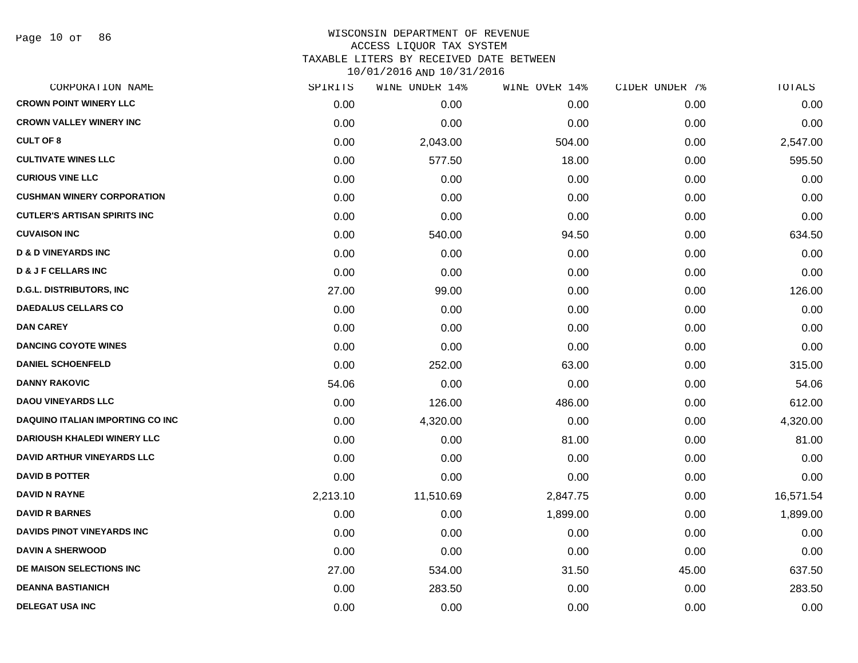Page 10 of 86

| CORPORATION NAME                        | SPIRITS  | WINE UNDER 14% | WINE OVER 14% | CIDER UNDER 7% | TOTALS    |
|-----------------------------------------|----------|----------------|---------------|----------------|-----------|
| <b>CROWN POINT WINERY LLC</b>           | 0.00     | 0.00           | 0.00          | 0.00           | 0.00      |
| <b>CROWN VALLEY WINERY INC</b>          | 0.00     | 0.00           | 0.00          | 0.00           | 0.00      |
| <b>CULT OF 8</b>                        | 0.00     | 2,043.00       | 504.00        | 0.00           | 2,547.00  |
| <b>CULTIVATE WINES LLC</b>              | 0.00     | 577.50         | 18.00         | 0.00           | 595.50    |
| <b>CURIOUS VINE LLC</b>                 | 0.00     | 0.00           | 0.00          | 0.00           | 0.00      |
| <b>CUSHMAN WINERY CORPORATION</b>       | 0.00     | 0.00           | 0.00          | 0.00           | 0.00      |
| <b>CUTLER'S ARTISAN SPIRITS INC</b>     | 0.00     | 0.00           | 0.00          | 0.00           | 0.00      |
| <b>CUVAISON INC</b>                     | 0.00     | 540.00         | 94.50         | 0.00           | 634.50    |
| <b>D &amp; D VINEYARDS INC</b>          | 0.00     | 0.00           | 0.00          | 0.00           | 0.00      |
| <b>D &amp; J F CELLARS INC</b>          | 0.00     | 0.00           | 0.00          | 0.00           | 0.00      |
| <b>D.G.L. DISTRIBUTORS, INC.</b>        | 27.00    | 99.00          | 0.00          | 0.00           | 126.00    |
| <b>DAEDALUS CELLARS CO</b>              | 0.00     | 0.00           | 0.00          | 0.00           | 0.00      |
| <b>DAN CAREY</b>                        | 0.00     | 0.00           | 0.00          | 0.00           | 0.00      |
| <b>DANCING COYOTE WINES</b>             | 0.00     | 0.00           | 0.00          | 0.00           | 0.00      |
| <b>DANIEL SCHOENFELD</b>                | 0.00     | 252.00         | 63.00         | 0.00           | 315.00    |
| <b>DANNY RAKOVIC</b>                    | 54.06    | 0.00           | 0.00          | 0.00           | 54.06     |
| <b>DAOU VINEYARDS LLC</b>               | 0.00     | 126.00         | 486.00        | 0.00           | 612.00    |
| <b>DAQUINO ITALIAN IMPORTING CO INC</b> | 0.00     | 4,320.00       | 0.00          | 0.00           | 4,320.00  |
| <b>DARIOUSH KHALEDI WINERY LLC</b>      | 0.00     | 0.00           | 81.00         | 0.00           | 81.00     |
| DAVID ARTHUR VINEYARDS LLC              | 0.00     | 0.00           | 0.00          | 0.00           | 0.00      |
| <b>DAVID B POTTER</b>                   | 0.00     | 0.00           | 0.00          | 0.00           | 0.00      |
| <b>DAVID N RAYNE</b>                    | 2,213.10 | 11,510.69      | 2,847.75      | 0.00           | 16,571.54 |
| <b>DAVID R BARNES</b>                   | 0.00     | 0.00           | 1,899.00      | 0.00           | 1,899.00  |
| DAVIDS PINOT VINEYARDS INC              | 0.00     | 0.00           | 0.00          | 0.00           | 0.00      |
| <b>DAVIN A SHERWOOD</b>                 | 0.00     | 0.00           | 0.00          | 0.00           | 0.00      |
| DE MAISON SELECTIONS INC                | 27.00    | 534.00         | 31.50         | 45.00          | 637.50    |
| <b>DEANNA BASTIANICH</b>                | 0.00     | 283.50         | 0.00          | 0.00           | 283.50    |
| <b>DELEGAT USA INC</b>                  | 0.00     | 0.00           | 0.00          | 0.00           | 0.00      |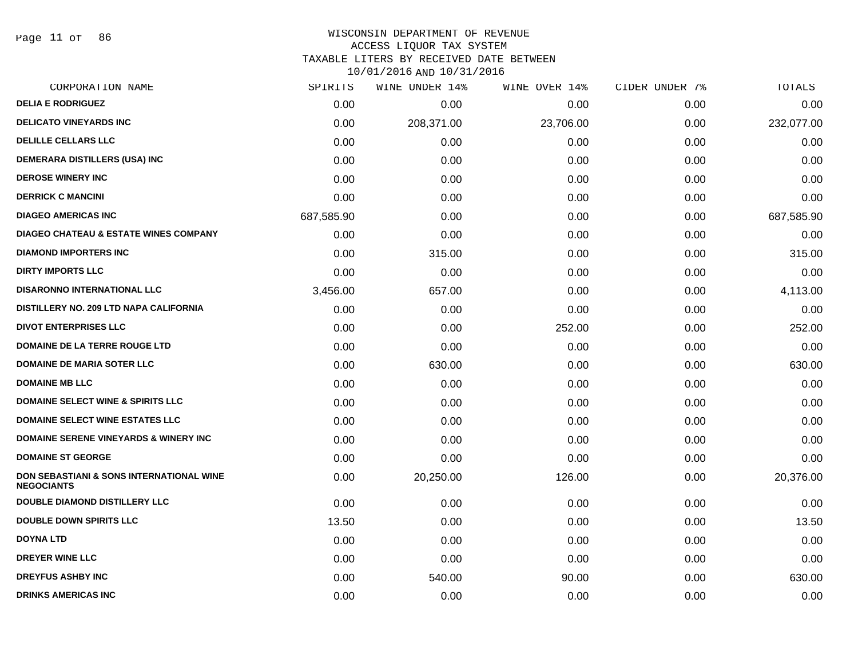Page 11 of 86

#### WISCONSIN DEPARTMENT OF REVENUE ACCESS LIQUOR TAX SYSTEM

TAXABLE LITERS BY RECEIVED DATE BETWEEN

| CORPORATION NAME                                                         | SPIRITS    | WINE UNDER 14% | WINE OVER 14% | CIDER UNDER 7% | TOTALS     |
|--------------------------------------------------------------------------|------------|----------------|---------------|----------------|------------|
| <b>DELIA E RODRIGUEZ</b>                                                 | 0.00       | 0.00           | 0.00          | 0.00           | 0.00       |
| <b>DELICATO VINEYARDS INC</b>                                            | 0.00       | 208,371.00     | 23,706.00     | 0.00           | 232,077.00 |
| <b>DELILLE CELLARS LLC</b>                                               | 0.00       | 0.00           | 0.00          | 0.00           | 0.00       |
| <b>DEMERARA DISTILLERS (USA) INC</b>                                     | 0.00       | 0.00           | 0.00          | 0.00           | 0.00       |
| <b>DEROSE WINERY INC</b>                                                 | 0.00       | 0.00           | 0.00          | 0.00           | 0.00       |
| <b>DERRICK C MANCINI</b>                                                 | 0.00       | 0.00           | 0.00          | 0.00           | 0.00       |
| <b>DIAGEO AMERICAS INC</b>                                               | 687,585.90 | 0.00           | 0.00          | 0.00           | 687,585.90 |
| <b>DIAGEO CHATEAU &amp; ESTATE WINES COMPANY</b>                         | 0.00       | 0.00           | 0.00          | 0.00           | 0.00       |
| <b>DIAMOND IMPORTERS INC</b>                                             | 0.00       | 315.00         | 0.00          | 0.00           | 315.00     |
| <b>DIRTY IMPORTS LLC</b>                                                 | 0.00       | 0.00           | 0.00          | 0.00           | 0.00       |
| <b>DISARONNO INTERNATIONAL LLC</b>                                       | 3,456.00   | 657.00         | 0.00          | 0.00           | 4,113.00   |
| DISTILLERY NO. 209 LTD NAPA CALIFORNIA                                   | 0.00       | 0.00           | 0.00          | 0.00           | 0.00       |
| <b>DIVOT ENTERPRISES LLC</b>                                             | 0.00       | 0.00           | 252.00        | 0.00           | 252.00     |
| <b>DOMAINE DE LA TERRE ROUGE LTD</b>                                     | 0.00       | 0.00           | 0.00          | 0.00           | 0.00       |
| <b>DOMAINE DE MARIA SOTER LLC</b>                                        | 0.00       | 630.00         | 0.00          | 0.00           | 630.00     |
| <b>DOMAINE MB LLC</b>                                                    | 0.00       | 0.00           | 0.00          | 0.00           | 0.00       |
| <b>DOMAINE SELECT WINE &amp; SPIRITS LLC</b>                             | 0.00       | 0.00           | 0.00          | 0.00           | 0.00       |
| <b>DOMAINE SELECT WINE ESTATES LLC</b>                                   | 0.00       | 0.00           | 0.00          | 0.00           | 0.00       |
| <b>DOMAINE SERENE VINEYARDS &amp; WINERY INC</b>                         | 0.00       | 0.00           | 0.00          | 0.00           | 0.00       |
| <b>DOMAINE ST GEORGE</b>                                                 | 0.00       | 0.00           | 0.00          | 0.00           | 0.00       |
| <b>DON SEBASTIANI &amp; SONS INTERNATIONAL WINE</b><br><b>NEGOCIANTS</b> | 0.00       | 20,250.00      | 126.00        | 0.00           | 20,376.00  |
| <b>DOUBLE DIAMOND DISTILLERY LLC</b>                                     | 0.00       | 0.00           | 0.00          | 0.00           | 0.00       |
| <b>DOUBLE DOWN SPIRITS LLC</b>                                           | 13.50      | 0.00           | 0.00          | 0.00           | 13.50      |
| <b>DOYNA LTD</b>                                                         | 0.00       | 0.00           | 0.00          | 0.00           | 0.00       |
| <b>DREYER WINE LLC</b>                                                   | 0.00       | 0.00           | 0.00          | 0.00           | 0.00       |
| <b>DREYFUS ASHBY INC</b>                                                 | 0.00       | 540.00         | 90.00         | 0.00           | 630.00     |
| <b>DRINKS AMERICAS INC</b>                                               | 0.00       | 0.00           | 0.00          | 0.00           | 0.00       |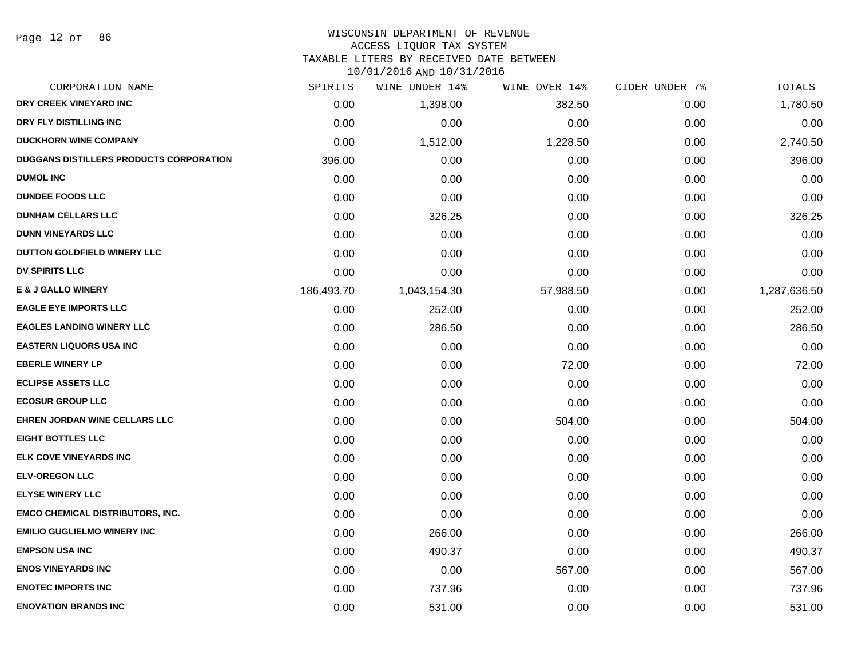# WISCONSIN DEPARTMENT OF REVENUE

### ACCESS LIQUOR TAX SYSTEM

TAXABLE LITERS BY RECEIVED DATE BETWEEN

| CORPORATION NAME                               | SPIRITS    | WINE UNDER 14% | WINE OVER 14% | CIDER UNDER 7% | TOTALS       |
|------------------------------------------------|------------|----------------|---------------|----------------|--------------|
| DRY CREEK VINEYARD INC                         | 0.00       | 1,398.00       | 382.50        | 0.00           | 1,780.50     |
| DRY FLY DISTILLING INC                         | 0.00       | 0.00           | 0.00          | 0.00           | 0.00         |
| <b>DUCKHORN WINE COMPANY</b>                   | 0.00       | 1,512.00       | 1,228.50      | 0.00           | 2,740.50     |
| <b>DUGGANS DISTILLERS PRODUCTS CORPORATION</b> | 396.00     | 0.00           | 0.00          | 0.00           | 396.00       |
| <b>DUMOL INC</b>                               | 0.00       | 0.00           | 0.00          | 0.00           | 0.00         |
| <b>DUNDEE FOODS LLC</b>                        | 0.00       | 0.00           | 0.00          | 0.00           | 0.00         |
| <b>DUNHAM CELLARS LLC</b>                      | 0.00       | 326.25         | 0.00          | 0.00           | 326.25       |
| <b>DUNN VINEYARDS LLC</b>                      | 0.00       | 0.00           | 0.00          | 0.00           | 0.00         |
| DUTTON GOLDFIELD WINERY LLC                    | 0.00       | 0.00           | 0.00          | 0.00           | 0.00         |
| <b>DV SPIRITS LLC</b>                          | 0.00       | 0.00           | 0.00          | 0.00           | 0.00         |
| <b>E &amp; J GALLO WINERY</b>                  | 186,493.70 | 1,043,154.30   | 57,988.50     | 0.00           | 1,287,636.50 |
| <b>EAGLE EYE IMPORTS LLC</b>                   | 0.00       | 252.00         | 0.00          | 0.00           | 252.00       |
| <b>EAGLES LANDING WINERY LLC</b>               | 0.00       | 286.50         | 0.00          | 0.00           | 286.50       |
| <b>EASTERN LIQUORS USA INC</b>                 | 0.00       | 0.00           | 0.00          | 0.00           | 0.00         |
| <b>EBERLE WINERY LP</b>                        | 0.00       | 0.00           | 72.00         | 0.00           | 72.00        |
| <b>ECLIPSE ASSETS LLC</b>                      | 0.00       | 0.00           | 0.00          | 0.00           | 0.00         |
| <b>ECOSUR GROUP LLC</b>                        | 0.00       | 0.00           | 0.00          | 0.00           | 0.00         |
| EHREN JORDAN WINE CELLARS LLC                  | 0.00       | 0.00           | 504.00        | 0.00           | 504.00       |
| <b>EIGHT BOTTLES LLC</b>                       | 0.00       | 0.00           | 0.00          | 0.00           | 0.00         |
| <b>ELK COVE VINEYARDS INC</b>                  | 0.00       | 0.00           | 0.00          | 0.00           | 0.00         |
| <b>ELV-OREGON LLC</b>                          | 0.00       | 0.00           | 0.00          | 0.00           | 0.00         |
| <b>ELYSE WINERY LLC</b>                        | 0.00       | 0.00           | 0.00          | 0.00           | 0.00         |
| <b>EMCO CHEMICAL DISTRIBUTORS, INC.</b>        | 0.00       | 0.00           | 0.00          | 0.00           | 0.00         |
| <b>EMILIO GUGLIELMO WINERY INC</b>             | 0.00       | 266.00         | 0.00          | 0.00           | 266.00       |
| <b>EMPSON USA INC</b>                          | 0.00       | 490.37         | 0.00          | 0.00           | 490.37       |
| <b>ENOS VINEYARDS INC</b>                      | 0.00       | 0.00           | 567.00        | 0.00           | 567.00       |
| <b>ENOTEC IMPORTS INC</b>                      | 0.00       | 737.96         | 0.00          | 0.00           | 737.96       |
| <b>ENOVATION BRANDS INC</b>                    | 0.00       | 531.00         | 0.00          | 0.00           | 531.00       |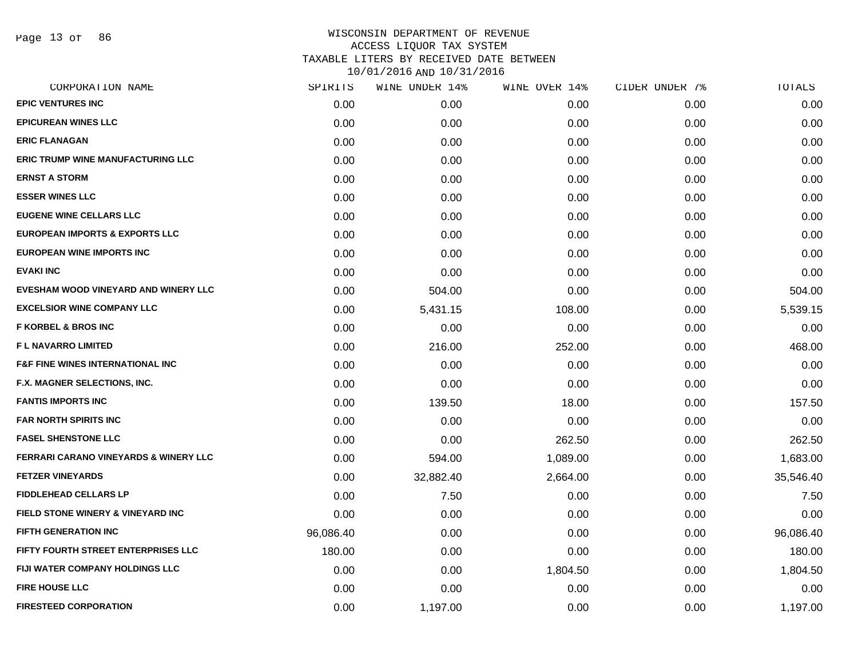Page 13 of 86

| CORPORATION NAME                                 | SPIRITS   | WINE UNDER 14% | WINE OVER 14% | CIDER UNDER 7% | TOTALS    |
|--------------------------------------------------|-----------|----------------|---------------|----------------|-----------|
| <b>EPIC VENTURES INC</b>                         | 0.00      | 0.00           | 0.00          | 0.00           | 0.00      |
| <b>EPICUREAN WINES LLC</b>                       | 0.00      | 0.00           | 0.00          | 0.00           | 0.00      |
| <b>ERIC FLANAGAN</b>                             | 0.00      | 0.00           | 0.00          | 0.00           | 0.00      |
| <b>ERIC TRUMP WINE MANUFACTURING LLC</b>         | 0.00      | 0.00           | 0.00          | 0.00           | 0.00      |
| <b>ERNST A STORM</b>                             | 0.00      | 0.00           | 0.00          | 0.00           | 0.00      |
| <b>ESSER WINES LLC</b>                           | 0.00      | 0.00           | 0.00          | 0.00           | 0.00      |
| <b>EUGENE WINE CELLARS LLC</b>                   | 0.00      | 0.00           | 0.00          | 0.00           | 0.00      |
| EUROPEAN IMPORTS & EXPORTS LLC                   | 0.00      | 0.00           | 0.00          | 0.00           | 0.00      |
| EUROPEAN WINE IMPORTS INC                        | 0.00      | 0.00           | 0.00          | 0.00           | 0.00      |
| <b>EVAKI INC</b>                                 | 0.00      | 0.00           | 0.00          | 0.00           | 0.00      |
| EVESHAM WOOD VINEYARD AND WINERY LLC             | 0.00      | 504.00         | 0.00          | 0.00           | 504.00    |
| <b>EXCELSIOR WINE COMPANY LLC</b>                | 0.00      | 5,431.15       | 108.00        | 0.00           | 5,539.15  |
| <b>F KORBEL &amp; BROS INC</b>                   | 0.00      | 0.00           | 0.00          | 0.00           | 0.00      |
| <b>FL NAVARRO LIMITED</b>                        | 0.00      | 216.00         | 252.00        | 0.00           | 468.00    |
| <b>F&amp;F FINE WINES INTERNATIONAL INC.</b>     | 0.00      | 0.00           | 0.00          | 0.00           | 0.00      |
| F.X. MAGNER SELECTIONS, INC.                     | 0.00      | 0.00           | 0.00          | 0.00           | 0.00      |
| <b>FANTIS IMPORTS INC</b>                        | 0.00      | 139.50         | 18.00         | 0.00           | 157.50    |
| <b>FAR NORTH SPIRITS INC</b>                     | 0.00      | 0.00           | 0.00          | 0.00           | 0.00      |
| <b>FASEL SHENSTONE LLC</b>                       | 0.00      | 0.00           | 262.50        | 0.00           | 262.50    |
| <b>FERRARI CARANO VINEYARDS &amp; WINERY LLC</b> | 0.00      | 594.00         | 1,089.00      | 0.00           | 1,683.00  |
| <b>FETZER VINEYARDS</b>                          | 0.00      | 32,882.40      | 2,664.00      | 0.00           | 35,546.40 |
| <b>FIDDLEHEAD CELLARS LP</b>                     | 0.00      | 7.50           | 0.00          | 0.00           | 7.50      |
| <b>FIELD STONE WINERY &amp; VINEYARD INC</b>     | 0.00      | 0.00           | 0.00          | 0.00           | 0.00      |
| <b>FIFTH GENERATION INC</b>                      | 96,086.40 | 0.00           | 0.00          | 0.00           | 96,086.40 |
| FIFTY FOURTH STREET ENTERPRISES LLC              | 180.00    | 0.00           | 0.00          | 0.00           | 180.00    |
| FIJI WATER COMPANY HOLDINGS LLC                  | 0.00      | 0.00           | 1,804.50      | 0.00           | 1,804.50  |
| <b>FIRE HOUSE LLC</b>                            | 0.00      | 0.00           | 0.00          | 0.00           | 0.00      |
| <b>FIRESTEED CORPORATION</b>                     | 0.00      | 1,197.00       | 0.00          | 0.00           | 1,197.00  |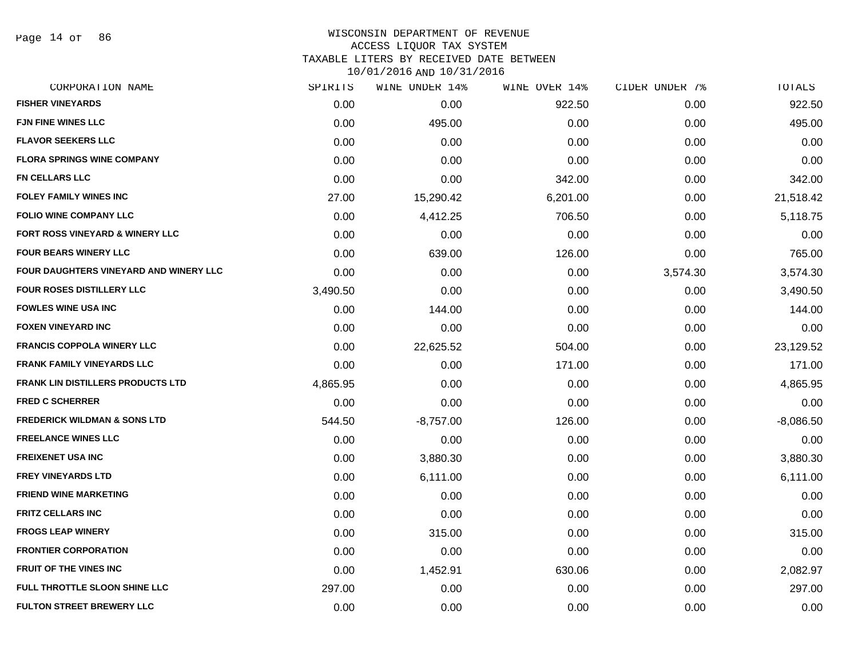Page 14 of 86

### WISCONSIN DEPARTMENT OF REVENUE ACCESS LIQUOR TAX SYSTEM TAXABLE LITERS BY RECEIVED DATE BETWEEN

| CORPORATION NAME                         | SPIRITS  | WINE UNDER 14% | WINE OVER 14% | CIDER UNDER 7% | TOTALS      |
|------------------------------------------|----------|----------------|---------------|----------------|-------------|
| <b>FISHER VINEYARDS</b>                  | 0.00     | 0.00           | 922.50        | 0.00           | 922.50      |
| <b>FJN FINE WINES LLC</b>                | 0.00     | 495.00         | 0.00          | 0.00           | 495.00      |
| <b>FLAVOR SEEKERS LLC</b>                | 0.00     | 0.00           | 0.00          | 0.00           | 0.00        |
| <b>FLORA SPRINGS WINE COMPANY</b>        | 0.00     | 0.00           | 0.00          | 0.00           | 0.00        |
| FN CELLARS LLC                           | 0.00     | 0.00           | 342.00        | 0.00           | 342.00      |
| <b>FOLEY FAMILY WINES INC</b>            | 27.00    | 15,290.42      | 6,201.00      | 0.00           | 21,518.42   |
| <b>FOLIO WINE COMPANY LLC</b>            | 0.00     | 4,412.25       | 706.50        | 0.00           | 5,118.75    |
| FORT ROSS VINEYARD & WINERY LLC          | 0.00     | 0.00           | 0.00          | 0.00           | 0.00        |
| <b>FOUR BEARS WINERY LLC</b>             | 0.00     | 639.00         | 126.00        | 0.00           | 765.00      |
| FOUR DAUGHTERS VINEYARD AND WINERY LLC   | 0.00     | 0.00           | 0.00          | 3,574.30       | 3,574.30    |
| <b>FOUR ROSES DISTILLERY LLC</b>         | 3,490.50 | 0.00           | 0.00          | 0.00           | 3,490.50    |
| <b>FOWLES WINE USA INC</b>               | 0.00     | 144.00         | 0.00          | 0.00           | 144.00      |
| <b>FOXEN VINEYARD INC</b>                | 0.00     | 0.00           | 0.00          | 0.00           | 0.00        |
| <b>FRANCIS COPPOLA WINERY LLC</b>        | 0.00     | 22,625.52      | 504.00        | 0.00           | 23,129.52   |
| <b>FRANK FAMILY VINEYARDS LLC</b>        | 0.00     | 0.00           | 171.00        | 0.00           | 171.00      |
| <b>FRANK LIN DISTILLERS PRODUCTS LTD</b> | 4,865.95 | 0.00           | 0.00          | 0.00           | 4,865.95    |
| <b>FRED C SCHERRER</b>                   | 0.00     | 0.00           | 0.00          | 0.00           | 0.00        |
| <b>FREDERICK WILDMAN &amp; SONS LTD</b>  | 544.50   | $-8,757.00$    | 126.00        | 0.00           | $-8,086.50$ |
| <b>FREELANCE WINES LLC</b>               | 0.00     | 0.00           | 0.00          | 0.00           | 0.00        |
| <b>FREIXENET USA INC</b>                 | 0.00     | 3,880.30       | 0.00          | 0.00           | 3,880.30    |
| <b>FREY VINEYARDS LTD</b>                | 0.00     | 6,111.00       | 0.00          | 0.00           | 6,111.00    |
| <b>FRIEND WINE MARKETING</b>             | 0.00     | 0.00           | 0.00          | 0.00           | 0.00        |
| <b>FRITZ CELLARS INC</b>                 | 0.00     | 0.00           | 0.00          | 0.00           | 0.00        |
| <b>FROGS LEAP WINERY</b>                 | 0.00     | 315.00         | 0.00          | 0.00           | 315.00      |
| <b>FRONTIER CORPORATION</b>              | 0.00     | 0.00           | 0.00          | 0.00           | 0.00        |
| <b>FRUIT OF THE VINES INC</b>            | 0.00     | 1,452.91       | 630.06        | 0.00           | 2,082.97    |
| FULL THROTTLE SLOON SHINE LLC            | 297.00   | 0.00           | 0.00          | 0.00           | 297.00      |
| <b>FULTON STREET BREWERY LLC</b>         | 0.00     | 0.00           | 0.00          | 0.00           | 0.00        |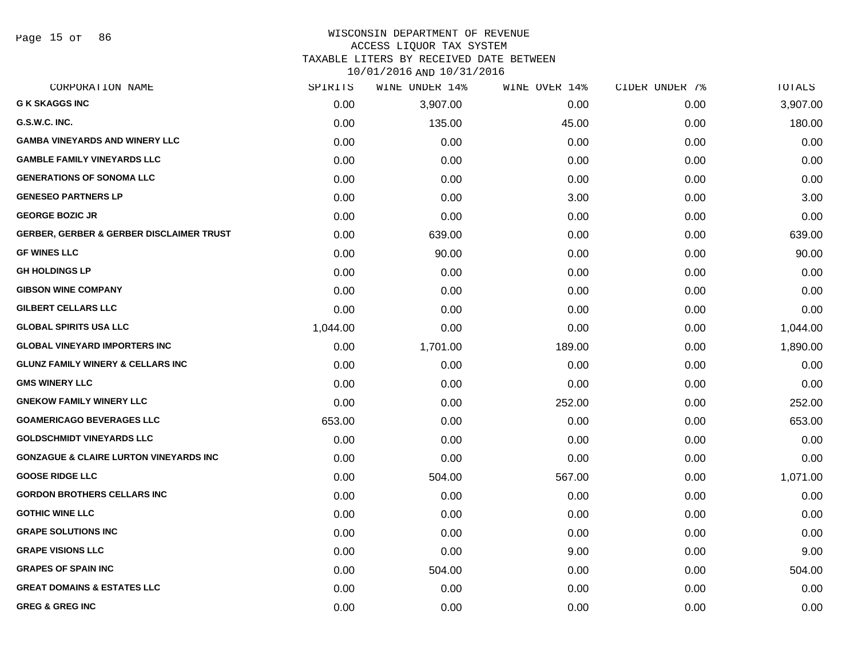Page 15 of 86

# WISCONSIN DEPARTMENT OF REVENUE ACCESS LIQUOR TAX SYSTEM

TAXABLE LITERS BY RECEIVED DATE BETWEEN 10/01/2016 AND 10/31/2016

| CORPORATION NAME                                    | SPIRITS  | <b>WINE UNDER 14%</b> | WINE OVER 14% | CIDER UNDER 7% | TOTALS   |
|-----------------------------------------------------|----------|-----------------------|---------------|----------------|----------|
| <b>G K SKAGGS INC</b>                               | 0.00     | 3,907.00              | 0.00          | 0.00           | 3,907.00 |
| G.S.W.C. INC.                                       | 0.00     | 135.00                | 45.00         | 0.00           | 180.00   |
| <b>GAMBA VINEYARDS AND WINERY LLC</b>               | 0.00     | 0.00                  | 0.00          | 0.00           | 0.00     |
| <b>GAMBLE FAMILY VINEYARDS LLC</b>                  | 0.00     | 0.00                  | 0.00          | 0.00           | 0.00     |
| <b>GENERATIONS OF SONOMA LLC</b>                    | 0.00     | 0.00                  | 0.00          | 0.00           | 0.00     |
| <b>GENESEO PARTNERS LP</b>                          | 0.00     | 0.00                  | 3.00          | 0.00           | 3.00     |
| <b>GEORGE BOZIC JR</b>                              | 0.00     | 0.00                  | 0.00          | 0.00           | 0.00     |
| <b>GERBER, GERBER &amp; GERBER DISCLAIMER TRUST</b> | 0.00     | 639.00                | 0.00          | 0.00           | 639.00   |
| <b>GF WINES LLC</b>                                 | 0.00     | 90.00                 | 0.00          | 0.00           | 90.00    |
| <b>GH HOLDINGS LP</b>                               | 0.00     | 0.00                  | 0.00          | 0.00           | 0.00     |
| <b>GIBSON WINE COMPANY</b>                          | 0.00     | 0.00                  | 0.00          | 0.00           | 0.00     |
| <b>GILBERT CELLARS LLC</b>                          | 0.00     | 0.00                  | 0.00          | 0.00           | 0.00     |
| <b>GLOBAL SPIRITS USA LLC</b>                       | 1,044.00 | 0.00                  | 0.00          | 0.00           | 1,044.00 |
| <b>GLOBAL VINEYARD IMPORTERS INC</b>                | 0.00     | 1,701.00              | 189.00        | 0.00           | 1,890.00 |
| <b>GLUNZ FAMILY WINERY &amp; CELLARS INC</b>        | 0.00     | 0.00                  | 0.00          | 0.00           | 0.00     |
| <b>GMS WINERY LLC</b>                               | 0.00     | 0.00                  | 0.00          | 0.00           | 0.00     |
| <b>GNEKOW FAMILY WINERY LLC</b>                     | 0.00     | 0.00                  | 252.00        | 0.00           | 252.00   |
| <b>GOAMERICAGO BEVERAGES LLC</b>                    | 653.00   | 0.00                  | 0.00          | 0.00           | 653.00   |
| <b>GOLDSCHMIDT VINEYARDS LLC</b>                    | 0.00     | 0.00                  | 0.00          | 0.00           | 0.00     |
| <b>GONZAGUE &amp; CLAIRE LURTON VINEYARDS INC</b>   | 0.00     | 0.00                  | 0.00          | 0.00           | 0.00     |
| <b>GOOSE RIDGE LLC</b>                              | 0.00     | 504.00                | 567.00        | 0.00           | 1,071.00 |
| <b>GORDON BROTHERS CELLARS INC</b>                  | 0.00     | 0.00                  | 0.00          | 0.00           | 0.00     |
| <b>GOTHIC WINE LLC</b>                              | 0.00     | 0.00                  | 0.00          | 0.00           | 0.00     |
| <b>GRAPE SOLUTIONS INC</b>                          | 0.00     | 0.00                  | 0.00          | 0.00           | 0.00     |
| <b>GRAPE VISIONS LLC</b>                            | 0.00     | 0.00                  | 9.00          | 0.00           | 9.00     |
| <b>GRAPES OF SPAIN INC</b>                          | 0.00     | 504.00                | 0.00          | 0.00           | 504.00   |
| <b>GREAT DOMAINS &amp; ESTATES LLC</b>              | 0.00     | 0.00                  | 0.00          | 0.00           | 0.00     |
| <b>GREG &amp; GREG INC</b>                          | 0.00     | 0.00                  | 0.00          | 0.00           | 0.00     |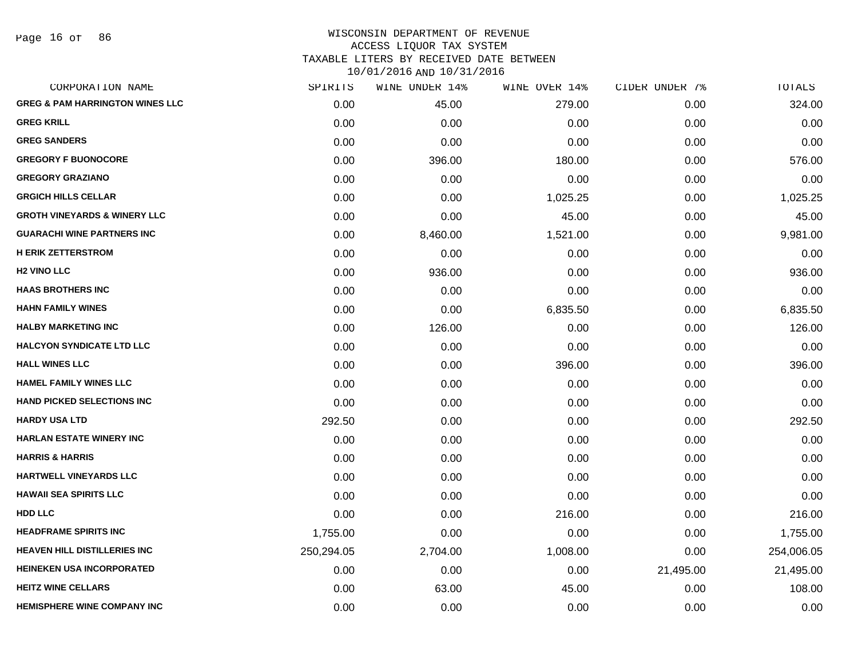Page 16 of 86

| CORPORATION NAME                           | SPIRITS    | WINE UNDER 14% | WINE OVER 14% | CIDER UNDER 7% | TOTALS     |
|--------------------------------------------|------------|----------------|---------------|----------------|------------|
| <b>GREG &amp; PAM HARRINGTON WINES LLC</b> | 0.00       | 45.00          | 279.00        | 0.00           | 324.00     |
| <b>GREG KRILL</b>                          | 0.00       | 0.00           | 0.00          | 0.00           | 0.00       |
| <b>GREG SANDERS</b>                        | 0.00       | 0.00           | 0.00          | 0.00           | 0.00       |
| <b>GREGORY F BUONOCORE</b>                 | 0.00       | 396.00         | 180.00        | 0.00           | 576.00     |
| <b>GREGORY GRAZIANO</b>                    | 0.00       | 0.00           | 0.00          | 0.00           | 0.00       |
| <b>GRGICH HILLS CELLAR</b>                 | 0.00       | 0.00           | 1,025.25      | 0.00           | 1,025.25   |
| <b>GROTH VINEYARDS &amp; WINERY LLC</b>    | 0.00       | 0.00           | 45.00         | 0.00           | 45.00      |
| <b>GUARACHI WINE PARTNERS INC</b>          | 0.00       | 8,460.00       | 1,521.00      | 0.00           | 9,981.00   |
| <b>H ERIK ZETTERSTROM</b>                  | 0.00       | 0.00           | 0.00          | 0.00           | 0.00       |
| <b>H2 VINO LLC</b>                         | 0.00       | 936.00         | 0.00          | 0.00           | 936.00     |
| <b>HAAS BROTHERS INC</b>                   | 0.00       | 0.00           | 0.00          | 0.00           | 0.00       |
| <b>HAHN FAMILY WINES</b>                   | 0.00       | 0.00           | 6,835.50      | 0.00           | 6,835.50   |
| <b>HALBY MARKETING INC</b>                 | 0.00       | 126.00         | 0.00          | 0.00           | 126.00     |
| <b>HALCYON SYNDICATE LTD LLC</b>           | 0.00       | 0.00           | 0.00          | 0.00           | 0.00       |
| <b>HALL WINES LLC</b>                      | 0.00       | 0.00           | 396.00        | 0.00           | 396.00     |
| <b>HAMEL FAMILY WINES LLC</b>              | 0.00       | 0.00           | 0.00          | 0.00           | 0.00       |
| <b>HAND PICKED SELECTIONS INC</b>          | 0.00       | 0.00           | 0.00          | 0.00           | 0.00       |
| <b>HARDY USA LTD</b>                       | 292.50     | 0.00           | 0.00          | 0.00           | 292.50     |
| <b>HARLAN ESTATE WINERY INC</b>            | 0.00       | 0.00           | 0.00          | 0.00           | 0.00       |
| <b>HARRIS &amp; HARRIS</b>                 | 0.00       | 0.00           | 0.00          | 0.00           | 0.00       |
| HARTWELL VINEYARDS LLC                     | 0.00       | 0.00           | 0.00          | 0.00           | 0.00       |
| <b>HAWAII SEA SPIRITS LLC</b>              | 0.00       | 0.00           | 0.00          | 0.00           | 0.00       |
| <b>HDD LLC</b>                             | 0.00       | 0.00           | 216.00        | 0.00           | 216.00     |
| <b>HEADFRAME SPIRITS INC</b>               | 1,755.00   | 0.00           | 0.00          | 0.00           | 1,755.00   |
| <b>HEAVEN HILL DISTILLERIES INC</b>        | 250,294.05 | 2,704.00       | 1,008.00      | 0.00           | 254,006.05 |
| <b>HEINEKEN USA INCORPORATED</b>           | 0.00       | 0.00           | 0.00          | 21,495.00      | 21,495.00  |
| <b>HEITZ WINE CELLARS</b>                  | 0.00       | 63.00          | 45.00         | 0.00           | 108.00     |
| <b>HEMISPHERE WINE COMPANY INC</b>         | 0.00       | 0.00           | 0.00          | 0.00           | 0.00       |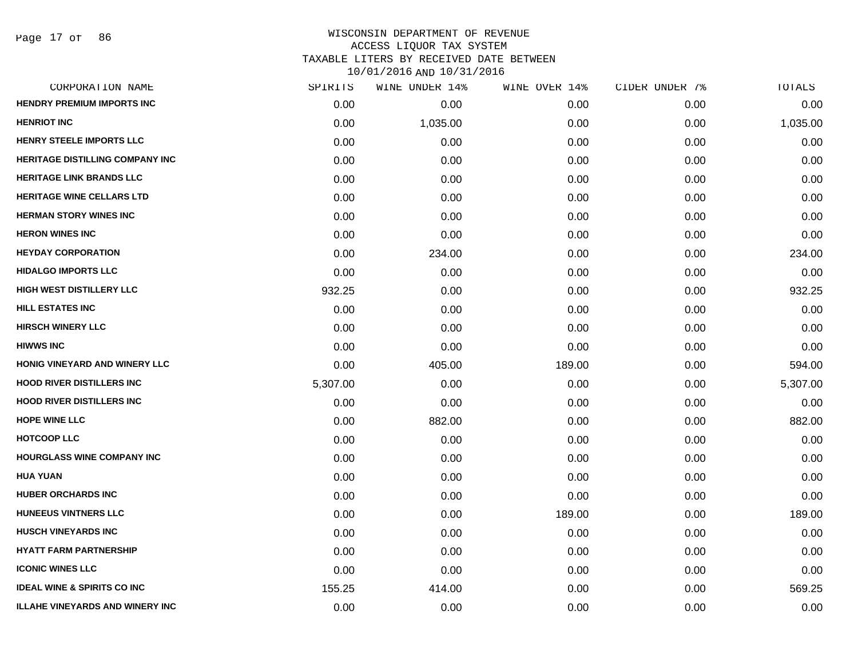| CORPORATION NAME                       | SPIRITS  | WINE UNDER 14% | WINE OVER 14% | CIDER UNDER 7% | TOTALS   |
|----------------------------------------|----------|----------------|---------------|----------------|----------|
| <b>HENDRY PREMIUM IMPORTS INC</b>      | 0.00     | 0.00           | 0.00          | 0.00           | 0.00     |
| <b>HENRIOT INC</b>                     | 0.00     | 1,035.00       | 0.00          | 0.00           | 1,035.00 |
| HENRY STEELE IMPORTS LLC               | 0.00     | 0.00           | 0.00          | 0.00           | 0.00     |
| <b>HERITAGE DISTILLING COMPANY INC</b> | 0.00     | 0.00           | 0.00          | 0.00           | 0.00     |
| <b>HERITAGE LINK BRANDS LLC</b>        | 0.00     | 0.00           | 0.00          | 0.00           | 0.00     |
| <b>HERITAGE WINE CELLARS LTD</b>       | 0.00     | 0.00           | 0.00          | 0.00           | 0.00     |
| <b>HERMAN STORY WINES INC</b>          | 0.00     | 0.00           | 0.00          | 0.00           | 0.00     |
| <b>HERON WINES INC</b>                 | 0.00     | 0.00           | 0.00          | 0.00           | 0.00     |
| <b>HEYDAY CORPORATION</b>              | 0.00     | 234.00         | 0.00          | 0.00           | 234.00   |
| <b>HIDALGO IMPORTS LLC</b>             | 0.00     | 0.00           | 0.00          | 0.00           | 0.00     |
| <b>HIGH WEST DISTILLERY LLC</b>        | 932.25   | 0.00           | 0.00          | 0.00           | 932.25   |
| <b>HILL ESTATES INC</b>                | 0.00     | 0.00           | 0.00          | 0.00           | 0.00     |
| <b>HIRSCH WINERY LLC</b>               | 0.00     | 0.00           | 0.00          | 0.00           | 0.00     |
| <b>HIWWS INC</b>                       | 0.00     | 0.00           | 0.00          | 0.00           | 0.00     |
| HONIG VINEYARD AND WINERY LLC          | 0.00     | 405.00         | 189.00        | 0.00           | 594.00   |
| <b>HOOD RIVER DISTILLERS INC</b>       | 5,307.00 | 0.00           | 0.00          | 0.00           | 5,307.00 |
| <b>HOOD RIVER DISTILLERS INC</b>       | 0.00     | 0.00           | 0.00          | 0.00           | 0.00     |
| <b>HOPE WINE LLC</b>                   | 0.00     | 882.00         | 0.00          | 0.00           | 882.00   |
| <b>HOTCOOP LLC</b>                     | 0.00     | 0.00           | 0.00          | 0.00           | 0.00     |
| <b>HOURGLASS WINE COMPANY INC</b>      | 0.00     | 0.00           | 0.00          | 0.00           | 0.00     |
| <b>HUA YUAN</b>                        | 0.00     | 0.00           | 0.00          | 0.00           | 0.00     |
| <b>HUBER ORCHARDS INC</b>              | 0.00     | 0.00           | 0.00          | 0.00           | 0.00     |
| HUNEEUS VINTNERS LLC                   | 0.00     | 0.00           | 189.00        | 0.00           | 189.00   |
| <b>HUSCH VINEYARDS INC</b>             | 0.00     | 0.00           | 0.00          | 0.00           | 0.00     |
| <b>HYATT FARM PARTNERSHIP</b>          | 0.00     | 0.00           | 0.00          | 0.00           | 0.00     |
| <b>ICONIC WINES LLC</b>                | 0.00     | 0.00           | 0.00          | 0.00           | 0.00     |
| <b>IDEAL WINE &amp; SPIRITS CO INC</b> | 155.25   | 414.00         | 0.00          | 0.00           | 569.25   |
| <b>ILLAHE VINEYARDS AND WINERY INC</b> | 0.00     | 0.00           | 0.00          | 0.00           | 0.00     |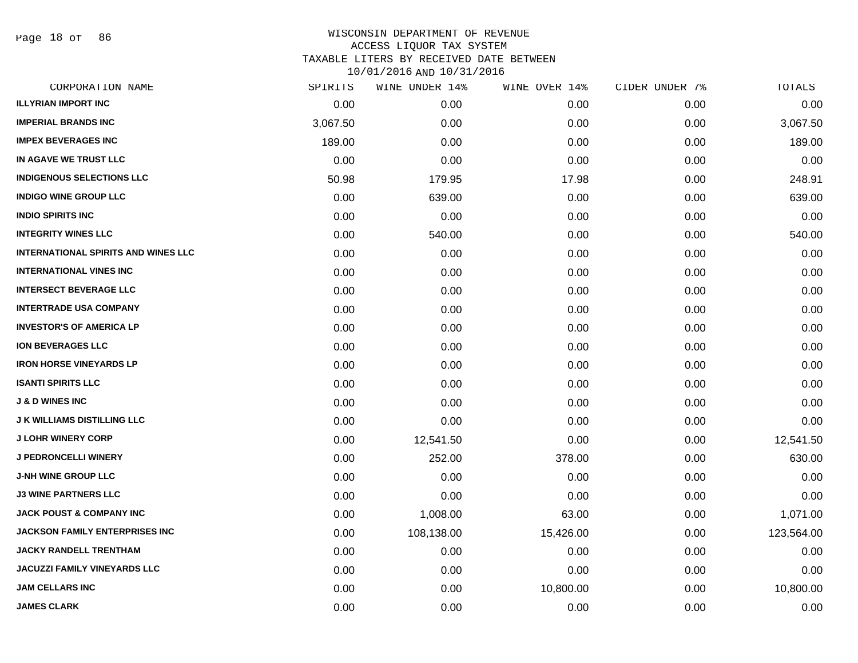Page 18 of 86

| CORPORATION NAME                           | SPIRITS  | WINE UNDER 14% | WINE OVER 14% | CIDER UNDER 7% | TOTALS     |
|--------------------------------------------|----------|----------------|---------------|----------------|------------|
| <b>ILLYRIAN IMPORT INC</b>                 | 0.00     | 0.00           | 0.00          | 0.00           | 0.00       |
| <b>IMPERIAL BRANDS INC</b>                 | 3,067.50 | 0.00           | 0.00          | 0.00           | 3,067.50   |
| <b>IMPEX BEVERAGES INC</b>                 | 189.00   | 0.00           | 0.00          | 0.00           | 189.00     |
| IN AGAVE WE TRUST LLC                      | 0.00     | 0.00           | 0.00          | 0.00           | 0.00       |
| <b>INDIGENOUS SELECTIONS LLC</b>           | 50.98    | 179.95         | 17.98         | 0.00           | 248.91     |
| <b>INDIGO WINE GROUP LLC</b>               | 0.00     | 639.00         | 0.00          | 0.00           | 639.00     |
| <b>INDIO SPIRITS INC</b>                   | 0.00     | 0.00           | 0.00          | 0.00           | 0.00       |
| <b>INTEGRITY WINES LLC</b>                 | 0.00     | 540.00         | 0.00          | 0.00           | 540.00     |
| <b>INTERNATIONAL SPIRITS AND WINES LLC</b> | 0.00     | 0.00           | 0.00          | 0.00           | 0.00       |
| <b>INTERNATIONAL VINES INC</b>             | 0.00     | 0.00           | 0.00          | 0.00           | 0.00       |
| <b>INTERSECT BEVERAGE LLC</b>              | 0.00     | 0.00           | 0.00          | 0.00           | 0.00       |
| <b>INTERTRADE USA COMPANY</b>              | 0.00     | 0.00           | 0.00          | 0.00           | 0.00       |
| <b>INVESTOR'S OF AMERICA LP</b>            | 0.00     | 0.00           | 0.00          | 0.00           | 0.00       |
| <b>ION BEVERAGES LLC</b>                   | 0.00     | 0.00           | 0.00          | 0.00           | 0.00       |
| <b>IRON HORSE VINEYARDS LP</b>             | 0.00     | 0.00           | 0.00          | 0.00           | 0.00       |
| <b>ISANTI SPIRITS LLC</b>                  | 0.00     | 0.00           | 0.00          | 0.00           | 0.00       |
| <b>J &amp; D WINES INC</b>                 | 0.00     | 0.00           | 0.00          | 0.00           | 0.00       |
| <b>J K WILLIAMS DISTILLING LLC</b>         | 0.00     | 0.00           | 0.00          | 0.00           | 0.00       |
| <b>J LOHR WINERY CORP</b>                  | 0.00     | 12,541.50      | 0.00          | 0.00           | 12,541.50  |
| <b>J PEDRONCELLI WINERY</b>                | 0.00     | 252.00         | 378.00        | 0.00           | 630.00     |
| <b>J-NH WINE GROUP LLC</b>                 | 0.00     | 0.00           | 0.00          | 0.00           | 0.00       |
| <b>J3 WINE PARTNERS LLC</b>                | 0.00     | 0.00           | 0.00          | 0.00           | 0.00       |
| <b>JACK POUST &amp; COMPANY INC</b>        | 0.00     | 1,008.00       | 63.00         | 0.00           | 1,071.00   |
| <b>JACKSON FAMILY ENTERPRISES INC</b>      | 0.00     | 108,138.00     | 15,426.00     | 0.00           | 123,564.00 |
| <b>JACKY RANDELL TRENTHAM</b>              | 0.00     | 0.00           | 0.00          | 0.00           | 0.00       |
| JACUZZI FAMILY VINEYARDS LLC               | 0.00     | 0.00           | 0.00          | 0.00           | 0.00       |
| <b>JAM CELLARS INC</b>                     | 0.00     | 0.00           | 10,800.00     | 0.00           | 10,800.00  |
| <b>JAMES CLARK</b>                         | 0.00     | 0.00           | 0.00          | 0.00           | 0.00       |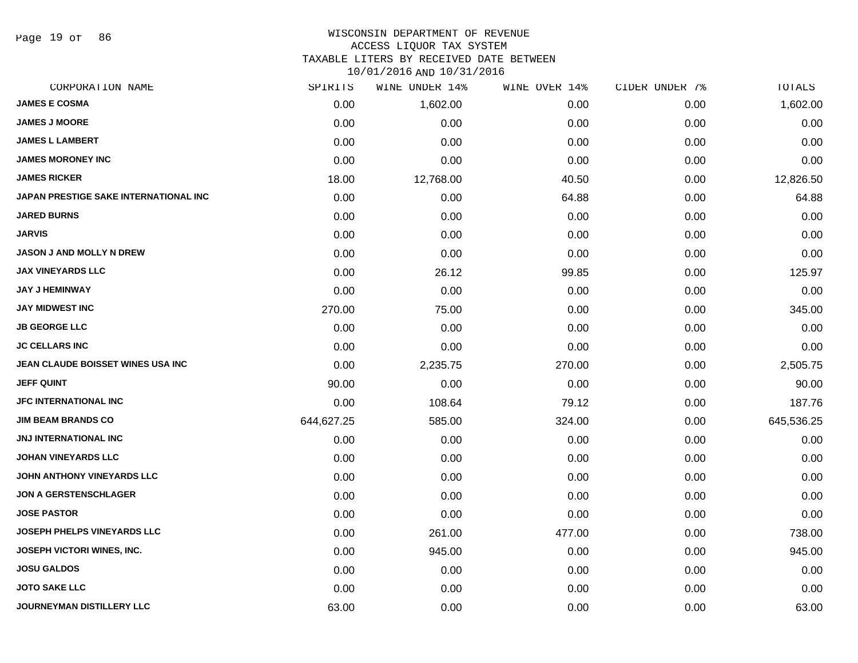Page 19 of 86

# WISCONSIN DEPARTMENT OF REVENUE

ACCESS LIQUOR TAX SYSTEM

TAXABLE LITERS BY RECEIVED DATE BETWEEN

| CORPORATION NAME                      | SPIRITS    | WINE UNDER 14% | WINE OVER 14% | CIDER UNDER 7% | TOTALS     |
|---------------------------------------|------------|----------------|---------------|----------------|------------|
| <b>JAMES E COSMA</b>                  | 0.00       | 1,602.00       | 0.00          | 0.00           | 1,602.00   |
| <b>JAMES J MOORE</b>                  | 0.00       | 0.00           | 0.00          | 0.00           | 0.00       |
| <b>JAMES L LAMBERT</b>                | 0.00       | 0.00           | 0.00          | 0.00           | 0.00       |
| <b>JAMES MORONEY INC</b>              | 0.00       | 0.00           | 0.00          | 0.00           | 0.00       |
| <b>JAMES RICKER</b>                   | 18.00      | 12,768.00      | 40.50         | 0.00           | 12,826.50  |
| JAPAN PRESTIGE SAKE INTERNATIONAL INC | 0.00       | 0.00           | 64.88         | 0.00           | 64.88      |
| <b>JARED BURNS</b>                    | 0.00       | 0.00           | 0.00          | 0.00           | 0.00       |
| <b>JARVIS</b>                         | 0.00       | 0.00           | 0.00          | 0.00           | 0.00       |
| <b>JASON J AND MOLLY N DREW</b>       | 0.00       | 0.00           | 0.00          | 0.00           | 0.00       |
| <b>JAX VINEYARDS LLC</b>              | 0.00       | 26.12          | 99.85         | 0.00           | 125.97     |
| <b>JAY J HEMINWAY</b>                 | 0.00       | 0.00           | 0.00          | 0.00           | 0.00       |
| <b>JAY MIDWEST INC</b>                | 270.00     | 75.00          | 0.00          | 0.00           | 345.00     |
| <b>JB GEORGE LLC</b>                  | 0.00       | 0.00           | 0.00          | 0.00           | 0.00       |
| <b>JC CELLARS INC</b>                 | 0.00       | 0.00           | 0.00          | 0.00           | 0.00       |
| JEAN CLAUDE BOISSET WINES USA INC     | 0.00       | 2,235.75       | 270.00        | 0.00           | 2,505.75   |
| <b>JEFF QUINT</b>                     | 90.00      | 0.00           | 0.00          | 0.00           | 90.00      |
| <b>JFC INTERNATIONAL INC</b>          | 0.00       | 108.64         | 79.12         | 0.00           | 187.76     |
| <b>JIM BEAM BRANDS CO</b>             | 644,627.25 | 585.00         | 324.00        | 0.00           | 645,536.25 |
| <b>JNJ INTERNATIONAL INC</b>          | 0.00       | 0.00           | 0.00          | 0.00           | 0.00       |
| <b>JOHAN VINEYARDS LLC</b>            | 0.00       | 0.00           | 0.00          | 0.00           | 0.00       |
| <b>JOHN ANTHONY VINEYARDS LLC</b>     | 0.00       | 0.00           | 0.00          | 0.00           | 0.00       |
| <b>JON A GERSTENSCHLAGER</b>          | 0.00       | 0.00           | 0.00          | 0.00           | 0.00       |
| <b>JOSE PASTOR</b>                    | 0.00       | 0.00           | 0.00          | 0.00           | 0.00       |
| JOSEPH PHELPS VINEYARDS LLC           | 0.00       | 261.00         | 477.00        | 0.00           | 738.00     |
| <b>JOSEPH VICTORI WINES, INC.</b>     | 0.00       | 945.00         | 0.00          | 0.00           | 945.00     |
| <b>JOSU GALDOS</b>                    | 0.00       | 0.00           | 0.00          | 0.00           | 0.00       |
| <b>JOTO SAKE LLC</b>                  | 0.00       | 0.00           | 0.00          | 0.00           | 0.00       |
| JOURNEYMAN DISTILLERY LLC             | 63.00      | 0.00           | 0.00          | 0.00           | 63.00      |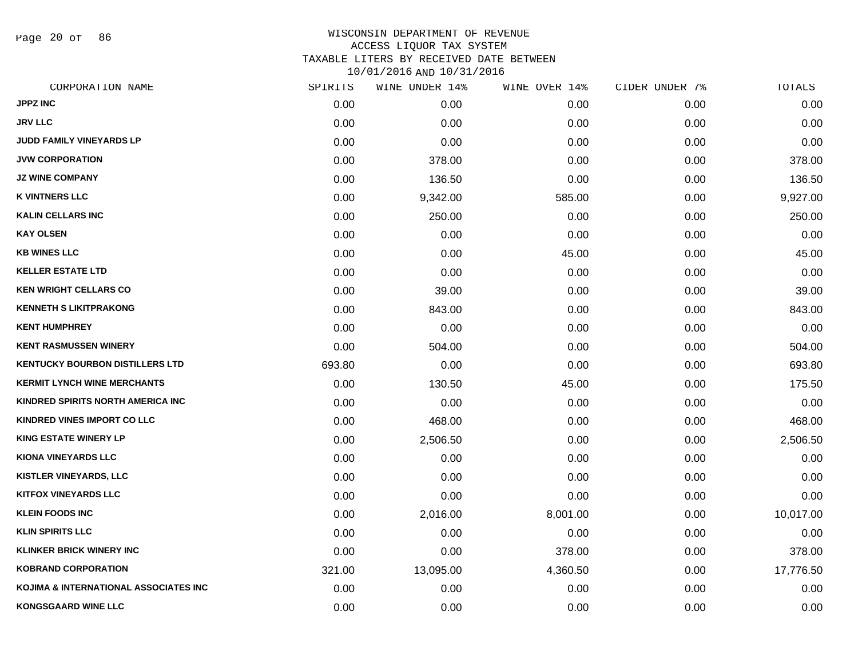Page 20 of 86

# WISCONSIN DEPARTMENT OF REVENUE ACCESS LIQUOR TAX SYSTEM TAXABLE LITERS BY RECEIVED DATE BETWEEN

| CORPORATION NAME                       | SPIRITS | WINE UNDER 14% | WINE OVER 14% | CIDER UNDER 7% | TOTALS    |
|----------------------------------------|---------|----------------|---------------|----------------|-----------|
| <b>JPPZ INC</b>                        | 0.00    | 0.00           | 0.00          | 0.00           | 0.00      |
| <b>JRV LLC</b>                         | 0.00    | 0.00           | 0.00          | 0.00           | 0.00      |
| JUDD FAMILY VINEYARDS LP               | 0.00    | 0.00           | 0.00          | 0.00           | 0.00      |
| <b>JVW CORPORATION</b>                 | 0.00    | 378.00         | 0.00          | 0.00           | 378.00    |
| <b>JZ WINE COMPANY</b>                 | 0.00    | 136.50         | 0.00          | 0.00           | 136.50    |
| <b>K VINTNERS LLC</b>                  | 0.00    | 9,342.00       | 585.00        | 0.00           | 9,927.00  |
| <b>KALIN CELLARS INC</b>               | 0.00    | 250.00         | 0.00          | 0.00           | 250.00    |
| <b>KAY OLSEN</b>                       | 0.00    | 0.00           | 0.00          | 0.00           | 0.00      |
| <b>KB WINES LLC</b>                    | 0.00    | 0.00           | 45.00         | 0.00           | 45.00     |
| <b>KELLER ESTATE LTD</b>               | 0.00    | 0.00           | 0.00          | 0.00           | 0.00      |
| <b>KEN WRIGHT CELLARS CO</b>           | 0.00    | 39.00          | 0.00          | 0.00           | 39.00     |
| <b>KENNETH S LIKITPRAKONG</b>          | 0.00    | 843.00         | 0.00          | 0.00           | 843.00    |
| <b>KENT HUMPHREY</b>                   | 0.00    | 0.00           | 0.00          | 0.00           | 0.00      |
| <b>KENT RASMUSSEN WINERY</b>           | 0.00    | 504.00         | 0.00          | 0.00           | 504.00    |
| <b>KENTUCKY BOURBON DISTILLERS LTD</b> | 693.80  | 0.00           | 0.00          | 0.00           | 693.80    |
| <b>KERMIT LYNCH WINE MERCHANTS</b>     | 0.00    | 130.50         | 45.00         | 0.00           | 175.50    |
| KINDRED SPIRITS NORTH AMERICA INC      | 0.00    | 0.00           | 0.00          | 0.00           | 0.00      |
| KINDRED VINES IMPORT CO LLC            | 0.00    | 468.00         | 0.00          | 0.00           | 468.00    |
| <b>KING ESTATE WINERY LP</b>           | 0.00    | 2,506.50       | 0.00          | 0.00           | 2,506.50  |
| <b>KIONA VINEYARDS LLC</b>             | 0.00    | 0.00           | 0.00          | 0.00           | 0.00      |
| <b>KISTLER VINEYARDS, LLC</b>          | 0.00    | 0.00           | 0.00          | 0.00           | 0.00      |
| <b>KITFOX VINEYARDS LLC</b>            | 0.00    | 0.00           | 0.00          | 0.00           | 0.00      |
| <b>KLEIN FOODS INC</b>                 | 0.00    | 2,016.00       | 8,001.00      | 0.00           | 10,017.00 |
| <b>KLIN SPIRITS LLC</b>                | 0.00    | 0.00           | 0.00          | 0.00           | 0.00      |
| <b>KLINKER BRICK WINERY INC</b>        | 0.00    | 0.00           | 378.00        | 0.00           | 378.00    |
| <b>KOBRAND CORPORATION</b>             | 321.00  | 13,095.00      | 4,360.50      | 0.00           | 17,776.50 |
| KOJIMA & INTERNATIONAL ASSOCIATES INC  | 0.00    | 0.00           | 0.00          | 0.00           | 0.00      |
| <b>KONGSGAARD WINE LLC</b>             | 0.00    | 0.00           | 0.00          | 0.00           | 0.00      |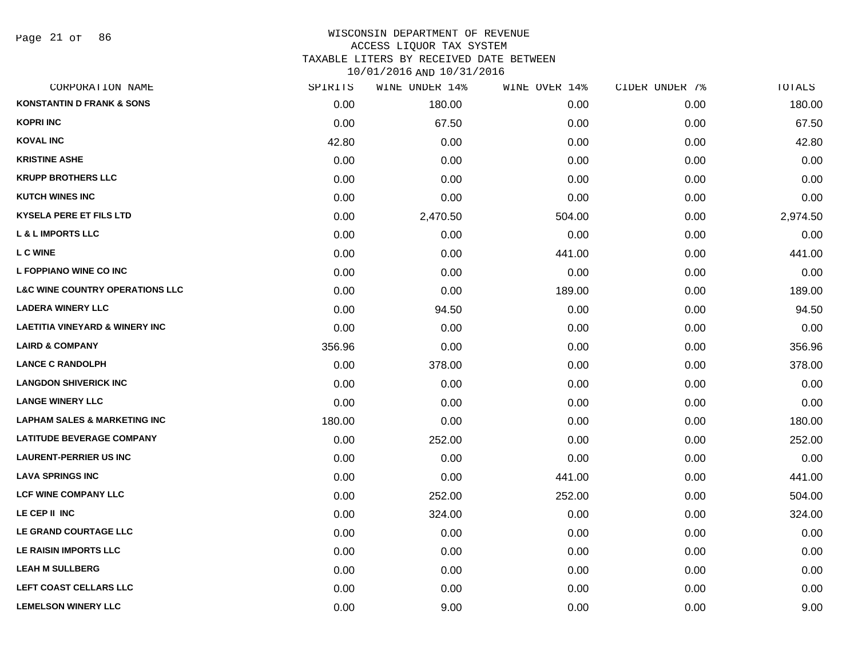### WISCONSIN DEPARTMENT OF REVENUE ACCESS LIQUOR TAX SYSTEM TAXABLE LITERS BY RECEIVED DATE BETWEEN

| CORPORATION NAME                           | SPIRITS | WINE UNDER 14% | WINE OVER 14% | CIDER UNDER 7% | TOTALS   |
|--------------------------------------------|---------|----------------|---------------|----------------|----------|
| <b>KONSTANTIN D FRANK &amp; SONS</b>       | 0.00    | 180.00         | 0.00          | 0.00           | 180.00   |
| <b>KOPRI INC</b>                           | 0.00    | 67.50          | 0.00          | 0.00           | 67.50    |
| <b>KOVAL INC</b>                           | 42.80   | 0.00           | 0.00          | 0.00           | 42.80    |
| <b>KRISTINE ASHE</b>                       | 0.00    | 0.00           | 0.00          | 0.00           | 0.00     |
| <b>KRUPP BROTHERS LLC</b>                  | 0.00    | 0.00           | 0.00          | 0.00           | 0.00     |
| <b>KUTCH WINES INC</b>                     | 0.00    | 0.00           | 0.00          | 0.00           | 0.00     |
| <b>KYSELA PERE ET FILS LTD</b>             | 0.00    | 2,470.50       | 504.00        | 0.00           | 2,974.50 |
| <b>L &amp; L IMPORTS LLC</b>               | 0.00    | 0.00           | 0.00          | 0.00           | 0.00     |
| L C WINE                                   | 0.00    | 0.00           | 441.00        | 0.00           | 441.00   |
| L FOPPIANO WINE CO INC                     | 0.00    | 0.00           | 0.00          | 0.00           | 0.00     |
| <b>L&amp;C WINE COUNTRY OPERATIONS LLC</b> | 0.00    | 0.00           | 189.00        | 0.00           | 189.00   |
| <b>LADERA WINERY LLC</b>                   | 0.00    | 94.50          | 0.00          | 0.00           | 94.50    |
| <b>LAETITIA VINEYARD &amp; WINERY INC</b>  | 0.00    | 0.00           | 0.00          | 0.00           | 0.00     |
| <b>LAIRD &amp; COMPANY</b>                 | 356.96  | 0.00           | 0.00          | 0.00           | 356.96   |
| <b>LANCE C RANDOLPH</b>                    | 0.00    | 378.00         | 0.00          | 0.00           | 378.00   |
| <b>LANGDON SHIVERICK INC</b>               | 0.00    | 0.00           | 0.00          | 0.00           | 0.00     |
| <b>LANGE WINERY LLC</b>                    | 0.00    | 0.00           | 0.00          | 0.00           | 0.00     |
| <b>LAPHAM SALES &amp; MARKETING INC</b>    | 180.00  | 0.00           | 0.00          | 0.00           | 180.00   |
| <b>LATITUDE BEVERAGE COMPANY</b>           | 0.00    | 252.00         | 0.00          | 0.00           | 252.00   |
| <b>LAURENT-PERRIER US INC</b>              | 0.00    | 0.00           | 0.00          | 0.00           | 0.00     |
| <b>LAVA SPRINGS INC</b>                    | 0.00    | 0.00           | 441.00        | 0.00           | 441.00   |
| <b>LCF WINE COMPANY LLC</b>                | 0.00    | 252.00         | 252.00        | 0.00           | 504.00   |
| LE CEP II INC                              | 0.00    | 324.00         | 0.00          | 0.00           | 324.00   |
| LE GRAND COURTAGE LLC                      | 0.00    | 0.00           | 0.00          | 0.00           | 0.00     |
| LE RAISIN IMPORTS LLC                      | 0.00    | 0.00           | 0.00          | 0.00           | 0.00     |
| <b>LEAH M SULLBERG</b>                     | 0.00    | 0.00           | 0.00          | 0.00           | 0.00     |
| LEFT COAST CELLARS LLC                     | 0.00    | 0.00           | 0.00          | 0.00           | 0.00     |
| <b>LEMELSON WINERY LLC</b>                 | 0.00    | 9.00           | 0.00          | 0.00           | 9.00     |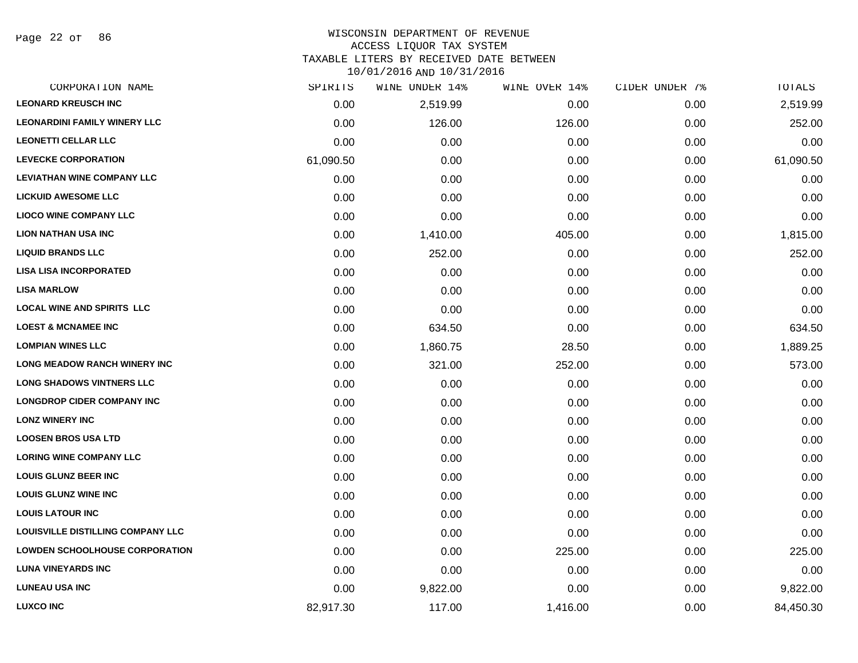Page 22 of 86

#### WISCONSIN DEPARTMENT OF REVENUE ACCESS LIQUOR TAX SYSTEM

TAXABLE LITERS BY RECEIVED DATE BETWEEN

| CORPORATION NAME                         | SPIRITS   | WINE UNDER 14% | WINE OVER 14% | CIDER UNDER 7% | TOTALS    |
|------------------------------------------|-----------|----------------|---------------|----------------|-----------|
| <b>LEONARD KREUSCH INC</b>               | 0.00      | 2,519.99       | 0.00          | 0.00           | 2,519.99  |
| <b>LEONARDINI FAMILY WINERY LLC</b>      | 0.00      | 126.00         | 126.00        | 0.00           | 252.00    |
| <b>LEONETTI CELLAR LLC</b>               | 0.00      | 0.00           | 0.00          | 0.00           | 0.00      |
| <b>LEVECKE CORPORATION</b>               | 61,090.50 | 0.00           | 0.00          | 0.00           | 61,090.50 |
| <b>LEVIATHAN WINE COMPANY LLC</b>        | 0.00      | 0.00           | 0.00          | 0.00           | 0.00      |
| <b>LICKUID AWESOME LLC</b>               | 0.00      | 0.00           | 0.00          | 0.00           | 0.00      |
| <b>LIOCO WINE COMPANY LLC</b>            | 0.00      | 0.00           | 0.00          | 0.00           | 0.00      |
| <b>LION NATHAN USA INC</b>               | 0.00      | 1,410.00       | 405.00        | 0.00           | 1,815.00  |
| <b>LIQUID BRANDS LLC</b>                 | 0.00      | 252.00         | 0.00          | 0.00           | 252.00    |
| <b>LISA LISA INCORPORATED</b>            | 0.00      | 0.00           | 0.00          | 0.00           | 0.00      |
| <b>LISA MARLOW</b>                       | 0.00      | 0.00           | 0.00          | 0.00           | 0.00      |
| <b>LOCAL WINE AND SPIRITS LLC</b>        | 0.00      | 0.00           | 0.00          | 0.00           | 0.00      |
| <b>LOEST &amp; MCNAMEE INC</b>           | 0.00      | 634.50         | 0.00          | 0.00           | 634.50    |
| <b>LOMPIAN WINES LLC</b>                 | 0.00      | 1,860.75       | 28.50         | 0.00           | 1,889.25  |
| <b>LONG MEADOW RANCH WINERY INC</b>      | 0.00      | 321.00         | 252.00        | 0.00           | 573.00    |
| <b>LONG SHADOWS VINTNERS LLC</b>         | 0.00      | 0.00           | 0.00          | 0.00           | 0.00      |
| <b>LONGDROP CIDER COMPANY INC</b>        | 0.00      | 0.00           | 0.00          | 0.00           | 0.00      |
| <b>LONZ WINERY INC</b>                   | 0.00      | 0.00           | 0.00          | 0.00           | 0.00      |
| <b>LOOSEN BROS USA LTD</b>               | 0.00      | 0.00           | 0.00          | 0.00           | 0.00      |
| <b>LORING WINE COMPANY LLC</b>           | 0.00      | 0.00           | 0.00          | 0.00           | 0.00      |
| <b>LOUIS GLUNZ BEER INC</b>              | 0.00      | 0.00           | 0.00          | 0.00           | 0.00      |
| <b>LOUIS GLUNZ WINE INC</b>              | 0.00      | 0.00           | 0.00          | 0.00           | 0.00      |
| <b>LOUIS LATOUR INC</b>                  | 0.00      | 0.00           | 0.00          | 0.00           | 0.00      |
| <b>LOUISVILLE DISTILLING COMPANY LLC</b> | 0.00      | 0.00           | 0.00          | 0.00           | 0.00      |
| <b>LOWDEN SCHOOLHOUSE CORPORATION</b>    | 0.00      | 0.00           | 225.00        | 0.00           | 225.00    |
| <b>LUNA VINEYARDS INC</b>                | 0.00      | 0.00           | 0.00          | 0.00           | 0.00      |
| <b>LUNEAU USA INC</b>                    | 0.00      | 9,822.00       | 0.00          | 0.00           | 9,822.00  |
| <b>LUXCO INC</b>                         | 82,917.30 | 117.00         | 1,416.00      | 0.00           | 84,450.30 |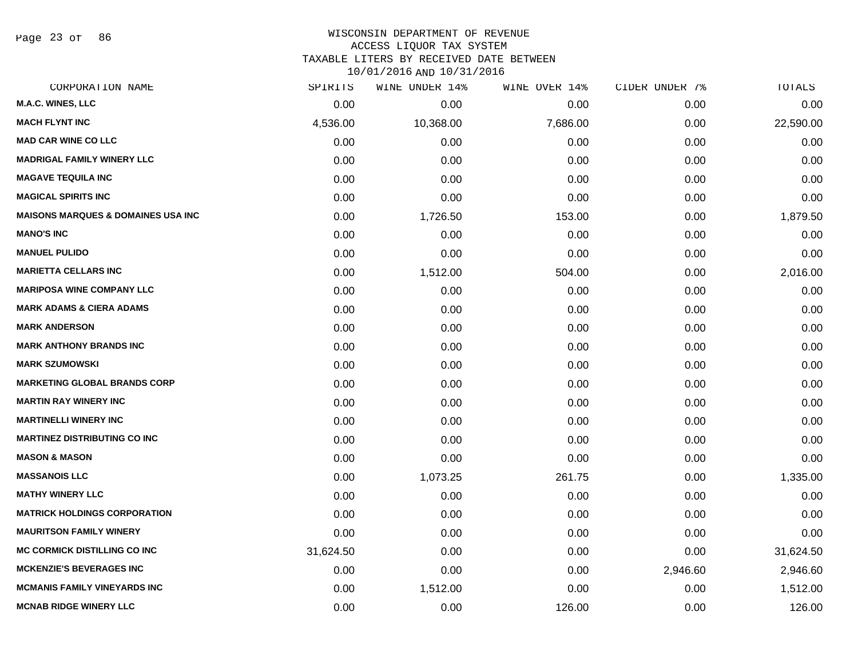Page 23 of 86

#### WISCONSIN DEPARTMENT OF REVENUE ACCESS LIQUOR TAX SYSTEM

TAXABLE LITERS BY RECEIVED DATE BETWEEN

| CORPORATION NAME                               | SPIRITS   | WINE UNDER 14% | WINE OVER 14% | CIDER UNDER 7% | TOTALS    |
|------------------------------------------------|-----------|----------------|---------------|----------------|-----------|
| <b>M.A.C. WINES, LLC</b>                       | 0.00      | 0.00           | 0.00          | 0.00           | 0.00      |
| <b>MACH FLYNT INC</b>                          | 4,536.00  | 10,368.00      | 7,686.00      | 0.00           | 22,590.00 |
| <b>MAD CAR WINE CO LLC</b>                     | 0.00      | 0.00           | 0.00          | 0.00           | 0.00      |
| <b>MADRIGAL FAMILY WINERY LLC</b>              | 0.00      | 0.00           | 0.00          | 0.00           | 0.00      |
| <b>MAGAVE TEQUILA INC</b>                      | 0.00      | 0.00           | 0.00          | 0.00           | 0.00      |
| <b>MAGICAL SPIRITS INC</b>                     | 0.00      | 0.00           | 0.00          | 0.00           | 0.00      |
| <b>MAISONS MARQUES &amp; DOMAINES USA INC.</b> | 0.00      | 1,726.50       | 153.00        | 0.00           | 1,879.50  |
| <b>MANO'S INC</b>                              | 0.00      | 0.00           | 0.00          | 0.00           | 0.00      |
| <b>MANUEL PULIDO</b>                           | 0.00      | 0.00           | 0.00          | 0.00           | 0.00      |
| <b>MARIETTA CELLARS INC</b>                    | 0.00      | 1,512.00       | 504.00        | 0.00           | 2,016.00  |
| <b>MARIPOSA WINE COMPANY LLC</b>               | 0.00      | 0.00           | 0.00          | 0.00           | 0.00      |
| <b>MARK ADAMS &amp; CIERA ADAMS</b>            | 0.00      | 0.00           | 0.00          | 0.00           | 0.00      |
| <b>MARK ANDERSON</b>                           | 0.00      | 0.00           | 0.00          | 0.00           | 0.00      |
| <b>MARK ANTHONY BRANDS INC</b>                 | 0.00      | 0.00           | 0.00          | 0.00           | 0.00      |
| <b>MARK SZUMOWSKI</b>                          | 0.00      | 0.00           | 0.00          | 0.00           | 0.00      |
| <b>MARKETING GLOBAL BRANDS CORP</b>            | 0.00      | 0.00           | 0.00          | 0.00           | 0.00      |
| <b>MARTIN RAY WINERY INC</b>                   | 0.00      | 0.00           | 0.00          | 0.00           | 0.00      |
| <b>MARTINELLI WINERY INC</b>                   | 0.00      | 0.00           | 0.00          | 0.00           | 0.00      |
| <b>MARTINEZ DISTRIBUTING CO INC</b>            | 0.00      | 0.00           | 0.00          | 0.00           | 0.00      |
| <b>MASON &amp; MASON</b>                       | 0.00      | 0.00           | 0.00          | 0.00           | 0.00      |
| <b>MASSANOIS LLC</b>                           | 0.00      | 1,073.25       | 261.75        | 0.00           | 1,335.00  |
| <b>MATHY WINERY LLC</b>                        | 0.00      | 0.00           | 0.00          | 0.00           | 0.00      |
| <b>MATRICK HOLDINGS CORPORATION</b>            | 0.00      | 0.00           | 0.00          | 0.00           | 0.00      |
| <b>MAURITSON FAMILY WINERY</b>                 | 0.00      | 0.00           | 0.00          | 0.00           | 0.00      |
| <b>MC CORMICK DISTILLING CO INC</b>            | 31,624.50 | 0.00           | 0.00          | 0.00           | 31,624.50 |
| <b>MCKENZIE'S BEVERAGES INC</b>                | 0.00      | 0.00           | 0.00          | 2,946.60       | 2,946.60  |
| <b>MCMANIS FAMILY VINEYARDS INC</b>            | 0.00      | 1,512.00       | 0.00          | 0.00           | 1,512.00  |
| <b>MCNAB RIDGE WINERY LLC</b>                  | 0.00      | 0.00           | 126.00        | 0.00           | 126.00    |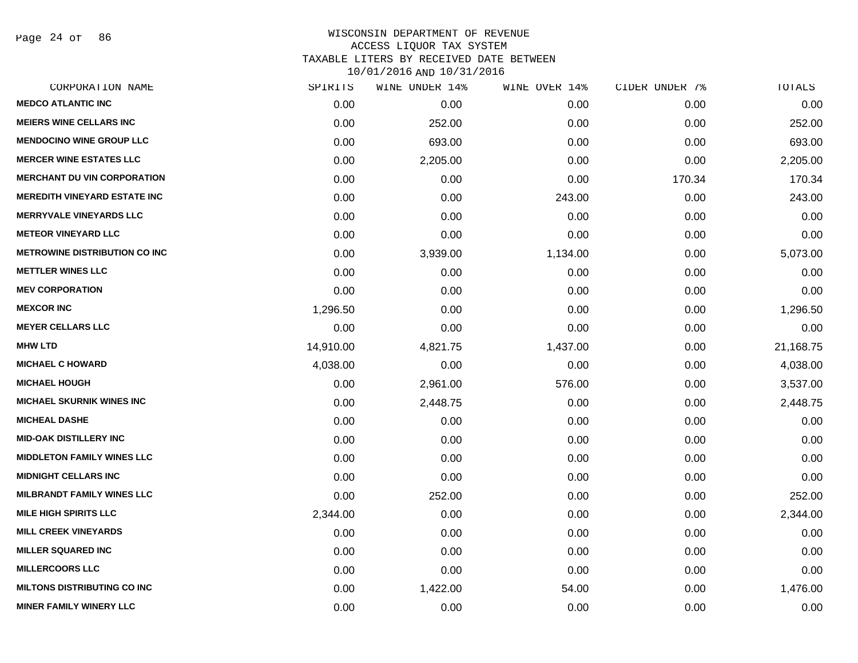Page 24 of 86

| CORPORATION NAME                     | SPIRITS   | WINE UNDER 14% | WINE OVER 14% | CIDER UNDER 7% | TOTALS    |
|--------------------------------------|-----------|----------------|---------------|----------------|-----------|
| <b>MEDCO ATLANTIC INC</b>            | 0.00      | 0.00           | 0.00          | 0.00           | 0.00      |
| <b>MEIERS WINE CELLARS INC</b>       | 0.00      | 252.00         | 0.00          | 0.00           | 252.00    |
| <b>MENDOCINO WINE GROUP LLC</b>      | 0.00      | 693.00         | 0.00          | 0.00           | 693.00    |
| <b>MERCER WINE ESTATES LLC</b>       | 0.00      | 2,205.00       | 0.00          | 0.00           | 2,205.00  |
| <b>MERCHANT DU VIN CORPORATION</b>   | 0.00      | 0.00           | 0.00          | 170.34         | 170.34    |
| <b>MEREDITH VINEYARD ESTATE INC</b>  | 0.00      | 0.00           | 243.00        | 0.00           | 243.00    |
| <b>MERRYVALE VINEYARDS LLC</b>       | 0.00      | 0.00           | 0.00          | 0.00           | 0.00      |
| <b>METEOR VINEYARD LLC</b>           | 0.00      | 0.00           | 0.00          | 0.00           | 0.00      |
| <b>METROWINE DISTRIBUTION CO INC</b> | 0.00      | 3,939.00       | 1,134.00      | 0.00           | 5,073.00  |
| <b>METTLER WINES LLC</b>             | 0.00      | 0.00           | 0.00          | 0.00           | 0.00      |
| <b>MEV CORPORATION</b>               | 0.00      | 0.00           | 0.00          | 0.00           | 0.00      |
| <b>MEXCOR INC</b>                    | 1,296.50  | 0.00           | 0.00          | 0.00           | 1,296.50  |
| <b>MEYER CELLARS LLC</b>             | 0.00      | 0.00           | 0.00          | 0.00           | 0.00      |
| <b>MHW LTD</b>                       | 14,910.00 | 4,821.75       | 1,437.00      | 0.00           | 21,168.75 |
| <b>MICHAEL C HOWARD</b>              | 4,038.00  | 0.00           | 0.00          | 0.00           | 4,038.00  |
| <b>MICHAEL HOUGH</b>                 | 0.00      | 2,961.00       | 576.00        | 0.00           | 3,537.00  |
| <b>MICHAEL SKURNIK WINES INC</b>     | 0.00      | 2,448.75       | 0.00          | 0.00           | 2,448.75  |
| <b>MICHEAL DASHE</b>                 | 0.00      | 0.00           | 0.00          | 0.00           | 0.00      |
| <b>MID-OAK DISTILLERY INC</b>        | 0.00      | 0.00           | 0.00          | 0.00           | 0.00      |
| <b>MIDDLETON FAMILY WINES LLC</b>    | 0.00      | 0.00           | 0.00          | 0.00           | 0.00      |
| <b>MIDNIGHT CELLARS INC</b>          | 0.00      | 0.00           | 0.00          | 0.00           | 0.00      |
| <b>MILBRANDT FAMILY WINES LLC</b>    | 0.00      | 252.00         | 0.00          | 0.00           | 252.00    |
| <b>MILE HIGH SPIRITS LLC</b>         | 2,344.00  | 0.00           | 0.00          | 0.00           | 2,344.00  |
| <b>MILL CREEK VINEYARDS</b>          | 0.00      | 0.00           | 0.00          | 0.00           | 0.00      |
| <b>MILLER SQUARED INC</b>            | 0.00      | 0.00           | 0.00          | 0.00           | 0.00      |
| <b>MILLERCOORS LLC</b>               | 0.00      | 0.00           | 0.00          | 0.00           | 0.00      |
| <b>MILTONS DISTRIBUTING CO INC</b>   | 0.00      | 1,422.00       | 54.00         | 0.00           | 1,476.00  |
| <b>MINER FAMILY WINERY LLC</b>       | 0.00      | 0.00           | 0.00          | 0.00           | 0.00      |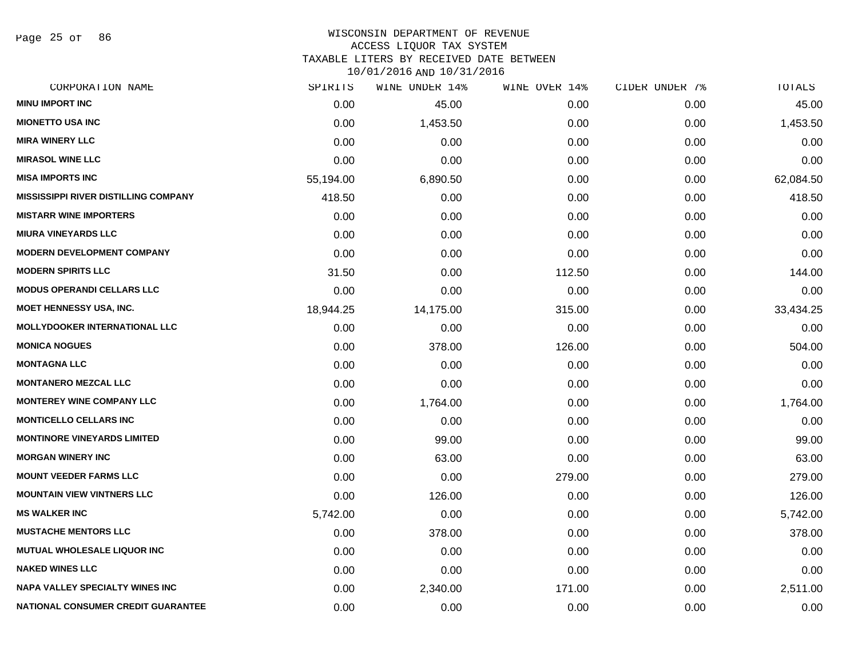Page 25 of 86

#### WISCONSIN DEPARTMENT OF REVENUE ACCESS LIQUOR TAX SYSTEM

TAXABLE LITERS BY RECEIVED DATE BETWEEN

| CORPORATION NAME                            | SPIRITS   | WINE UNDER 14% | WINE OVER 14% | CIDER UNDER 7% | TOTALS    |
|---------------------------------------------|-----------|----------------|---------------|----------------|-----------|
| <b>MINU IMPORT INC</b>                      | 0.00      | 45.00          | 0.00          | 0.00           | 45.00     |
| <b>MIONETTO USA INC</b>                     | 0.00      | 1,453.50       | 0.00          | 0.00           | 1,453.50  |
| <b>MIRA WINERY LLC</b>                      | 0.00      | 0.00           | 0.00          | 0.00           | 0.00      |
| <b>MIRASOL WINE LLC</b>                     | 0.00      | 0.00           | 0.00          | 0.00           | 0.00      |
| <b>MISA IMPORTS INC</b>                     | 55,194.00 | 6,890.50       | 0.00          | 0.00           | 62,084.50 |
| <b>MISSISSIPPI RIVER DISTILLING COMPANY</b> | 418.50    | 0.00           | 0.00          | 0.00           | 418.50    |
| <b>MISTARR WINE IMPORTERS</b>               | 0.00      | 0.00           | 0.00          | 0.00           | 0.00      |
| <b>MIURA VINEYARDS LLC</b>                  | 0.00      | 0.00           | 0.00          | 0.00           | 0.00      |
| <b>MODERN DEVELOPMENT COMPANY</b>           | 0.00      | 0.00           | 0.00          | 0.00           | 0.00      |
| <b>MODERN SPIRITS LLC</b>                   | 31.50     | 0.00           | 112.50        | 0.00           | 144.00    |
| <b>MODUS OPERANDI CELLARS LLC</b>           | 0.00      | 0.00           | 0.00          | 0.00           | 0.00      |
| <b>MOET HENNESSY USA, INC.</b>              | 18,944.25 | 14,175.00      | 315.00        | 0.00           | 33,434.25 |
| <b>MOLLYDOOKER INTERNATIONAL LLC</b>        | 0.00      | 0.00           | 0.00          | 0.00           | 0.00      |
| <b>MONICA NOGUES</b>                        | 0.00      | 378.00         | 126.00        | 0.00           | 504.00    |
| <b>MONTAGNA LLC</b>                         | 0.00      | 0.00           | 0.00          | 0.00           | 0.00      |
| <b>MONTANERO MEZCAL LLC</b>                 | 0.00      | 0.00           | 0.00          | 0.00           | 0.00      |
| <b>MONTEREY WINE COMPANY LLC</b>            | 0.00      | 1,764.00       | 0.00          | 0.00           | 1,764.00  |
| <b>MONTICELLO CELLARS INC</b>               | 0.00      | 0.00           | 0.00          | 0.00           | 0.00      |
| <b>MONTINORE VINEYARDS LIMITED</b>          | 0.00      | 99.00          | 0.00          | 0.00           | 99.00     |
| <b>MORGAN WINERY INC</b>                    | 0.00      | 63.00          | 0.00          | 0.00           | 63.00     |
| <b>MOUNT VEEDER FARMS LLC</b>               | 0.00      | 0.00           | 279.00        | 0.00           | 279.00    |
| <b>MOUNTAIN VIEW VINTNERS LLC</b>           | 0.00      | 126.00         | 0.00          | 0.00           | 126.00    |
| <b>MS WALKER INC</b>                        | 5,742.00  | 0.00           | 0.00          | 0.00           | 5,742.00  |
| <b>MUSTACHE MENTORS LLC</b>                 | 0.00      | 378.00         | 0.00          | 0.00           | 378.00    |
| MUTUAL WHOLESALE LIQUOR INC                 | 0.00      | 0.00           | 0.00          | 0.00           | 0.00      |
| <b>NAKED WINES LLC</b>                      | 0.00      | 0.00           | 0.00          | 0.00           | 0.00      |
| <b>NAPA VALLEY SPECIALTY WINES INC</b>      | 0.00      | 2,340.00       | 171.00        | 0.00           | 2,511.00  |
| <b>NATIONAL CONSUMER CREDIT GUARANTEE</b>   | 0.00      | 0.00           | 0.00          | 0.00           | 0.00      |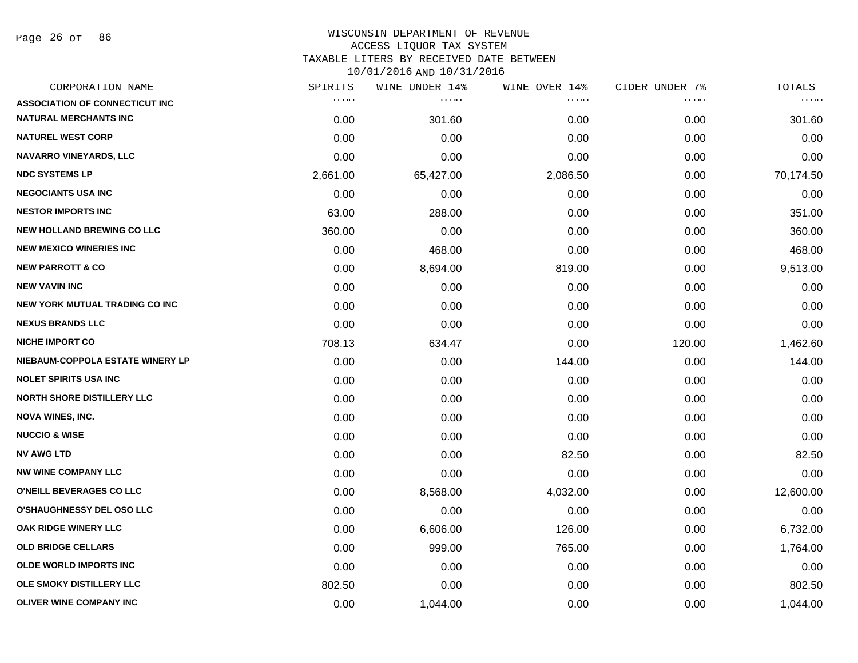Page 26 of 86

| CORPORATION NAME                      | SPIRITS                            | WINE UNDER 14% | WINE OVER 14%                  | CIDER UNDER 7% | TOTALS    |
|---------------------------------------|------------------------------------|----------------|--------------------------------|----------------|-----------|
| <b>ASSOCIATION OF CONNECTICUT INC</b> | $\alpha$ , $\alpha$ , and $\alpha$ | .              | $\alpha$ , $\alpha$ , $\alpha$ | .              | a a shek  |
| <b>NATURAL MERCHANTS INC</b>          | 0.00                               | 301.60         | 0.00                           | 0.00           | 301.60    |
| <b>NATUREL WEST CORP</b>              | 0.00                               | 0.00           | 0.00                           | 0.00           | 0.00      |
| <b>NAVARRO VINEYARDS, LLC</b>         | 0.00                               | 0.00           | 0.00                           | 0.00           | 0.00      |
| <b>NDC SYSTEMS LP</b>                 | 2,661.00                           | 65,427.00      | 2,086.50                       | 0.00           | 70,174.50 |
| <b>NEGOCIANTS USA INC</b>             | 0.00                               | 0.00           | 0.00                           | 0.00           | 0.00      |
| <b>NESTOR IMPORTS INC</b>             | 63.00                              | 288.00         | 0.00                           | 0.00           | 351.00    |
| <b>NEW HOLLAND BREWING CO LLC</b>     | 360.00                             | 0.00           | 0.00                           | 0.00           | 360.00    |
| <b>NEW MEXICO WINERIES INC.</b>       | 0.00                               | 468.00         | 0.00                           | 0.00           | 468.00    |
| <b>NEW PARROTT &amp; CO</b>           | 0.00                               | 8,694.00       | 819.00                         | 0.00           | 9,513.00  |
| <b>NEW VAVIN INC</b>                  | 0.00                               | 0.00           | 0.00                           | 0.00           | 0.00      |
| <b>NEW YORK MUTUAL TRADING CO INC</b> | 0.00                               | 0.00           | 0.00                           | 0.00           | 0.00      |
| <b>NEXUS BRANDS LLC</b>               | 0.00                               | 0.00           | 0.00                           | 0.00           | 0.00      |
| <b>NICHE IMPORT CO</b>                | 708.13                             | 634.47         | 0.00                           | 120.00         | 1,462.60  |
| NIEBAUM-COPPOLA ESTATE WINERY LP      | 0.00                               | 0.00           | 144.00                         | 0.00           | 144.00    |
| <b>NOLET SPIRITS USA INC</b>          | 0.00                               | 0.00           | 0.00                           | 0.00           | 0.00      |
| <b>NORTH SHORE DISTILLERY LLC</b>     | 0.00                               | 0.00           | 0.00                           | 0.00           | 0.00      |
| <b>NOVA WINES, INC.</b>               | 0.00                               | 0.00           | 0.00                           | 0.00           | 0.00      |
| <b>NUCCIO &amp; WISE</b>              | 0.00                               | 0.00           | 0.00                           | 0.00           | 0.00      |
| <b>NV AWG LTD</b>                     | 0.00                               | 0.00           | 82.50                          | 0.00           | 82.50     |
| <b>NW WINE COMPANY LLC</b>            | 0.00                               | 0.00           | 0.00                           | 0.00           | 0.00      |
| O'NEILL BEVERAGES CO LLC              | 0.00                               | 8,568.00       | 4,032.00                       | 0.00           | 12,600.00 |
| <b>O'SHAUGHNESSY DEL OSO LLC</b>      | 0.00                               | 0.00           | 0.00                           | 0.00           | 0.00      |
| OAK RIDGE WINERY LLC                  | 0.00                               | 6,606.00       | 126.00                         | 0.00           | 6,732.00  |
| <b>OLD BRIDGE CELLARS</b>             | 0.00                               | 999.00         | 765.00                         | 0.00           | 1,764.00  |
| <b>OLDE WORLD IMPORTS INC</b>         | 0.00                               | 0.00           | 0.00                           | 0.00           | 0.00      |
| OLE SMOKY DISTILLERY LLC              | 802.50                             | 0.00           | 0.00                           | 0.00           | 802.50    |
| <b>OLIVER WINE COMPANY INC</b>        | 0.00                               | 1,044.00       | 0.00                           | 0.00           | 1,044.00  |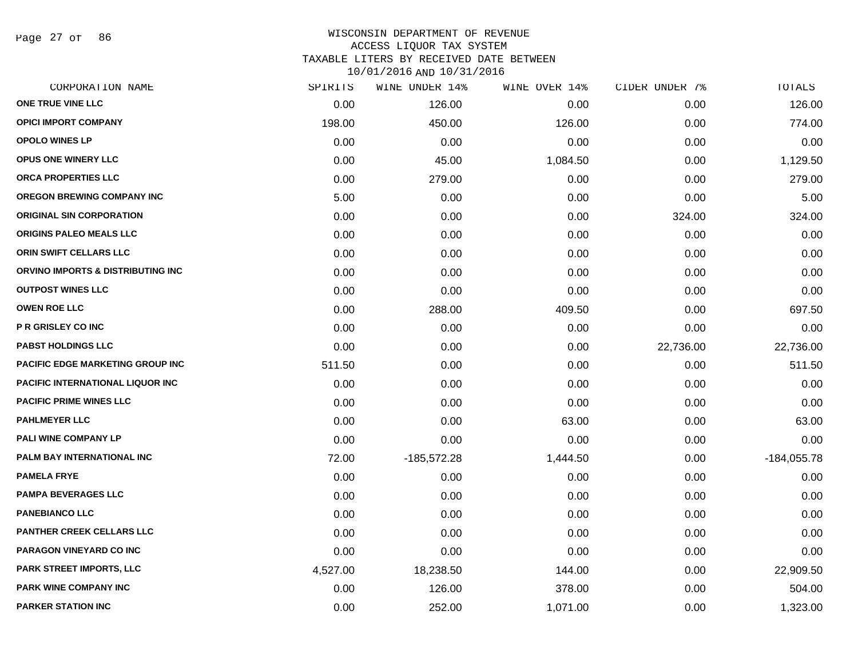Page 27 of 86

| CORPORATION NAME                        | SPIRITS  | WINE UNDER 14% | WINE OVER 14% | CIDER UNDER 7% | TOTALS        |
|-----------------------------------------|----------|----------------|---------------|----------------|---------------|
| ONE TRUE VINE LLC                       | 0.00     | 126.00         | 0.00          | 0.00           | 126.00        |
| <b>OPICI IMPORT COMPANY</b>             | 198.00   | 450.00         | 126.00        | 0.00           | 774.00        |
| <b>OPOLO WINES LP</b>                   | 0.00     | 0.00           | 0.00          | 0.00           | 0.00          |
| <b>OPUS ONE WINERY LLC</b>              | 0.00     | 45.00          | 1,084.50      | 0.00           | 1,129.50      |
| ORCA PROPERTIES LLC                     | 0.00     | 279.00         | 0.00          | 0.00           | 279.00        |
| <b>OREGON BREWING COMPANY INC</b>       | 5.00     | 0.00           | 0.00          | 0.00           | 5.00          |
| <b>ORIGINAL SIN CORPORATION</b>         | 0.00     | 0.00           | 0.00          | 324.00         | 324.00        |
| <b>ORIGINS PALEO MEALS LLC</b>          | 0.00     | 0.00           | 0.00          | 0.00           | 0.00          |
| ORIN SWIFT CELLARS LLC                  | 0.00     | 0.00           | 0.00          | 0.00           | 0.00          |
| ORVINO IMPORTS & DISTRIBUTING INC       | 0.00     | 0.00           | 0.00          | 0.00           | 0.00          |
| <b>OUTPOST WINES LLC</b>                | 0.00     | 0.00           | 0.00          | 0.00           | 0.00          |
| <b>OWEN ROE LLC</b>                     | 0.00     | 288.00         | 409.50        | 0.00           | 697.50        |
| <b>P R GRISLEY CO INC</b>               | 0.00     | 0.00           | 0.00          | 0.00           | 0.00          |
| <b>PABST HOLDINGS LLC</b>               | 0.00     | 0.00           | 0.00          | 22,736.00      | 22,736.00     |
| <b>PACIFIC EDGE MARKETING GROUP INC</b> | 511.50   | 0.00           | 0.00          | 0.00           | 511.50        |
| PACIFIC INTERNATIONAL LIQUOR INC        | 0.00     | 0.00           | 0.00          | 0.00           | 0.00          |
| <b>PACIFIC PRIME WINES LLC</b>          | 0.00     | 0.00           | 0.00          | 0.00           | 0.00          |
| <b>PAHLMEYER LLC</b>                    | 0.00     | 0.00           | 63.00         | 0.00           | 63.00         |
| PALI WINE COMPANY LP                    | 0.00     | 0.00           | 0.00          | 0.00           | 0.00          |
| PALM BAY INTERNATIONAL INC              | 72.00    | $-185,572.28$  | 1,444.50      | 0.00           | $-184,055.78$ |
| <b>PAMELA FRYE</b>                      | 0.00     | 0.00           | 0.00          | 0.00           | 0.00          |
| <b>PAMPA BEVERAGES LLC</b>              | 0.00     | 0.00           | 0.00          | 0.00           | 0.00          |
| <b>PANEBIANCO LLC</b>                   | 0.00     | 0.00           | 0.00          | 0.00           | 0.00          |
| <b>PANTHER CREEK CELLARS LLC</b>        | 0.00     | 0.00           | 0.00          | 0.00           | 0.00          |
| PARAGON VINEYARD CO INC                 | 0.00     | 0.00           | 0.00          | 0.00           | 0.00          |
| <b>PARK STREET IMPORTS, LLC</b>         | 4,527.00 | 18,238.50      | 144.00        | 0.00           | 22,909.50     |
| <b>PARK WINE COMPANY INC</b>            | 0.00     | 126.00         | 378.00        | 0.00           | 504.00        |
| <b>PARKER STATION INC</b>               | 0.00     | 252.00         | 1,071.00      | 0.00           | 1,323.00      |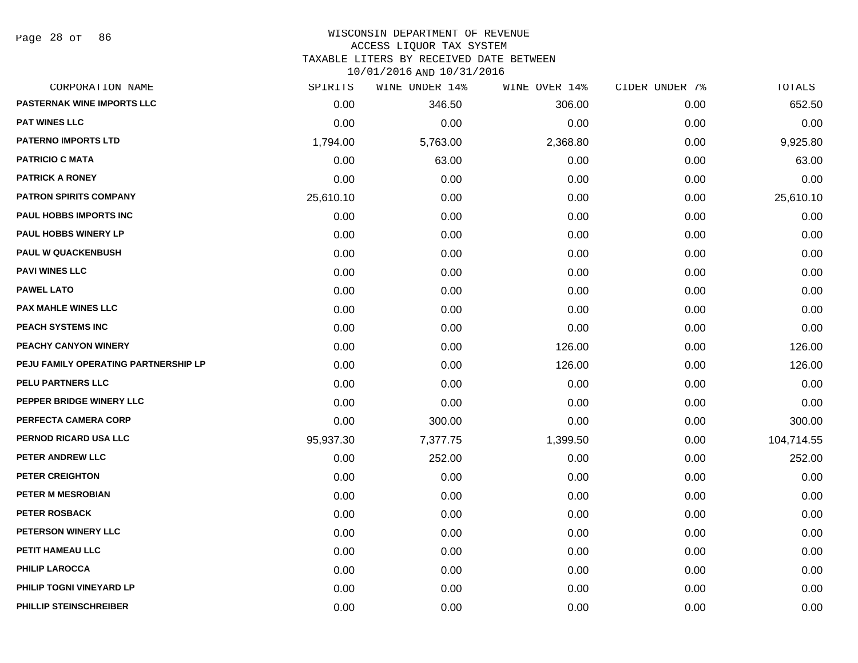Page 28 of 86

#### WISCONSIN DEPARTMENT OF REVENUE ACCESS LIQUOR TAX SYSTEM

TAXABLE LITERS BY RECEIVED DATE BETWEEN

| CORPORATION NAME                     | SPIRITS   | WINE UNDER 14% | WINE OVER 14% | CIDER UNDER 7% | TOTALS     |
|--------------------------------------|-----------|----------------|---------------|----------------|------------|
| PASTERNAK WINE IMPORTS LLC           | 0.00      | 346.50         | 306.00        | 0.00           | 652.50     |
| <b>PAT WINES LLC</b>                 | 0.00      | 0.00           | 0.00          | 0.00           | 0.00       |
| <b>PATERNO IMPORTS LTD</b>           | 1,794.00  | 5,763.00       | 2,368.80      | 0.00           | 9,925.80   |
| <b>PATRICIO C MATA</b>               | 0.00      | 63.00          | 0.00          | 0.00           | 63.00      |
| <b>PATRICK A RONEY</b>               | 0.00      | 0.00           | 0.00          | 0.00           | 0.00       |
| <b>PATRON SPIRITS COMPANY</b>        | 25,610.10 | 0.00           | 0.00          | 0.00           | 25,610.10  |
| PAUL HOBBS IMPORTS INC               | 0.00      | 0.00           | 0.00          | 0.00           | 0.00       |
| <b>PAUL HOBBS WINERY LP</b>          | 0.00      | 0.00           | 0.00          | 0.00           | 0.00       |
| <b>PAUL W QUACKENBUSH</b>            | 0.00      | 0.00           | 0.00          | 0.00           | 0.00       |
| <b>PAVI WINES LLC</b>                | 0.00      | 0.00           | 0.00          | 0.00           | 0.00       |
| <b>PAWEL LATO</b>                    | 0.00      | 0.00           | 0.00          | 0.00           | 0.00       |
| <b>PAX MAHLE WINES LLC</b>           | 0.00      | 0.00           | 0.00          | 0.00           | 0.00       |
| PEACH SYSTEMS INC                    | 0.00      | 0.00           | 0.00          | 0.00           | 0.00       |
| <b>PEACHY CANYON WINERY</b>          | 0.00      | 0.00           | 126.00        | 0.00           | 126.00     |
| PEJU FAMILY OPERATING PARTNERSHIP LP | 0.00      | 0.00           | 126.00        | 0.00           | 126.00     |
| PELU PARTNERS LLC                    | 0.00      | 0.00           | 0.00          | 0.00           | 0.00       |
| PEPPER BRIDGE WINERY LLC             | 0.00      | 0.00           | 0.00          | 0.00           | 0.00       |
| PERFECTA CAMERA CORP                 | 0.00      | 300.00         | 0.00          | 0.00           | 300.00     |
| PERNOD RICARD USA LLC                | 95,937.30 | 7,377.75       | 1,399.50      | 0.00           | 104,714.55 |
| PETER ANDREW LLC                     | 0.00      | 252.00         | 0.00          | 0.00           | 252.00     |
| PETER CREIGHTON                      | 0.00      | 0.00           | 0.00          | 0.00           | 0.00       |
| PETER M MESROBIAN                    | 0.00      | 0.00           | 0.00          | 0.00           | 0.00       |
| <b>PETER ROSBACK</b>                 | 0.00      | 0.00           | 0.00          | 0.00           | 0.00       |
| <b>PETERSON WINERY LLC</b>           | 0.00      | 0.00           | 0.00          | 0.00           | 0.00       |
| PETIT HAMEAU LLC                     | 0.00      | 0.00           | 0.00          | 0.00           | 0.00       |
| <b>PHILIP LAROCCA</b>                | 0.00      | 0.00           | 0.00          | 0.00           | 0.00       |
| PHILIP TOGNI VINEYARD LP             | 0.00      | 0.00           | 0.00          | 0.00           | 0.00       |
| PHILLIP STEINSCHREIBER               | 0.00      | 0.00           | 0.00          | 0.00           | 0.00       |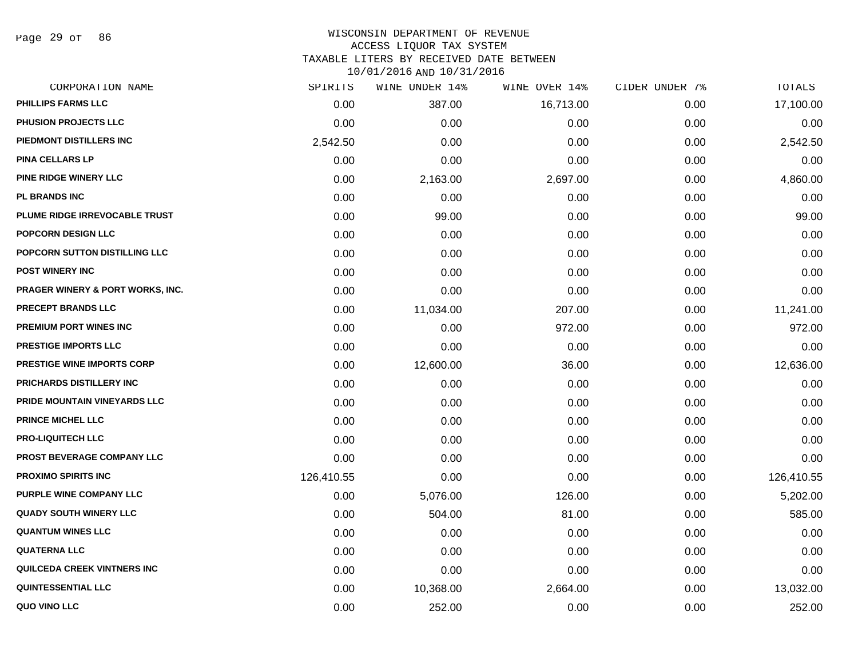Page 29 of 86

### WISCONSIN DEPARTMENT OF REVENUE ACCESS LIQUOR TAX SYSTEM TAXABLE LITERS BY RECEIVED DATE BETWEEN

| CORPORATION NAME                            | SPIRITS    | WINE UNDER 14% | WINE OVER 14% | CIDER UNDER 7% | TOTALS     |
|---------------------------------------------|------------|----------------|---------------|----------------|------------|
| PHILLIPS FARMS LLC                          | 0.00       | 387.00         | 16,713.00     | 0.00           | 17,100.00  |
| PHUSION PROJECTS LLC                        | 0.00       | 0.00           | 0.00          | 0.00           | 0.00       |
| PIEDMONT DISTILLERS INC                     | 2,542.50   | 0.00           | 0.00          | 0.00           | 2,542.50   |
| <b>PINA CELLARS LP</b>                      | 0.00       | 0.00           | 0.00          | 0.00           | 0.00       |
| <b>PINE RIDGE WINERY LLC</b>                | 0.00       | 2,163.00       | 2,697.00      | 0.00           | 4,860.00   |
| <b>PL BRANDS INC</b>                        | 0.00       | 0.00           | 0.00          | 0.00           | 0.00       |
| PLUME RIDGE IRREVOCABLE TRUST               | 0.00       | 99.00          | 0.00          | 0.00           | 99.00      |
| POPCORN DESIGN LLC                          | 0.00       | 0.00           | 0.00          | 0.00           | 0.00       |
| POPCORN SUTTON DISTILLING LLC               | 0.00       | 0.00           | 0.00          | 0.00           | 0.00       |
| <b>POST WINERY INC</b>                      | 0.00       | 0.00           | 0.00          | 0.00           | 0.00       |
| <b>PRAGER WINERY &amp; PORT WORKS, INC.</b> | 0.00       | 0.00           | 0.00          | 0.00           | 0.00       |
| PRECEPT BRANDS LLC                          | 0.00       | 11,034.00      | 207.00        | 0.00           | 11,241.00  |
| <b>PREMIUM PORT WINES INC</b>               | 0.00       | 0.00           | 972.00        | 0.00           | 972.00     |
| PRESTIGE IMPORTS LLC                        | 0.00       | 0.00           | 0.00          | 0.00           | 0.00       |
| <b>PRESTIGE WINE IMPORTS CORP</b>           | 0.00       | 12,600.00      | 36.00         | 0.00           | 12,636.00  |
| PRICHARDS DISTILLERY INC                    | 0.00       | 0.00           | 0.00          | 0.00           | 0.00       |
| PRIDE MOUNTAIN VINEYARDS LLC                | 0.00       | 0.00           | 0.00          | 0.00           | 0.00       |
| <b>PRINCE MICHEL LLC</b>                    | 0.00       | 0.00           | 0.00          | 0.00           | 0.00       |
| <b>PRO-LIQUITECH LLC</b>                    | 0.00       | 0.00           | 0.00          | 0.00           | 0.00       |
| PROST BEVERAGE COMPANY LLC                  | 0.00       | 0.00           | 0.00          | 0.00           | 0.00       |
| <b>PROXIMO SPIRITS INC</b>                  | 126,410.55 | 0.00           | 0.00          | 0.00           | 126,410.55 |
| PURPLE WINE COMPANY LLC                     | 0.00       | 5,076.00       | 126.00        | 0.00           | 5,202.00   |
| <b>QUADY SOUTH WINERY LLC</b>               | 0.00       | 504.00         | 81.00         | 0.00           | 585.00     |
| <b>QUANTUM WINES LLC</b>                    | 0.00       | 0.00           | 0.00          | 0.00           | 0.00       |
| <b>QUATERNA LLC</b>                         | 0.00       | 0.00           | 0.00          | 0.00           | 0.00       |
| <b>QUILCEDA CREEK VINTNERS INC</b>          | 0.00       | 0.00           | 0.00          | 0.00           | 0.00       |
| <b>QUINTESSENTIAL LLC</b>                   | 0.00       | 10,368.00      | 2,664.00      | 0.00           | 13,032.00  |
| QUO VINO LLC                                | 0.00       | 252.00         | 0.00          | 0.00           | 252.00     |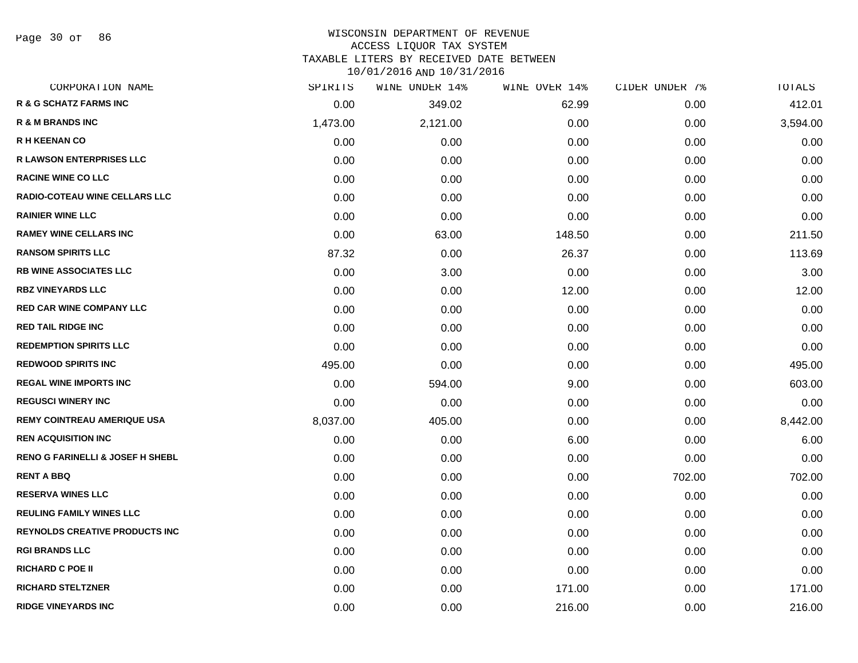Page 30 of 86

# WISCONSIN DEPARTMENT OF REVENUE

### ACCESS LIQUOR TAX SYSTEM

TAXABLE LITERS BY RECEIVED DATE BETWEEN

| CORPORATION NAME                            | SPIRITS  | WINE UNDER 14% | WINE OVER 14% | CIDER UNDER 7% | TOTALS   |
|---------------------------------------------|----------|----------------|---------------|----------------|----------|
| R & G SCHATZ FARMS INC                      | 0.00     | 349.02         | 62.99         | 0.00           | 412.01   |
| <b>R &amp; M BRANDS INC</b>                 | 1,473.00 | 2,121.00       | 0.00          | 0.00           | 3,594.00 |
| <b>R H KEENAN CO</b>                        | 0.00     | 0.00           | 0.00          | 0.00           | 0.00     |
| <b>R LAWSON ENTERPRISES LLC</b>             | 0.00     | 0.00           | 0.00          | 0.00           | 0.00     |
| <b>RACINE WINE CO LLC</b>                   | 0.00     | 0.00           | 0.00          | 0.00           | 0.00     |
| <b>RADIO-COTEAU WINE CELLARS LLC</b>        | 0.00     | 0.00           | 0.00          | 0.00           | 0.00     |
| <b>RAINIER WINE LLC</b>                     | 0.00     | 0.00           | 0.00          | 0.00           | 0.00     |
| <b>RAMEY WINE CELLARS INC</b>               | 0.00     | 63.00          | 148.50        | 0.00           | 211.50   |
| <b>RANSOM SPIRITS LLC</b>                   | 87.32    | 0.00           | 26.37         | 0.00           | 113.69   |
| <b>RB WINE ASSOCIATES LLC</b>               | 0.00     | 3.00           | 0.00          | 0.00           | 3.00     |
| <b>RBZ VINEYARDS LLC</b>                    | 0.00     | 0.00           | 12.00         | 0.00           | 12.00    |
| <b>RED CAR WINE COMPANY LLC</b>             | 0.00     | 0.00           | 0.00          | 0.00           | 0.00     |
| <b>RED TAIL RIDGE INC</b>                   | 0.00     | 0.00           | 0.00          | 0.00           | 0.00     |
| <b>REDEMPTION SPIRITS LLC</b>               | 0.00     | 0.00           | 0.00          | 0.00           | 0.00     |
| <b>REDWOOD SPIRITS INC</b>                  | 495.00   | 0.00           | 0.00          | 0.00           | 495.00   |
| <b>REGAL WINE IMPORTS INC</b>               | 0.00     | 594.00         | 9.00          | 0.00           | 603.00   |
| <b>REGUSCI WINERY INC</b>                   | 0.00     | 0.00           | 0.00          | 0.00           | 0.00     |
| <b>REMY COINTREAU AMERIQUE USA</b>          | 8,037.00 | 405.00         | 0.00          | 0.00           | 8,442.00 |
| <b>REN ACQUISITION INC</b>                  | 0.00     | 0.00           | 6.00          | 0.00           | 6.00     |
| <b>RENO G FARINELLI &amp; JOSEF H SHEBL</b> | 0.00     | 0.00           | 0.00          | 0.00           | 0.00     |
| <b>RENT A BBQ</b>                           | 0.00     | 0.00           | 0.00          | 702.00         | 702.00   |
| <b>RESERVA WINES LLC</b>                    | 0.00     | 0.00           | 0.00          | 0.00           | 0.00     |
| <b>REULING FAMILY WINES LLC</b>             | 0.00     | 0.00           | 0.00          | 0.00           | 0.00     |
| <b>REYNOLDS CREATIVE PRODUCTS INC</b>       | 0.00     | 0.00           | 0.00          | 0.00           | 0.00     |
| <b>RGI BRANDS LLC</b>                       | 0.00     | 0.00           | 0.00          | 0.00           | 0.00     |
| <b>RICHARD C POE II</b>                     | 0.00     | 0.00           | 0.00          | 0.00           | 0.00     |
| <b>RICHARD STELTZNER</b>                    | 0.00     | 0.00           | 171.00        | 0.00           | 171.00   |
| <b>RIDGE VINEYARDS INC</b>                  | 0.00     | 0.00           | 216.00        | 0.00           | 216.00   |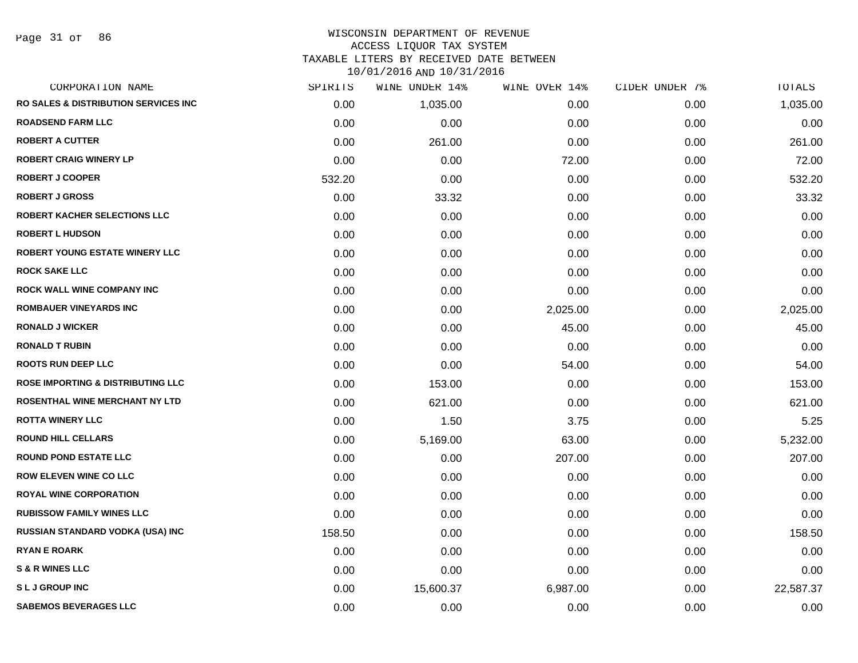Page 31 of 86

### WISCONSIN DEPARTMENT OF REVENUE ACCESS LIQUOR TAX SYSTEM TAXABLE LITERS BY RECEIVED DATE BETWEEN

| CORPORATION NAME                                 | SPIRITS | WINE UNDER 14% | WINE OVER 14% | CIDER UNDER 7% | TOTALS    |
|--------------------------------------------------|---------|----------------|---------------|----------------|-----------|
| <b>RO SALES &amp; DISTRIBUTION SERVICES INC.</b> | 0.00    | 1,035.00       | 0.00          | 0.00           | 1,035.00  |
| <b>ROADSEND FARM LLC</b>                         | 0.00    | 0.00           | 0.00          | 0.00           | 0.00      |
| <b>ROBERT A CUTTER</b>                           | 0.00    | 261.00         | 0.00          | 0.00           | 261.00    |
| <b>ROBERT CRAIG WINERY LP</b>                    | 0.00    | 0.00           | 72.00         | 0.00           | 72.00     |
| <b>ROBERT J COOPER</b>                           | 532.20  | 0.00           | 0.00          | 0.00           | 532.20    |
| <b>ROBERT J GROSS</b>                            | 0.00    | 33.32          | 0.00          | 0.00           | 33.32     |
| ROBERT KACHER SELECTIONS LLC                     | 0.00    | 0.00           | 0.00          | 0.00           | 0.00      |
| <b>ROBERT L HUDSON</b>                           | 0.00    | 0.00           | 0.00          | 0.00           | 0.00      |
| <b>ROBERT YOUNG ESTATE WINERY LLC</b>            | 0.00    | 0.00           | 0.00          | 0.00           | 0.00      |
| <b>ROCK SAKE LLC</b>                             | 0.00    | 0.00           | 0.00          | 0.00           | 0.00      |
| <b>ROCK WALL WINE COMPANY INC</b>                | 0.00    | 0.00           | 0.00          | 0.00           | 0.00      |
| <b>ROMBAUER VINEYARDS INC</b>                    | 0.00    | 0.00           | 2,025.00      | 0.00           | 2,025.00  |
| <b>RONALD J WICKER</b>                           | 0.00    | 0.00           | 45.00         | 0.00           | 45.00     |
| <b>RONALD T RUBIN</b>                            | 0.00    | 0.00           | 0.00          | 0.00           | 0.00      |
| <b>ROOTS RUN DEEP LLC</b>                        | 0.00    | 0.00           | 54.00         | 0.00           | 54.00     |
| <b>ROSE IMPORTING &amp; DISTRIBUTING LLC</b>     | 0.00    | 153.00         | 0.00          | 0.00           | 153.00    |
| ROSENTHAL WINE MERCHANT NY LTD                   | 0.00    | 621.00         | 0.00          | 0.00           | 621.00    |
| <b>ROTTA WINERY LLC</b>                          | 0.00    | 1.50           | 3.75          | 0.00           | 5.25      |
| <b>ROUND HILL CELLARS</b>                        | 0.00    | 5,169.00       | 63.00         | 0.00           | 5,232.00  |
| <b>ROUND POND ESTATE LLC</b>                     | 0.00    | 0.00           | 207.00        | 0.00           | 207.00    |
| <b>ROW ELEVEN WINE CO LLC</b>                    | 0.00    | 0.00           | 0.00          | 0.00           | 0.00      |
| <b>ROYAL WINE CORPORATION</b>                    | 0.00    | 0.00           | 0.00          | 0.00           | 0.00      |
| <b>RUBISSOW FAMILY WINES LLC</b>                 | 0.00    | 0.00           | 0.00          | 0.00           | 0.00      |
| RUSSIAN STANDARD VODKA (USA) INC                 | 158.50  | 0.00           | 0.00          | 0.00           | 158.50    |
| <b>RYAN E ROARK</b>                              | 0.00    | 0.00           | 0.00          | 0.00           | 0.00      |
| <b>S &amp; R WINES LLC</b>                       | 0.00    | 0.00           | 0.00          | 0.00           | 0.00      |
| <b>SLJ GROUP INC</b>                             | 0.00    | 15,600.37      | 6,987.00      | 0.00           | 22,587.37 |
| <b>SABEMOS BEVERAGES LLC</b>                     | 0.00    | 0.00           | 0.00          | 0.00           | 0.00      |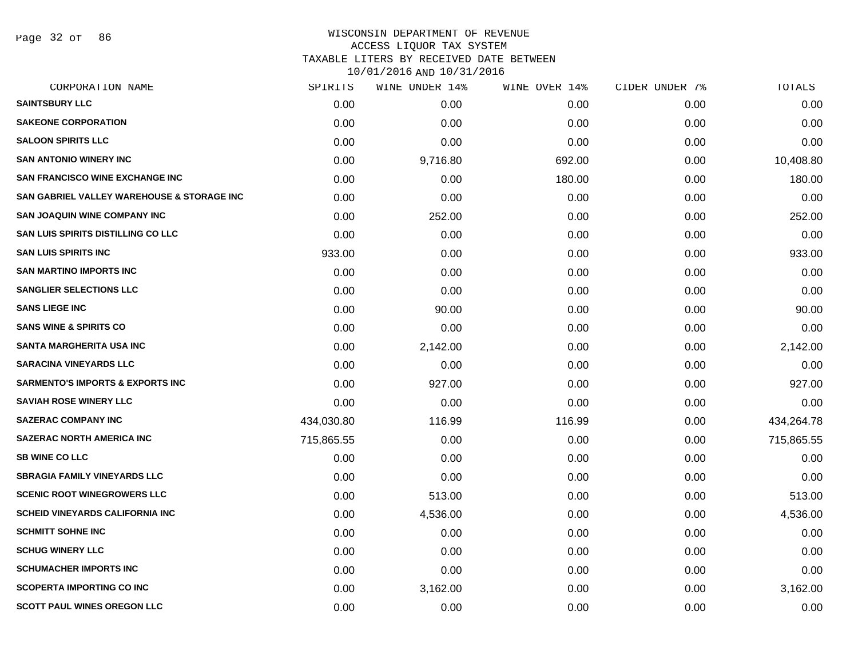Page 32 of 86

### WISCONSIN DEPARTMENT OF REVENUE ACCESS LIQUOR TAX SYSTEM TAXABLE LITERS BY RECEIVED DATE BETWEEN

| CORPORATION NAME                            | SPIRITS    | WINE UNDER 14% | WINE OVER 14% | CIDER UNDER 7% | TOTALS     |
|---------------------------------------------|------------|----------------|---------------|----------------|------------|
| <b>SAINTSBURY LLC</b>                       | 0.00       | 0.00           | 0.00          | 0.00           | 0.00       |
| <b>SAKEONE CORPORATION</b>                  | 0.00       | 0.00           | 0.00          | 0.00           | 0.00       |
| <b>SALOON SPIRITS LLC</b>                   | 0.00       | 0.00           | 0.00          | 0.00           | 0.00       |
| <b>SAN ANTONIO WINERY INC</b>               | 0.00       | 9,716.80       | 692.00        | 0.00           | 10,408.80  |
| <b>SAN FRANCISCO WINE EXCHANGE INC</b>      | 0.00       | 0.00           | 180.00        | 0.00           | 180.00     |
| SAN GABRIEL VALLEY WAREHOUSE & STORAGE INC  | 0.00       | 0.00           | 0.00          | 0.00           | 0.00       |
| <b>SAN JOAQUIN WINE COMPANY INC</b>         | 0.00       | 252.00         | 0.00          | 0.00           | 252.00     |
| SAN LUIS SPIRITS DISTILLING CO LLC          | 0.00       | 0.00           | 0.00          | 0.00           | 0.00       |
| <b>SAN LUIS SPIRITS INC</b>                 | 933.00     | 0.00           | 0.00          | 0.00           | 933.00     |
| <b>SAN MARTINO IMPORTS INC</b>              | 0.00       | 0.00           | 0.00          | 0.00           | 0.00       |
| <b>SANGLIER SELECTIONS LLC</b>              | 0.00       | 0.00           | 0.00          | 0.00           | 0.00       |
| <b>SANS LIEGE INC</b>                       | 0.00       | 90.00          | 0.00          | 0.00           | 90.00      |
| <b>SANS WINE &amp; SPIRITS CO</b>           | 0.00       | 0.00           | 0.00          | 0.00           | 0.00       |
| <b>SANTA MARGHERITA USA INC</b>             | 0.00       | 2,142.00       | 0.00          | 0.00           | 2,142.00   |
| <b>SARACINA VINEYARDS LLC</b>               | 0.00       | 0.00           | 0.00          | 0.00           | 0.00       |
| <b>SARMENTO'S IMPORTS &amp; EXPORTS INC</b> | 0.00       | 927.00         | 0.00          | 0.00           | 927.00     |
| <b>SAVIAH ROSE WINERY LLC</b>               | 0.00       | 0.00           | 0.00          | 0.00           | 0.00       |
| <b>SAZERAC COMPANY INC</b>                  | 434,030.80 | 116.99         | 116.99        | 0.00           | 434,264.78 |
| <b>SAZERAC NORTH AMERICA INC</b>            | 715,865.55 | 0.00           | 0.00          | 0.00           | 715,865.55 |
| <b>SB WINE CO LLC</b>                       | 0.00       | 0.00           | 0.00          | 0.00           | 0.00       |
| <b>SBRAGIA FAMILY VINEYARDS LLC</b>         | 0.00       | 0.00           | 0.00          | 0.00           | 0.00       |
| <b>SCENIC ROOT WINEGROWERS LLC</b>          | 0.00       | 513.00         | 0.00          | 0.00           | 513.00     |
| SCHEID VINEYARDS CALIFORNIA INC             | 0.00       | 4,536.00       | 0.00          | 0.00           | 4,536.00   |
| <b>SCHMITT SOHNE INC</b>                    | 0.00       | 0.00           | 0.00          | 0.00           | 0.00       |
| <b>SCHUG WINERY LLC</b>                     | 0.00       | 0.00           | 0.00          | 0.00           | 0.00       |
| <b>SCHUMACHER IMPORTS INC</b>               | 0.00       | 0.00           | 0.00          | 0.00           | 0.00       |
| <b>SCOPERTA IMPORTING CO INC</b>            | 0.00       | 3,162.00       | 0.00          | 0.00           | 3,162.00   |
| <b>SCOTT PAUL WINES OREGON LLC</b>          | 0.00       | 0.00           | 0.00          | 0.00           | 0.00       |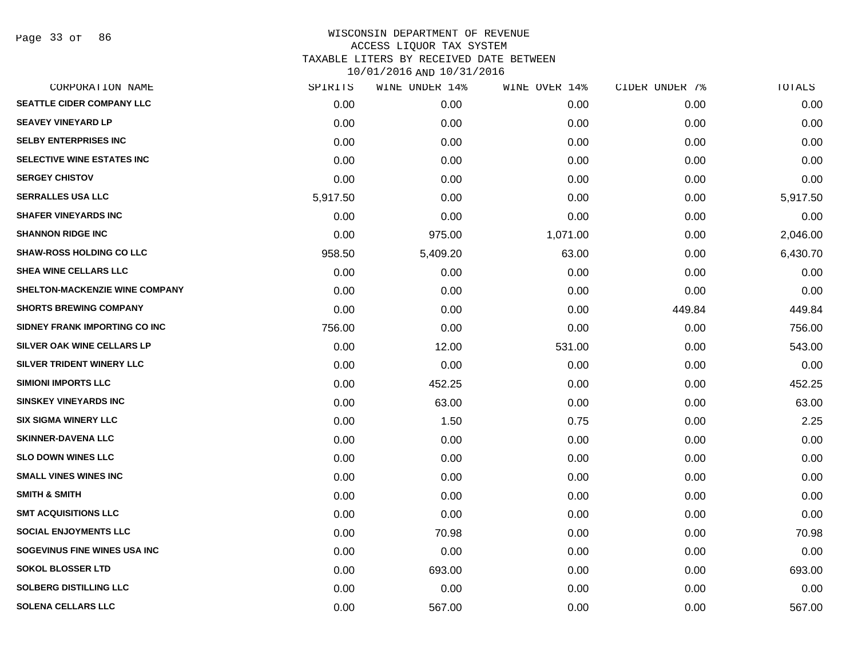| CORPORATION NAME                 | SPIRITS  | WINE UNDER 14% | WINE OVER 14% | CIDER UNDER 7% | <b>TOTALS</b> |
|----------------------------------|----------|----------------|---------------|----------------|---------------|
| <b>SEATTLE CIDER COMPANY LLC</b> | 0.00     | 0.00           | 0.00          | 0.00           | 0.00          |
| <b>SEAVEY VINEYARD LP</b>        | 0.00     | 0.00           | 0.00          | 0.00           | 0.00          |
| <b>SELBY ENTERPRISES INC</b>     | 0.00     | 0.00           | 0.00          | 0.00           | 0.00          |
| SELECTIVE WINE ESTATES INC       | 0.00     | 0.00           | 0.00          | 0.00           | 0.00          |
| <b>SERGEY CHISTOV</b>            | 0.00     | 0.00           | 0.00          | 0.00           | 0.00          |
| <b>SERRALLES USA LLC</b>         | 5,917.50 | 0.00           | 0.00          | 0.00           | 5,917.50      |
| <b>SHAFER VINEYARDS INC</b>      | 0.00     | 0.00           | 0.00          | 0.00           | 0.00          |
| <b>SHANNON RIDGE INC</b>         | 0.00     | 975.00         | 1,071.00      | 0.00           | 2,046.00      |
| <b>SHAW-ROSS HOLDING CO LLC</b>  | 958.50   | 5,409.20       | 63.00         | 0.00           | 6,430.70      |
| <b>SHEA WINE CELLARS LLC</b>     | 0.00     | 0.00           | 0.00          | 0.00           | 0.00          |
| SHELTON-MACKENZIE WINE COMPANY   | 0.00     | 0.00           | 0.00          | 0.00           | 0.00          |
| <b>SHORTS BREWING COMPANY</b>    | 0.00     | 0.00           | 0.00          | 449.84         | 449.84        |
| SIDNEY FRANK IMPORTING CO INC    | 756.00   | 0.00           | 0.00          | 0.00           | 756.00        |
| SILVER OAK WINE CELLARS LP       | 0.00     | 12.00          | 531.00        | 0.00           | 543.00        |
| SILVER TRIDENT WINERY LLC        | 0.00     | 0.00           | 0.00          | 0.00           | 0.00          |
| <b>SIMIONI IMPORTS LLC</b>       | 0.00     | 452.25         | 0.00          | 0.00           | 452.25        |
| <b>SINSKEY VINEYARDS INC</b>     | 0.00     | 63.00          | 0.00          | 0.00           | 63.00         |
| <b>SIX SIGMA WINERY LLC</b>      | 0.00     | 1.50           | 0.75          | 0.00           | 2.25          |
| <b>SKINNER-DAVENA LLC</b>        | 0.00     | 0.00           | 0.00          | 0.00           | 0.00          |
| <b>SLO DOWN WINES LLC</b>        | 0.00     | 0.00           | 0.00          | 0.00           | 0.00          |
| <b>SMALL VINES WINES INC</b>     | 0.00     | 0.00           | 0.00          | 0.00           | 0.00          |
| <b>SMITH &amp; SMITH</b>         | 0.00     | 0.00           | 0.00          | 0.00           | 0.00          |
| <b>SMT ACQUISITIONS LLC</b>      | 0.00     | 0.00           | 0.00          | 0.00           | 0.00          |
| <b>SOCIAL ENJOYMENTS LLC</b>     | 0.00     | 70.98          | 0.00          | 0.00           | 70.98         |
| SOGEVINUS FINE WINES USA INC     | 0.00     | 0.00           | 0.00          | 0.00           | 0.00          |
| <b>SOKOL BLOSSER LTD</b>         | 0.00     | 693.00         | 0.00          | 0.00           | 693.00        |
| <b>SOLBERG DISTILLING LLC</b>    | 0.00     | 0.00           | 0.00          | 0.00           | 0.00          |
| <b>SOLENA CELLARS LLC</b>        | 0.00     | 567.00         | 0.00          | 0.00           | 567.00        |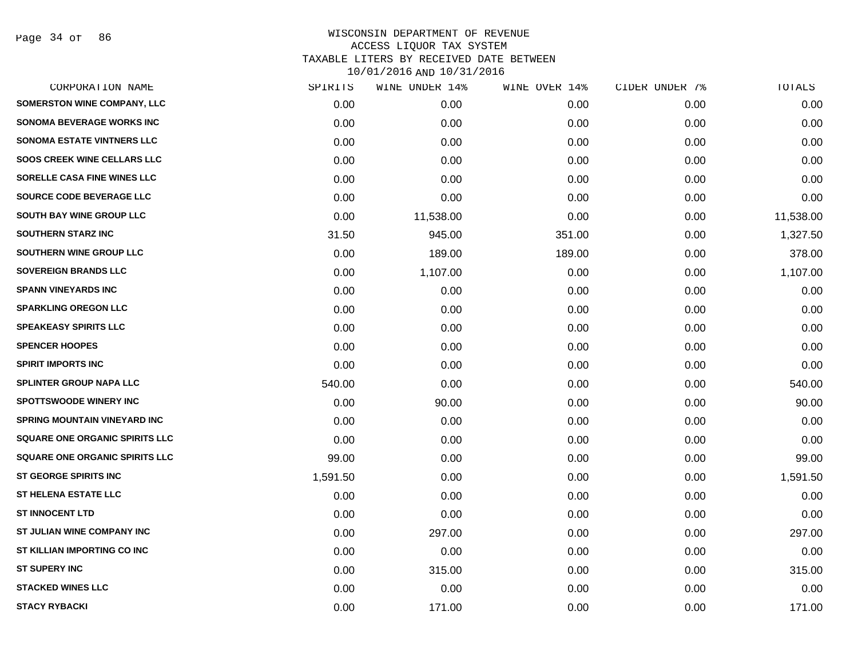Page 34 of 86

| CORPORATION NAME                    | SPIRITS  | WINE UNDER 14% | WINE OVER 14% | CIDER UNDER 7% | TOTALS    |
|-------------------------------------|----------|----------------|---------------|----------------|-----------|
| <b>SOMERSTON WINE COMPANY, LLC</b>  | 0.00     | 0.00           | 0.00          | 0.00           | 0.00      |
| SONOMA BEVERAGE WORKS INC           | 0.00     | 0.00           | 0.00          | 0.00           | 0.00      |
| <b>SONOMA ESTATE VINTNERS LLC</b>   | 0.00     | 0.00           | 0.00          | 0.00           | 0.00      |
| <b>SOOS CREEK WINE CELLARS LLC</b>  | 0.00     | 0.00           | 0.00          | 0.00           | 0.00      |
| SORELLE CASA FINE WINES LLC         | 0.00     | 0.00           | 0.00          | 0.00           | 0.00      |
| SOURCE CODE BEVERAGE LLC            | 0.00     | 0.00           | 0.00          | 0.00           | 0.00      |
| <b>SOUTH BAY WINE GROUP LLC</b>     | 0.00     | 11,538.00      | 0.00          | 0.00           | 11,538.00 |
| <b>SOUTHERN STARZ INC</b>           | 31.50    | 945.00         | 351.00        | 0.00           | 1,327.50  |
| SOUTHERN WINE GROUP LLC             | 0.00     | 189.00         | 189.00        | 0.00           | 378.00    |
| <b>SOVEREIGN BRANDS LLC</b>         | 0.00     | 1,107.00       | 0.00          | 0.00           | 1,107.00  |
| <b>SPANN VINEYARDS INC</b>          | 0.00     | 0.00           | 0.00          | 0.00           | 0.00      |
| <b>SPARKLING OREGON LLC</b>         | 0.00     | 0.00           | 0.00          | 0.00           | 0.00      |
| <b>SPEAKEASY SPIRITS LLC</b>        | 0.00     | 0.00           | 0.00          | 0.00           | 0.00      |
| <b>SPENCER HOOPES</b>               | 0.00     | 0.00           | 0.00          | 0.00           | 0.00      |
| <b>SPIRIT IMPORTS INC</b>           | 0.00     | 0.00           | 0.00          | 0.00           | 0.00      |
| <b>SPLINTER GROUP NAPA LLC</b>      | 540.00   | 0.00           | 0.00          | 0.00           | 540.00    |
| <b>SPOTTSWOODE WINERY INC</b>       | 0.00     | 90.00          | 0.00          | 0.00           | 90.00     |
| <b>SPRING MOUNTAIN VINEYARD INC</b> | 0.00     | 0.00           | 0.00          | 0.00           | 0.00      |
| SQUARE ONE ORGANIC SPIRITS LLC      | 0.00     | 0.00           | 0.00          | 0.00           | 0.00      |
| SQUARE ONE ORGANIC SPIRITS LLC      | 99.00    | 0.00           | 0.00          | 0.00           | 99.00     |
| <b>ST GEORGE SPIRITS INC</b>        | 1,591.50 | 0.00           | 0.00          | 0.00           | 1,591.50  |
| <b>ST HELENA ESTATE LLC</b>         | 0.00     | 0.00           | 0.00          | 0.00           | 0.00      |
| <b>ST INNOCENT LTD</b>              | 0.00     | 0.00           | 0.00          | 0.00           | 0.00      |
| ST JULIAN WINE COMPANY INC          | 0.00     | 297.00         | 0.00          | 0.00           | 297.00    |
| ST KILLIAN IMPORTING CO INC         | 0.00     | 0.00           | 0.00          | 0.00           | 0.00      |
| <b>ST SUPERY INC</b>                | 0.00     | 315.00         | 0.00          | 0.00           | 315.00    |
| <b>STACKED WINES LLC</b>            | 0.00     | 0.00           | 0.00          | 0.00           | 0.00      |
| <b>STACY RYBACKI</b>                | 0.00     | 171.00         | 0.00          | 0.00           | 171.00    |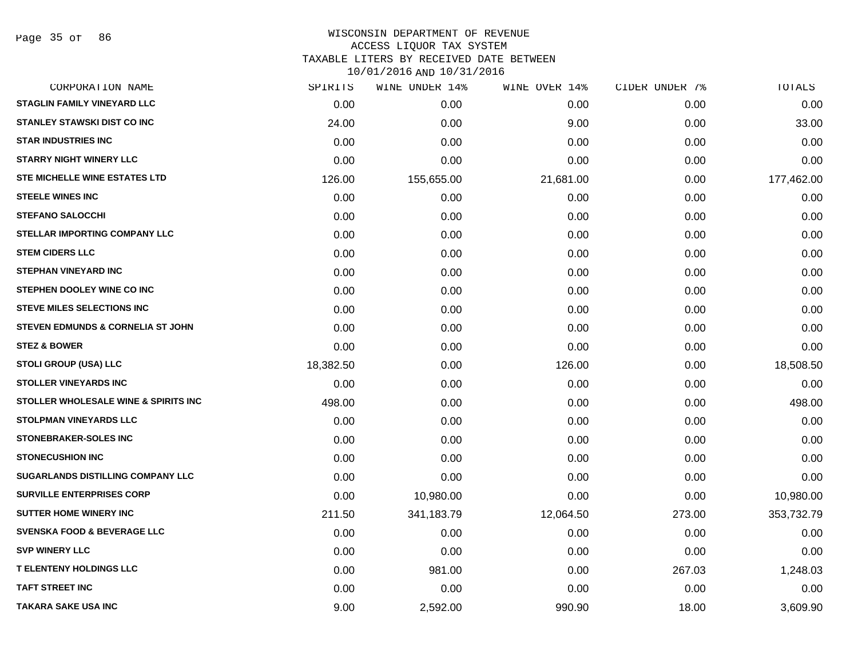#### WISCONSIN DEPARTMENT OF REVENUE ACCESS LIQUOR TAX SYSTEM

TAXABLE LITERS BY RECEIVED DATE BETWEEN

| CORPORATION NAME                                | SPIRITS   | WINE UNDER 14% | WINE OVER 14% | CIDER UNDER 7% | TOTALS     |
|-------------------------------------------------|-----------|----------------|---------------|----------------|------------|
| <b>STAGLIN FAMILY VINEYARD LLC</b>              | 0.00      | 0.00           | 0.00          | 0.00           | 0.00       |
| STANLEY STAWSKI DIST CO INC                     | 24.00     | 0.00           | 9.00          | 0.00           | 33.00      |
| <b>STAR INDUSTRIES INC</b>                      | 0.00      | 0.00           | 0.00          | 0.00           | 0.00       |
| <b>STARRY NIGHT WINERY LLC</b>                  | 0.00      | 0.00           | 0.00          | 0.00           | 0.00       |
| STE MICHELLE WINE ESTATES LTD                   | 126.00    | 155,655.00     | 21,681.00     | 0.00           | 177,462.00 |
| <b>STEELE WINES INC</b>                         | 0.00      | 0.00           | 0.00          | 0.00           | 0.00       |
| <b>STEFANO SALOCCHI</b>                         | 0.00      | 0.00           | 0.00          | 0.00           | 0.00       |
| STELLAR IMPORTING COMPANY LLC                   | 0.00      | 0.00           | 0.00          | 0.00           | 0.00       |
| <b>STEM CIDERS LLC</b>                          | 0.00      | 0.00           | 0.00          | 0.00           | 0.00       |
| <b>STEPHAN VINEYARD INC</b>                     | 0.00      | 0.00           | 0.00          | 0.00           | 0.00       |
| STEPHEN DOOLEY WINE CO INC                      | 0.00      | 0.00           | 0.00          | 0.00           | 0.00       |
| <b>STEVE MILES SELECTIONS INC</b>               | 0.00      | 0.00           | 0.00          | 0.00           | 0.00       |
| STEVEN EDMUNDS & CORNELIA ST JOHN               | 0.00      | 0.00           | 0.00          | 0.00           | 0.00       |
| <b>STEZ &amp; BOWER</b>                         | 0.00      | 0.00           | 0.00          | 0.00           | 0.00       |
| <b>STOLI GROUP (USA) LLC</b>                    | 18,382.50 | 0.00           | 126.00        | 0.00           | 18,508.50  |
| <b>STOLLER VINEYARDS INC</b>                    | 0.00      | 0.00           | 0.00          | 0.00           | 0.00       |
| <b>STOLLER WHOLESALE WINE &amp; SPIRITS INC</b> | 498.00    | 0.00           | 0.00          | 0.00           | 498.00     |
| STOLPMAN VINEYARDS LLC                          | 0.00      | 0.00           | 0.00          | 0.00           | 0.00       |
| <b>STONEBRAKER-SOLES INC</b>                    | 0.00      | 0.00           | 0.00          | 0.00           | 0.00       |
| <b>STONECUSHION INC</b>                         | 0.00      | 0.00           | 0.00          | 0.00           | 0.00       |
| SUGARLANDS DISTILLING COMPANY LLC               | 0.00      | 0.00           | 0.00          | 0.00           | 0.00       |
| <b>SURVILLE ENTERPRISES CORP</b>                | 0.00      | 10,980.00      | 0.00          | 0.00           | 10,980.00  |
| <b>SUTTER HOME WINERY INC</b>                   | 211.50    | 341,183.79     | 12,064.50     | 273.00         | 353,732.79 |
| <b>SVENSKA FOOD &amp; BEVERAGE LLC</b>          | 0.00      | 0.00           | 0.00          | 0.00           | 0.00       |
| <b>SVP WINERY LLC</b>                           | 0.00      | 0.00           | 0.00          | 0.00           | 0.00       |
| <b>T ELENTENY HOLDINGS LLC</b>                  | 0.00      | 981.00         | 0.00          | 267.03         | 1,248.03   |
| <b>TAFT STREET INC</b>                          | 0.00      | 0.00           | 0.00          | 0.00           | 0.00       |
| <b>TAKARA SAKE USA INC</b>                      | 9.00      | 2,592.00       | 990.90        | 18.00          | 3,609.90   |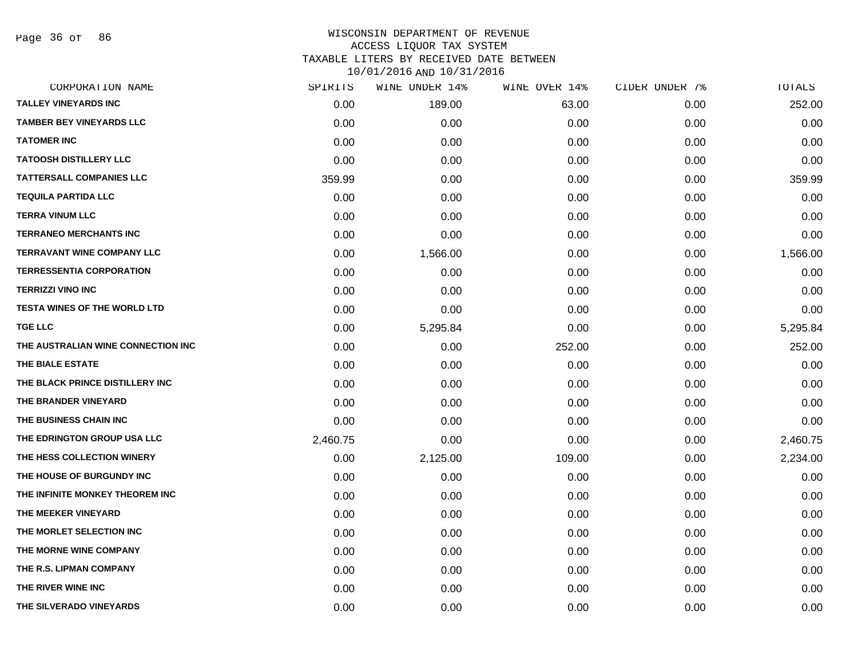Page 36 of 86

| CORPORATION NAME                    | SPIRITS  | WINE UNDER 14% | WINE OVER 14% | CIDER UNDER 7% | TOTALS   |
|-------------------------------------|----------|----------------|---------------|----------------|----------|
| <b>TALLEY VINEYARDS INC</b>         | 0.00     | 189.00         | 63.00         | 0.00           | 252.00   |
| <b>TAMBER BEY VINEYARDS LLC</b>     | 0.00     | 0.00           | 0.00          | 0.00           | 0.00     |
| <b>TATOMER INC</b>                  | 0.00     | 0.00           | 0.00          | 0.00           | 0.00     |
| <b>TATOOSH DISTILLERY LLC</b>       | 0.00     | 0.00           | 0.00          | 0.00           | 0.00     |
| <b>TATTERSALL COMPANIES LLC</b>     | 359.99   | 0.00           | 0.00          | 0.00           | 359.99   |
| <b>TEQUILA PARTIDA LLC</b>          | 0.00     | 0.00           | 0.00          | 0.00           | 0.00     |
| <b>TERRA VINUM LLC</b>              | 0.00     | 0.00           | 0.00          | 0.00           | 0.00     |
| <b>TERRANEO MERCHANTS INC</b>       | 0.00     | 0.00           | 0.00          | 0.00           | 0.00     |
| <b>TERRAVANT WINE COMPANY LLC</b>   | 0.00     | 1,566.00       | 0.00          | 0.00           | 1,566.00 |
| <b>TERRESSENTIA CORPORATION</b>     | 0.00     | 0.00           | 0.00          | 0.00           | 0.00     |
| <b>TERRIZZI VINO INC</b>            | 0.00     | 0.00           | 0.00          | 0.00           | 0.00     |
| <b>TESTA WINES OF THE WORLD LTD</b> | 0.00     | 0.00           | 0.00          | 0.00           | 0.00     |
| <b>TGE LLC</b>                      | 0.00     | 5,295.84       | 0.00          | 0.00           | 5,295.84 |
| THE AUSTRALIAN WINE CONNECTION INC  | 0.00     | 0.00           | 252.00        | 0.00           | 252.00   |
| THE BIALE ESTATE                    | 0.00     | 0.00           | 0.00          | 0.00           | 0.00     |
| THE BLACK PRINCE DISTILLERY INC     | 0.00     | 0.00           | 0.00          | 0.00           | 0.00     |
| THE BRANDER VINEYARD                | 0.00     | 0.00           | 0.00          | 0.00           | 0.00     |
| THE BUSINESS CHAIN INC              | 0.00     | 0.00           | 0.00          | 0.00           | 0.00     |
| THE EDRINGTON GROUP USA LLC         | 2,460.75 | 0.00           | 0.00          | 0.00           | 2,460.75 |
| THE HESS COLLECTION WINERY          | 0.00     | 2,125.00       | 109.00        | 0.00           | 2,234.00 |
| THE HOUSE OF BURGUNDY INC           | 0.00     | 0.00           | 0.00          | 0.00           | 0.00     |
| THE INFINITE MONKEY THEOREM INC     | 0.00     | 0.00           | 0.00          | 0.00           | 0.00     |
| THE MEEKER VINEYARD                 | 0.00     | 0.00           | 0.00          | 0.00           | 0.00     |
| THE MORLET SELECTION INC            | 0.00     | 0.00           | 0.00          | 0.00           | 0.00     |
| THE MORNE WINE COMPANY              | 0.00     | 0.00           | 0.00          | 0.00           | 0.00     |
| THE R.S. LIPMAN COMPANY             | 0.00     | 0.00           | 0.00          | 0.00           | 0.00     |
| THE RIVER WINE INC                  | 0.00     | 0.00           | 0.00          | 0.00           | 0.00     |
| THE SILVERADO VINEYARDS             | 0.00     | 0.00           | 0.00          | 0.00           | 0.00     |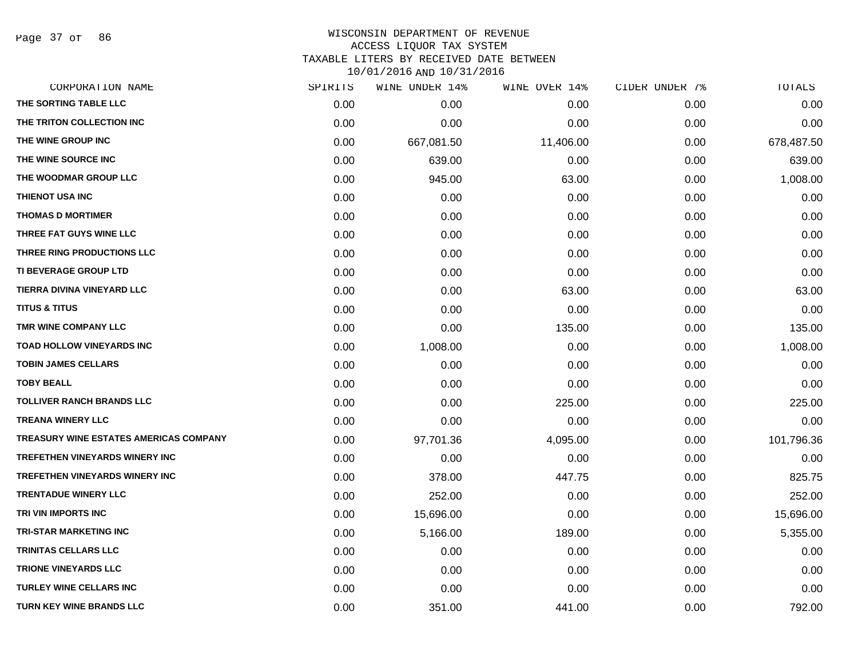Page 37 of 86

## WISCONSIN DEPARTMENT OF REVENUE ACCESS LIQUOR TAX SYSTEM TAXABLE LITERS BY RECEIVED DATE BETWEEN

| CORPORATION NAME                              | SPIRITS | WINE UNDER 14% | WINE OVER 14% | CIDER UNDER 7% | TOTALS     |
|-----------------------------------------------|---------|----------------|---------------|----------------|------------|
| THE SORTING TABLE LLC                         | 0.00    | 0.00           | 0.00          | 0.00           | 0.00       |
| THE TRITON COLLECTION INC                     | 0.00    | 0.00           | 0.00          | 0.00           | 0.00       |
| THE WINE GROUP INC                            | 0.00    | 667,081.50     | 11,406.00     | 0.00           | 678,487.50 |
| THE WINE SOURCE INC                           | 0.00    | 639.00         | 0.00          | 0.00           | 639.00     |
| THE WOODMAR GROUP LLC                         | 0.00    | 945.00         | 63.00         | 0.00           | 1,008.00   |
| THIENOT USA INC                               | 0.00    | 0.00           | 0.00          | 0.00           | 0.00       |
| <b>THOMAS D MORTIMER</b>                      | 0.00    | 0.00           | 0.00          | 0.00           | 0.00       |
| THREE FAT GUYS WINE LLC                       | 0.00    | 0.00           | 0.00          | 0.00           | 0.00       |
| THREE RING PRODUCTIONS LLC                    | 0.00    | 0.00           | 0.00          | 0.00           | 0.00       |
| TI BEVERAGE GROUP LTD                         | 0.00    | 0.00           | 0.00          | 0.00           | 0.00       |
| TIERRA DIVINA VINEYARD LLC                    | 0.00    | 0.00           | 63.00         | 0.00           | 63.00      |
| <b>TITUS &amp; TITUS</b>                      | 0.00    | 0.00           | 0.00          | 0.00           | 0.00       |
| TMR WINE COMPANY LLC                          | 0.00    | 0.00           | 135.00        | 0.00           | 135.00     |
| <b>TOAD HOLLOW VINEYARDS INC</b>              | 0.00    | 1,008.00       | 0.00          | 0.00           | 1,008.00   |
| <b>TOBIN JAMES CELLARS</b>                    | 0.00    | 0.00           | 0.00          | 0.00           | 0.00       |
| <b>TOBY BEALL</b>                             | 0.00    | 0.00           | 0.00          | 0.00           | 0.00       |
| TOLLIVER RANCH BRANDS LLC                     | 0.00    | 0.00           | 225.00        | 0.00           | 225.00     |
| <b>TREANA WINERY LLC</b>                      | 0.00    | 0.00           | 0.00          | 0.00           | 0.00       |
| <b>TREASURY WINE ESTATES AMERICAS COMPANY</b> | 0.00    | 97,701.36      | 4,095.00      | 0.00           | 101,796.36 |
| <b>TREFETHEN VINEYARDS WINERY INC</b>         | 0.00    | 0.00           | 0.00          | 0.00           | 0.00       |
| <b>TREFETHEN VINEYARDS WINERY INC</b>         | 0.00    | 378.00         | 447.75        | 0.00           | 825.75     |
| <b>TRENTADUE WINERY LLC</b>                   | 0.00    | 252.00         | 0.00          | 0.00           | 252.00     |
| TRI VIN IMPORTS INC                           | 0.00    | 15,696.00      | 0.00          | 0.00           | 15,696.00  |
| <b>TRI-STAR MARKETING INC</b>                 | 0.00    | 5,166.00       | 189.00        | 0.00           | 5,355.00   |
| <b>TRINITAS CELLARS LLC</b>                   | 0.00    | 0.00           | 0.00          | 0.00           | 0.00       |
| <b>TRIONE VINEYARDS LLC</b>                   | 0.00    | 0.00           | 0.00          | 0.00           | 0.00       |
| <b>TURLEY WINE CELLARS INC</b>                | 0.00    | 0.00           | 0.00          | 0.00           | 0.00       |
| <b>TURN KEY WINE BRANDS LLC</b>               | 0.00    | 351.00         | 441.00        | 0.00           | 792.00     |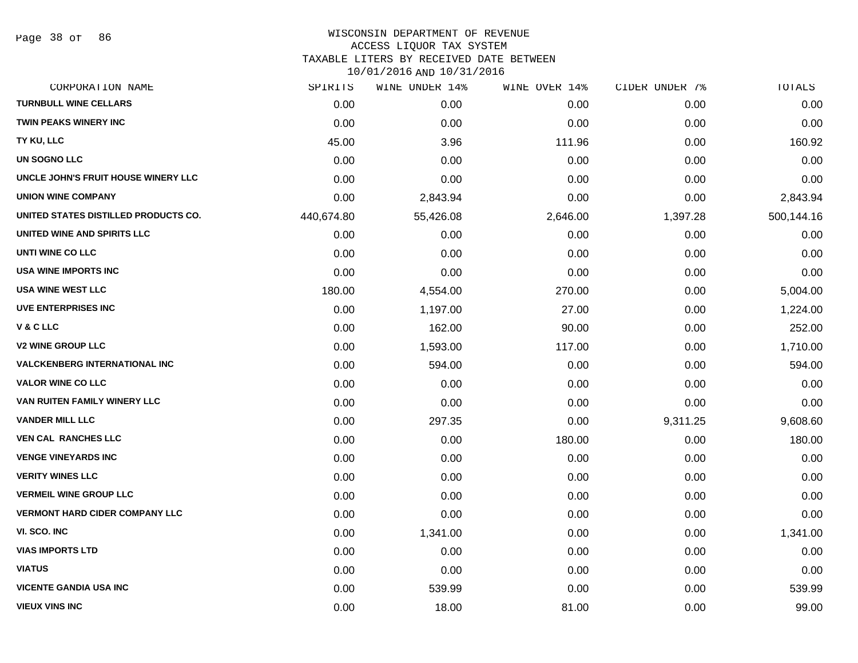#### WISCONSIN DEPARTMENT OF REVENUE ACCESS LIQUOR TAX SYSTEM TAXABLE LITERS BY RECEIVED DATE BETWEEN

| CORPORATION NAME                      | SPIRITS    | WINE UNDER 14% | WINE OVER 14% | CIDER UNDER 7% | TOTALS     |
|---------------------------------------|------------|----------------|---------------|----------------|------------|
| <b>TURNBULL WINE CELLARS</b>          | 0.00       | 0.00           | 0.00          | 0.00           | 0.00       |
| <b>TWIN PEAKS WINERY INC</b>          | 0.00       | 0.00           | 0.00          | 0.00           | 0.00       |
| TY KU, LLC                            | 45.00      | 3.96           | 111.96        | 0.00           | 160.92     |
| UN SOGNO LLC                          | 0.00       | 0.00           | 0.00          | 0.00           | 0.00       |
| UNCLE JOHN'S FRUIT HOUSE WINERY LLC   | 0.00       | 0.00           | 0.00          | 0.00           | 0.00       |
| <b>UNION WINE COMPANY</b>             | 0.00       | 2,843.94       | 0.00          | 0.00           | 2,843.94   |
| UNITED STATES DISTILLED PRODUCTS CO.  | 440,674.80 | 55,426.08      | 2,646.00      | 1,397.28       | 500,144.16 |
| UNITED WINE AND SPIRITS LLC           | 0.00       | 0.00           | 0.00          | 0.00           | 0.00       |
| UNTI WINE CO LLC                      | 0.00       | 0.00           | 0.00          | 0.00           | 0.00       |
| <b>USA WINE IMPORTS INC</b>           | 0.00       | 0.00           | 0.00          | 0.00           | 0.00       |
| <b>USA WINE WEST LLC</b>              | 180.00     | 4,554.00       | 270.00        | 0.00           | 5,004.00   |
| <b>UVE ENTERPRISES INC</b>            | 0.00       | 1,197.00       | 27.00         | 0.00           | 1,224.00   |
| V&CLLC                                | 0.00       | 162.00         | 90.00         | 0.00           | 252.00     |
| <b>V2 WINE GROUP LLC</b>              | 0.00       | 1,593.00       | 117.00        | 0.00           | 1,710.00   |
| <b>VALCKENBERG INTERNATIONAL INC</b>  | 0.00       | 594.00         | 0.00          | 0.00           | 594.00     |
| <b>VALOR WINE CO LLC</b>              | 0.00       | 0.00           | 0.00          | 0.00           | 0.00       |
| VAN RUITEN FAMILY WINERY LLC          | 0.00       | 0.00           | 0.00          | 0.00           | 0.00       |
| <b>VANDER MILL LLC</b>                | 0.00       | 297.35         | 0.00          | 9,311.25       | 9,608.60   |
| <b>VEN CAL RANCHES LLC</b>            | 0.00       | 0.00           | 180.00        | 0.00           | 180.00     |
| <b>VENGE VINEYARDS INC</b>            | 0.00       | 0.00           | 0.00          | 0.00           | 0.00       |
| <b>VERITY WINES LLC</b>               | 0.00       | 0.00           | 0.00          | 0.00           | 0.00       |
| <b>VERMEIL WINE GROUP LLC</b>         | 0.00       | 0.00           | 0.00          | 0.00           | 0.00       |
| <b>VERMONT HARD CIDER COMPANY LLC</b> | 0.00       | 0.00           | 0.00          | 0.00           | 0.00       |
| VI. SCO. INC                          | 0.00       | 1,341.00       | 0.00          | 0.00           | 1,341.00   |
| <b>VIAS IMPORTS LTD</b>               | 0.00       | 0.00           | 0.00          | 0.00           | 0.00       |
| <b>VIATUS</b>                         | 0.00       | 0.00           | 0.00          | 0.00           | 0.00       |
| <b>VICENTE GANDIA USA INC</b>         | 0.00       | 539.99         | 0.00          | 0.00           | 539.99     |
| <b>VIEUX VINS INC</b>                 | 0.00       | 18.00          | 81.00         | 0.00           | 99.00      |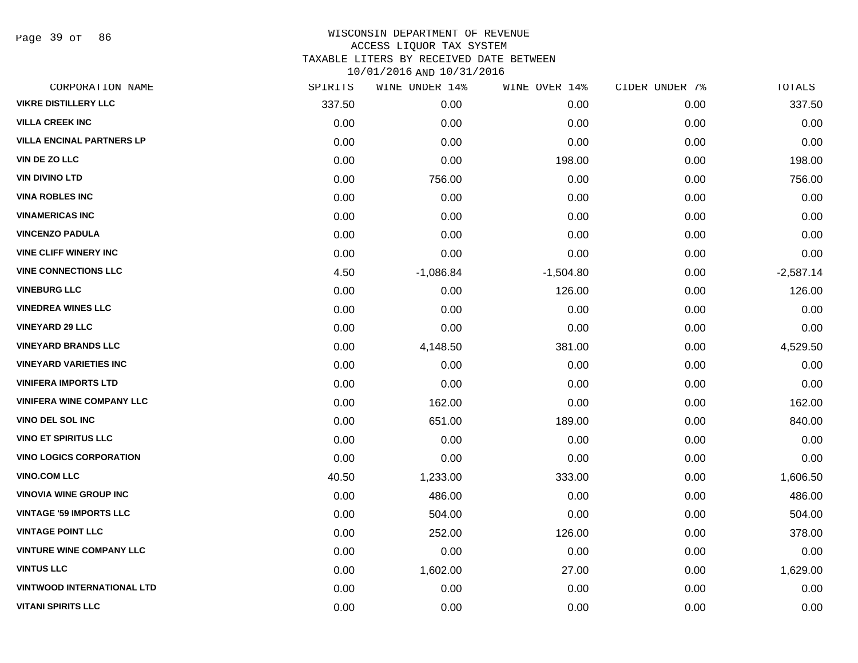Page 39 of 86

| CORPORATION NAME                  | SPIRITS | WINE UNDER 14% | WINE OVER 14% | CIDER UNDER 7% | TOTALS      |
|-----------------------------------|---------|----------------|---------------|----------------|-------------|
| <b>VIKRE DISTILLERY LLC</b>       | 337.50  | 0.00           | 0.00          | 0.00           | 337.50      |
| <b>VILLA CREEK INC</b>            | 0.00    | 0.00           | 0.00          | 0.00           | 0.00        |
| <b>VILLA ENCINAL PARTNERS LP</b>  | 0.00    | 0.00           | 0.00          | 0.00           | 0.00        |
| <b>VIN DE ZO LLC</b>              | 0.00    | 0.00           | 198.00        | 0.00           | 198.00      |
| <b>VIN DIVINO LTD</b>             | 0.00    | 756.00         | 0.00          | 0.00           | 756.00      |
| <b>VINA ROBLES INC</b>            | 0.00    | 0.00           | 0.00          | 0.00           | 0.00        |
| <b>VINAMERICAS INC</b>            | 0.00    | 0.00           | 0.00          | 0.00           | 0.00        |
| <b>VINCENZO PADULA</b>            | 0.00    | 0.00           | 0.00          | 0.00           | 0.00        |
| <b>VINE CLIFF WINERY INC</b>      | 0.00    | 0.00           | 0.00          | 0.00           | 0.00        |
| <b>VINE CONNECTIONS LLC</b>       | 4.50    | $-1,086.84$    | $-1,504.80$   | 0.00           | $-2,587.14$ |
| <b>VINEBURG LLC</b>               | 0.00    | 0.00           | 126.00        | 0.00           | 126.00      |
| <b>VINEDREA WINES LLC</b>         | 0.00    | 0.00           | 0.00          | 0.00           | 0.00        |
| <b>VINEYARD 29 LLC</b>            | 0.00    | 0.00           | 0.00          | 0.00           | 0.00        |
| <b>VINEYARD BRANDS LLC</b>        | 0.00    | 4,148.50       | 381.00        | 0.00           | 4,529.50    |
| <b>VINEYARD VARIETIES INC</b>     | 0.00    | 0.00           | 0.00          | 0.00           | 0.00        |
| <b>VINIFERA IMPORTS LTD</b>       | 0.00    | 0.00           | 0.00          | 0.00           | 0.00        |
| <b>VINIFERA WINE COMPANY LLC</b>  | 0.00    | 162.00         | 0.00          | 0.00           | 162.00      |
| VINO DEL SOL INC                  | 0.00    | 651.00         | 189.00        | 0.00           | 840.00      |
| <b>VINO ET SPIRITUS LLC</b>       | 0.00    | 0.00           | 0.00          | 0.00           | 0.00        |
| <b>VINO LOGICS CORPORATION</b>    | 0.00    | 0.00           | 0.00          | 0.00           | 0.00        |
| <b>VINO.COM LLC</b>               | 40.50   | 1,233.00       | 333.00        | 0.00           | 1,606.50    |
| <b>VINOVIA WINE GROUP INC</b>     | 0.00    | 486.00         | 0.00          | 0.00           | 486.00      |
| <b>VINTAGE '59 IMPORTS LLC</b>    | 0.00    | 504.00         | 0.00          | 0.00           | 504.00      |
| <b>VINTAGE POINT LLC</b>          | 0.00    | 252.00         | 126.00        | 0.00           | 378.00      |
| <b>VINTURE WINE COMPANY LLC</b>   | 0.00    | 0.00           | 0.00          | 0.00           | 0.00        |
| <b>VINTUS LLC</b>                 | 0.00    | 1,602.00       | 27.00         | 0.00           | 1,629.00    |
| <b>VINTWOOD INTERNATIONAL LTD</b> | 0.00    | 0.00           | 0.00          | 0.00           | 0.00        |
| <b>VITANI SPIRITS LLC</b>         | 0.00    | 0.00           | 0.00          | 0.00           | 0.00        |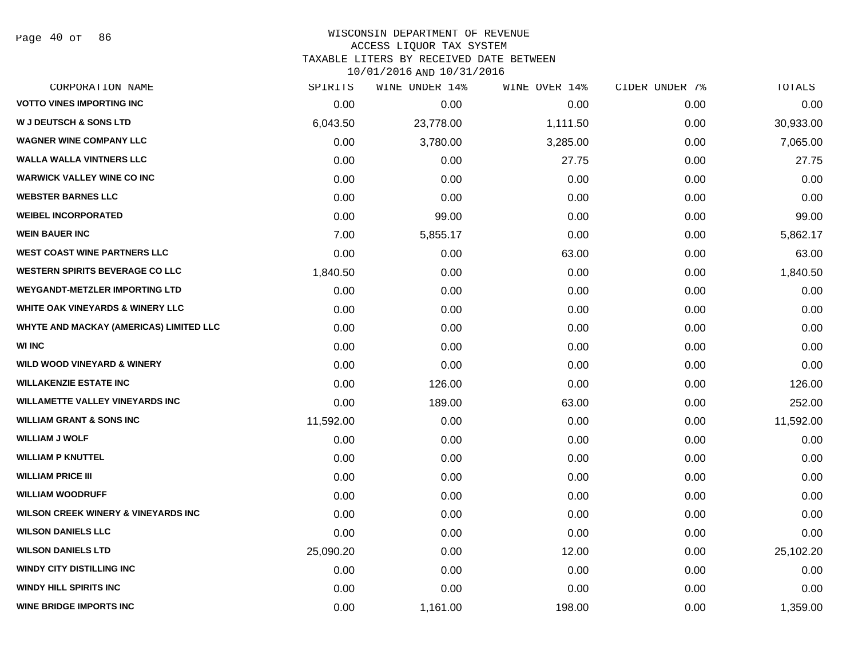Page 40 of 86

#### WISCONSIN DEPARTMENT OF REVENUE ACCESS LIQUOR TAX SYSTEM TAXABLE LITERS BY RECEIVED DATE BETWEEN

| CORPORATION NAME                               | SPIRITS   | WINE UNDER 14% | WINE OVER 14% | CIDER UNDER 7% | TOTALS    |
|------------------------------------------------|-----------|----------------|---------------|----------------|-----------|
| <b>VOTTO VINES IMPORTING INC</b>               | 0.00      | 0.00           | 0.00          | 0.00           | 0.00      |
| <b>W J DEUTSCH &amp; SONS LTD</b>              | 6,043.50  | 23,778.00      | 1,111.50      | 0.00           | 30,933.00 |
| <b>WAGNER WINE COMPANY LLC</b>                 | 0.00      | 3,780.00       | 3,285.00      | 0.00           | 7,065.00  |
| <b>WALLA WALLA VINTNERS LLC</b>                | 0.00      | 0.00           | 27.75         | 0.00           | 27.75     |
| <b>WARWICK VALLEY WINE CO INC</b>              | 0.00      | 0.00           | 0.00          | 0.00           | 0.00      |
| <b>WEBSTER BARNES LLC</b>                      | 0.00      | 0.00           | 0.00          | 0.00           | 0.00      |
| <b>WEIBEL INCORPORATED</b>                     | 0.00      | 99.00          | 0.00          | 0.00           | 99.00     |
| <b>WEIN BAUER INC</b>                          | 7.00      | 5,855.17       | 0.00          | 0.00           | 5,862.17  |
| <b>WEST COAST WINE PARTNERS LLC</b>            | 0.00      | 0.00           | 63.00         | 0.00           | 63.00     |
| <b>WESTERN SPIRITS BEVERAGE CO LLC</b>         | 1,840.50  | 0.00           | 0.00          | 0.00           | 1,840.50  |
| <b>WEYGANDT-METZLER IMPORTING LTD</b>          | 0.00      | 0.00           | 0.00          | 0.00           | 0.00      |
| <b>WHITE OAK VINEYARDS &amp; WINERY LLC</b>    | 0.00      | 0.00           | 0.00          | 0.00           | 0.00      |
| WHYTE AND MACKAY (AMERICAS) LIMITED LLC        | 0.00      | 0.00           | 0.00          | 0.00           | 0.00      |
| <b>WI INC</b>                                  | 0.00      | 0.00           | 0.00          | 0.00           | 0.00      |
| <b>WILD WOOD VINEYARD &amp; WINERY</b>         | 0.00      | 0.00           | 0.00          | 0.00           | 0.00      |
| <b>WILLAKENZIE ESTATE INC</b>                  | 0.00      | 126.00         | 0.00          | 0.00           | 126.00    |
| <b>WILLAMETTE VALLEY VINEYARDS INC</b>         | 0.00      | 189.00         | 63.00         | 0.00           | 252.00    |
| <b>WILLIAM GRANT &amp; SONS INC</b>            | 11,592.00 | 0.00           | 0.00          | 0.00           | 11,592.00 |
| <b>WILLIAM J WOLF</b>                          | 0.00      | 0.00           | 0.00          | 0.00           | 0.00      |
| <b>WILLIAM P KNUTTEL</b>                       | 0.00      | 0.00           | 0.00          | 0.00           | 0.00      |
| <b>WILLIAM PRICE III</b>                       | 0.00      | 0.00           | 0.00          | 0.00           | 0.00      |
| <b>WILLIAM WOODRUFF</b>                        | 0.00      | 0.00           | 0.00          | 0.00           | 0.00      |
| <b>WILSON CREEK WINERY &amp; VINEYARDS INC</b> | 0.00      | 0.00           | 0.00          | 0.00           | 0.00      |
| <b>WILSON DANIELS LLC</b>                      | 0.00      | 0.00           | 0.00          | 0.00           | 0.00      |
| <b>WILSON DANIELS LTD</b>                      | 25,090.20 | 0.00           | 12.00         | 0.00           | 25,102.20 |
| <b>WINDY CITY DISTILLING INC</b>               | 0.00      | 0.00           | 0.00          | 0.00           | 0.00      |
| <b>WINDY HILL SPIRITS INC</b>                  | 0.00      | 0.00           | 0.00          | 0.00           | 0.00      |
| <b>WINE BRIDGE IMPORTS INC</b>                 | 0.00      | 1,161.00       | 198.00        | 0.00           | 1,359.00  |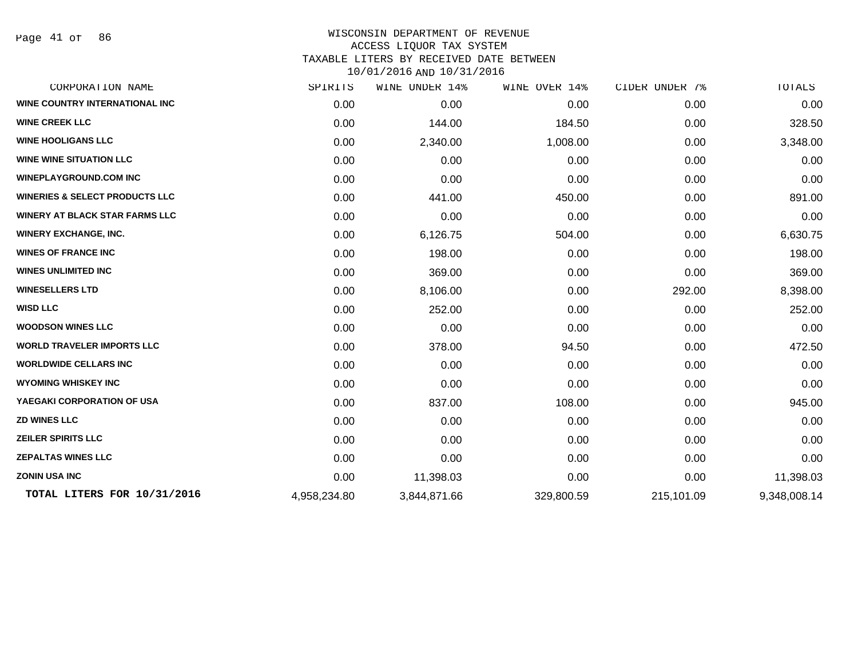Page 41 of 86

| CORPORATION NAME                          | SPIRITS      | WINE UNDER 14% | WINE OVER 14% | CIDER UNDER 7% | TOTALS       |
|-------------------------------------------|--------------|----------------|---------------|----------------|--------------|
| WINE COUNTRY INTERNATIONAL INC            | 0.00         | 0.00           | 0.00          | 0.00           | 0.00         |
| <b>WINE CREEK LLC</b>                     | 0.00         | 144.00         | 184.50        | 0.00           | 328.50       |
| <b>WINE HOOLIGANS LLC</b>                 | 0.00         | 2,340.00       | 1,008.00      | 0.00           | 3,348.00     |
| <b>WINE WINE SITUATION LLC</b>            | 0.00         | 0.00           | 0.00          | 0.00           | 0.00         |
| <b>WINEPLAYGROUND.COM INC</b>             | 0.00         | 0.00           | 0.00          | 0.00           | 0.00         |
| <b>WINERIES &amp; SELECT PRODUCTS LLC</b> | 0.00         | 441.00         | 450.00        | 0.00           | 891.00       |
| <b>WINERY AT BLACK STAR FARMS LLC</b>     | 0.00         | 0.00           | 0.00          | 0.00           | 0.00         |
| <b>WINERY EXCHANGE, INC.</b>              | 0.00         | 6,126.75       | 504.00        | 0.00           | 6,630.75     |
| <b>WINES OF FRANCE INC</b>                | 0.00         | 198.00         | 0.00          | 0.00           | 198.00       |
| <b>WINES UNLIMITED INC</b>                | 0.00         | 369.00         | 0.00          | 0.00           | 369.00       |
| <b>WINESELLERS LTD</b>                    | 0.00         | 8,106.00       | 0.00          | 292.00         | 8,398.00     |
| <b>WISD LLC</b>                           | 0.00         | 252.00         | 0.00          | 0.00           | 252.00       |
| <b>WOODSON WINES LLC</b>                  | 0.00         | 0.00           | 0.00          | 0.00           | 0.00         |
| <b>WORLD TRAVELER IMPORTS LLC</b>         | 0.00         | 378.00         | 94.50         | 0.00           | 472.50       |
| <b>WORLDWIDE CELLARS INC</b>              | 0.00         | 0.00           | 0.00          | 0.00           | 0.00         |
| <b>WYOMING WHISKEY INC</b>                | 0.00         | 0.00           | 0.00          | 0.00           | 0.00         |
| YAEGAKI CORPORATION OF USA                | 0.00         | 837.00         | 108.00        | 0.00           | 945.00       |
| <b>ZD WINES LLC</b>                       | 0.00         | 0.00           | 0.00          | 0.00           | 0.00         |
| <b>ZEILER SPIRITS LLC</b>                 | 0.00         | 0.00           | 0.00          | 0.00           | 0.00         |
| <b>ZEPALTAS WINES LLC</b>                 | 0.00         | 0.00           | 0.00          | 0.00           | 0.00         |
| <b>ZONIN USA INC</b>                      | 0.00         | 11,398.03      | 0.00          | 0.00           | 11,398.03    |
| TOTAL LITERS FOR 10/31/2016               | 4,958,234.80 | 3,844,871.66   | 329,800.59    | 215,101.09     | 9,348,008.14 |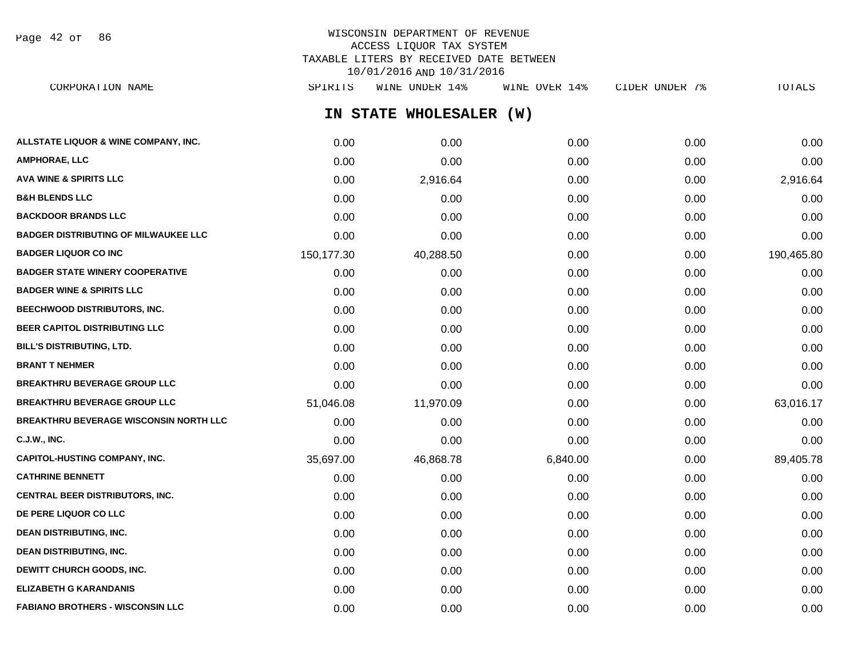Page 42 of 86

# WISCONSIN DEPARTMENT OF REVENUE ACCESS LIQUOR TAX SYSTEM TAXABLE LITERS BY RECEIVED DATE BETWEEN 10/01/2016 AND 10/31/2016

**IN STATE WHOLESALER (W) ALLSTATE LIQUOR & WINE COMPANY, INC.**  $0.00$   $0.00$   $0.00$   $0.00$   $0.00$   $0.00$   $0.00$   $0.00$   $0.00$   $0.00$   $0.00$   $0.00$ **AMPHORAE, LLC** 0.00 0.00 0.00 0.00 0.00 **AVA WINE & SPIRITS LLC** 0.00 2,916.64 0.00 0.00 2,916.64 **B&H BLENDS LLC** 0.00 0.00 0.00 0.00 0.00 **BACKDOOR BRANDS LLC** 0.00 0.00 0.00 0.00 0.00 **BADGER DISTRIBUTING OF MILWAUKEE LLC** 0.00 0.00 0.00 0.00 0.00 **BADGER LIQUOR CO INC** 150,177.30 40,288.50 0.00 0.00 190,465.80 **BADGER STATE WINERY COOPERATIVE** 0.00 0.00 0.00 0.00 0.00 **BADGER WINE & SPIRITS LLC**  $\begin{array}{ccc} 0.00 & 0.00 & 0.00 \\ 0.00 & 0.00 & 0.00 \end{array}$ **BEECHWOOD DISTRIBUTORS, INC.** 0.00 0.00 0.00 0.00 0.00 **BEER CAPITOL DISTRIBUTING LLC** 0.00 0.00 0.00 0.00 0.00 **BILL'S DISTRIBUTING, LTD.** 0.00 0.00 0.00 0.00 0.00 **BRANT T NEHMER** 0.00 0.00 0.00 0.00 0.00 **BREAKTHRU BEVERAGE GROUP LLC** 0.00 0.00 0.00 0.00 0.00 **BREAKTHRU BEVERAGE GROUP LLC** 51,046.08 11,970.09 0.00 0.00 63,016.17 **BREAKTHRU BEVERAGE WISCONSIN NORTH LLC** 0.00 0.00 0.00 0.00 0.00 **C.J.W., INC.** 0.00 0.00 0.00 0.00 0.00 **CAPITOL-HUSTING COMPANY, INC.** 35,697.00 46,868.78 6,840.00 0.00 89,405.78 **CATHRINE BENNETT** 0.00 0.00 0.00 0.00 0.00 **CENTRAL BEER DISTRIBUTORS, INC.** 0.00 0.00 0.00 0.00 0.00 **DE PERE LIQUOR CO LLC** 0.00 0.00 0.00 0.00 0.00 **DEAN DISTRIBUTING, INC.** 0.00 0.00 0.00 0.00 0.00 **DEAN DISTRIBUTING, INC.** 0.00 0.00 0.00 0.00 0.00 **DEWITT CHURCH GOODS, INC.** 0.00 0.00 0.00 0.00 0.00 **ELIZABETH G KARANDANIS** 0.00 0.00 0.00 0.00 0.00 CORPORATION NAME SPIRITS WINE UNDER 14% WINE OVER 14% CIDER UNDER 7% TOTALS

**FABIANO BROTHERS - WISCONSIN LLC** 0.00 0.00 0.00 0.00 0.00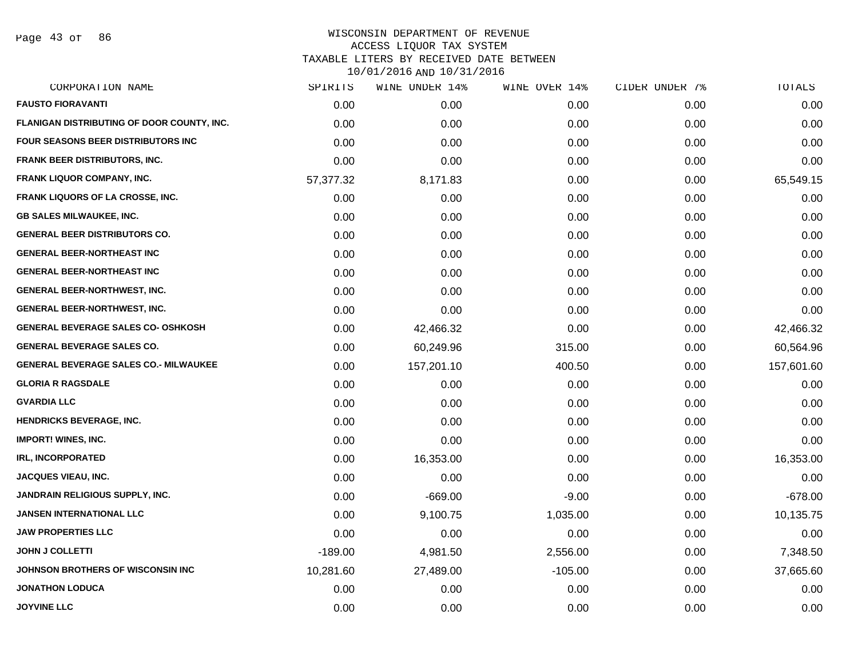Page 43 of 86

| CORPORATION NAME                             | SPIRITS   | WINE UNDER 14% | WINE OVER 14% | CIDER UNDER 7% | TOTALS     |
|----------------------------------------------|-----------|----------------|---------------|----------------|------------|
| <b>FAUSTO FIORAVANTI</b>                     | 0.00      | 0.00           | 0.00          | 0.00           | 0.00       |
| FLANIGAN DISTRIBUTING OF DOOR COUNTY, INC.   | 0.00      | 0.00           | 0.00          | 0.00           | 0.00       |
| <b>FOUR SEASONS BEER DISTRIBUTORS INC</b>    | 0.00      | 0.00           | 0.00          | 0.00           | 0.00       |
| FRANK BEER DISTRIBUTORS, INC.                | 0.00      | 0.00           | 0.00          | 0.00           | 0.00       |
| FRANK LIQUOR COMPANY, INC.                   | 57,377.32 | 8,171.83       | 0.00          | 0.00           | 65,549.15  |
| <b>FRANK LIQUORS OF LA CROSSE, INC.</b>      | 0.00      | 0.00           | 0.00          | 0.00           | 0.00       |
| <b>GB SALES MILWAUKEE, INC.</b>              | 0.00      | 0.00           | 0.00          | 0.00           | 0.00       |
| <b>GENERAL BEER DISTRIBUTORS CO.</b>         | 0.00      | 0.00           | 0.00          | 0.00           | 0.00       |
| <b>GENERAL BEER-NORTHEAST INC</b>            | 0.00      | 0.00           | 0.00          | 0.00           | 0.00       |
| <b>GENERAL BEER-NORTHEAST INC</b>            | 0.00      | 0.00           | 0.00          | 0.00           | 0.00       |
| <b>GENERAL BEER-NORTHWEST, INC.</b>          | 0.00      | 0.00           | 0.00          | 0.00           | 0.00       |
| <b>GENERAL BEER-NORTHWEST, INC.</b>          | 0.00      | 0.00           | 0.00          | 0.00           | 0.00       |
| <b>GENERAL BEVERAGE SALES CO- OSHKOSH</b>    | 0.00      | 42,466.32      | 0.00          | 0.00           | 42,466.32  |
| <b>GENERAL BEVERAGE SALES CO.</b>            | 0.00      | 60,249.96      | 315.00        | 0.00           | 60,564.96  |
| <b>GENERAL BEVERAGE SALES CO.- MILWAUKEE</b> | 0.00      | 157,201.10     | 400.50        | 0.00           | 157,601.60 |
| <b>GLORIA R RAGSDALE</b>                     | 0.00      | 0.00           | 0.00          | 0.00           | 0.00       |
| <b>GVARDIA LLC</b>                           | 0.00      | 0.00           | 0.00          | 0.00           | 0.00       |
| <b>HENDRICKS BEVERAGE, INC.</b>              | 0.00      | 0.00           | 0.00          | 0.00           | 0.00       |
| <b>IMPORT! WINES, INC.</b>                   | 0.00      | 0.00           | 0.00          | 0.00           | 0.00       |
| <b>IRL, INCORPORATED</b>                     | 0.00      | 16,353.00      | 0.00          | 0.00           | 16,353.00  |
| JACQUES VIEAU, INC.                          | 0.00      | 0.00           | 0.00          | 0.00           | 0.00       |
| JANDRAIN RELIGIOUS SUPPLY, INC.              | 0.00      | $-669.00$      | $-9.00$       | 0.00           | $-678.00$  |
| <b>JANSEN INTERNATIONAL LLC</b>              | 0.00      | 9,100.75       | 1,035.00      | 0.00           | 10,135.75  |
| <b>JAW PROPERTIES LLC</b>                    | 0.00      | 0.00           | 0.00          | 0.00           | 0.00       |
| <b>JOHN J COLLETTI</b>                       | $-189.00$ | 4,981.50       | 2,556.00      | 0.00           | 7,348.50   |
| JOHNSON BROTHERS OF WISCONSIN INC            | 10,281.60 | 27,489.00      | $-105.00$     | 0.00           | 37,665.60  |
| <b>JONATHON LODUCA</b>                       | 0.00      | 0.00           | 0.00          | 0.00           | 0.00       |
| <b>JOYVINE LLC</b>                           | 0.00      | 0.00           | 0.00          | 0.00           | 0.00       |
|                                              |           |                |               |                |            |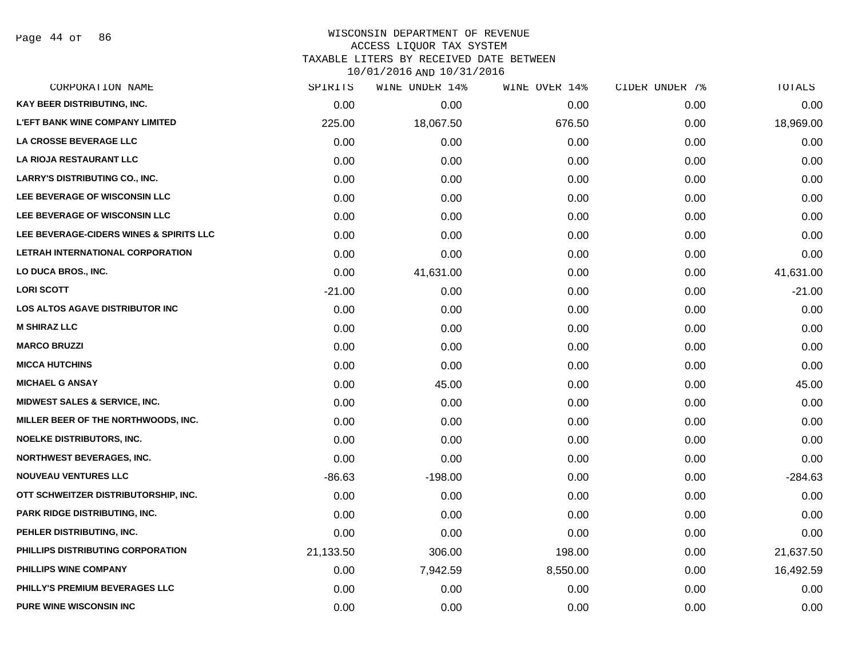Page 44 of 86

## WISCONSIN DEPARTMENT OF REVENUE ACCESS LIQUOR TAX SYSTEM TAXABLE LITERS BY RECEIVED DATE BETWEEN

| CORPORATION NAME                         | SPIRITS   | WINE UNDER 14% | WINE OVER 14% | CIDER UNDER 7% | TOTALS    |
|------------------------------------------|-----------|----------------|---------------|----------------|-----------|
| KAY BEER DISTRIBUTING, INC.              | 0.00      | 0.00           | 0.00          | 0.00           | 0.00      |
| <b>L'EFT BANK WINE COMPANY LIMITED</b>   | 225.00    | 18,067.50      | 676.50        | 0.00           | 18,969.00 |
| LA CROSSE BEVERAGE LLC                   | 0.00      | 0.00           | 0.00          | 0.00           | 0.00      |
| LA RIOJA RESTAURANT LLC                  | 0.00      | 0.00           | 0.00          | 0.00           | 0.00      |
| <b>LARRY'S DISTRIBUTING CO., INC.</b>    | 0.00      | 0.00           | 0.00          | 0.00           | 0.00      |
| LEE BEVERAGE OF WISCONSIN LLC            | 0.00      | 0.00           | 0.00          | 0.00           | 0.00      |
| LEE BEVERAGE OF WISCONSIN LLC            | 0.00      | 0.00           | 0.00          | 0.00           | 0.00      |
| LEE BEVERAGE-CIDERS WINES & SPIRITS LLC  | 0.00      | 0.00           | 0.00          | 0.00           | 0.00      |
| LETRAH INTERNATIONAL CORPORATION         | 0.00      | 0.00           | 0.00          | 0.00           | 0.00      |
| LO DUCA BROS., INC.                      | 0.00      | 41,631.00      | 0.00          | 0.00           | 41,631.00 |
| <b>LORI SCOTT</b>                        | $-21.00$  | 0.00           | 0.00          | 0.00           | $-21.00$  |
| <b>LOS ALTOS AGAVE DISTRIBUTOR INC</b>   | 0.00      | 0.00           | 0.00          | 0.00           | 0.00      |
| <b>M SHIRAZ LLC</b>                      | 0.00      | 0.00           | 0.00          | 0.00           | 0.00      |
| <b>MARCO BRUZZI</b>                      | 0.00      | 0.00           | 0.00          | 0.00           | 0.00      |
| <b>MICCA HUTCHINS</b>                    | 0.00      | 0.00           | 0.00          | 0.00           | 0.00      |
| <b>MICHAEL G ANSAY</b>                   | 0.00      | 45.00          | 0.00          | 0.00           | 45.00     |
| <b>MIDWEST SALES &amp; SERVICE, INC.</b> | 0.00      | 0.00           | 0.00          | 0.00           | 0.00      |
| MILLER BEER OF THE NORTHWOODS, INC.      | 0.00      | 0.00           | 0.00          | 0.00           | 0.00      |
| <b>NOELKE DISTRIBUTORS, INC.</b>         | 0.00      | 0.00           | 0.00          | 0.00           | 0.00      |
| <b>NORTHWEST BEVERAGES, INC.</b>         | 0.00      | 0.00           | 0.00          | 0.00           | 0.00      |
| <b>NOUVEAU VENTURES LLC</b>              | $-86.63$  | $-198.00$      | 0.00          | 0.00           | $-284.63$ |
| OTT SCHWEITZER DISTRIBUTORSHIP, INC.     | 0.00      | 0.00           | 0.00          | 0.00           | 0.00      |
| PARK RIDGE DISTRIBUTING, INC.            | 0.00      | 0.00           | 0.00          | 0.00           | 0.00      |
| PEHLER DISTRIBUTING, INC.                | 0.00      | 0.00           | 0.00          | 0.00           | 0.00      |
| PHILLIPS DISTRIBUTING CORPORATION        | 21,133.50 | 306.00         | 198.00        | 0.00           | 21,637.50 |
| PHILLIPS WINE COMPANY                    | 0.00      | 7,942.59       | 8,550.00      | 0.00           | 16,492.59 |
| PHILLY'S PREMIUM BEVERAGES LLC           | 0.00      | 0.00           | 0.00          | 0.00           | 0.00      |
| <b>PURE WINE WISCONSIN INC</b>           | 0.00      | 0.00           | 0.00          | 0.00           | 0.00      |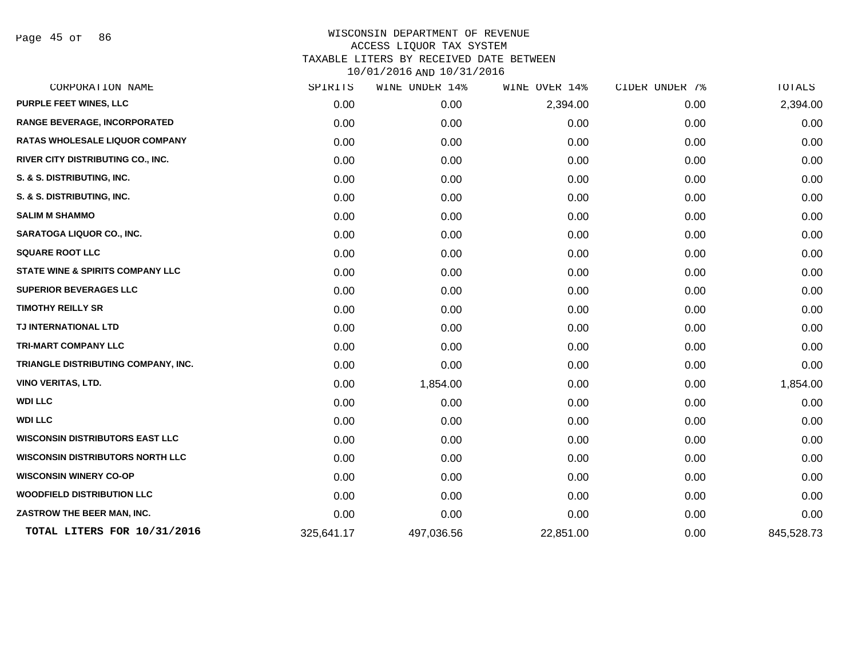Page 45 of 86

| CORPORATION NAME                            | SPIRITS    | WINE UNDER 14% | WINE OVER 14% | CIDER UNDER 7% | TOTALS     |
|---------------------------------------------|------------|----------------|---------------|----------------|------------|
| PURPLE FEET WINES, LLC                      | 0.00       | 0.00           | 2,394.00      | 0.00           | 2,394.00   |
| <b>RANGE BEVERAGE, INCORPORATED</b>         | 0.00       | 0.00           | 0.00          | 0.00           | 0.00       |
| <b>RATAS WHOLESALE LIQUOR COMPANY</b>       | 0.00       | 0.00           | 0.00          | 0.00           | 0.00       |
| RIVER CITY DISTRIBUTING CO., INC.           | 0.00       | 0.00           | 0.00          | 0.00           | 0.00       |
| S. & S. DISTRIBUTING, INC.                  | 0.00       | 0.00           | 0.00          | 0.00           | 0.00       |
| S. & S. DISTRIBUTING, INC.                  | 0.00       | 0.00           | 0.00          | 0.00           | 0.00       |
| <b>SALIM M SHAMMO</b>                       | 0.00       | 0.00           | 0.00          | 0.00           | 0.00       |
| <b>SARATOGA LIQUOR CO., INC.</b>            | 0.00       | 0.00           | 0.00          | 0.00           | 0.00       |
| <b>SQUARE ROOT LLC</b>                      | 0.00       | 0.00           | 0.00          | 0.00           | 0.00       |
| <b>STATE WINE &amp; SPIRITS COMPANY LLC</b> | 0.00       | 0.00           | 0.00          | 0.00           | 0.00       |
| <b>SUPERIOR BEVERAGES LLC</b>               | 0.00       | 0.00           | 0.00          | 0.00           | 0.00       |
| <b>TIMOTHY REILLY SR</b>                    | 0.00       | 0.00           | 0.00          | 0.00           | 0.00       |
| TJ INTERNATIONAL LTD                        | 0.00       | 0.00           | 0.00          | 0.00           | 0.00       |
| <b>TRI-MART COMPANY LLC</b>                 | 0.00       | 0.00           | 0.00          | 0.00           | 0.00       |
| TRIANGLE DISTRIBUTING COMPANY, INC.         | 0.00       | 0.00           | 0.00          | 0.00           | 0.00       |
| <b>VINO VERITAS, LTD.</b>                   | 0.00       | 1,854.00       | 0.00          | 0.00           | 1,854.00   |
| <b>WDI LLC</b>                              | 0.00       | 0.00           | 0.00          | 0.00           | 0.00       |
| <b>WDI LLC</b>                              | 0.00       | 0.00           | 0.00          | 0.00           | 0.00       |
| <b>WISCONSIN DISTRIBUTORS EAST LLC</b>      | 0.00       | 0.00           | 0.00          | 0.00           | 0.00       |
| <b>WISCONSIN DISTRIBUTORS NORTH LLC</b>     | 0.00       | 0.00           | 0.00          | 0.00           | 0.00       |
| <b>WISCONSIN WINERY CO-OP</b>               | 0.00       | 0.00           | 0.00          | 0.00           | 0.00       |
| <b>WOODFIELD DISTRIBUTION LLC</b>           | 0.00       | 0.00           | 0.00          | 0.00           | 0.00       |
| ZASTROW THE BEER MAN, INC.                  | 0.00       | 0.00           | 0.00          | 0.00           | 0.00       |
| TOTAL LITERS FOR 10/31/2016                 | 325,641.17 | 497,036.56     | 22,851.00     | 0.00           | 845,528.73 |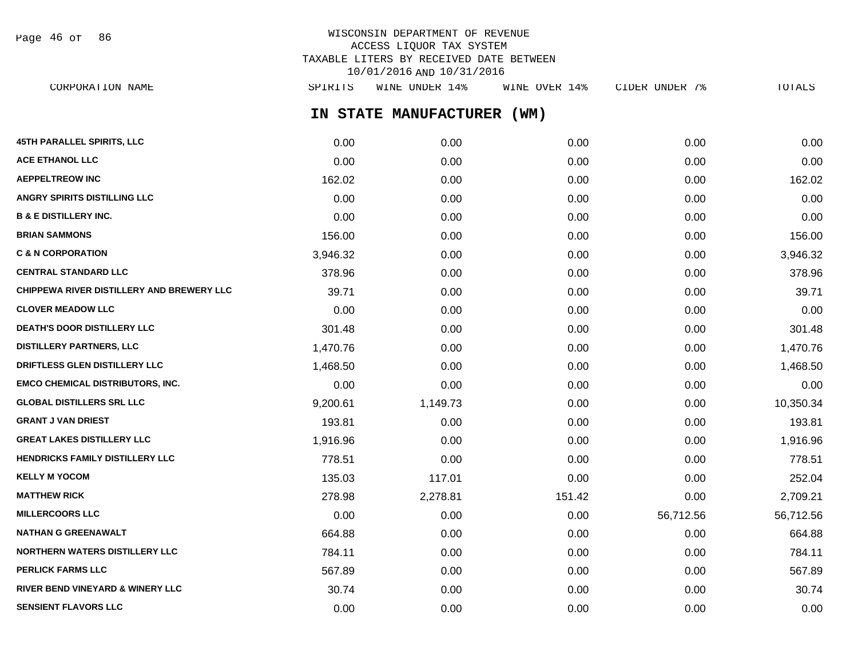Page 46 of 86

# WISCONSIN DEPARTMENT OF REVENUE ACCESS LIQUOR TAX SYSTEM TAXABLE LITERS BY RECEIVED DATE BETWEEN 10/01/2016 AND 10/31/2016

**IN STATE MANUFACTURER (WM) 45TH PARALLEL SPIRITS, LLC** 0.00 0.00 0.00 0.00 0.00 **ACE ETHANOL LLC** 0.00 0.00 0.00 0.00 0.00 **AEPPELTREOW INC** 162.02 0.00 0.00 0.00 162.02 **ANGRY SPIRITS DISTILLING LLC** 0.00 0.00 0.00 0.00 0.00 **B & E DISTILLERY INC.** 0.00 0.00 0.00 0.00 0.00 **BRIAN SAMMONS** 156.00 0.00 0.00 0.00 156.00 **C & N CORPORATION** 3,946.32 0.00 0.00 0.00 3,946.32 **CENTRAL STANDARD LLC** 378.96 0.00 0.00 0.00 378.96 **CHIPPEWA RIVER DISTILLERY AND BREWERY LLC** 39.71 0.00 0.00 0.00 0.00 0.00 0.00 0.00 39.71 **CLOVER MEADOW LLC** 0.00 0.00 0.00 0.00 0.00 **DEATH'S DOOR DISTILLERY LLC** 301.48 0.00 0.00 0.00 301.48 **DISTILLERY PARTNERS, LLC** 1,470.76 0.00 0.00 0.00 1,470.76 **DRIFTLESS GLEN DISTILLERY LLC** 1,468.50 0.00 0.00 0.00 1,468.50 **EMCO CHEMICAL DISTRIBUTORS, INC.** 0.00 0.00 0.00 0.00 0.00 **GLOBAL DISTILLERS SRL LLC** 9,200.61 1,149.73 0.00 0.00 10,350.34 **GRANT J VAN DRIEST** 193.81 0.00 0.00 0.00 193.81 **GREAT LAKES DISTILLERY LLC** 1,916.96 0.00 0.00 0.00 1,916.96 **HENDRICKS FAMILY DISTILLERY LLC** 778.51 0.00 0.00 0.00 778.51 **KELLY M YOCOM** 135.03 117.01 0.00 0.00 252.04 **MATTHEW RICK** 278.98 2,278.81 151.42 0.00 2,709.21 **MILLERCOORS LLC** 66,712.56 56,712.56 56,712.56 56,712.56 56,712.56 56,712.56 56,712.56 **NATHAN G GREENAWALT** 664.88 0.00 0.00 0.00 664.88 **NORTHERN WATERS DISTILLERY LLC** 784.11 0.00 0.00 0.00 784.11 **PERLICK FARMS LLC** 67.89 567.89 0.00 0.00 0.00 0.00 0.00 0.00 0.00 567.89 **RIVER BEND VINEYARD & WINERY LLC** 30.74 0.00 0.00 0.00 30.74 CORPORATION NAME SPIRITS WINE UNDER 14% WINE OVER 14% CIDER UNDER 7% TOTALS

**SENSIENT FLAVORS LLC** 0.00 0.00 0.00 0.00 0.00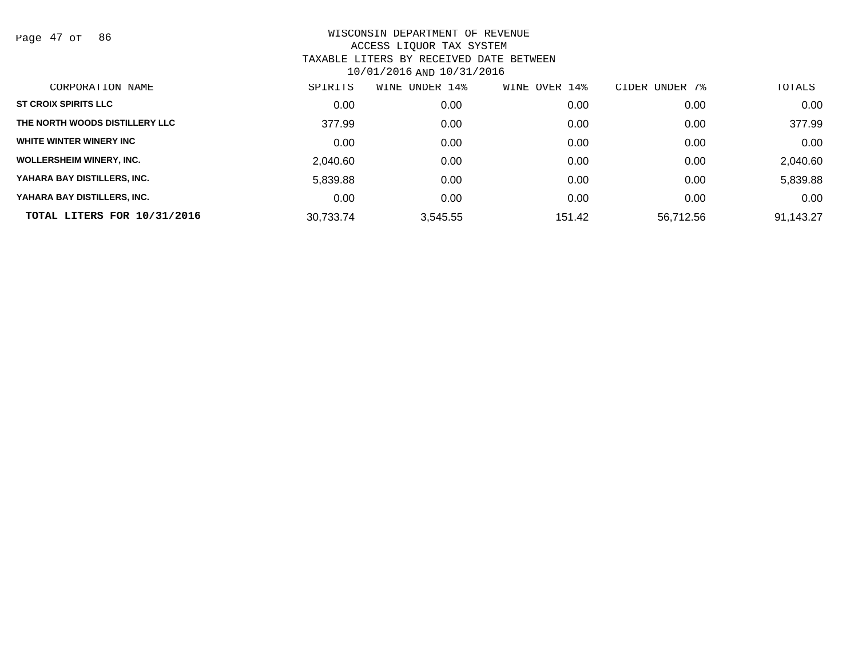Page 47 of 86

| CORPORATION NAME                | SPIRITS   | WINE<br>UNDER 14% | OVER 14%<br>WINE | UNDER 7%<br><b>CIDER</b> | TOTALS    |
|---------------------------------|-----------|-------------------|------------------|--------------------------|-----------|
| <b>ST CROIX SPIRITS LLC</b>     | 0.00      | 0.00              | 0.00             | 0.00                     | 0.00      |
| THE NORTH WOODS DISTILLERY LLC  | 377.99    | 0.00              | 0.00             | 0.00                     | 377.99    |
| WHITE WINTER WINERY INC         | 0.00      | 0.00              | 0.00             | 0.00                     | 0.00      |
| <b>WOLLERSHEIM WINERY, INC.</b> | 2,040.60  | 0.00              | 0.00             | 0.00                     | 2,040.60  |
| YAHARA BAY DISTILLERS, INC.     | 5,839.88  | 0.00              | 0.00             | 0.00                     | 5,839.88  |
| YAHARA BAY DISTILLERS, INC.     | 0.00      | 0.00              | 0.00             | 0.00                     | 0.00      |
| TOTAL LITERS FOR 10/31/2016     | 30.733.74 | 3,545.55          | 151.42           | 56.712.56                | 91,143.27 |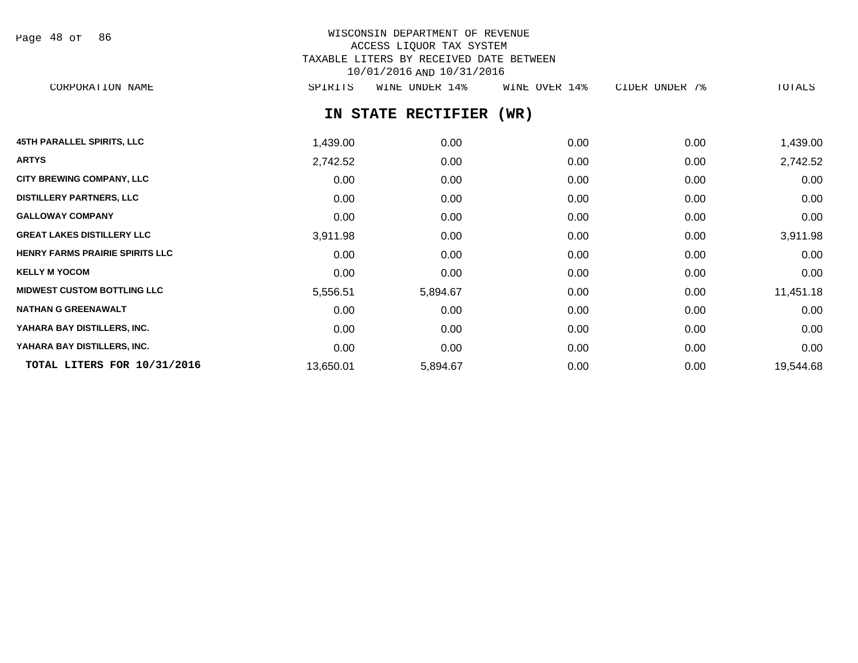Page 48 of 86

# WISCONSIN DEPARTMENT OF REVENUE ACCESS LIQUOR TAX SYSTEM TAXABLE LITERS BY RECEIVED DATE BETWEEN 10/01/2016 AND 10/31/2016

CORPORATION NAME SPIRITS WINE UNDER 14% WINE OVER 14% CIDER UNDER 7% TOTALS

# **IN STATE RECTIFIER (WR)**

| <b>45TH PARALLEL SPIRITS, LLC</b>      | 1,439.00  | 0.00     | 0.00 | 0.00 | 1,439.00  |
|----------------------------------------|-----------|----------|------|------|-----------|
| <b>ARTYS</b>                           | 2,742.52  | 0.00     | 0.00 | 0.00 | 2,742.52  |
| <b>CITY BREWING COMPANY, LLC</b>       | 0.00      | 0.00     | 0.00 | 0.00 | 0.00      |
| <b>DISTILLERY PARTNERS, LLC</b>        | 0.00      | 0.00     | 0.00 | 0.00 | 0.00      |
| <b>GALLOWAY COMPANY</b>                | 0.00      | 0.00     | 0.00 | 0.00 | 0.00      |
| <b>GREAT LAKES DISTILLERY LLC</b>      | 3,911.98  | 0.00     | 0.00 | 0.00 | 3,911.98  |
| <b>HENRY FARMS PRAIRIE SPIRITS LLC</b> | 0.00      | 0.00     | 0.00 | 0.00 | 0.00      |
| <b>KELLY M YOCOM</b>                   | 0.00      | 0.00     | 0.00 | 0.00 | 0.00      |
| <b>MIDWEST CUSTOM BOTTLING LLC</b>     | 5,556.51  | 5,894.67 | 0.00 | 0.00 | 11,451.18 |
| <b>NATHAN G GREENAWALT</b>             | 0.00      | 0.00     | 0.00 | 0.00 | 0.00      |
| YAHARA BAY DISTILLERS, INC.            | 0.00      | 0.00     | 0.00 | 0.00 | 0.00      |
| YAHARA BAY DISTILLERS, INC.            | 0.00      | 0.00     | 0.00 | 0.00 | 0.00      |
| TOTAL LITERS FOR 10/31/2016            | 13,650.01 | 5,894.67 | 0.00 | 0.00 | 19,544.68 |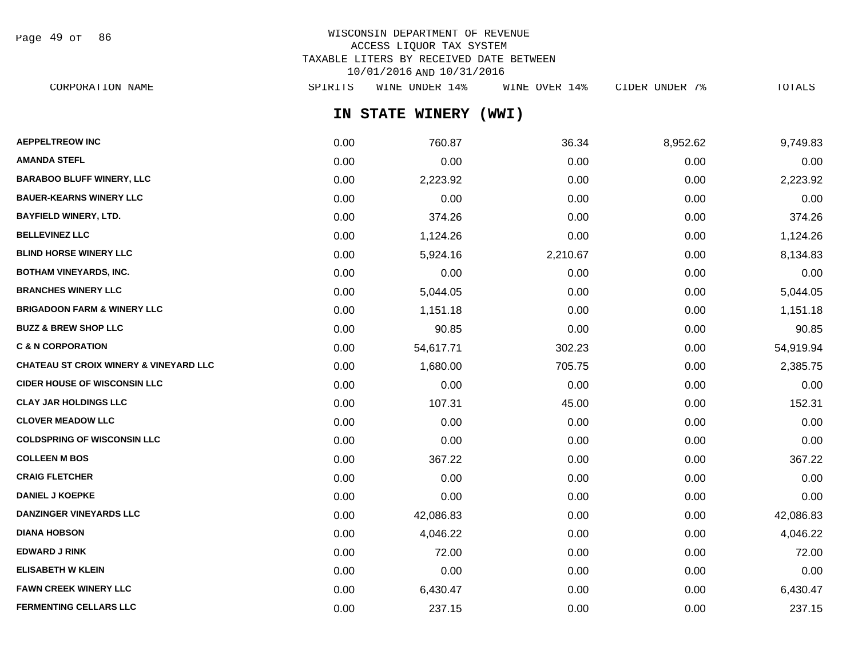Page 49 of 86

# WISCONSIN DEPARTMENT OF REVENUE ACCESS LIQUOR TAX SYSTEM TAXABLE LITERS BY RECEIVED DATE BETWEEN 10/01/2016 AND 10/31/2016

**IN STATE WINERY (WWI) AEPPELTREOW INC** 0.00 760.87 36.34 8,952.62 9,749.83 CORPORATION NAME SPIRITS WINE UNDER 14% WINE OVER 14% CIDER UNDER 7% TOTALS

| <b>AMANDA STEFL</b>                               | 0.00 | 0.00      | 0.00     | 0.00 | 0.00      |
|---------------------------------------------------|------|-----------|----------|------|-----------|
| <b>BARABOO BLUFF WINERY, LLC</b>                  | 0.00 | 2,223.92  | 0.00     | 0.00 | 2,223.92  |
| <b>BAUER-KEARNS WINERY LLC</b>                    | 0.00 | 0.00      | 0.00     | 0.00 | 0.00      |
| <b>BAYFIELD WINERY, LTD.</b>                      | 0.00 | 374.26    | 0.00     | 0.00 | 374.26    |
| <b>BELLEVINEZ LLC</b>                             | 0.00 | 1,124.26  | 0.00     | 0.00 | 1,124.26  |
| <b>BLIND HORSE WINERY LLC</b>                     | 0.00 | 5,924.16  | 2,210.67 | 0.00 | 8,134.83  |
| <b>BOTHAM VINEYARDS, INC.</b>                     | 0.00 | 0.00      | 0.00     | 0.00 | 0.00      |
| <b>BRANCHES WINERY LLC</b>                        | 0.00 | 5,044.05  | 0.00     | 0.00 | 5,044.05  |
| <b>BRIGADOON FARM &amp; WINERY LLC</b>            | 0.00 | 1,151.18  | 0.00     | 0.00 | 1,151.18  |
| <b>BUZZ &amp; BREW SHOP LLC</b>                   | 0.00 | 90.85     | 0.00     | 0.00 | 90.85     |
| <b>C &amp; N CORPORATION</b>                      | 0.00 | 54,617.71 | 302.23   | 0.00 | 54,919.94 |
| <b>CHATEAU ST CROIX WINERY &amp; VINEYARD LLC</b> | 0.00 | 1,680.00  | 705.75   | 0.00 | 2,385.75  |
| <b>CIDER HOUSE OF WISCONSIN LLC</b>               | 0.00 | 0.00      | 0.00     | 0.00 | 0.00      |
| <b>CLAY JAR HOLDINGS LLC</b>                      | 0.00 | 107.31    | 45.00    | 0.00 | 152.31    |
| <b>CLOVER MEADOW LLC</b>                          | 0.00 | 0.00      | 0.00     | 0.00 | 0.00      |
| <b>COLDSPRING OF WISCONSIN LLC</b>                | 0.00 | 0.00      | 0.00     | 0.00 | 0.00      |
| <b>COLLEEN M BOS</b>                              | 0.00 | 367.22    | 0.00     | 0.00 | 367.22    |
| <b>CRAIG FLETCHER</b>                             | 0.00 | 0.00      | 0.00     | 0.00 | 0.00      |
| <b>DANIEL J KOEPKE</b>                            | 0.00 | 0.00      | 0.00     | 0.00 | 0.00      |
| <b>DANZINGER VINEYARDS LLC</b>                    | 0.00 | 42,086.83 | 0.00     | 0.00 | 42,086.83 |
| <b>DIANA HOBSON</b>                               | 0.00 | 4,046.22  | 0.00     | 0.00 | 4,046.22  |
| <b>EDWARD J RINK</b>                              | 0.00 | 72.00     | 0.00     | 0.00 | 72.00     |
| <b>ELISABETH W KLEIN</b>                          | 0.00 | 0.00      | 0.00     | 0.00 | 0.00      |
| <b>FAWN CREEK WINERY LLC</b>                      | 0.00 | 6,430.47  | 0.00     | 0.00 | 6,430.47  |
| <b>FERMENTING CELLARS LLC</b>                     | 0.00 | 237.15    | 0.00     | 0.00 | 237.15    |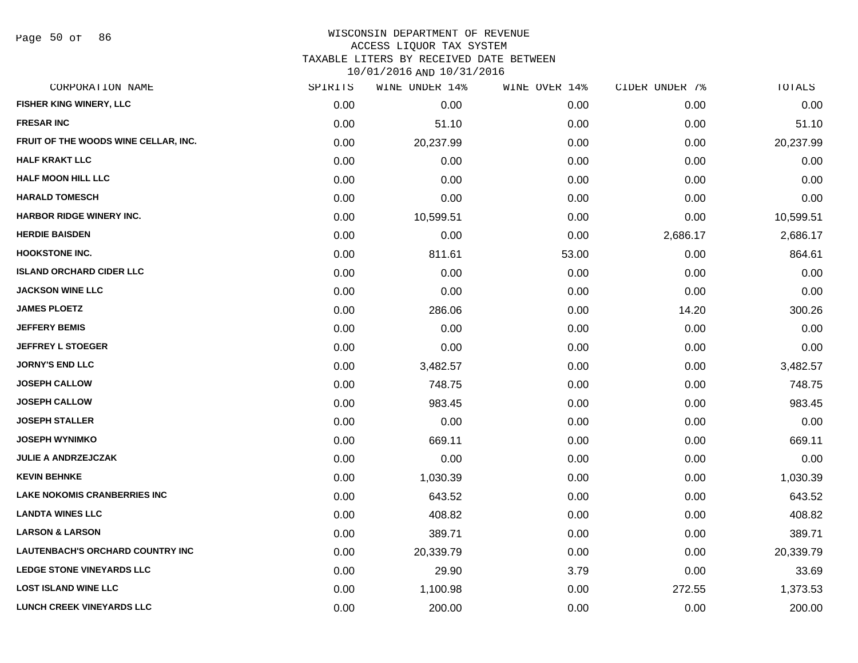Page 50 of 86

#### WISCONSIN DEPARTMENT OF REVENUE ACCESS LIQUOR TAX SYSTEM TAXABLE LITERS BY RECEIVED DATE BETWEEN

| CORPORATION NAME                     | SPIRITS | WINE UNDER 14% | WINE OVER 14% | CIDER UNDER 7% | TOTALS    |
|--------------------------------------|---------|----------------|---------------|----------------|-----------|
| FISHER KING WINERY, LLC              | 0.00    | 0.00           | 0.00          | 0.00           | 0.00      |
| <b>FRESAR INC</b>                    | 0.00    | 51.10          | 0.00          | 0.00           | 51.10     |
| FRUIT OF THE WOODS WINE CELLAR, INC. | 0.00    | 20,237.99      | 0.00          | 0.00           | 20,237.99 |
| <b>HALF KRAKT LLC</b>                | 0.00    | 0.00           | 0.00          | 0.00           | 0.00      |
| <b>HALF MOON HILL LLC</b>            | 0.00    | 0.00           | 0.00          | 0.00           | 0.00      |
| <b>HARALD TOMESCH</b>                | 0.00    | 0.00           | 0.00          | 0.00           | 0.00      |
| <b>HARBOR RIDGE WINERY INC.</b>      | 0.00    | 10,599.51      | 0.00          | 0.00           | 10,599.51 |
| <b>HERDIE BAISDEN</b>                | 0.00    | 0.00           | 0.00          | 2,686.17       | 2,686.17  |
| <b>HOOKSTONE INC.</b>                | 0.00    | 811.61         | 53.00         | 0.00           | 864.61    |
| <b>ISLAND ORCHARD CIDER LLC</b>      | 0.00    | 0.00           | 0.00          | 0.00           | 0.00      |
| <b>JACKSON WINE LLC</b>              | 0.00    | 0.00           | 0.00          | 0.00           | 0.00      |
| <b>JAMES PLOETZ</b>                  | 0.00    | 286.06         | 0.00          | 14.20          | 300.26    |
| <b>JEFFERY BEMIS</b>                 | 0.00    | 0.00           | 0.00          | 0.00           | 0.00      |
| <b>JEFFREY L STOEGER</b>             | 0.00    | 0.00           | 0.00          | 0.00           | 0.00      |
| <b>JORNY'S END LLC</b>               | 0.00    | 3,482.57       | 0.00          | 0.00           | 3,482.57  |
| <b>JOSEPH CALLOW</b>                 | 0.00    | 748.75         | 0.00          | 0.00           | 748.75    |
| <b>JOSEPH CALLOW</b>                 | 0.00    | 983.45         | 0.00          | 0.00           | 983.45    |
| <b>JOSEPH STALLER</b>                | 0.00    | 0.00           | 0.00          | 0.00           | 0.00      |
| <b>JOSEPH WYNIMKO</b>                | 0.00    | 669.11         | 0.00          | 0.00           | 669.11    |
| <b>JULIE A ANDRZEJCZAK</b>           | 0.00    | 0.00           | 0.00          | 0.00           | 0.00      |
| <b>KEVIN BEHNKE</b>                  | 0.00    | 1,030.39       | 0.00          | 0.00           | 1,030.39  |
| <b>LAKE NOKOMIS CRANBERRIES INC</b>  | 0.00    | 643.52         | 0.00          | 0.00           | 643.52    |
| <b>LANDTA WINES LLC</b>              | 0.00    | 408.82         | 0.00          | 0.00           | 408.82    |
| <b>LARSON &amp; LARSON</b>           | 0.00    | 389.71         | 0.00          | 0.00           | 389.71    |
| LAUTENBACH'S ORCHARD COUNTRY INC     | 0.00    | 20,339.79      | 0.00          | 0.00           | 20,339.79 |
| <b>LEDGE STONE VINEYARDS LLC</b>     | 0.00    | 29.90          | 3.79          | 0.00           | 33.69     |
| <b>LOST ISLAND WINE LLC</b>          | 0.00    | 1,100.98       | 0.00          | 272.55         | 1,373.53  |
| <b>LUNCH CREEK VINEYARDS LLC</b>     | 0.00    | 200.00         | 0.00          | 0.00           | 200.00    |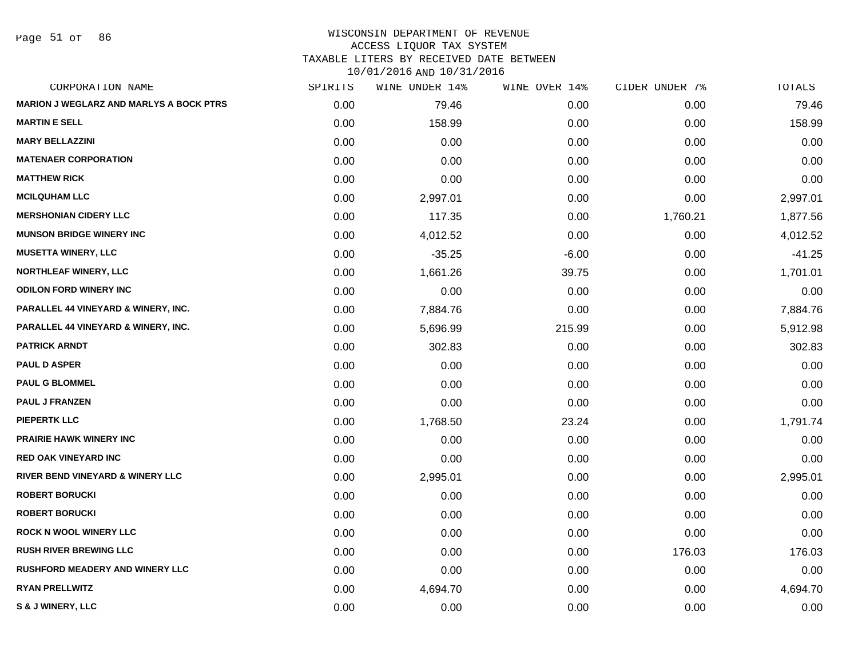Page 51 of 86

#### WISCONSIN DEPARTMENT OF REVENUE ACCESS LIQUOR TAX SYSTEM TAXABLE LITERS BY RECEIVED DATE BETWEEN

| CORPORATION NAME                               | SPIRITS | WINE UNDER 14% | WINE OVER 14% | CIDER UNDER 7% | TOTALS   |
|------------------------------------------------|---------|----------------|---------------|----------------|----------|
| <b>MARION J WEGLARZ AND MARLYS A BOCK PTRS</b> | 0.00    | 79.46          | 0.00          | 0.00           | 79.46    |
| <b>MARTIN E SELL</b>                           | 0.00    | 158.99         | 0.00          | 0.00           | 158.99   |
| <b>MARY BELLAZZINI</b>                         | 0.00    | 0.00           | 0.00          | 0.00           | 0.00     |
| <b>MATENAER CORPORATION</b>                    | 0.00    | 0.00           | 0.00          | 0.00           | 0.00     |
| <b>MATTHEW RICK</b>                            | 0.00    | 0.00           | 0.00          | 0.00           | 0.00     |
| <b>MCILQUHAM LLC</b>                           | 0.00    | 2,997.01       | 0.00          | 0.00           | 2,997.01 |
| <b>MERSHONIAN CIDERY LLC</b>                   | 0.00    | 117.35         | 0.00          | 1,760.21       | 1,877.56 |
| <b>MUNSON BRIDGE WINERY INC</b>                | 0.00    | 4,012.52       | 0.00          | 0.00           | 4,012.52 |
| <b>MUSETTA WINERY, LLC</b>                     | 0.00    | $-35.25$       | $-6.00$       | 0.00           | $-41.25$ |
| <b>NORTHLEAF WINERY, LLC</b>                   | 0.00    | 1,661.26       | 39.75         | 0.00           | 1,701.01 |
| <b>ODILON FORD WINERY INC</b>                  | 0.00    | 0.00           | 0.00          | 0.00           | 0.00     |
| PARALLEL 44 VINEYARD & WINERY, INC.            | 0.00    | 7,884.76       | 0.00          | 0.00           | 7,884.76 |
| <b>PARALLEL 44 VINEYARD &amp; WINERY, INC.</b> | 0.00    | 5,696.99       | 215.99        | 0.00           | 5,912.98 |
| <b>PATRICK ARNDT</b>                           | 0.00    | 302.83         | 0.00          | 0.00           | 302.83   |
| <b>PAUL D ASPER</b>                            | 0.00    | 0.00           | 0.00          | 0.00           | 0.00     |
| <b>PAUL G BLOMMEL</b>                          | 0.00    | 0.00           | 0.00          | 0.00           | 0.00     |
| <b>PAUL J FRANZEN</b>                          | 0.00    | 0.00           | 0.00          | 0.00           | 0.00     |
| <b>PIEPERTK LLC</b>                            | 0.00    | 1,768.50       | 23.24         | 0.00           | 1,791.74 |
| PRAIRIE HAWK WINERY INC                        | 0.00    | 0.00           | 0.00          | 0.00           | 0.00     |
| <b>RED OAK VINEYARD INC</b>                    | 0.00    | 0.00           | 0.00          | 0.00           | 0.00     |
| <b>RIVER BEND VINEYARD &amp; WINERY LLC</b>    | 0.00    | 2,995.01       | 0.00          | 0.00           | 2,995.01 |
| <b>ROBERT BORUCKI</b>                          | 0.00    | 0.00           | 0.00          | 0.00           | 0.00     |
| <b>ROBERT BORUCKI</b>                          | 0.00    | 0.00           | 0.00          | 0.00           | 0.00     |
| <b>ROCK N WOOL WINERY LLC</b>                  | 0.00    | 0.00           | 0.00          | 0.00           | 0.00     |
| <b>RUSH RIVER BREWING LLC</b>                  | 0.00    | 0.00           | 0.00          | 176.03         | 176.03   |
| <b>RUSHFORD MEADERY AND WINERY LLC</b>         | 0.00    | 0.00           | 0.00          | 0.00           | 0.00     |
| <b>RYAN PRELLWITZ</b>                          | 0.00    | 4,694.70       | 0.00          | 0.00           | 4,694.70 |
| S & J WINERY, LLC                              | 0.00    | 0.00           | 0.00          | 0.00           | 0.00     |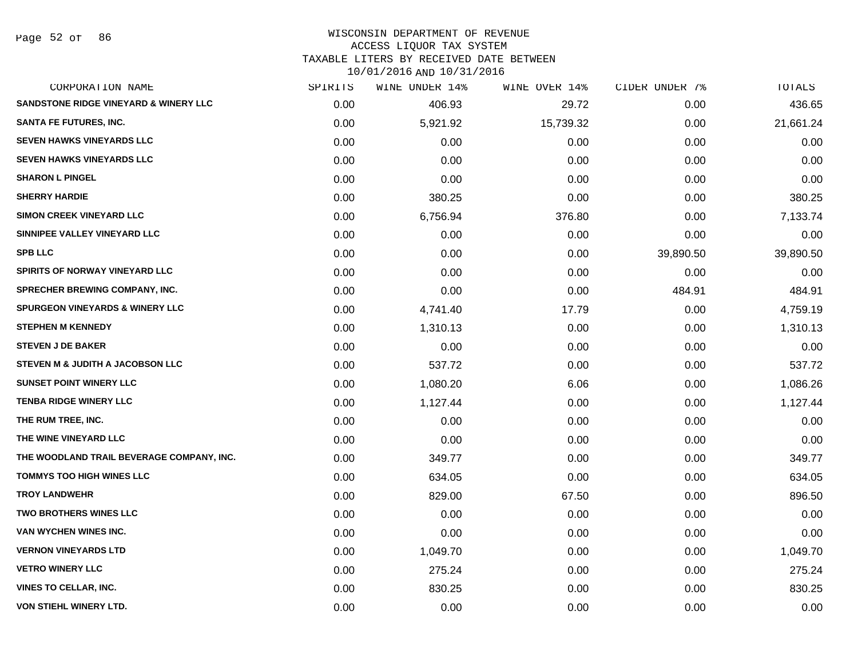Page 52 of 86

#### WISCONSIN DEPARTMENT OF REVENUE ACCESS LIQUOR TAX SYSTEM

TAXABLE LITERS BY RECEIVED DATE BETWEEN

| CORPORATION NAME                                 | SPIRITS | WINE UNDER 14% | WINE OVER 14% | CIDER UNDER 7% | TOTALS    |
|--------------------------------------------------|---------|----------------|---------------|----------------|-----------|
| <b>SANDSTONE RIDGE VINEYARD &amp; WINERY LLC</b> | 0.00    | 406.93         | 29.72         | 0.00           | 436.65    |
| <b>SANTA FE FUTURES, INC.</b>                    | 0.00    | 5,921.92       | 15,739.32     | 0.00           | 21,661.24 |
| <b>SEVEN HAWKS VINEYARDS LLC</b>                 | 0.00    | 0.00           | 0.00          | 0.00           | 0.00      |
| <b>SEVEN HAWKS VINEYARDS LLC</b>                 | 0.00    | 0.00           | 0.00          | 0.00           | 0.00      |
| <b>SHARON L PINGEL</b>                           | 0.00    | 0.00           | 0.00          | 0.00           | 0.00      |
| <b>SHERRY HARDIE</b>                             | 0.00    | 380.25         | 0.00          | 0.00           | 380.25    |
| <b>SIMON CREEK VINEYARD LLC</b>                  | 0.00    | 6,756.94       | 376.80        | 0.00           | 7,133.74  |
| SINNIPEE VALLEY VINEYARD LLC                     | 0.00    | 0.00           | 0.00          | 0.00           | 0.00      |
| <b>SPB LLC</b>                                   | 0.00    | 0.00           | 0.00          | 39,890.50      | 39,890.50 |
| SPIRITS OF NORWAY VINEYARD LLC                   | 0.00    | 0.00           | 0.00          | 0.00           | 0.00      |
| <b>SPRECHER BREWING COMPANY, INC.</b>            | 0.00    | 0.00           | 0.00          | 484.91         | 484.91    |
| <b>SPURGEON VINEYARDS &amp; WINERY LLC</b>       | 0.00    | 4,741.40       | 17.79         | 0.00           | 4,759.19  |
| <b>STEPHEN M KENNEDY</b>                         | 0.00    | 1,310.13       | 0.00          | 0.00           | 1,310.13  |
| <b>STEVEN J DE BAKER</b>                         | 0.00    | 0.00           | 0.00          | 0.00           | 0.00      |
| STEVEN M & JUDITH A JACOBSON LLC                 | 0.00    | 537.72         | 0.00          | 0.00           | 537.72    |
| <b>SUNSET POINT WINERY LLC</b>                   | 0.00    | 1,080.20       | 6.06          | 0.00           | 1,086.26  |
| <b>TENBA RIDGE WINERY LLC</b>                    | 0.00    | 1,127.44       | 0.00          | 0.00           | 1,127.44  |
| THE RUM TREE, INC.                               | 0.00    | 0.00           | 0.00          | 0.00           | 0.00      |
| THE WINE VINEYARD LLC                            | 0.00    | 0.00           | 0.00          | 0.00           | 0.00      |
| THE WOODLAND TRAIL BEVERAGE COMPANY, INC.        | 0.00    | 349.77         | 0.00          | 0.00           | 349.77    |
| <b>TOMMYS TOO HIGH WINES LLC</b>                 | 0.00    | 634.05         | 0.00          | 0.00           | 634.05    |
| <b>TROY LANDWEHR</b>                             | 0.00    | 829.00         | 67.50         | 0.00           | 896.50    |
| <b>TWO BROTHERS WINES LLC</b>                    | 0.00    | 0.00           | 0.00          | 0.00           | 0.00      |
| <b>VAN WYCHEN WINES INC.</b>                     | 0.00    | 0.00           | 0.00          | 0.00           | 0.00      |
| <b>VERNON VINEYARDS LTD</b>                      | 0.00    | 1,049.70       | 0.00          | 0.00           | 1,049.70  |
| <b>VETRO WINERY LLC</b>                          | 0.00    | 275.24         | 0.00          | 0.00           | 275.24    |
| <b>VINES TO CELLAR, INC.</b>                     | 0.00    | 830.25         | 0.00          | 0.00           | 830.25    |
| <b>VON STIEHL WINERY LTD.</b>                    | 0.00    | 0.00           | 0.00          | 0.00           | 0.00      |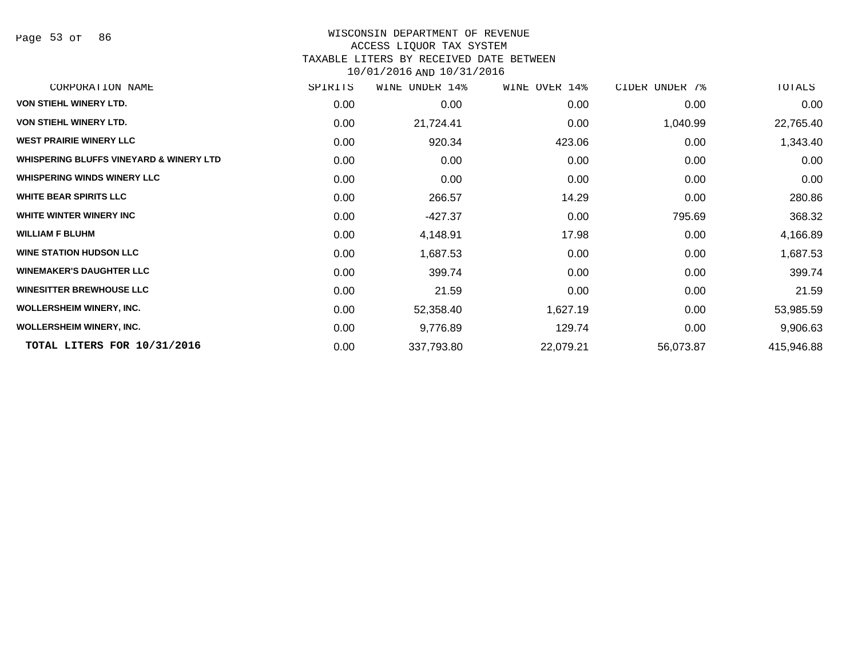# WISCONSIN DEPARTMENT OF REVENUE ACCESS LIQUOR TAX SYSTEM

TAXABLE LITERS BY RECEIVED DATE BETWEEN

| CORPORATION NAME                        | SPIRITS | WINE UNDER 14% | WINE OVER 14% | CIDER UNDER 7% | TOTALS     |
|-----------------------------------------|---------|----------------|---------------|----------------|------------|
| <b>VON STIEHL WINERY LTD.</b>           | 0.00    | 0.00           | 0.00          | 0.00           | 0.00       |
| <b>VON STIEHL WINERY LTD.</b>           | 0.00    | 21,724.41      | 0.00          | 1,040.99       | 22,765.40  |
| <b>WEST PRAIRIE WINERY LLC</b>          | 0.00    | 920.34         | 423.06        | 0.00           | 1,343.40   |
| WHISPERING BLUFFS VINEYARD & WINERY LTD | 0.00    | 0.00           | 0.00          | 0.00           | 0.00       |
| <b>WHISPERING WINDS WINERY LLC</b>      | 0.00    | 0.00           | 0.00          | 0.00           | 0.00       |
| <b>WHITE BEAR SPIRITS LLC</b>           | 0.00    | 266.57         | 14.29         | 0.00           | 280.86     |
| WHITE WINTER WINERY INC                 | 0.00    | -427.37        | 0.00          | 795.69         | 368.32     |
| <b>WILLIAM F BLUHM</b>                  | 0.00    | 4,148.91       | 17.98         | 0.00           | 4,166.89   |
| <b>WINE STATION HUDSON LLC</b>          | 0.00    | 1,687.53       | 0.00          | 0.00           | 1,687.53   |
| <b>WINEMAKER'S DAUGHTER LLC</b>         | 0.00    | 399.74         | 0.00          | 0.00           | 399.74     |
| <b>WINESITTER BREWHOUSE LLC</b>         | 0.00    | 21.59          | 0.00          | 0.00           | 21.59      |
| <b>WOLLERSHEIM WINERY, INC.</b>         | 0.00    | 52,358.40      | 1,627.19      | 0.00           | 53,985.59  |
| <b>WOLLERSHEIM WINERY, INC.</b>         | 0.00    | 9,776.89       | 129.74        | 0.00           | 9,906.63   |
| TOTAL LITERS FOR 10/31/2016             | 0.00    | 337,793.80     | 22,079.21     | 56,073.87      | 415,946.88 |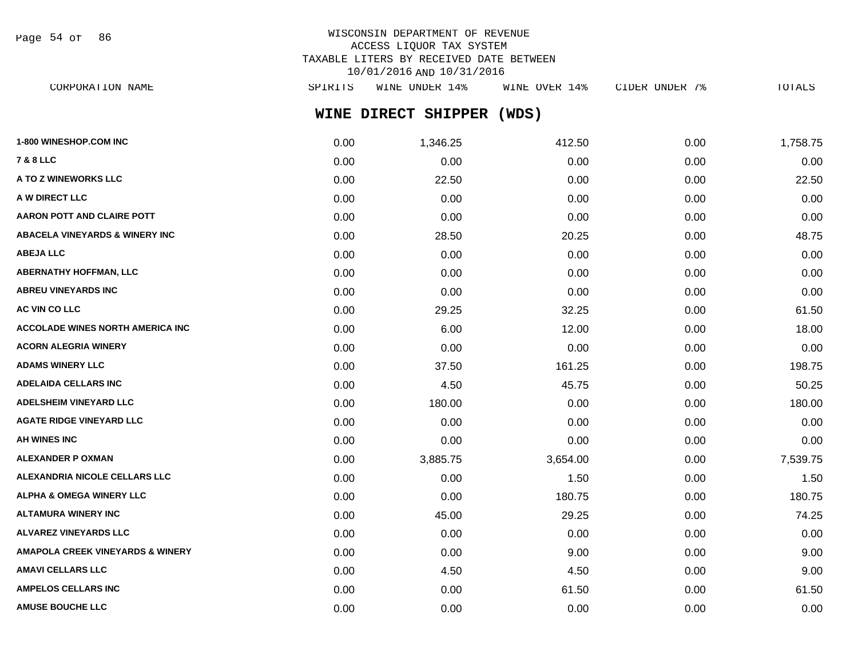Page 54 of 86

# WISCONSIN DEPARTMENT OF REVENUE ACCESS LIQUOR TAX SYSTEM TAXABLE LITERS BY RECEIVED DATE BETWEEN 10/01/2016 AND 10/31/2016

**WINE DIRECT SHIPPER (WDS)** CORPORATION NAME SPIRITS WINE UNDER 14% WINE OVER 14% CIDER UNDER 7% TOTALS

| 1-800 WINESHOP.COM INC                      | 0.00 | 1,346.25 | 412.50   | 0.00 | 1,758.75 |
|---------------------------------------------|------|----------|----------|------|----------|
| <b>7 &amp; 8 LLC</b>                        | 0.00 | 0.00     | 0.00     | 0.00 | 0.00     |
| A TO Z WINEWORKS LLC                        | 0.00 | 22.50    | 0.00     | 0.00 | 22.50    |
| A W DIRECT LLC                              | 0.00 | 0.00     | 0.00     | 0.00 | 0.00     |
| <b>AARON POTT AND CLAIRE POTT</b>           | 0.00 | 0.00     | 0.00     | 0.00 | 0.00     |
| <b>ABACELA VINEYARDS &amp; WINERY INC</b>   | 0.00 | 28.50    | 20.25    | 0.00 | 48.75    |
| <b>ABEJA LLC</b>                            | 0.00 | 0.00     | 0.00     | 0.00 | 0.00     |
| <b>ABERNATHY HOFFMAN, LLC</b>               | 0.00 | 0.00     | 0.00     | 0.00 | 0.00     |
| <b>ABREU VINEYARDS INC</b>                  | 0.00 | 0.00     | 0.00     | 0.00 | 0.00     |
| <b>AC VIN CO LLC</b>                        | 0.00 | 29.25    | 32.25    | 0.00 | 61.50    |
| <b>ACCOLADE WINES NORTH AMERICA INC</b>     | 0.00 | 6.00     | 12.00    | 0.00 | 18.00    |
| <b>ACORN ALEGRIA WINERY</b>                 | 0.00 | 0.00     | 0.00     | 0.00 | 0.00     |
| <b>ADAMS WINERY LLC</b>                     | 0.00 | 37.50    | 161.25   | 0.00 | 198.75   |
| <b>ADELAIDA CELLARS INC</b>                 | 0.00 | 4.50     | 45.75    | 0.00 | 50.25    |
| <b>ADELSHEIM VINEYARD LLC</b>               | 0.00 | 180.00   | 0.00     | 0.00 | 180.00   |
| <b>AGATE RIDGE VINEYARD LLC</b>             | 0.00 | 0.00     | 0.00     | 0.00 | 0.00     |
| <b>AH WINES INC</b>                         | 0.00 | 0.00     | 0.00     | 0.00 | 0.00     |
| <b>ALEXANDER P OXMAN</b>                    | 0.00 | 3,885.75 | 3,654.00 | 0.00 | 7,539.75 |
| ALEXANDRIA NICOLE CELLARS LLC               | 0.00 | 0.00     | 1.50     | 0.00 | 1.50     |
| <b>ALPHA &amp; OMEGA WINERY LLC</b>         | 0.00 | 0.00     | 180.75   | 0.00 | 180.75   |
| <b>ALTAMURA WINERY INC</b>                  | 0.00 | 45.00    | 29.25    | 0.00 | 74.25    |
| <b>ALVAREZ VINEYARDS LLC</b>                | 0.00 | 0.00     | 0.00     | 0.00 | 0.00     |
| <b>AMAPOLA CREEK VINEYARDS &amp; WINERY</b> | 0.00 | 0.00     | 9.00     | 0.00 | 9.00     |
| <b>AMAVI CELLARS LLC</b>                    | 0.00 | 4.50     | 4.50     | 0.00 | 9.00     |
| <b>AMPELOS CELLARS INC</b>                  | 0.00 | 0.00     | 61.50    | 0.00 | 61.50    |
| <b>AMUSE BOUCHE LLC</b>                     | 0.00 | 0.00     | 0.00     | 0.00 | 0.00     |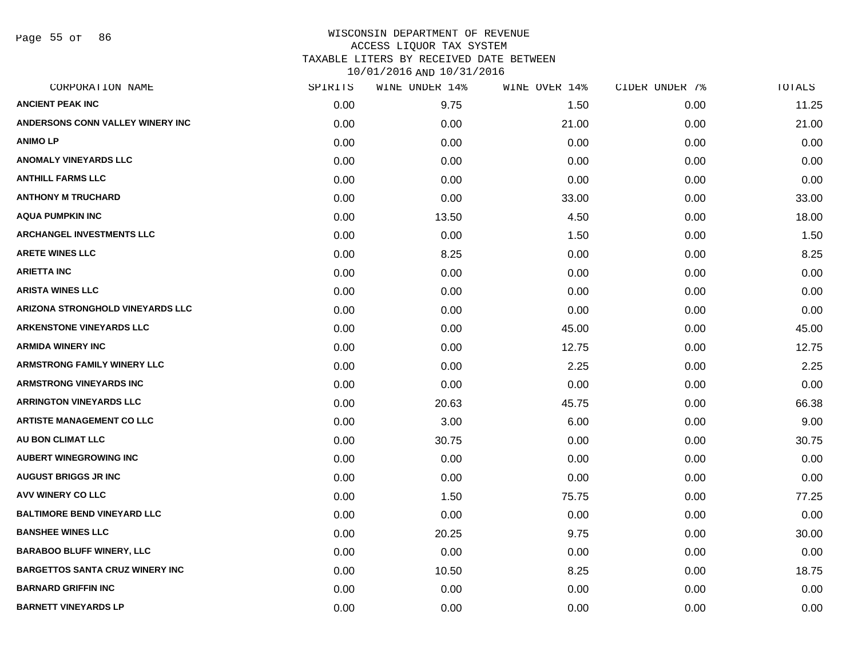Page 55 of 86

| CORPORATION NAME                       | SPIRITS | WINE UNDER 14% | WINE OVER 14% | CIDER UNDER 7% | TOTALS |
|----------------------------------------|---------|----------------|---------------|----------------|--------|
| <b>ANCIENT PEAK INC</b>                | 0.00    | 9.75           | 1.50          | 0.00           | 11.25  |
| ANDERSONS CONN VALLEY WINERY INC       | 0.00    | 0.00           | 21.00         | 0.00           | 21.00  |
| <b>ANIMO LP</b>                        | 0.00    | 0.00           | 0.00          | 0.00           | 0.00   |
| <b>ANOMALY VINEYARDS LLC</b>           | 0.00    | 0.00           | 0.00          | 0.00           | 0.00   |
| <b>ANTHILL FARMS LLC</b>               | 0.00    | 0.00           | 0.00          | 0.00           | 0.00   |
| <b>ANTHONY M TRUCHARD</b>              | 0.00    | 0.00           | 33.00         | 0.00           | 33.00  |
| <b>AQUA PUMPKIN INC</b>                | 0.00    | 13.50          | 4.50          | 0.00           | 18.00  |
| <b>ARCHANGEL INVESTMENTS LLC</b>       | 0.00    | 0.00           | 1.50          | 0.00           | 1.50   |
| <b>ARETE WINES LLC</b>                 | 0.00    | 8.25           | 0.00          | 0.00           | 8.25   |
| <b>ARIETTA INC</b>                     | 0.00    | 0.00           | 0.00          | 0.00           | 0.00   |
| <b>ARISTA WINES LLC</b>                | 0.00    | 0.00           | 0.00          | 0.00           | 0.00   |
| ARIZONA STRONGHOLD VINEYARDS LLC       | 0.00    | 0.00           | 0.00          | 0.00           | 0.00   |
| <b>ARKENSTONE VINEYARDS LLC</b>        | 0.00    | 0.00           | 45.00         | 0.00           | 45.00  |
| <b>ARMIDA WINERY INC</b>               | 0.00    | 0.00           | 12.75         | 0.00           | 12.75  |
| <b>ARMSTRONG FAMILY WINERY LLC</b>     | 0.00    | 0.00           | 2.25          | 0.00           | 2.25   |
| <b>ARMSTRONG VINEYARDS INC</b>         | 0.00    | 0.00           | 0.00          | 0.00           | 0.00   |
| <b>ARRINGTON VINEYARDS LLC</b>         | 0.00    | 20.63          | 45.75         | 0.00           | 66.38  |
| <b>ARTISTE MANAGEMENT CO LLC</b>       | 0.00    | 3.00           | 6.00          | 0.00           | 9.00   |
| AU BON CLIMAT LLC                      | 0.00    | 30.75          | 0.00          | 0.00           | 30.75  |
| <b>AUBERT WINEGROWING INC</b>          | 0.00    | 0.00           | 0.00          | 0.00           | 0.00   |
| <b>AUGUST BRIGGS JR INC</b>            | 0.00    | 0.00           | 0.00          | 0.00           | 0.00   |
| <b>AVV WINERY CO LLC</b>               | 0.00    | 1.50           | 75.75         | 0.00           | 77.25  |
| <b>BALTIMORE BEND VINEYARD LLC</b>     | 0.00    | 0.00           | 0.00          | 0.00           | 0.00   |
| <b>BANSHEE WINES LLC</b>               | 0.00    | 20.25          | 9.75          | 0.00           | 30.00  |
| <b>BARABOO BLUFF WINERY, LLC</b>       | 0.00    | 0.00           | 0.00          | 0.00           | 0.00   |
| <b>BARGETTOS SANTA CRUZ WINERY INC</b> | 0.00    | 10.50          | 8.25          | 0.00           | 18.75  |
| <b>BARNARD GRIFFIN INC</b>             | 0.00    | 0.00           | 0.00          | 0.00           | 0.00   |
| <b>BARNETT VINEYARDS LP</b>            | 0.00    | 0.00           | 0.00          | 0.00           | 0.00   |
|                                        |         |                |               |                |        |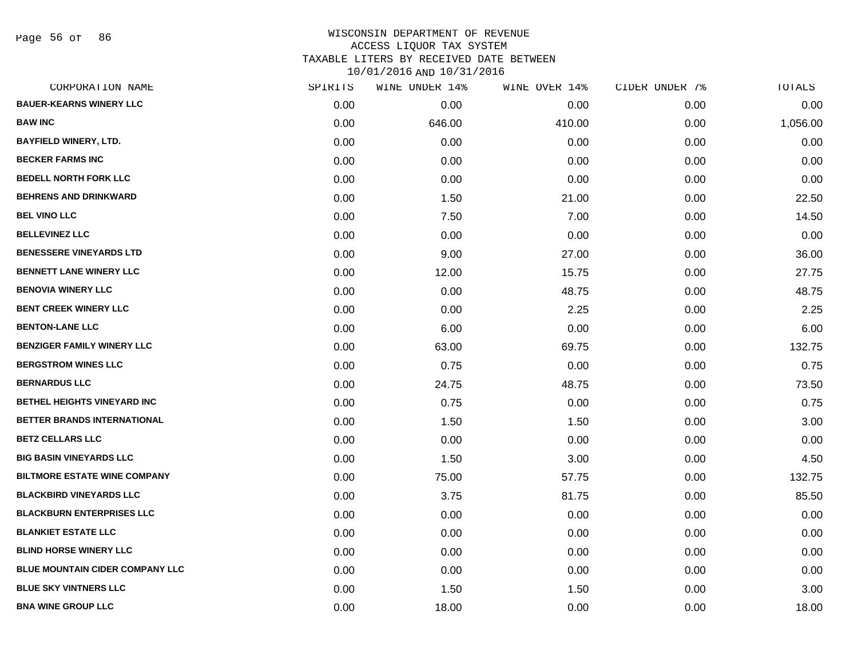Page 56 of 86

| CORPORATION NAME                    | SPIRITS | WINE UNDER 14% | WINE OVER 14% | CIDER UNDER 7% | TOTALS   |
|-------------------------------------|---------|----------------|---------------|----------------|----------|
| <b>BAUER-KEARNS WINERY LLC</b>      | 0.00    | 0.00           | 0.00          | 0.00           | 0.00     |
| <b>BAW INC</b>                      | 0.00    | 646.00         | 410.00        | 0.00           | 1,056.00 |
| <b>BAYFIELD WINERY, LTD.</b>        | 0.00    | 0.00           | 0.00          | 0.00           | 0.00     |
| <b>BECKER FARMS INC</b>             | 0.00    | 0.00           | 0.00          | 0.00           | 0.00     |
| <b>BEDELL NORTH FORK LLC</b>        | 0.00    | 0.00           | 0.00          | 0.00           | 0.00     |
| <b>BEHRENS AND DRINKWARD</b>        | 0.00    | 1.50           | 21.00         | 0.00           | 22.50    |
| <b>BEL VINO LLC</b>                 | 0.00    | 7.50           | 7.00          | 0.00           | 14.50    |
| <b>BELLEVINEZ LLC</b>               | 0.00    | 0.00           | 0.00          | 0.00           | 0.00     |
| <b>BENESSERE VINEYARDS LTD</b>      | 0.00    | 9.00           | 27.00         | 0.00           | 36.00    |
| <b>BENNETT LANE WINERY LLC</b>      | 0.00    | 12.00          | 15.75         | 0.00           | 27.75    |
| <b>BENOVIA WINERY LLC</b>           | 0.00    | 0.00           | 48.75         | 0.00           | 48.75    |
| <b>BENT CREEK WINERY LLC</b>        | 0.00    | 0.00           | 2.25          | 0.00           | 2.25     |
| <b>BENTON-LANE LLC</b>              | 0.00    | 6.00           | 0.00          | 0.00           | 6.00     |
| <b>BENZIGER FAMILY WINERY LLC</b>   | 0.00    | 63.00          | 69.75         | 0.00           | 132.75   |
| <b>BERGSTROM WINES LLC</b>          | 0.00    | 0.75           | 0.00          | 0.00           | 0.75     |
| <b>BERNARDUS LLC</b>                | 0.00    | 24.75          | 48.75         | 0.00           | 73.50    |
| <b>BETHEL HEIGHTS VINEYARD INC</b>  | 0.00    | 0.75           | 0.00          | 0.00           | 0.75     |
| BETTER BRANDS INTERNATIONAL         | 0.00    | 1.50           | 1.50          | 0.00           | 3.00     |
| <b>BETZ CELLARS LLC</b>             | 0.00    | 0.00           | 0.00          | 0.00           | 0.00     |
| <b>BIG BASIN VINEYARDS LLC</b>      | 0.00    | 1.50           | 3.00          | 0.00           | 4.50     |
| <b>BILTMORE ESTATE WINE COMPANY</b> | 0.00    | 75.00          | 57.75         | 0.00           | 132.75   |
| <b>BLACKBIRD VINEYARDS LLC</b>      | 0.00    | 3.75           | 81.75         | 0.00           | 85.50    |
| <b>BLACKBURN ENTERPRISES LLC</b>    | 0.00    | 0.00           | 0.00          | 0.00           | 0.00     |
| <b>BLANKIET ESTATE LLC</b>          | 0.00    | 0.00           | 0.00          | 0.00           | 0.00     |
| <b>BLIND HORSE WINERY LLC</b>       | 0.00    | 0.00           | 0.00          | 0.00           | 0.00     |
| BLUE MOUNTAIN CIDER COMPANY LLC     | 0.00    | 0.00           | 0.00          | 0.00           | 0.00     |
| <b>BLUE SKY VINTNERS LLC</b>        | 0.00    | 1.50           | 1.50          | 0.00           | 3.00     |
| <b>BNA WINE GROUP LLC</b>           | 0.00    | 18.00          | 0.00          | 0.00           | 18.00    |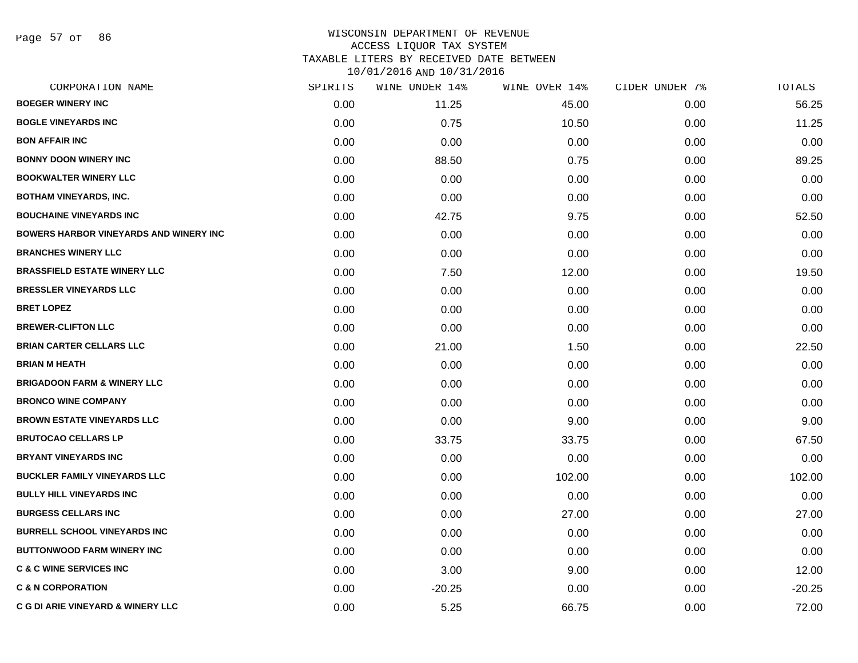Page 57 of 86

# WISCONSIN DEPARTMENT OF REVENUE ACCESS LIQUOR TAX SYSTEM TAXABLE LITERS BY RECEIVED DATE BETWEEN

| CORPORATION NAME                              | SPIRITS | WINE UNDER 14% | WINE OVER 14% | CIDER UNDER 7% | TOTALS   |
|-----------------------------------------------|---------|----------------|---------------|----------------|----------|
| <b>BOEGER WINERY INC</b>                      | 0.00    | 11.25          | 45.00         | 0.00           | 56.25    |
| <b>BOGLE VINEYARDS INC</b>                    | 0.00    | 0.75           | 10.50         | 0.00           | 11.25    |
| <b>BON AFFAIR INC</b>                         | 0.00    | 0.00           | 0.00          | 0.00           | 0.00     |
| <b>BONNY DOON WINERY INC</b>                  | 0.00    | 88.50          | 0.75          | 0.00           | 89.25    |
| <b>BOOKWALTER WINERY LLC</b>                  | 0.00    | 0.00           | 0.00          | 0.00           | 0.00     |
| <b>BOTHAM VINEYARDS, INC.</b>                 | 0.00    | 0.00           | 0.00          | 0.00           | 0.00     |
| <b>BOUCHAINE VINEYARDS INC</b>                | 0.00    | 42.75          | 9.75          | 0.00           | 52.50    |
| <b>BOWERS HARBOR VINEYARDS AND WINERY INC</b> | 0.00    | 0.00           | 0.00          | 0.00           | 0.00     |
| <b>BRANCHES WINERY LLC</b>                    | 0.00    | 0.00           | 0.00          | 0.00           | 0.00     |
| <b>BRASSFIELD ESTATE WINERY LLC</b>           | 0.00    | 7.50           | 12.00         | 0.00           | 19.50    |
| <b>BRESSLER VINEYARDS LLC</b>                 | 0.00    | 0.00           | 0.00          | 0.00           | 0.00     |
| <b>BRET LOPEZ</b>                             | 0.00    | 0.00           | 0.00          | 0.00           | 0.00     |
| <b>BREWER-CLIFTON LLC</b>                     | 0.00    | 0.00           | 0.00          | 0.00           | 0.00     |
| <b>BRIAN CARTER CELLARS LLC</b>               | 0.00    | 21.00          | 1.50          | 0.00           | 22.50    |
| <b>BRIAN M HEATH</b>                          | 0.00    | 0.00           | 0.00          | 0.00           | 0.00     |
| <b>BRIGADOON FARM &amp; WINERY LLC</b>        | 0.00    | 0.00           | 0.00          | 0.00           | 0.00     |
| <b>BRONCO WINE COMPANY</b>                    | 0.00    | 0.00           | 0.00          | 0.00           | 0.00     |
| <b>BROWN ESTATE VINEYARDS LLC</b>             | 0.00    | 0.00           | 9.00          | 0.00           | 9.00     |
| <b>BRUTOCAO CELLARS LP</b>                    | 0.00    | 33.75          | 33.75         | 0.00           | 67.50    |
| <b>BRYANT VINEYARDS INC</b>                   | 0.00    | 0.00           | 0.00          | 0.00           | 0.00     |
| <b>BUCKLER FAMILY VINEYARDS LLC</b>           | 0.00    | 0.00           | 102.00        | 0.00           | 102.00   |
| <b>BULLY HILL VINEYARDS INC</b>               | 0.00    | 0.00           | 0.00          | 0.00           | 0.00     |
| <b>BURGESS CELLARS INC</b>                    | 0.00    | 0.00           | 27.00         | 0.00           | 27.00    |
| <b>BURRELL SCHOOL VINEYARDS INC</b>           | 0.00    | 0.00           | 0.00          | 0.00           | 0.00     |
| <b>BUTTONWOOD FARM WINERY INC</b>             | 0.00    | 0.00           | 0.00          | 0.00           | 0.00     |
| <b>C &amp; C WINE SERVICES INC</b>            | 0.00    | 3.00           | 9.00          | 0.00           | 12.00    |
| <b>C &amp; N CORPORATION</b>                  | 0.00    | $-20.25$       | 0.00          | 0.00           | $-20.25$ |
| <b>C G DI ARIE VINEYARD &amp; WINERY LLC</b>  | 0.00    | 5.25           | 66.75         | 0.00           | 72.00    |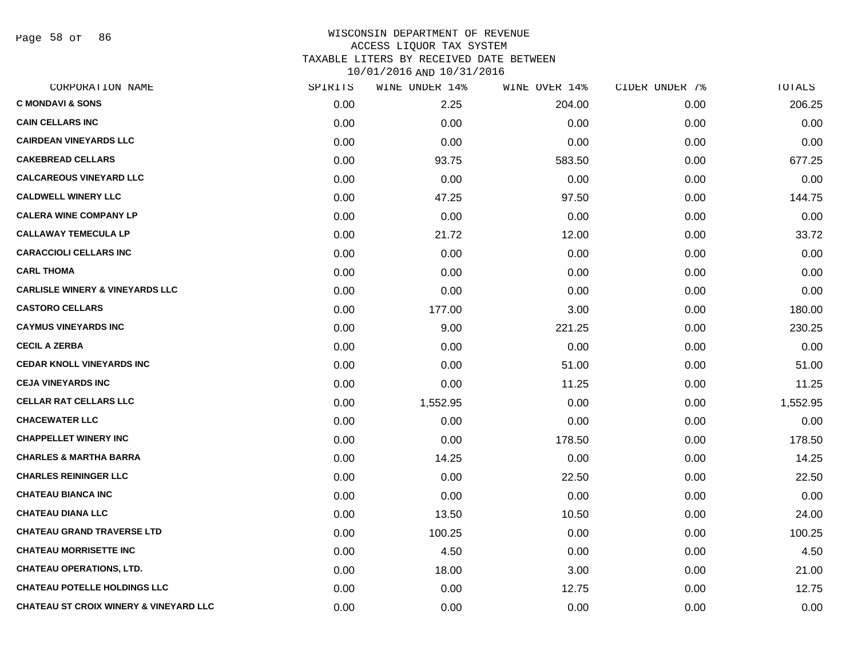Page 58 of 86

# WISCONSIN DEPARTMENT OF REVENUE ACCESS LIQUOR TAX SYSTEM TAXABLE LITERS BY RECEIVED DATE BETWEEN

| CORPORATION NAME                                  | SPIRITS | WINE UNDER 14% | WINE OVER 14% | CIDER UNDER 7% | TOTALS   |
|---------------------------------------------------|---------|----------------|---------------|----------------|----------|
| <b>C MONDAVI &amp; SONS</b>                       | 0.00    | 2.25           | 204.00        | 0.00           | 206.25   |
| <b>CAIN CELLARS INC</b>                           | 0.00    | 0.00           | 0.00          | 0.00           | 0.00     |
| <b>CAIRDEAN VINEYARDS LLC</b>                     | 0.00    | 0.00           | 0.00          | 0.00           | 0.00     |
| <b>CAKEBREAD CELLARS</b>                          | 0.00    | 93.75          | 583.50        | 0.00           | 677.25   |
| <b>CALCAREOUS VINEYARD LLC</b>                    | 0.00    | 0.00           | 0.00          | 0.00           | 0.00     |
| <b>CALDWELL WINERY LLC</b>                        | 0.00    | 47.25          | 97.50         | 0.00           | 144.75   |
| <b>CALERA WINE COMPANY LP</b>                     | 0.00    | 0.00           | 0.00          | 0.00           | 0.00     |
| <b>CALLAWAY TEMECULA LP</b>                       | 0.00    | 21.72          | 12.00         | 0.00           | 33.72    |
| <b>CARACCIOLI CELLARS INC</b>                     | 0.00    | 0.00           | 0.00          | 0.00           | 0.00     |
| <b>CARL THOMA</b>                                 | 0.00    | 0.00           | 0.00          | 0.00           | 0.00     |
| <b>CARLISLE WINERY &amp; VINEYARDS LLC</b>        | 0.00    | 0.00           | 0.00          | 0.00           | 0.00     |
| <b>CASTORO CELLARS</b>                            | 0.00    | 177.00         | 3.00          | 0.00           | 180.00   |
| <b>CAYMUS VINEYARDS INC</b>                       | 0.00    | 9.00           | 221.25        | 0.00           | 230.25   |
| <b>CECIL A ZERBA</b>                              | 0.00    | 0.00           | 0.00          | 0.00           | 0.00     |
| <b>CEDAR KNOLL VINEYARDS INC</b>                  | 0.00    | 0.00           | 51.00         | 0.00           | 51.00    |
| <b>CEJA VINEYARDS INC</b>                         | 0.00    | 0.00           | 11.25         | 0.00           | 11.25    |
| <b>CELLAR RAT CELLARS LLC</b>                     | 0.00    | 1,552.95       | 0.00          | 0.00           | 1,552.95 |
| <b>CHACEWATER LLC</b>                             | 0.00    | 0.00           | 0.00          | 0.00           | 0.00     |
| <b>CHAPPELLET WINERY INC</b>                      | 0.00    | 0.00           | 178.50        | 0.00           | 178.50   |
| <b>CHARLES &amp; MARTHA BARRA</b>                 | 0.00    | 14.25          | 0.00          | 0.00           | 14.25    |
| <b>CHARLES REININGER LLC</b>                      | 0.00    | 0.00           | 22.50         | 0.00           | 22.50    |
| <b>CHATEAU BIANCA INC</b>                         | 0.00    | 0.00           | 0.00          | 0.00           | 0.00     |
| <b>CHATEAU DIANA LLC</b>                          | 0.00    | 13.50          | 10.50         | 0.00           | 24.00    |
| <b>CHATEAU GRAND TRAVERSE LTD</b>                 | 0.00    | 100.25         | 0.00          | 0.00           | 100.25   |
| <b>CHATEAU MORRISETTE INC</b>                     | 0.00    | 4.50           | 0.00          | 0.00           | 4.50     |
| <b>CHATEAU OPERATIONS, LTD.</b>                   | 0.00    | 18.00          | 3.00          | 0.00           | 21.00    |
| <b>CHATEAU POTELLE HOLDINGS LLC</b>               | 0.00    | 0.00           | 12.75         | 0.00           | 12.75    |
| <b>CHATEAU ST CROIX WINERY &amp; VINEYARD LLC</b> | 0.00    | 0.00           | 0.00          | 0.00           | 0.00     |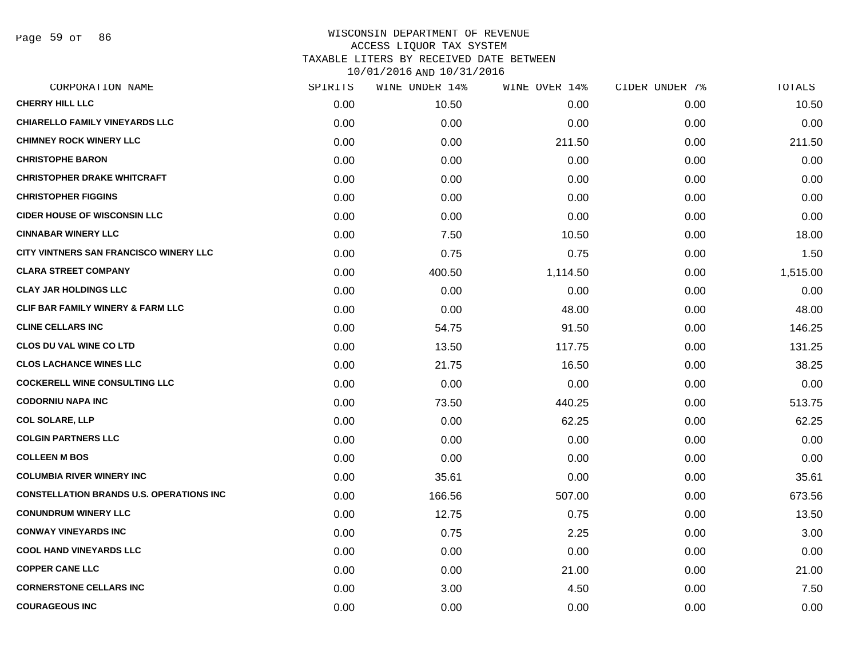Page 59 of 86

| CORPORATION NAME                                | SPIRITS | WINE UNDER 14% | WINE OVER 14% | CIDER UNDER 7% | TOTALS   |
|-------------------------------------------------|---------|----------------|---------------|----------------|----------|
| <b>CHERRY HILL LLC</b>                          | 0.00    | 10.50          | 0.00          | 0.00           | 10.50    |
| <b>CHIARELLO FAMILY VINEYARDS LLC</b>           | 0.00    | 0.00           | 0.00          | 0.00           | 0.00     |
| <b>CHIMNEY ROCK WINERY LLC</b>                  | 0.00    | 0.00           | 211.50        | 0.00           | 211.50   |
| <b>CHRISTOPHE BARON</b>                         | 0.00    | 0.00           | 0.00          | 0.00           | 0.00     |
| <b>CHRISTOPHER DRAKE WHITCRAFT</b>              | 0.00    | 0.00           | 0.00          | 0.00           | 0.00     |
| <b>CHRISTOPHER FIGGINS</b>                      | 0.00    | 0.00           | 0.00          | 0.00           | 0.00     |
| <b>CIDER HOUSE OF WISCONSIN LLC</b>             | 0.00    | 0.00           | 0.00          | 0.00           | 0.00     |
| <b>CINNABAR WINERY LLC</b>                      | 0.00    | 7.50           | 10.50         | 0.00           | 18.00    |
| CITY VINTNERS SAN FRANCISCO WINERY LLC          | 0.00    | 0.75           | 0.75          | 0.00           | 1.50     |
| <b>CLARA STREET COMPANY</b>                     | 0.00    | 400.50         | 1,114.50      | 0.00           | 1,515.00 |
| <b>CLAY JAR HOLDINGS LLC</b>                    | 0.00    | 0.00           | 0.00          | 0.00           | 0.00     |
| <b>CLIF BAR FAMILY WINERY &amp; FARM LLC</b>    | 0.00    | 0.00           | 48.00         | 0.00           | 48.00    |
| <b>CLINE CELLARS INC</b>                        | 0.00    | 54.75          | 91.50         | 0.00           | 146.25   |
| <b>CLOS DU VAL WINE CO LTD</b>                  | 0.00    | 13.50          | 117.75        | 0.00           | 131.25   |
| <b>CLOS LACHANCE WINES LLC</b>                  | 0.00    | 21.75          | 16.50         | 0.00           | 38.25    |
| <b>COCKERELL WINE CONSULTING LLC</b>            | 0.00    | 0.00           | 0.00          | 0.00           | 0.00     |
| <b>CODORNIU NAPA INC</b>                        | 0.00    | 73.50          | 440.25        | 0.00           | 513.75   |
| <b>COL SOLARE, LLP</b>                          | 0.00    | 0.00           | 62.25         | 0.00           | 62.25    |
| <b>COLGIN PARTNERS LLC</b>                      | 0.00    | 0.00           | 0.00          | 0.00           | 0.00     |
| <b>COLLEEN M BOS</b>                            | 0.00    | 0.00           | 0.00          | 0.00           | 0.00     |
| <b>COLUMBIA RIVER WINERY INC</b>                | 0.00    | 35.61          | 0.00          | 0.00           | 35.61    |
| <b>CONSTELLATION BRANDS U.S. OPERATIONS INC</b> | 0.00    | 166.56         | 507.00        | 0.00           | 673.56   |
| <b>CONUNDRUM WINERY LLC</b>                     | 0.00    | 12.75          | 0.75          | 0.00           | 13.50    |
| <b>CONWAY VINEYARDS INC</b>                     | 0.00    | 0.75           | 2.25          | 0.00           | 3.00     |
| <b>COOL HAND VINEYARDS LLC</b>                  | 0.00    | 0.00           | 0.00          | 0.00           | 0.00     |
| <b>COPPER CANE LLC</b>                          | 0.00    | 0.00           | 21.00         | 0.00           | 21.00    |
| <b>CORNERSTONE CELLARS INC</b>                  | 0.00    | 3.00           | 4.50          | 0.00           | 7.50     |
| <b>COURAGEOUS INC</b>                           | 0.00    | 0.00           | 0.00          | 0.00           | 0.00     |
|                                                 |         |                |               |                |          |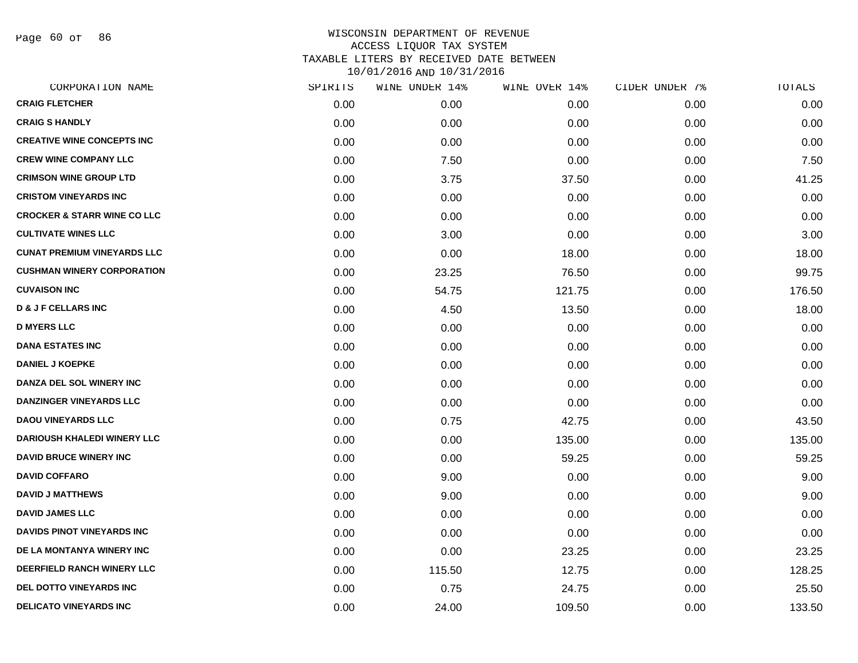Page 60 of 86

| CORPORATION NAME                       | SPIRITS | WINE UNDER 14% | WINE OVER 14% | CIDER UNDER 7% | TOTALS |
|----------------------------------------|---------|----------------|---------------|----------------|--------|
| <b>CRAIG FLETCHER</b>                  | 0.00    | 0.00           | 0.00          | 0.00           | 0.00   |
| <b>CRAIG S HANDLY</b>                  | 0.00    | 0.00           | 0.00          | 0.00           | 0.00   |
| <b>CREATIVE WINE CONCEPTS INC</b>      | 0.00    | 0.00           | 0.00          | 0.00           | 0.00   |
| <b>CREW WINE COMPANY LLC</b>           | 0.00    | 7.50           | 0.00          | 0.00           | 7.50   |
| <b>CRIMSON WINE GROUP LTD</b>          | 0.00    | 3.75           | 37.50         | 0.00           | 41.25  |
| <b>CRISTOM VINEYARDS INC</b>           | 0.00    | 0.00           | 0.00          | 0.00           | 0.00   |
| <b>CROCKER &amp; STARR WINE CO LLC</b> | 0.00    | 0.00           | 0.00          | 0.00           | 0.00   |
| <b>CULTIVATE WINES LLC</b>             | 0.00    | 3.00           | 0.00          | 0.00           | 3.00   |
| <b>CUNAT PREMIUM VINEYARDS LLC</b>     | 0.00    | 0.00           | 18.00         | 0.00           | 18.00  |
| <b>CUSHMAN WINERY CORPORATION</b>      | 0.00    | 23.25          | 76.50         | 0.00           | 99.75  |
| <b>CUVAISON INC</b>                    | 0.00    | 54.75          | 121.75        | 0.00           | 176.50 |
| <b>D &amp; J F CELLARS INC</b>         | 0.00    | 4.50           | 13.50         | 0.00           | 18.00  |
| <b>D MYERS LLC</b>                     | 0.00    | 0.00           | 0.00          | 0.00           | 0.00   |
| <b>DANA ESTATES INC</b>                | 0.00    | 0.00           | 0.00          | 0.00           | 0.00   |
| <b>DANIEL J KOEPKE</b>                 | 0.00    | 0.00           | 0.00          | 0.00           | 0.00   |
| DANZA DEL SOL WINERY INC               | 0.00    | 0.00           | 0.00          | 0.00           | 0.00   |
| <b>DANZINGER VINEYARDS LLC</b>         | 0.00    | 0.00           | 0.00          | 0.00           | 0.00   |
| <b>DAOU VINEYARDS LLC</b>              | 0.00    | 0.75           | 42.75         | 0.00           | 43.50  |
| <b>DARIOUSH KHALEDI WINERY LLC</b>     | 0.00    | 0.00           | 135.00        | 0.00           | 135.00 |
| <b>DAVID BRUCE WINERY INC</b>          | 0.00    | 0.00           | 59.25         | 0.00           | 59.25  |
| <b>DAVID COFFARO</b>                   | 0.00    | 9.00           | 0.00          | 0.00           | 9.00   |
| <b>DAVID J MATTHEWS</b>                | 0.00    | 9.00           | 0.00          | 0.00           | 9.00   |
| <b>DAVID JAMES LLC</b>                 | 0.00    | 0.00           | 0.00          | 0.00           | 0.00   |
| <b>DAVIDS PINOT VINEYARDS INC</b>      | 0.00    | 0.00           | 0.00          | 0.00           | 0.00   |
| DE LA MONTANYA WINERY INC              | 0.00    | 0.00           | 23.25         | 0.00           | 23.25  |
| DEERFIELD RANCH WINERY LLC             | 0.00    | 115.50         | 12.75         | 0.00           | 128.25 |
| DEL DOTTO VINEYARDS INC                | 0.00    | 0.75           | 24.75         | 0.00           | 25.50  |
| <b>DELICATO VINEYARDS INC</b>          | 0.00    | 24.00          | 109.50        | 0.00           | 133.50 |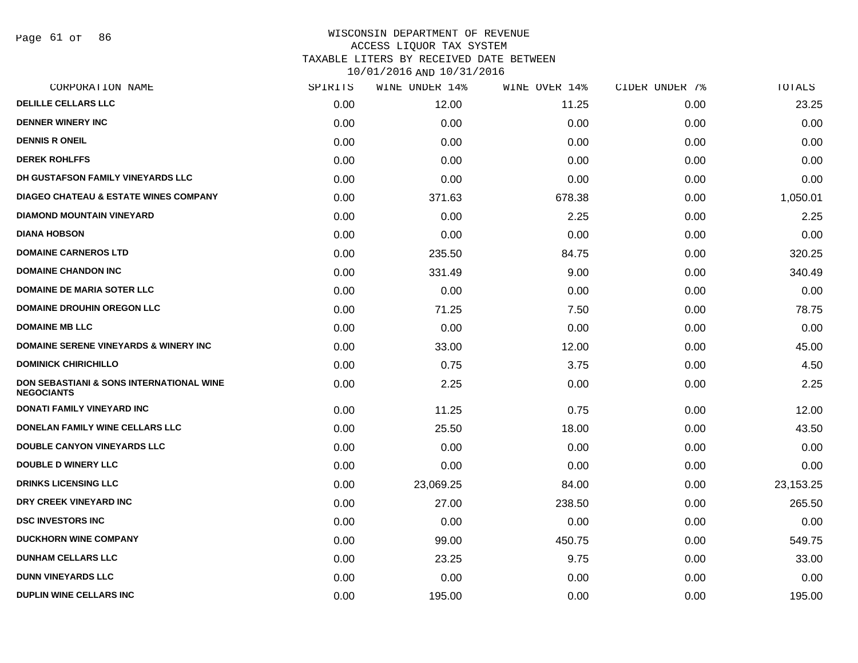| CORPORATION NAME                                                         | SPIRITS | WINE UNDER 14% | WINE OVER 14% | CIDER UNDER 7% | <b>TOTALS</b> |
|--------------------------------------------------------------------------|---------|----------------|---------------|----------------|---------------|
| <b>DELILLE CELLARS LLC</b>                                               | 0.00    | 12.00          | 11.25         | 0.00           | 23.25         |
| <b>DENNER WINERY INC</b>                                                 | 0.00    | 0.00           | 0.00          | 0.00           | 0.00          |
| <b>DENNIS R ONEIL</b>                                                    | 0.00    | 0.00           | 0.00          | 0.00           | 0.00          |
| <b>DEREK ROHLFFS</b>                                                     | 0.00    | 0.00           | 0.00          | 0.00           | 0.00          |
| DH GUSTAFSON FAMILY VINEYARDS LLC                                        | 0.00    | 0.00           | 0.00          | 0.00           | 0.00          |
| <b>DIAGEO CHATEAU &amp; ESTATE WINES COMPANY</b>                         | 0.00    | 371.63         | 678.38        | 0.00           | 1,050.01      |
| <b>DIAMOND MOUNTAIN VINEYARD</b>                                         | 0.00    | 0.00           | 2.25          | 0.00           | 2.25          |
| <b>DIANA HOBSON</b>                                                      | 0.00    | 0.00           | 0.00          | 0.00           | 0.00          |
| <b>DOMAINE CARNEROS LTD</b>                                              | 0.00    | 235.50         | 84.75         | 0.00           | 320.25        |
| <b>DOMAINE CHANDON INC</b>                                               | 0.00    | 331.49         | 9.00          | 0.00           | 340.49        |
| <b>DOMAINE DE MARIA SOTER LLC</b>                                        | 0.00    | 0.00           | 0.00          | 0.00           | 0.00          |
| <b>DOMAINE DROUHIN OREGON LLC</b>                                        | 0.00    | 71.25          | 7.50          | 0.00           | 78.75         |
| <b>DOMAINE MB LLC</b>                                                    | 0.00    | 0.00           | 0.00          | 0.00           | 0.00          |
| <b>DOMAINE SERENE VINEYARDS &amp; WINERY INC</b>                         | 0.00    | 33.00          | 12.00         | 0.00           | 45.00         |
| <b>DOMINICK CHIRICHILLO</b>                                              | 0.00    | 0.75           | 3.75          | 0.00           | 4.50          |
| <b>DON SEBASTIANI &amp; SONS INTERNATIONAL WINE</b><br><b>NEGOCIANTS</b> | 0.00    | 2.25           | 0.00          | 0.00           | 2.25          |
| <b>DONATI FAMILY VINEYARD INC</b>                                        | 0.00    | 11.25          | 0.75          | 0.00           | 12.00         |
| DONELAN FAMILY WINE CELLARS LLC                                          | 0.00    | 25.50          | 18.00         | 0.00           | 43.50         |
| <b>DOUBLE CANYON VINEYARDS LLC</b>                                       | 0.00    | 0.00           | 0.00          | 0.00           | 0.00          |
| <b>DOUBLE D WINERY LLC</b>                                               | 0.00    | 0.00           | 0.00          | 0.00           | 0.00          |
| <b>DRINKS LICENSING LLC</b>                                              | 0.00    | 23,069.25      | 84.00         | 0.00           | 23,153.25     |
| DRY CREEK VINEYARD INC                                                   | 0.00    | 27.00          | 238.50        | 0.00           | 265.50        |
| <b>DSC INVESTORS INC</b>                                                 | 0.00    | 0.00           | 0.00          | 0.00           | 0.00          |
| <b>DUCKHORN WINE COMPANY</b>                                             | 0.00    | 99.00          | 450.75        | 0.00           | 549.75        |
| <b>DUNHAM CELLARS LLC</b>                                                | 0.00    | 23.25          | 9.75          | 0.00           | 33.00         |
| <b>DUNN VINEYARDS LLC</b>                                                | 0.00    | 0.00           | 0.00          | 0.00           | 0.00          |
| <b>DUPLIN WINE CELLARS INC</b>                                           | 0.00    | 195.00         | 0.00          | 0.00           | 195.00        |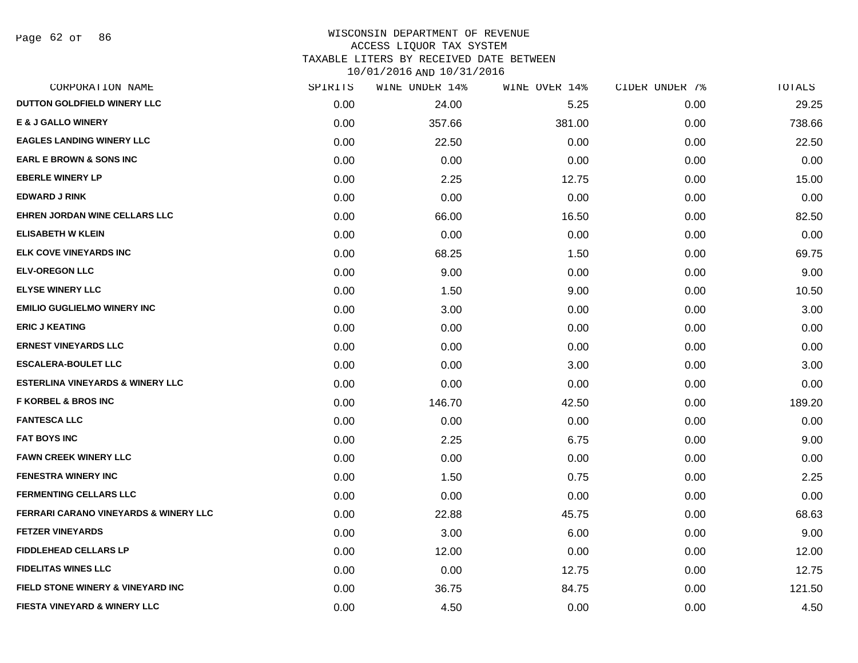Page 62 of 86

#### WISCONSIN DEPARTMENT OF REVENUE ACCESS LIQUOR TAX SYSTEM TAXABLE LITERS BY RECEIVED DATE BETWEEN

| CORPORATION NAME                            | SPIRITS | WINE UNDER 14% | WINE OVER 14% | CIDER UNDER 7% | <b>TOTALS</b> |
|---------------------------------------------|---------|----------------|---------------|----------------|---------------|
| DUTTON GOLDFIELD WINERY LLC                 | 0.00    | 24.00          | 5.25          | 0.00           | 29.25         |
| <b>E &amp; J GALLO WINERY</b>               | 0.00    | 357.66         | 381.00        | 0.00           | 738.66        |
| <b>EAGLES LANDING WINERY LLC</b>            | 0.00    | 22.50          | 0.00          | 0.00           | 22.50         |
| <b>EARL E BROWN &amp; SONS INC</b>          | 0.00    | 0.00           | 0.00          | 0.00           | 0.00          |
| <b>EBERLE WINERY LP</b>                     | 0.00    | 2.25           | 12.75         | 0.00           | 15.00         |
| <b>EDWARD J RINK</b>                        | 0.00    | 0.00           | 0.00          | 0.00           | 0.00          |
| EHREN JORDAN WINE CELLARS LLC               | 0.00    | 66.00          | 16.50         | 0.00           | 82.50         |
| <b>ELISABETH W KLEIN</b>                    | 0.00    | 0.00           | 0.00          | 0.00           | 0.00          |
| ELK COVE VINEYARDS INC                      | 0.00    | 68.25          | 1.50          | 0.00           | 69.75         |
| <b>ELV-OREGON LLC</b>                       | 0.00    | 9.00           | 0.00          | 0.00           | 9.00          |
| <b>ELYSE WINERY LLC</b>                     | 0.00    | 1.50           | 9.00          | 0.00           | 10.50         |
| <b>EMILIO GUGLIELMO WINERY INC</b>          | 0.00    | 3.00           | 0.00          | 0.00           | 3.00          |
| <b>ERIC J KEATING</b>                       | 0.00    | 0.00           | 0.00          | 0.00           | 0.00          |
| <b>ERNEST VINEYARDS LLC</b>                 | 0.00    | 0.00           | 0.00          | 0.00           | 0.00          |
| <b>ESCALERA-BOULET LLC</b>                  | 0.00    | 0.00           | 3.00          | 0.00           | 3.00          |
| <b>ESTERLINA VINEYARDS &amp; WINERY LLC</b> | 0.00    | 0.00           | 0.00          | 0.00           | 0.00          |
| <b>F KORBEL &amp; BROS INC</b>              | 0.00    | 146.70         | 42.50         | 0.00           | 189.20        |
| <b>FANTESCA LLC</b>                         | 0.00    | 0.00           | 0.00          | 0.00           | 0.00          |
| <b>FAT BOYS INC</b>                         | 0.00    | 2.25           | 6.75          | 0.00           | 9.00          |
| <b>FAWN CREEK WINERY LLC</b>                | 0.00    | 0.00           | 0.00          | 0.00           | 0.00          |
| <b>FENESTRA WINERY INC</b>                  | 0.00    | 1.50           | 0.75          | 0.00           | 2.25          |
| <b>FERMENTING CELLARS LLC</b>               | 0.00    | 0.00           | 0.00          | 0.00           | 0.00          |
| FERRARI CARANO VINEYARDS & WINERY LLC       | 0.00    | 22.88          | 45.75         | 0.00           | 68.63         |
| <b>FETZER VINEYARDS</b>                     | 0.00    | 3.00           | 6.00          | 0.00           | 9.00          |
| <b>FIDDLEHEAD CELLARS LP</b>                | 0.00    | 12.00          | 0.00          | 0.00           | 12.00         |
| <b>FIDELITAS WINES LLC</b>                  | 0.00    | 0.00           | 12.75         | 0.00           | 12.75         |
| FIELD STONE WINERY & VINEYARD INC           | 0.00    | 36.75          | 84.75         | 0.00           | 121.50        |
| <b>FIESTA VINEYARD &amp; WINERY LLC</b>     | 0.00    | 4.50           | 0.00          | 0.00           | 4.50          |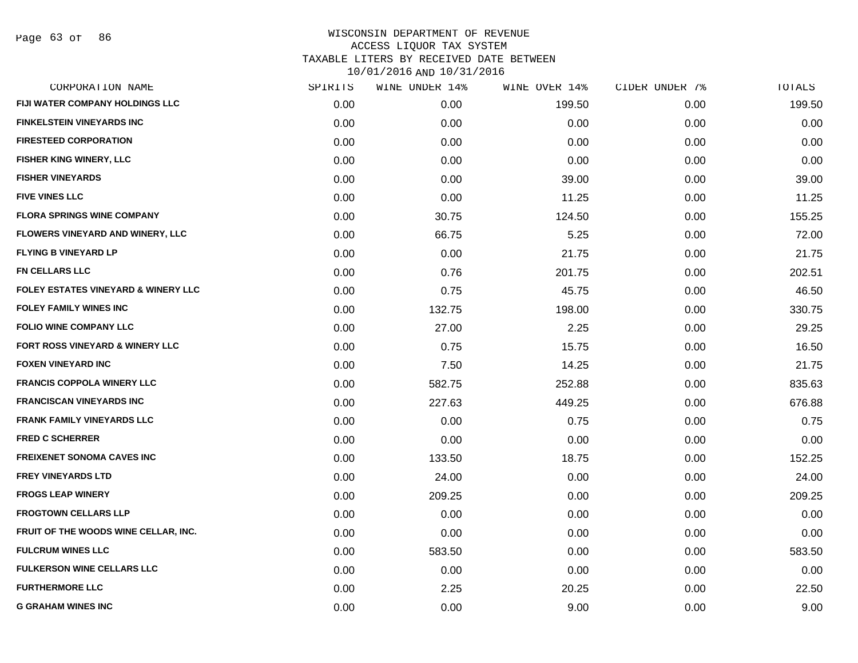Page 63 of 86

|      | WINE UNDER 14% | WINE OVER 14% | CIDER UNDER 7% | TOTALS |
|------|----------------|---------------|----------------|--------|
| 0.00 | 0.00           | 199.50        | 0.00           | 199.50 |
| 0.00 | 0.00           | 0.00          | 0.00           | 0.00   |
| 0.00 | 0.00           | 0.00          | 0.00           | 0.00   |
| 0.00 | 0.00           | 0.00          | 0.00           | 0.00   |
| 0.00 | 0.00           | 39.00         | 0.00           | 39.00  |
| 0.00 | 0.00           | 11.25         | 0.00           | 11.25  |
| 0.00 | 30.75          | 124.50        | 0.00           | 155.25 |
| 0.00 | 66.75          | 5.25          | 0.00           | 72.00  |
| 0.00 | 0.00           | 21.75         | 0.00           | 21.75  |
| 0.00 | 0.76           | 201.75        | 0.00           | 202.51 |
| 0.00 | 0.75           | 45.75         | 0.00           | 46.50  |
| 0.00 | 132.75         | 198.00        | 0.00           | 330.75 |
| 0.00 | 27.00          | 2.25          | 0.00           | 29.25  |
| 0.00 | 0.75           | 15.75         | 0.00           | 16.50  |
| 0.00 | 7.50           | 14.25         | 0.00           | 21.75  |
| 0.00 | 582.75         | 252.88        | 0.00           | 835.63 |
| 0.00 | 227.63         | 449.25        | 0.00           | 676.88 |
| 0.00 | 0.00           | 0.75          | 0.00           | 0.75   |
| 0.00 | 0.00           | 0.00          | 0.00           | 0.00   |
| 0.00 | 133.50         | 18.75         | 0.00           | 152.25 |
| 0.00 | 24.00          | 0.00          | 0.00           | 24.00  |
| 0.00 | 209.25         | 0.00          | 0.00           | 209.25 |
| 0.00 | 0.00           | 0.00          | 0.00           | 0.00   |
| 0.00 | 0.00           | 0.00          | 0.00           | 0.00   |
| 0.00 | 583.50         | 0.00          | 0.00           | 583.50 |
| 0.00 | 0.00           | 0.00          | 0.00           | 0.00   |
| 0.00 | 2.25           | 20.25         | 0.00           | 22.50  |
| 0.00 | 0.00           | 9.00          | 0.00           | 9.00   |
|      | SPIRITS        |               |                |        |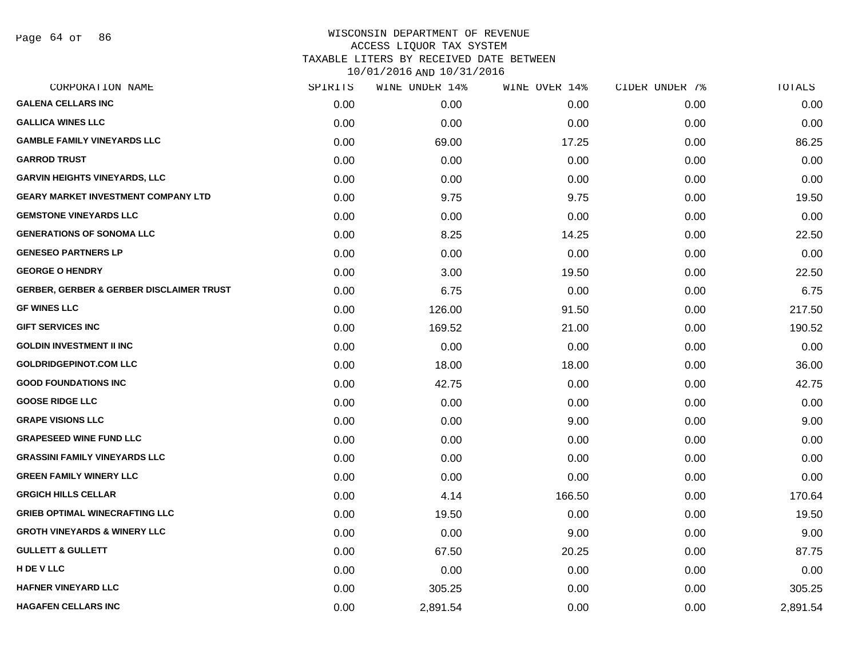Page 64 of 86

| CORPORATION NAME                                    | SPIRITS | WINE UNDER 14% | WINE OVER 14% | CIDER UNDER 7% | <b>TOTALS</b> |
|-----------------------------------------------------|---------|----------------|---------------|----------------|---------------|
| <b>GALENA CELLARS INC</b>                           | 0.00    | 0.00           | 0.00          | 0.00           | 0.00          |
| <b>GALLICA WINES LLC</b>                            | 0.00    | 0.00           | 0.00          | 0.00           | 0.00          |
| <b>GAMBLE FAMILY VINEYARDS LLC</b>                  | 0.00    | 69.00          | 17.25         | 0.00           | 86.25         |
| <b>GARROD TRUST</b>                                 | 0.00    | 0.00           | 0.00          | 0.00           | 0.00          |
| <b>GARVIN HEIGHTS VINEYARDS, LLC</b>                | 0.00    | 0.00           | 0.00          | 0.00           | 0.00          |
| <b>GEARY MARKET INVESTMENT COMPANY LTD</b>          | 0.00    | 9.75           | 9.75          | 0.00           | 19.50         |
| <b>GEMSTONE VINEYARDS LLC</b>                       | 0.00    | 0.00           | 0.00          | 0.00           | 0.00          |
| <b>GENERATIONS OF SONOMA LLC</b>                    | 0.00    | 8.25           | 14.25         | 0.00           | 22.50         |
| <b>GENESEO PARTNERS LP</b>                          | 0.00    | 0.00           | 0.00          | 0.00           | 0.00          |
| <b>GEORGE O HENDRY</b>                              | 0.00    | 3.00           | 19.50         | 0.00           | 22.50         |
| <b>GERBER, GERBER &amp; GERBER DISCLAIMER TRUST</b> | 0.00    | 6.75           | 0.00          | 0.00           | 6.75          |
| <b>GF WINES LLC</b>                                 | 0.00    | 126.00         | 91.50         | 0.00           | 217.50        |
| <b>GIFT SERVICES INC</b>                            | 0.00    | 169.52         | 21.00         | 0.00           | 190.52        |
| <b>GOLDIN INVESTMENT II INC</b>                     | 0.00    | 0.00           | 0.00          | 0.00           | 0.00          |
| <b>GOLDRIDGEPINOT.COM LLC</b>                       | 0.00    | 18.00          | 18.00         | 0.00           | 36.00         |
| <b>GOOD FOUNDATIONS INC</b>                         | 0.00    | 42.75          | 0.00          | 0.00           | 42.75         |
| <b>GOOSE RIDGE LLC</b>                              | 0.00    | 0.00           | 0.00          | 0.00           | 0.00          |
| <b>GRAPE VISIONS LLC</b>                            | 0.00    | 0.00           | 9.00          | 0.00           | 9.00          |
| <b>GRAPESEED WINE FUND LLC</b>                      | 0.00    | 0.00           | 0.00          | 0.00           | 0.00          |
| <b>GRASSINI FAMILY VINEYARDS LLC</b>                | 0.00    | 0.00           | 0.00          | 0.00           | 0.00          |
| <b>GREEN FAMILY WINERY LLC</b>                      | 0.00    | 0.00           | 0.00          | 0.00           | 0.00          |
| <b>GRGICH HILLS CELLAR</b>                          | 0.00    | 4.14           | 166.50        | 0.00           | 170.64        |
| <b>GRIEB OPTIMAL WINECRAFTING LLC</b>               | 0.00    | 19.50          | 0.00          | 0.00           | 19.50         |
| <b>GROTH VINEYARDS &amp; WINERY LLC</b>             | 0.00    | 0.00           | 9.00          | 0.00           | 9.00          |
| <b>GULLETT &amp; GULLETT</b>                        | 0.00    | 67.50          | 20.25         | 0.00           | 87.75         |
| <b>H DE V LLC</b>                                   | 0.00    | 0.00           | 0.00          | 0.00           | 0.00          |
| <b>HAFNER VINEYARD LLC</b>                          | 0.00    | 305.25         | 0.00          | 0.00           | 305.25        |
| <b>HAGAFEN CELLARS INC</b>                          | 0.00    | 2,891.54       | 0.00          | 0.00           | 2,891.54      |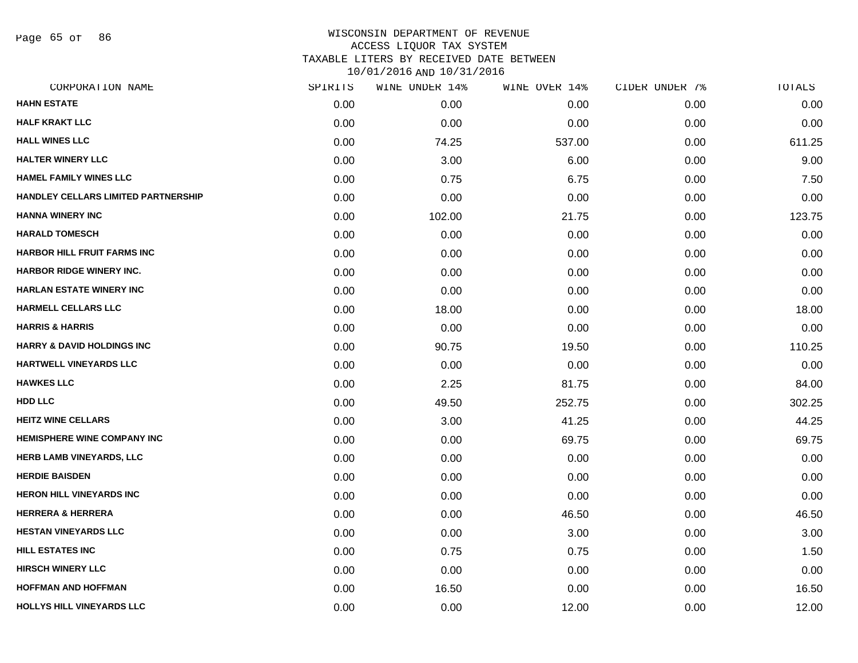Page 65 of 86

## WISCONSIN DEPARTMENT OF REVENUE ACCESS LIQUOR TAX SYSTEM TAXABLE LITERS BY RECEIVED DATE BETWEEN

| CORPORATION NAME                      | SPIRITS | WINE UNDER 14% | WINE OVER 14% | CIDER UNDER 7% | TOTALS |
|---------------------------------------|---------|----------------|---------------|----------------|--------|
| <b>HAHN ESTATE</b>                    | 0.00    | 0.00           | 0.00          | 0.00           | 0.00   |
| <b>HALF KRAKT LLC</b>                 | 0.00    | 0.00           | 0.00          | 0.00           | 0.00   |
| <b>HALL WINES LLC</b>                 | 0.00    | 74.25          | 537.00        | 0.00           | 611.25 |
| <b>HALTER WINERY LLC</b>              | 0.00    | 3.00           | 6.00          | 0.00           | 9.00   |
| <b>HAMEL FAMILY WINES LLC</b>         | 0.00    | 0.75           | 6.75          | 0.00           | 7.50   |
| HANDLEY CELLARS LIMITED PARTNERSHIP   | 0.00    | 0.00           | 0.00          | 0.00           | 0.00   |
| <b>HANNA WINERY INC</b>               | 0.00    | 102.00         | 21.75         | 0.00           | 123.75 |
| <b>HARALD TOMESCH</b>                 | 0.00    | 0.00           | 0.00          | 0.00           | 0.00   |
| <b>HARBOR HILL FRUIT FARMS INC</b>    | 0.00    | 0.00           | 0.00          | 0.00           | 0.00   |
| HARBOR RIDGE WINERY INC.              | 0.00    | 0.00           | 0.00          | 0.00           | 0.00   |
| <b>HARLAN ESTATE WINERY INC</b>       | 0.00    | 0.00           | 0.00          | 0.00           | 0.00   |
| <b>HARMELL CELLARS LLC</b>            | 0.00    | 18.00          | 0.00          | 0.00           | 18.00  |
| <b>HARRIS &amp; HARRIS</b>            | 0.00    | 0.00           | 0.00          | 0.00           | 0.00   |
| <b>HARRY &amp; DAVID HOLDINGS INC</b> | 0.00    | 90.75          | 19.50         | 0.00           | 110.25 |
| <b>HARTWELL VINEYARDS LLC</b>         | 0.00    | 0.00           | 0.00          | 0.00           | 0.00   |
| <b>HAWKES LLC</b>                     | 0.00    | 2.25           | 81.75         | 0.00           | 84.00  |
| HDD LLC                               | 0.00    | 49.50          | 252.75        | 0.00           | 302.25 |
| <b>HEITZ WINE CELLARS</b>             | 0.00    | 3.00           | 41.25         | 0.00           | 44.25  |
| <b>HEMISPHERE WINE COMPANY INC</b>    | 0.00    | 0.00           | 69.75         | 0.00           | 69.75  |
| <b>HERB LAMB VINEYARDS, LLC</b>       | 0.00    | 0.00           | 0.00          | 0.00           | 0.00   |
| <b>HERDIE BAISDEN</b>                 | 0.00    | 0.00           | 0.00          | 0.00           | 0.00   |
| <b>HERON HILL VINEYARDS INC</b>       | 0.00    | 0.00           | 0.00          | 0.00           | 0.00   |
| <b>HERRERA &amp; HERRERA</b>          | 0.00    | 0.00           | 46.50         | 0.00           | 46.50  |
| <b>HESTAN VINEYARDS LLC</b>           | 0.00    | 0.00           | 3.00          | 0.00           | 3.00   |
| <b>HILL ESTATES INC</b>               | 0.00    | 0.75           | 0.75          | 0.00           | 1.50   |
| <b>HIRSCH WINERY LLC</b>              | 0.00    | 0.00           | 0.00          | 0.00           | 0.00   |
| <b>HOFFMAN AND HOFFMAN</b>            | 0.00    | 16.50          | 0.00          | 0.00           | 16.50  |
| HOLLYS HILL VINEYARDS LLC             | 0.00    | 0.00           | 12.00         | 0.00           | 12.00  |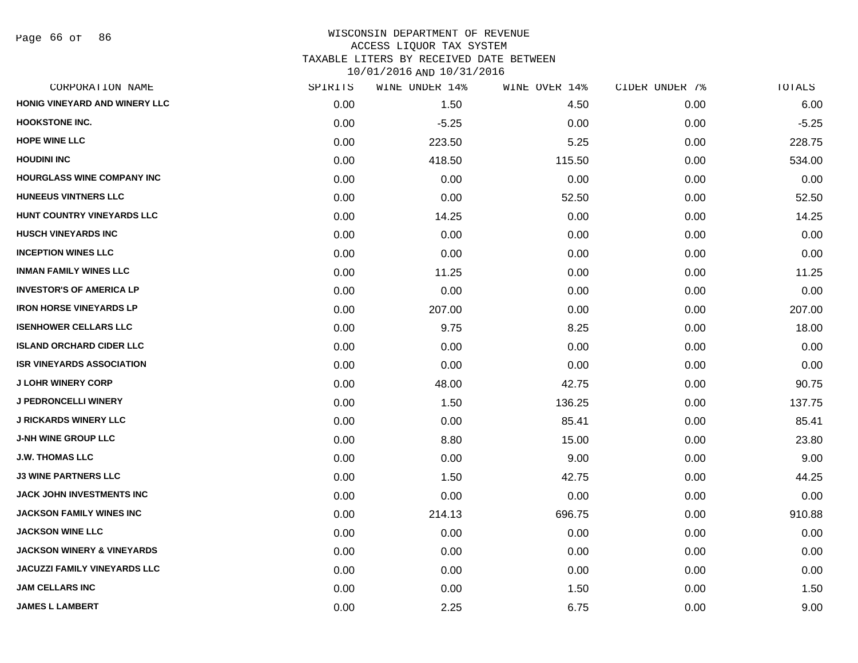| CORPORATION NAME                      | SPIRITS | WINE UNDER 14% | WINE OVER 14% | CIDER UNDER 7% | TOTALS  |
|---------------------------------------|---------|----------------|---------------|----------------|---------|
| HONIG VINEYARD AND WINERY LLC         | 0.00    | 1.50           | 4.50          | 0.00           | 6.00    |
| <b>HOOKSTONE INC.</b>                 | 0.00    | $-5.25$        | 0.00          | 0.00           | $-5.25$ |
| <b>HOPE WINE LLC</b>                  | 0.00    | 223.50         | 5.25          | 0.00           | 228.75  |
| <b>HOUDINI INC</b>                    | 0.00    | 418.50         | 115.50        | 0.00           | 534.00  |
| <b>HOURGLASS WINE COMPANY INC</b>     | 0.00    | 0.00           | 0.00          | 0.00           | 0.00    |
| <b>HUNEEUS VINTNERS LLC</b>           | 0.00    | 0.00           | 52.50         | 0.00           | 52.50   |
| HUNT COUNTRY VINEYARDS LLC            | 0.00    | 14.25          | 0.00          | 0.00           | 14.25   |
| <b>HUSCH VINEYARDS INC</b>            | 0.00    | 0.00           | 0.00          | 0.00           | 0.00    |
| <b>INCEPTION WINES LLC</b>            | 0.00    | 0.00           | 0.00          | 0.00           | 0.00    |
| <b>INMAN FAMILY WINES LLC</b>         | 0.00    | 11.25          | 0.00          | 0.00           | 11.25   |
| <b>INVESTOR'S OF AMERICA LP</b>       | 0.00    | 0.00           | 0.00          | 0.00           | 0.00    |
| <b>IRON HORSE VINEYARDS LP</b>        | 0.00    | 207.00         | 0.00          | 0.00           | 207.00  |
| <b>ISENHOWER CELLARS LLC</b>          | 0.00    | 9.75           | 8.25          | 0.00           | 18.00   |
| <b>ISLAND ORCHARD CIDER LLC</b>       | 0.00    | 0.00           | 0.00          | 0.00           | 0.00    |
| <b>ISR VINEYARDS ASSOCIATION</b>      | 0.00    | 0.00           | 0.00          | 0.00           | 0.00    |
| <b>J LOHR WINERY CORP</b>             | 0.00    | 48.00          | 42.75         | 0.00           | 90.75   |
| <b>J PEDRONCELLI WINERY</b>           | 0.00    | 1.50           | 136.25        | 0.00           | 137.75  |
| <b>J RICKARDS WINERY LLC</b>          | 0.00    | 0.00           | 85.41         | 0.00           | 85.41   |
| <b>J-NH WINE GROUP LLC</b>            | 0.00    | 8.80           | 15.00         | 0.00           | 23.80   |
| <b>J.W. THOMAS LLC</b>                | 0.00    | 0.00           | 9.00          | 0.00           | 9.00    |
| <b>J3 WINE PARTNERS LLC</b>           | 0.00    | 1.50           | 42.75         | 0.00           | 44.25   |
| <b>JACK JOHN INVESTMENTS INC</b>      | 0.00    | 0.00           | 0.00          | 0.00           | 0.00    |
| <b>JACKSON FAMILY WINES INC</b>       | 0.00    | 214.13         | 696.75        | 0.00           | 910.88  |
| <b>JACKSON WINE LLC</b>               | 0.00    | 0.00           | 0.00          | 0.00           | 0.00    |
| <b>JACKSON WINERY &amp; VINEYARDS</b> | 0.00    | 0.00           | 0.00          | 0.00           | 0.00    |
| <b>JACUZZI FAMILY VINEYARDS LLC</b>   | 0.00    | 0.00           | 0.00          | 0.00           | 0.00    |
| <b>JAM CELLARS INC</b>                | 0.00    | 0.00           | 1.50          | 0.00           | 1.50    |
| <b>JAMES L LAMBERT</b>                | 0.00    | 2.25           | 6.75          | 0.00           | 9.00    |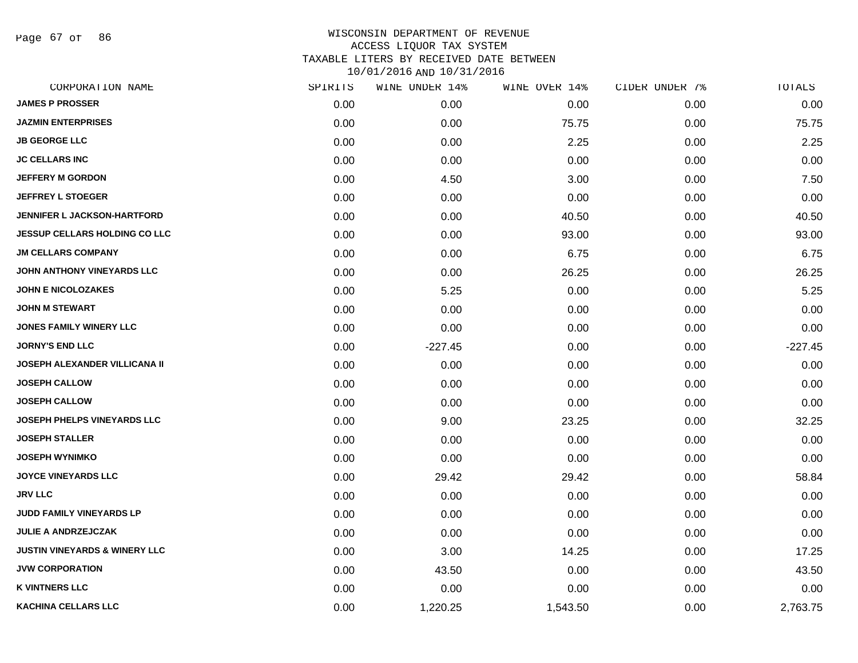Page 67 of 86

| CORPORATION NAME                         | SPIRITS | WINE UNDER 14% | WINE OVER 14% | CIDER UNDER 7% | TOTALS    |
|------------------------------------------|---------|----------------|---------------|----------------|-----------|
| <b>JAMES P PROSSER</b>                   | 0.00    | 0.00           | 0.00          | 0.00           | 0.00      |
| <b>JAZMIN ENTERPRISES</b>                | 0.00    | 0.00           | 75.75         | 0.00           | 75.75     |
| <b>JB GEORGE LLC</b>                     | 0.00    | 0.00           | 2.25          | 0.00           | 2.25      |
| <b>JC CELLARS INC</b>                    | 0.00    | 0.00           | 0.00          | 0.00           | 0.00      |
| <b>JEFFERY M GORDON</b>                  | 0.00    | 4.50           | 3.00          | 0.00           | 7.50      |
| <b>JEFFREY L STOEGER</b>                 | 0.00    | 0.00           | 0.00          | 0.00           | 0.00      |
| <b>JENNIFER L JACKSON-HARTFORD</b>       | 0.00    | 0.00           | 40.50         | 0.00           | 40.50     |
| <b>JESSUP CELLARS HOLDING CO LLC</b>     | 0.00    | 0.00           | 93.00         | 0.00           | 93.00     |
| <b>JM CELLARS COMPANY</b>                | 0.00    | 0.00           | 6.75          | 0.00           | 6.75      |
| JOHN ANTHONY VINEYARDS LLC               | 0.00    | 0.00           | 26.25         | 0.00           | 26.25     |
| <b>JOHN E NICOLOZAKES</b>                | 0.00    | 5.25           | 0.00          | 0.00           | 5.25      |
| <b>JOHN M STEWART</b>                    | 0.00    | 0.00           | 0.00          | 0.00           | 0.00      |
| JONES FAMILY WINERY LLC                  | 0.00    | 0.00           | 0.00          | 0.00           | 0.00      |
| <b>JORNY'S END LLC</b>                   | 0.00    | $-227.45$      | 0.00          | 0.00           | $-227.45$ |
| <b>JOSEPH ALEXANDER VILLICANA II</b>     | 0.00    | 0.00           | 0.00          | 0.00           | 0.00      |
| <b>JOSEPH CALLOW</b>                     | 0.00    | 0.00           | 0.00          | 0.00           | 0.00      |
| <b>JOSEPH CALLOW</b>                     | 0.00    | 0.00           | 0.00          | 0.00           | 0.00      |
| <b>JOSEPH PHELPS VINEYARDS LLC</b>       | 0.00    | 9.00           | 23.25         | 0.00           | 32.25     |
| <b>JOSEPH STALLER</b>                    | 0.00    | 0.00           | 0.00          | 0.00           | 0.00      |
| <b>JOSEPH WYNIMKO</b>                    | 0.00    | 0.00           | 0.00          | 0.00           | 0.00      |
| <b>JOYCE VINEYARDS LLC</b>               | 0.00    | 29.42          | 29.42         | 0.00           | 58.84     |
| <b>JRV LLC</b>                           | 0.00    | 0.00           | 0.00          | 0.00           | 0.00      |
| JUDD FAMILY VINEYARDS LP                 | 0.00    | 0.00           | 0.00          | 0.00           | 0.00      |
| <b>JULIE A ANDRZEJCZAK</b>               | 0.00    | 0.00           | 0.00          | 0.00           | 0.00      |
| <b>JUSTIN VINEYARDS &amp; WINERY LLC</b> | 0.00    | 3.00           | 14.25         | 0.00           | 17.25     |
| <b>JVW CORPORATION</b>                   | 0.00    | 43.50          | 0.00          | 0.00           | 43.50     |
| <b>K VINTNERS LLC</b>                    | 0.00    | 0.00           | 0.00          | 0.00           | 0.00      |
| <b>KACHINA CELLARS LLC</b>               | 0.00    | 1,220.25       | 1,543.50      | 0.00           | 2,763.75  |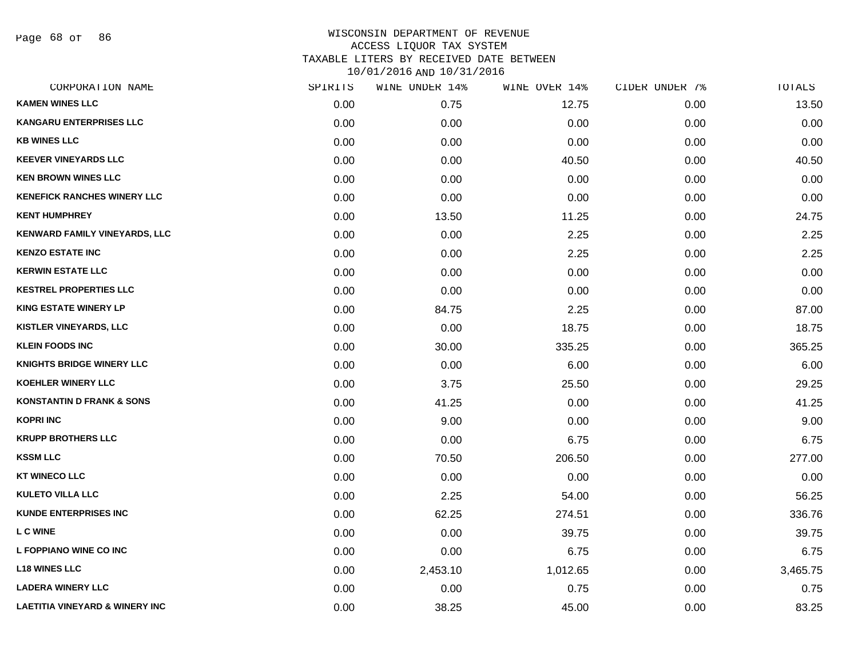Page 68 of 86

| CORPORATION NAME                          | SPIRITS | WINE UNDER 14% | WINE OVER 14% | CIDER UNDER 7% | TOTALS   |
|-------------------------------------------|---------|----------------|---------------|----------------|----------|
| <b>KAMEN WINES LLC</b>                    | 0.00    | 0.75           | 12.75         | 0.00           | 13.50    |
| <b>KANGARU ENTERPRISES LLC</b>            | 0.00    | 0.00           | 0.00          | 0.00           | 0.00     |
| <b>KB WINES LLC</b>                       | 0.00    | 0.00           | 0.00          | 0.00           | 0.00     |
| <b>KEEVER VINEYARDS LLC</b>               | 0.00    | 0.00           | 40.50         | 0.00           | 40.50    |
| <b>KEN BROWN WINES LLC</b>                | 0.00    | 0.00           | 0.00          | 0.00           | 0.00     |
| <b>KENEFICK RANCHES WINERY LLC</b>        | 0.00    | 0.00           | 0.00          | 0.00           | 0.00     |
| <b>KENT HUMPHREY</b>                      | 0.00    | 13.50          | 11.25         | 0.00           | 24.75    |
| <b>KENWARD FAMILY VINEYARDS, LLC</b>      | 0.00    | 0.00           | 2.25          | 0.00           | 2.25     |
| <b>KENZO ESTATE INC</b>                   | 0.00    | 0.00           | 2.25          | 0.00           | 2.25     |
| <b>KERWIN ESTATE LLC</b>                  | 0.00    | 0.00           | 0.00          | 0.00           | 0.00     |
| <b>KESTREL PROPERTIES LLC</b>             | 0.00    | 0.00           | 0.00          | 0.00           | 0.00     |
| <b>KING ESTATE WINERY LP</b>              | 0.00    | 84.75          | 2.25          | 0.00           | 87.00    |
| KISTLER VINEYARDS, LLC                    | 0.00    | 0.00           | 18.75         | 0.00           | 18.75    |
| <b>KLEIN FOODS INC</b>                    | 0.00    | 30.00          | 335.25        | 0.00           | 365.25   |
| <b>KNIGHTS BRIDGE WINERY LLC</b>          | 0.00    | 0.00           | 6.00          | 0.00           | 6.00     |
| <b>KOEHLER WINERY LLC</b>                 | 0.00    | 3.75           | 25.50         | 0.00           | 29.25    |
| <b>KONSTANTIN D FRANK &amp; SONS</b>      | 0.00    | 41.25          | 0.00          | 0.00           | 41.25    |
| <b>KOPRI INC</b>                          | 0.00    | 9.00           | 0.00          | 0.00           | 9.00     |
| <b>KRUPP BROTHERS LLC</b>                 | 0.00    | 0.00           | 6.75          | 0.00           | 6.75     |
| <b>KSSM LLC</b>                           | 0.00    | 70.50          | 206.50        | 0.00           | 277.00   |
| <b>KT WINECO LLC</b>                      | 0.00    | 0.00           | 0.00          | 0.00           | 0.00     |
| <b>KULETO VILLA LLC</b>                   | 0.00    | 2.25           | 54.00         | 0.00           | 56.25    |
| <b>KUNDE ENTERPRISES INC</b>              | 0.00    | 62.25          | 274.51        | 0.00           | 336.76   |
| <b>L C WINE</b>                           | 0.00    | 0.00           | 39.75         | 0.00           | 39.75    |
| L FOPPIANO WINE CO INC                    | 0.00    | 0.00           | 6.75          | 0.00           | 6.75     |
| <b>L18 WINES LLC</b>                      | 0.00    | 2,453.10       | 1,012.65      | 0.00           | 3,465.75 |
| <b>LADERA WINERY LLC</b>                  | 0.00    | 0.00           | 0.75          | 0.00           | 0.75     |
| <b>LAETITIA VINEYARD &amp; WINERY INC</b> | 0.00    | 38.25          | 45.00         | 0.00           | 83.25    |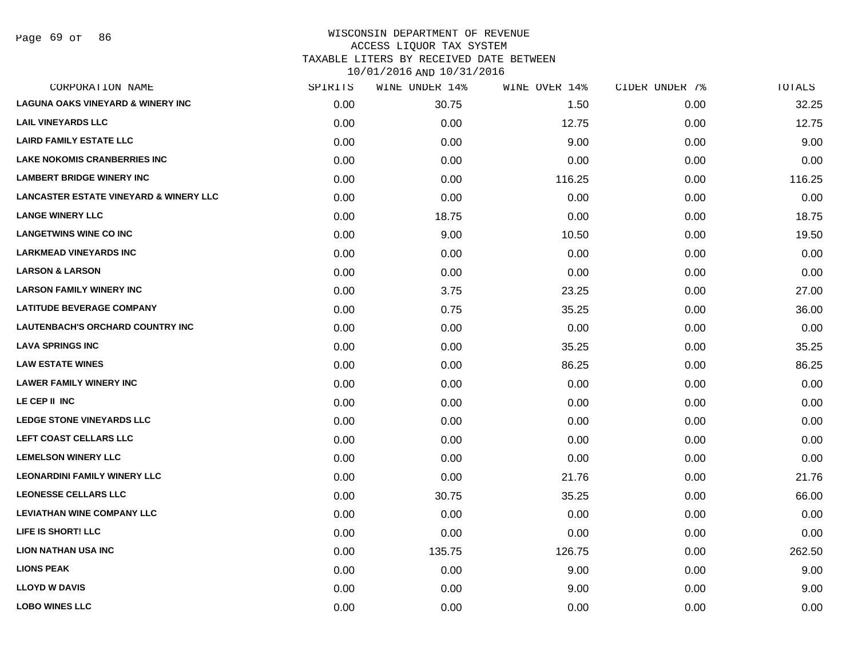Page 69 of 86

| CORPORATION NAME                                  | SPIRITS | WINE UNDER 14% | WINE OVER 14% | CIDER UNDER 7% | <b>TOTALS</b> |
|---------------------------------------------------|---------|----------------|---------------|----------------|---------------|
| <b>LAGUNA OAKS VINEYARD &amp; WINERY INC</b>      | 0.00    | 30.75          | 1.50          | 0.00           | 32.25         |
| <b>LAIL VINEYARDS LLC</b>                         | 0.00    | 0.00           | 12.75         | 0.00           | 12.75         |
| <b>LAIRD FAMILY ESTATE LLC</b>                    | 0.00    | 0.00           | 9.00          | 0.00           | 9.00          |
| <b>LAKE NOKOMIS CRANBERRIES INC</b>               | 0.00    | 0.00           | 0.00          | 0.00           | 0.00          |
| <b>LAMBERT BRIDGE WINERY INC</b>                  | 0.00    | 0.00           | 116.25        | 0.00           | 116.25        |
| <b>LANCASTER ESTATE VINEYARD &amp; WINERY LLC</b> | 0.00    | 0.00           | 0.00          | 0.00           | 0.00          |
| <b>LANGE WINERY LLC</b>                           | 0.00    | 18.75          | 0.00          | 0.00           | 18.75         |
| <b>LANGETWINS WINE CO INC</b>                     | 0.00    | 9.00           | 10.50         | 0.00           | 19.50         |
| <b>LARKMEAD VINEYARDS INC</b>                     | 0.00    | 0.00           | 0.00          | 0.00           | 0.00          |
| <b>LARSON &amp; LARSON</b>                        | 0.00    | 0.00           | 0.00          | 0.00           | 0.00          |
| <b>LARSON FAMILY WINERY INC</b>                   | 0.00    | 3.75           | 23.25         | 0.00           | 27.00         |
| <b>LATITUDE BEVERAGE COMPANY</b>                  | 0.00    | 0.75           | 35.25         | 0.00           | 36.00         |
| LAUTENBACH'S ORCHARD COUNTRY INC                  | 0.00    | 0.00           | 0.00          | 0.00           | 0.00          |
| <b>LAVA SPRINGS INC</b>                           | 0.00    | 0.00           | 35.25         | 0.00           | 35.25         |
| <b>LAW ESTATE WINES</b>                           | 0.00    | 0.00           | 86.25         | 0.00           | 86.25         |
| <b>LAWER FAMILY WINERY INC</b>                    | 0.00    | 0.00           | 0.00          | 0.00           | 0.00          |
| LE CEP II INC                                     | 0.00    | 0.00           | 0.00          | 0.00           | 0.00          |
| <b>LEDGE STONE VINEYARDS LLC</b>                  | 0.00    | 0.00           | 0.00          | 0.00           | 0.00          |
| LEFT COAST CELLARS LLC                            | 0.00    | 0.00           | 0.00          | 0.00           | 0.00          |
| <b>LEMELSON WINERY LLC</b>                        | 0.00    | 0.00           | 0.00          | 0.00           | 0.00          |
| <b>LEONARDINI FAMILY WINERY LLC</b>               | 0.00    | 0.00           | 21.76         | 0.00           | 21.76         |
| <b>LEONESSE CELLARS LLC</b>                       | 0.00    | 30.75          | 35.25         | 0.00           | 66.00         |
| <b>LEVIATHAN WINE COMPANY LLC</b>                 | 0.00    | 0.00           | 0.00          | 0.00           | 0.00          |
| LIFE IS SHORT! LLC                                | 0.00    | 0.00           | 0.00          | 0.00           | 0.00          |
| <b>LION NATHAN USA INC</b>                        | 0.00    | 135.75         | 126.75        | 0.00           | 262.50        |
| <b>LIONS PEAK</b>                                 | 0.00    | 0.00           | 9.00          | 0.00           | 9.00          |
| <b>LLOYD W DAVIS</b>                              | 0.00    | 0.00           | 9.00          | 0.00           | 9.00          |
| <b>LOBO WINES LLC</b>                             | 0.00    | 0.00           | 0.00          | 0.00           | 0.00          |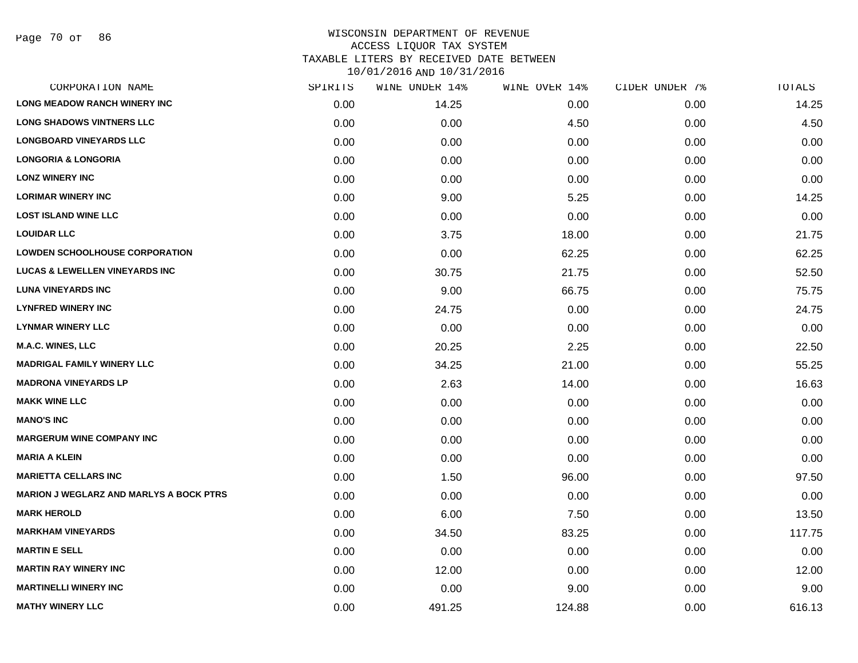Page 70 of 86

| CORPORATION NAME                               | SPIRITS | WINE UNDER 14% | WINE OVER 14% | CIDER UNDER 7% | TOTALS |
|------------------------------------------------|---------|----------------|---------------|----------------|--------|
| <b>LONG MEADOW RANCH WINERY INC</b>            | 0.00    | 14.25          | 0.00          | 0.00           | 14.25  |
| <b>LONG SHADOWS VINTNERS LLC</b>               | 0.00    | 0.00           | 4.50          | 0.00           | 4.50   |
| <b>LONGBOARD VINEYARDS LLC</b>                 | 0.00    | 0.00           | 0.00          | 0.00           | 0.00   |
| <b>LONGORIA &amp; LONGORIA</b>                 | 0.00    | 0.00           | 0.00          | 0.00           | 0.00   |
| <b>LONZ WINERY INC</b>                         | 0.00    | 0.00           | 0.00          | 0.00           | 0.00   |
| <b>LORIMAR WINERY INC</b>                      | 0.00    | 9.00           | 5.25          | 0.00           | 14.25  |
| <b>LOST ISLAND WINE LLC</b>                    | 0.00    | 0.00           | 0.00          | 0.00           | 0.00   |
| <b>LOUIDAR LLC</b>                             | 0.00    | 3.75           | 18.00         | 0.00           | 21.75  |
| <b>LOWDEN SCHOOLHOUSE CORPORATION</b>          | 0.00    | 0.00           | 62.25         | 0.00           | 62.25  |
| <b>LUCAS &amp; LEWELLEN VINEYARDS INC</b>      | 0.00    | 30.75          | 21.75         | 0.00           | 52.50  |
| <b>LUNA VINEYARDS INC</b>                      | 0.00    | 9.00           | 66.75         | 0.00           | 75.75  |
| <b>LYNFRED WINERY INC</b>                      | 0.00    | 24.75          | 0.00          | 0.00           | 24.75  |
| <b>LYNMAR WINERY LLC</b>                       | 0.00    | 0.00           | 0.00          | 0.00           | 0.00   |
| <b>M.A.C. WINES, LLC</b>                       | 0.00    | 20.25          | 2.25          | 0.00           | 22.50  |
| <b>MADRIGAL FAMILY WINERY LLC</b>              | 0.00    | 34.25          | 21.00         | 0.00           | 55.25  |
| <b>MADRONA VINEYARDS LP</b>                    | 0.00    | 2.63           | 14.00         | 0.00           | 16.63  |
| <b>MAKK WINE LLC</b>                           | 0.00    | 0.00           | 0.00          | 0.00           | 0.00   |
| <b>MANO'S INC</b>                              | 0.00    | 0.00           | 0.00          | 0.00           | 0.00   |
| <b>MARGERUM WINE COMPANY INC</b>               | 0.00    | 0.00           | 0.00          | 0.00           | 0.00   |
| <b>MARIA A KLEIN</b>                           | 0.00    | 0.00           | 0.00          | 0.00           | 0.00   |
| <b>MARIETTA CELLARS INC</b>                    | 0.00    | 1.50           | 96.00         | 0.00           | 97.50  |
| <b>MARION J WEGLARZ AND MARLYS A BOCK PTRS</b> | 0.00    | 0.00           | 0.00          | 0.00           | 0.00   |
| <b>MARK HEROLD</b>                             | 0.00    | 6.00           | 7.50          | 0.00           | 13.50  |
| <b>MARKHAM VINEYARDS</b>                       | 0.00    | 34.50          | 83.25         | 0.00           | 117.75 |
| <b>MARTIN E SELL</b>                           | 0.00    | 0.00           | 0.00          | 0.00           | 0.00   |
| <b>MARTIN RAY WINERY INC</b>                   | 0.00    | 12.00          | 0.00          | 0.00           | 12.00  |
| <b>MARTINELLI WINERY INC</b>                   | 0.00    | 0.00           | 9.00          | 0.00           | 9.00   |
| <b>MATHY WINERY LLC</b>                        | 0.00    | 491.25         | 124.88        | 0.00           | 616.13 |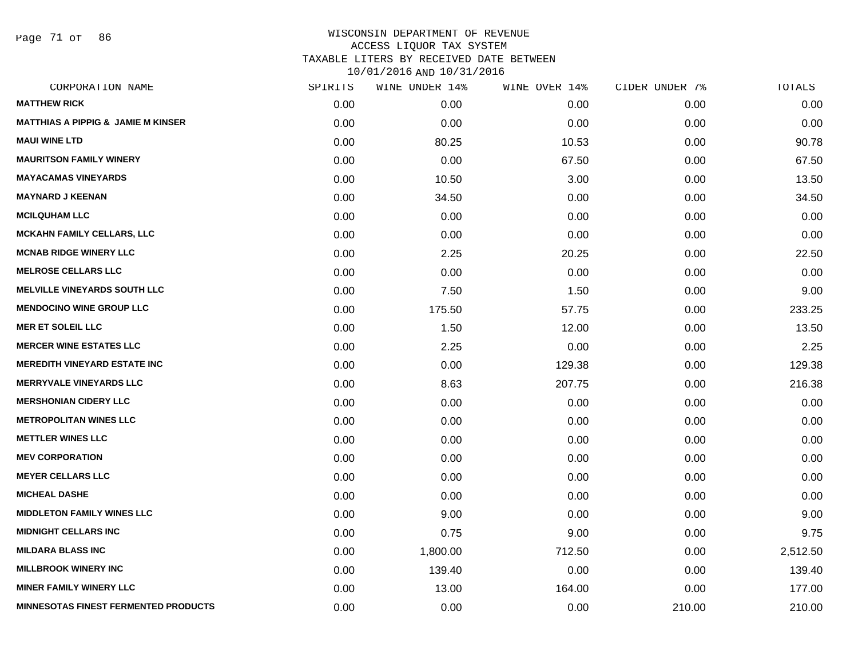Page 71 of 86

| CORPORATION NAME                              | SPIRITS | WINE UNDER 14% | WINE OVER 14% | CIDER UNDER 7% | TOTALS   |
|-----------------------------------------------|---------|----------------|---------------|----------------|----------|
| <b>MATTHEW RICK</b>                           | 0.00    | 0.00           | 0.00          | 0.00           | 0.00     |
| <b>MATTHIAS A PIPPIG &amp; JAMIE M KINSER</b> | 0.00    | 0.00           | 0.00          | 0.00           | 0.00     |
| <b>MAUI WINE LTD</b>                          | 0.00    | 80.25          | 10.53         | 0.00           | 90.78    |
| <b>MAURITSON FAMILY WINERY</b>                | 0.00    | 0.00           | 67.50         | 0.00           | 67.50    |
| <b>MAYACAMAS VINEYARDS</b>                    | 0.00    | 10.50          | 3.00          | 0.00           | 13.50    |
| <b>MAYNARD J KEENAN</b>                       | 0.00    | 34.50          | 0.00          | 0.00           | 34.50    |
| <b>MCILQUHAM LLC</b>                          | 0.00    | 0.00           | 0.00          | 0.00           | 0.00     |
| <b>MCKAHN FAMILY CELLARS, LLC</b>             | 0.00    | 0.00           | 0.00          | 0.00           | 0.00     |
| <b>MCNAB RIDGE WINERY LLC</b>                 | 0.00    | 2.25           | 20.25         | 0.00           | 22.50    |
| <b>MELROSE CELLARS LLC</b>                    | 0.00    | 0.00           | 0.00          | 0.00           | 0.00     |
| <b>MELVILLE VINEYARDS SOUTH LLC</b>           | 0.00    | 7.50           | 1.50          | 0.00           | 9.00     |
| <b>MENDOCINO WINE GROUP LLC</b>               | 0.00    | 175.50         | 57.75         | 0.00           | 233.25   |
| <b>MER ET SOLEIL LLC</b>                      | 0.00    | 1.50           | 12.00         | 0.00           | 13.50    |
| <b>MERCER WINE ESTATES LLC</b>                | 0.00    | 2.25           | 0.00          | 0.00           | 2.25     |
| <b>MEREDITH VINEYARD ESTATE INC</b>           | 0.00    | 0.00           | 129.38        | 0.00           | 129.38   |
| <b>MERRYVALE VINEYARDS LLC</b>                | 0.00    | 8.63           | 207.75        | 0.00           | 216.38   |
| <b>MERSHONIAN CIDERY LLC</b>                  | 0.00    | 0.00           | 0.00          | 0.00           | 0.00     |
| <b>METROPOLITAN WINES LLC</b>                 | 0.00    | 0.00           | 0.00          | 0.00           | 0.00     |
| <b>METTLER WINES LLC</b>                      | 0.00    | 0.00           | 0.00          | 0.00           | 0.00     |
| <b>MEV CORPORATION</b>                        | 0.00    | 0.00           | 0.00          | 0.00           | 0.00     |
| <b>MEYER CELLARS LLC</b>                      | 0.00    | 0.00           | 0.00          | 0.00           | 0.00     |
| <b>MICHEAL DASHE</b>                          | 0.00    | 0.00           | 0.00          | 0.00           | 0.00     |
| <b>MIDDLETON FAMILY WINES LLC</b>             | 0.00    | 9.00           | 0.00          | 0.00           | 9.00     |
| <b>MIDNIGHT CELLARS INC</b>                   | 0.00    | 0.75           | 9.00          | 0.00           | 9.75     |
| <b>MILDARA BLASS INC</b>                      | 0.00    | 1,800.00       | 712.50        | 0.00           | 2,512.50 |
| <b>MILLBROOK WINERY INC</b>                   | 0.00    | 139.40         | 0.00          | 0.00           | 139.40   |
| <b>MINER FAMILY WINERY LLC</b>                | 0.00    | 13.00          | 164.00        | 0.00           | 177.00   |
| <b>MINNESOTAS FINEST FERMENTED PRODUCTS</b>   | 0.00    | 0.00           | 0.00          | 210.00         | 210.00   |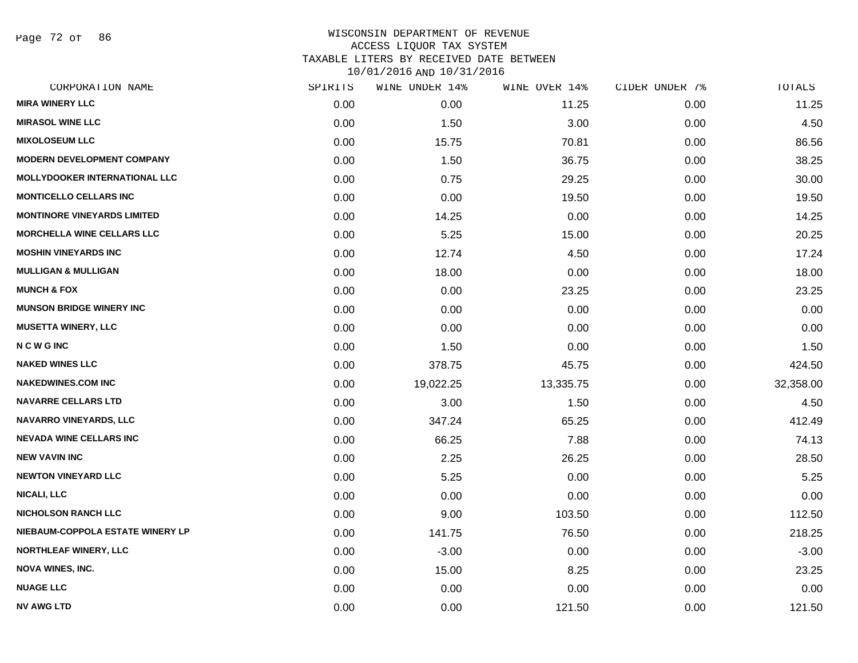Page 72 of 86

|      | WINE UNDER 14% |           | CIDER UNDER 7% | TOTALS    |
|------|----------------|-----------|----------------|-----------|
| 0.00 | 0.00           | 11.25     | 0.00           | 11.25     |
| 0.00 | 1.50           | 3.00      | 0.00           | 4.50      |
| 0.00 | 15.75          | 70.81     | 0.00           | 86.56     |
| 0.00 | 1.50           | 36.75     | 0.00           | 38.25     |
| 0.00 | 0.75           | 29.25     | 0.00           | 30.00     |
| 0.00 | 0.00           | 19.50     | 0.00           | 19.50     |
| 0.00 | 14.25          | 0.00      | 0.00           | 14.25     |
| 0.00 | 5.25           | 15.00     | 0.00           | 20.25     |
| 0.00 | 12.74          | 4.50      | 0.00           | 17.24     |
| 0.00 | 18.00          | 0.00      | 0.00           | 18.00     |
| 0.00 | 0.00           | 23.25     | 0.00           | 23.25     |
| 0.00 | 0.00           | 0.00      | 0.00           | 0.00      |
| 0.00 | 0.00           | 0.00      | 0.00           | 0.00      |
| 0.00 | 1.50           | 0.00      | 0.00           | 1.50      |
| 0.00 | 378.75         | 45.75     | 0.00           | 424.50    |
| 0.00 | 19,022.25      | 13,335.75 | 0.00           | 32,358.00 |
| 0.00 | 3.00           | 1.50      | 0.00           | 4.50      |
| 0.00 | 347.24         | 65.25     | 0.00           | 412.49    |
| 0.00 | 66.25          | 7.88      | 0.00           | 74.13     |
| 0.00 | 2.25           | 26.25     | 0.00           | 28.50     |
| 0.00 | 5.25           | 0.00      | 0.00           | 5.25      |
| 0.00 | 0.00           | 0.00      | 0.00           | 0.00      |
| 0.00 | 9.00           | 103.50    | 0.00           | 112.50    |
| 0.00 | 141.75         | 76.50     | 0.00           | 218.25    |
| 0.00 | $-3.00$        | 0.00      | 0.00           | $-3.00$   |
| 0.00 | 15.00          | 8.25      | 0.00           | 23.25     |
| 0.00 | 0.00           | 0.00      | 0.00           | 0.00      |
| 0.00 | 0.00           | 121.50    | 0.00           | 121.50    |
|      | SPIRITS        |           | WINE OVER 14%  |           |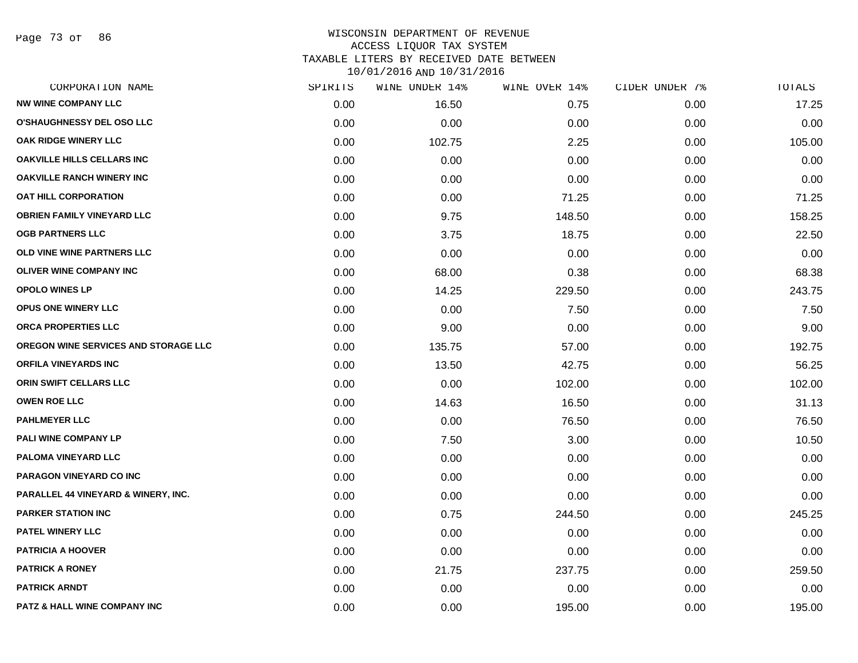Page 73 of 86

| CORPORATION NAME                               | SPIRITS | WINE UNDER 14% | WINE OVER 14% | CIDER UNDER 7% | TOTALS |
|------------------------------------------------|---------|----------------|---------------|----------------|--------|
| <b>NW WINE COMPANY LLC</b>                     | 0.00    | 16.50          | 0.75          | 0.00           | 17.25  |
| <b>O'SHAUGHNESSY DEL OSO LLC</b>               | 0.00    | 0.00           | 0.00          | 0.00           | 0.00   |
| OAK RIDGE WINERY LLC                           | 0.00    | 102.75         | 2.25          | 0.00           | 105.00 |
| <b>OAKVILLE HILLS CELLARS INC</b>              | 0.00    | 0.00           | 0.00          | 0.00           | 0.00   |
| <b>OAKVILLE RANCH WINERY INC</b>               | 0.00    | 0.00           | 0.00          | 0.00           | 0.00   |
| <b>OAT HILL CORPORATION</b>                    | 0.00    | 0.00           | 71.25         | 0.00           | 71.25  |
| <b>OBRIEN FAMILY VINEYARD LLC</b>              | 0.00    | 9.75           | 148.50        | 0.00           | 158.25 |
| <b>OGB PARTNERS LLC</b>                        | 0.00    | 3.75           | 18.75         | 0.00           | 22.50  |
| OLD VINE WINE PARTNERS LLC                     | 0.00    | 0.00           | 0.00          | 0.00           | 0.00   |
| <b>OLIVER WINE COMPANY INC</b>                 | 0.00    | 68.00          | 0.38          | 0.00           | 68.38  |
| <b>OPOLO WINES LP</b>                          | 0.00    | 14.25          | 229.50        | 0.00           | 243.75 |
| OPUS ONE WINERY LLC                            | 0.00    | 0.00           | 7.50          | 0.00           | 7.50   |
| ORCA PROPERTIES LLC                            | 0.00    | 9.00           | 0.00          | 0.00           | 9.00   |
| OREGON WINE SERVICES AND STORAGE LLC           | 0.00    | 135.75         | 57.00         | 0.00           | 192.75 |
| <b>ORFILA VINEYARDS INC</b>                    | 0.00    | 13.50          | 42.75         | 0.00           | 56.25  |
| ORIN SWIFT CELLARS LLC                         | 0.00    | 0.00           | 102.00        | 0.00           | 102.00 |
| <b>OWEN ROE LLC</b>                            | 0.00    | 14.63          | 16.50         | 0.00           | 31.13  |
| <b>PAHLMEYER LLC</b>                           | 0.00    | 0.00           | 76.50         | 0.00           | 76.50  |
| PALI WINE COMPANY LP                           | 0.00    | 7.50           | 3.00          | 0.00           | 10.50  |
| PALOMA VINEYARD LLC                            | 0.00    | 0.00           | 0.00          | 0.00           | 0.00   |
| PARAGON VINEYARD CO INC                        | 0.00    | 0.00           | 0.00          | 0.00           | 0.00   |
| <b>PARALLEL 44 VINEYARD &amp; WINERY, INC.</b> | 0.00    | 0.00           | 0.00          | 0.00           | 0.00   |
| <b>PARKER STATION INC</b>                      | 0.00    | 0.75           | 244.50        | 0.00           | 245.25 |
| <b>PATEL WINERY LLC</b>                        | 0.00    | 0.00           | 0.00          | 0.00           | 0.00   |
| <b>PATRICIA A HOOVER</b>                       | 0.00    | 0.00           | 0.00          | 0.00           | 0.00   |
| <b>PATRICK A RONEY</b>                         | 0.00    | 21.75          | 237.75        | 0.00           | 259.50 |
| <b>PATRICK ARNDT</b>                           | 0.00    | 0.00           | 0.00          | 0.00           | 0.00   |
| <b>PATZ &amp; HALL WINE COMPANY INC</b>        | 0.00    | 0.00           | 195.00        | 0.00           | 195.00 |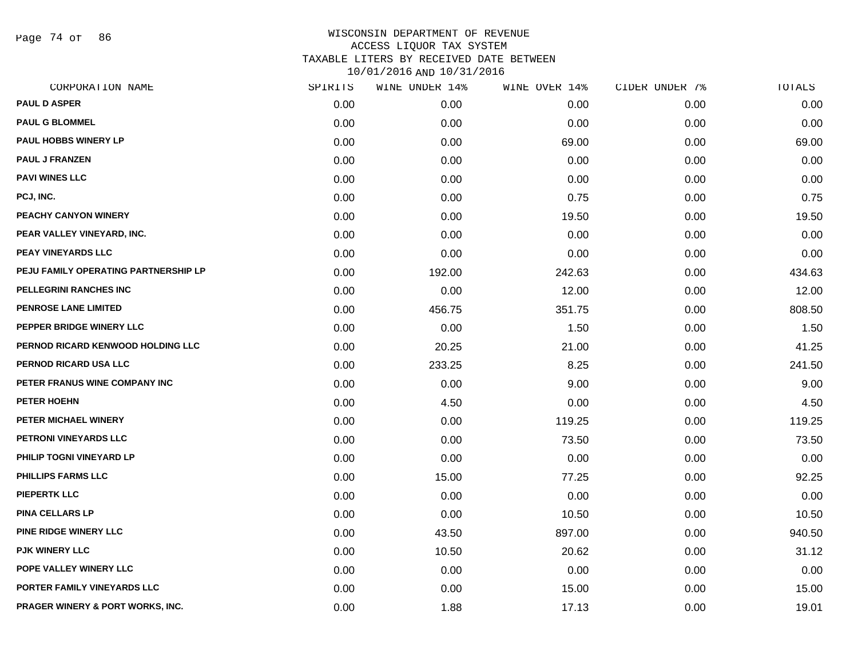Page 74 of 86

| CORPORATION NAME                     | SPIRITS | WINE UNDER 14% | WINE OVER 14% | CIDER UNDER 7% | $\tt TOTALS$ |
|--------------------------------------|---------|----------------|---------------|----------------|--------------|
| <b>PAUL D ASPER</b>                  | 0.00    | 0.00           | 0.00          | 0.00           | 0.00         |
| <b>PAUL G BLOMMEL</b>                | 0.00    | 0.00           | 0.00          | 0.00           | 0.00         |
| PAUL HOBBS WINERY LP                 | 0.00    | 0.00           | 69.00         | 0.00           | 69.00        |
| <b>PAUL J FRANZEN</b>                | 0.00    | 0.00           | 0.00          | 0.00           | 0.00         |
| <b>PAVI WINES LLC</b>                | 0.00    | 0.00           | 0.00          | 0.00           | 0.00         |
| PCJ, INC.                            | 0.00    | 0.00           | 0.75          | 0.00           | 0.75         |
| PEACHY CANYON WINERY                 | 0.00    | 0.00           | 19.50         | 0.00           | 19.50        |
| PEAR VALLEY VINEYARD, INC.           | 0.00    | 0.00           | 0.00          | 0.00           | 0.00         |
| <b>PEAY VINEYARDS LLC</b>            | 0.00    | 0.00           | 0.00          | 0.00           | 0.00         |
| PEJU FAMILY OPERATING PARTNERSHIP LP | 0.00    | 192.00         | 242.63        | 0.00           | 434.63       |
| PELLEGRINI RANCHES INC               | 0.00    | 0.00           | 12.00         | 0.00           | 12.00        |
| PENROSE LANE LIMITED                 | 0.00    | 456.75         | 351.75        | 0.00           | 808.50       |
| PEPPER BRIDGE WINERY LLC             | 0.00    | 0.00           | 1.50          | 0.00           | 1.50         |
| PERNOD RICARD KENWOOD HOLDING LLC    | 0.00    | 20.25          | 21.00         | 0.00           | 41.25        |
| PERNOD RICARD USA LLC                | 0.00    | 233.25         | 8.25          | 0.00           | 241.50       |
| PETER FRANUS WINE COMPANY INC        | 0.00    | 0.00           | 9.00          | 0.00           | 9.00         |
| <b>PETER HOEHN</b>                   | 0.00    | 4.50           | 0.00          | 0.00           | 4.50         |
| PETER MICHAEL WINERY                 | 0.00    | 0.00           | 119.25        | 0.00           | 119.25       |
| PETRONI VINEYARDS LLC                | 0.00    | 0.00           | 73.50         | 0.00           | 73.50        |
| PHILIP TOGNI VINEYARD LP             | 0.00    | 0.00           | 0.00          | 0.00           | 0.00         |
| PHILLIPS FARMS LLC                   | 0.00    | 15.00          | 77.25         | 0.00           | 92.25        |
| <b>PIEPERTK LLC</b>                  | 0.00    | 0.00           | 0.00          | 0.00           | 0.00         |
| <b>PINA CELLARS LP</b>               | 0.00    | 0.00           | 10.50         | 0.00           | 10.50        |
| PINE RIDGE WINERY LLC                | 0.00    | 43.50          | 897.00        | 0.00           | 940.50       |
| <b>PJK WINERY LLC</b>                | 0.00    | 10.50          | 20.62         | 0.00           | 31.12        |
| POPE VALLEY WINERY LLC               | 0.00    | 0.00           | 0.00          | 0.00           | 0.00         |
| PORTER FAMILY VINEYARDS LLC          | 0.00    | 0.00           | 15.00         | 0.00           | 15.00        |
| PRAGER WINERY & PORT WORKS, INC.     | 0.00    | 1.88           | 17.13         | 0.00           | 19.01        |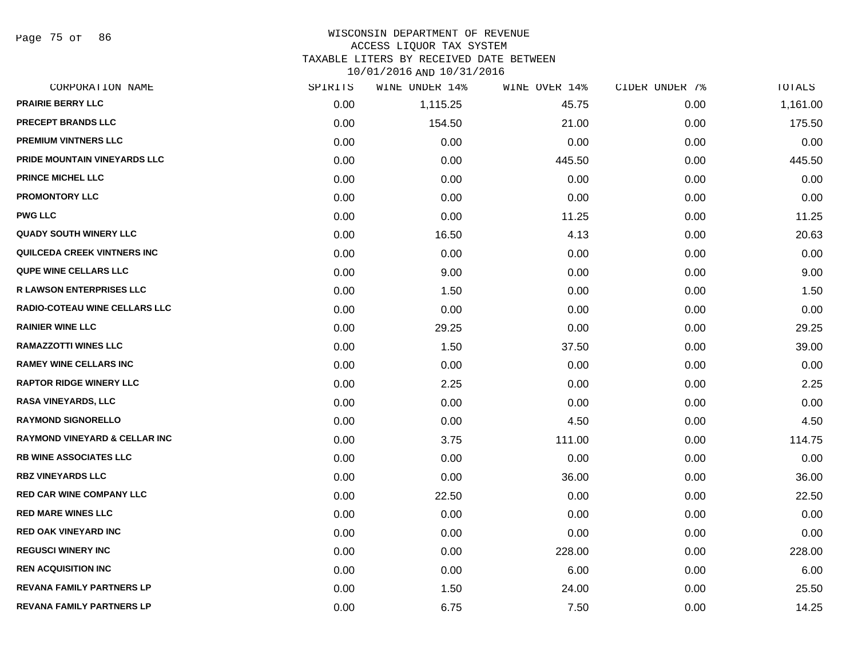Page 75 of 86

# WISCONSIN DEPARTMENT OF REVENUE ACCESS LIQUOR TAX SYSTEM

TAXABLE LITERS BY RECEIVED DATE BETWEEN

| CORPORATION NAME                         | SPIRITS | WINE UNDER 14% | WINE OVER 14% | CIDER UNDER 7% | TOTALS   |
|------------------------------------------|---------|----------------|---------------|----------------|----------|
| <b>PRAIRIE BERRY LLC</b>                 | 0.00    | 1,115.25       | 45.75         | 0.00           | 1,161.00 |
| <b>PRECEPT BRANDS LLC</b>                | 0.00    | 154.50         | 21.00         | 0.00           | 175.50   |
| <b>PREMIUM VINTNERS LLC</b>              | 0.00    | 0.00           | 0.00          | 0.00           | 0.00     |
| PRIDE MOUNTAIN VINEYARDS LLC             | 0.00    | 0.00           | 445.50        | 0.00           | 445.50   |
| <b>PRINCE MICHEL LLC</b>                 | 0.00    | 0.00           | 0.00          | 0.00           | 0.00     |
| <b>PROMONTORY LLC</b>                    | 0.00    | 0.00           | 0.00          | 0.00           | 0.00     |
| <b>PWG LLC</b>                           | 0.00    | 0.00           | 11.25         | 0.00           | 11.25    |
| <b>QUADY SOUTH WINERY LLC</b>            | 0.00    | 16.50          | 4.13          | 0.00           | 20.63    |
| <b>QUILCEDA CREEK VINTNERS INC</b>       | 0.00    | 0.00           | 0.00          | 0.00           | 0.00     |
| <b>QUPE WINE CELLARS LLC</b>             | 0.00    | 9.00           | 0.00          | 0.00           | 9.00     |
| <b>R LAWSON ENTERPRISES LLC</b>          | 0.00    | 1.50           | 0.00          | 0.00           | 1.50     |
| <b>RADIO-COTEAU WINE CELLARS LLC</b>     | 0.00    | 0.00           | 0.00          | 0.00           | 0.00     |
| <b>RAINIER WINE LLC</b>                  | 0.00    | 29.25          | 0.00          | 0.00           | 29.25    |
| <b>RAMAZZOTTI WINES LLC</b>              | 0.00    | 1.50           | 37.50         | 0.00           | 39.00    |
| <b>RAMEY WINE CELLARS INC</b>            | 0.00    | 0.00           | 0.00          | 0.00           | 0.00     |
| <b>RAPTOR RIDGE WINERY LLC</b>           | 0.00    | 2.25           | 0.00          | 0.00           | 2.25     |
| <b>RASA VINEYARDS, LLC</b>               | 0.00    | 0.00           | 0.00          | 0.00           | 0.00     |
| <b>RAYMOND SIGNORELLO</b>                | 0.00    | 0.00           | 4.50          | 0.00           | 4.50     |
| <b>RAYMOND VINEYARD &amp; CELLAR INC</b> | 0.00    | 3.75           | 111.00        | 0.00           | 114.75   |
| <b>RB WINE ASSOCIATES LLC</b>            | 0.00    | 0.00           | 0.00          | 0.00           | 0.00     |
| <b>RBZ VINEYARDS LLC</b>                 | 0.00    | 0.00           | 36.00         | 0.00           | 36.00    |
| <b>RED CAR WINE COMPANY LLC</b>          | 0.00    | 22.50          | 0.00          | 0.00           | 22.50    |
| <b>RED MARE WINES LLC</b>                | 0.00    | 0.00           | 0.00          | 0.00           | 0.00     |
| <b>RED OAK VINEYARD INC</b>              | 0.00    | 0.00           | 0.00          | 0.00           | 0.00     |
| <b>REGUSCI WINERY INC</b>                | 0.00    | 0.00           | 228.00        | 0.00           | 228.00   |
| <b>REN ACQUISITION INC</b>               | 0.00    | 0.00           | 6.00          | 0.00           | 6.00     |
| <b>REVANA FAMILY PARTNERS LP</b>         | 0.00    | 1.50           | 24.00         | 0.00           | 25.50    |
| <b>REVANA FAMILY PARTNERS LP</b>         | 0.00    | 6.75           | 7.50          | 0.00           | 14.25    |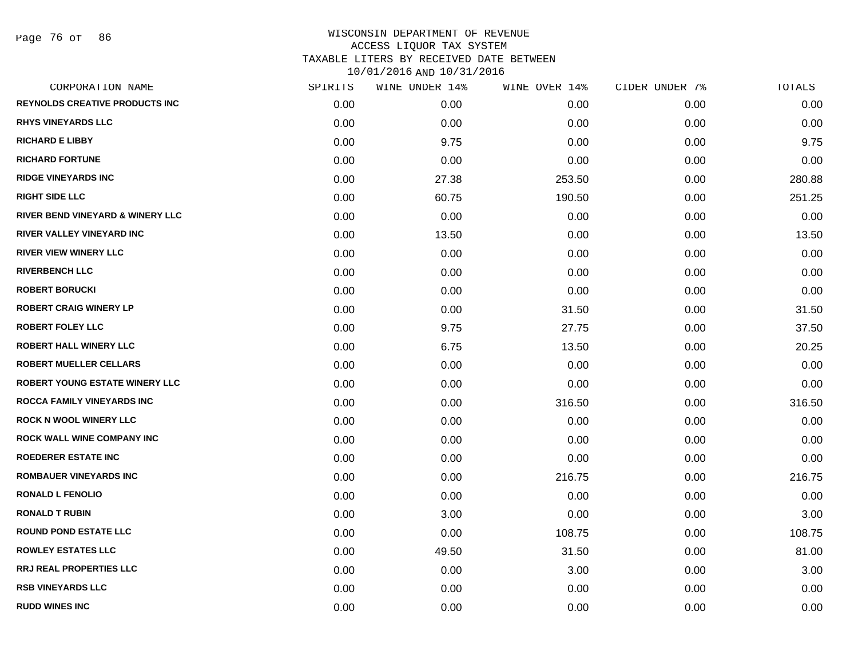Page 76 of 86

| CORPORATION NAME                      | SPIRITS | WINE UNDER 14% | WINE OVER 14% | CIDER UNDER 7% | TOTALS |
|---------------------------------------|---------|----------------|---------------|----------------|--------|
| <b>REYNOLDS CREATIVE PRODUCTS INC</b> | 0.00    | 0.00           | 0.00          | 0.00           | 0.00   |
| <b>RHYS VINEYARDS LLC</b>             | 0.00    | 0.00           | 0.00          | 0.00           | 0.00   |
| <b>RICHARD E LIBBY</b>                | 0.00    | 9.75           | 0.00          | 0.00           | 9.75   |
| <b>RICHARD FORTUNE</b>                | 0.00    | 0.00           | 0.00          | 0.00           | 0.00   |
| <b>RIDGE VINEYARDS INC</b>            | 0.00    | 27.38          | 253.50        | 0.00           | 280.88 |
| <b>RIGHT SIDE LLC</b>                 | 0.00    | 60.75          | 190.50        | 0.00           | 251.25 |
| RIVER BEND VINEYARD & WINERY LLC      | 0.00    | 0.00           | 0.00          | 0.00           | 0.00   |
| <b>RIVER VALLEY VINEYARD INC</b>      | 0.00    | 13.50          | 0.00          | 0.00           | 13.50  |
| <b>RIVER VIEW WINERY LLC</b>          | 0.00    | 0.00           | 0.00          | 0.00           | 0.00   |
| <b>RIVERBENCH LLC</b>                 | 0.00    | 0.00           | 0.00          | 0.00           | 0.00   |
| <b>ROBERT BORUCKI</b>                 | 0.00    | 0.00           | 0.00          | 0.00           | 0.00   |
| <b>ROBERT CRAIG WINERY LP</b>         | 0.00    | 0.00           | 31.50         | 0.00           | 31.50  |
| <b>ROBERT FOLEY LLC</b>               | 0.00    | 9.75           | 27.75         | 0.00           | 37.50  |
| <b>ROBERT HALL WINERY LLC</b>         | 0.00    | 6.75           | 13.50         | 0.00           | 20.25  |
| <b>ROBERT MUELLER CELLARS</b>         | 0.00    | 0.00           | 0.00          | 0.00           | 0.00   |
| <b>ROBERT YOUNG ESTATE WINERY LLC</b> | 0.00    | 0.00           | 0.00          | 0.00           | 0.00   |
| <b>ROCCA FAMILY VINEYARDS INC</b>     | 0.00    | 0.00           | 316.50        | 0.00           | 316.50 |
| <b>ROCK N WOOL WINERY LLC</b>         | 0.00    | 0.00           | 0.00          | 0.00           | 0.00   |
| ROCK WALL WINE COMPANY INC            | 0.00    | 0.00           | 0.00          | 0.00           | 0.00   |
| <b>ROEDERER ESTATE INC</b>            | 0.00    | 0.00           | 0.00          | 0.00           | 0.00   |
| <b>ROMBAUER VINEYARDS INC</b>         | 0.00    | 0.00           | 216.75        | 0.00           | 216.75 |
| <b>RONALD L FENOLIO</b>               | 0.00    | 0.00           | 0.00          | 0.00           | 0.00   |
| <b>RONALD T RUBIN</b>                 | 0.00    | 3.00           | 0.00          | 0.00           | 3.00   |
| <b>ROUND POND ESTATE LLC</b>          | 0.00    | 0.00           | 108.75        | 0.00           | 108.75 |
| <b>ROWLEY ESTATES LLC</b>             | 0.00    | 49.50          | 31.50         | 0.00           | 81.00  |
| <b>RRJ REAL PROPERTIES LLC</b>        | 0.00    | 0.00           | 3.00          | 0.00           | 3.00   |
| <b>RSB VINEYARDS LLC</b>              | 0.00    | 0.00           | 0.00          | 0.00           | 0.00   |
| <b>RUDD WINES INC</b>                 | 0.00    | 0.00           | 0.00          | 0.00           | 0.00   |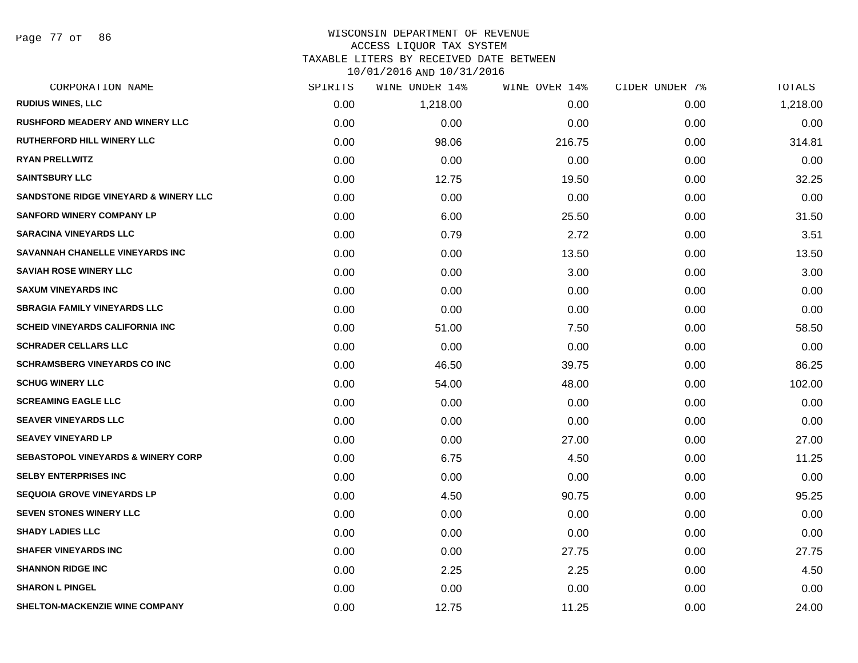Page 77 of 86

#### WISCONSIN DEPARTMENT OF REVENUE ACCESS LIQUOR TAX SYSTEM TAXABLE LITERS BY RECEIVED DATE BETWEEN

| CORPORATION NAME                              | SPIRITS | <b>WINE UNDER 14%</b> | WINE OVER 14% | CIDER UNDER 7% | TOTALS   |
|-----------------------------------------------|---------|-----------------------|---------------|----------------|----------|
| <b>RUDIUS WINES, LLC</b>                      | 0.00    | 1,218.00              | 0.00          | 0.00           | 1,218.00 |
| <b>RUSHFORD MEADERY AND WINERY LLC</b>        | 0.00    | 0.00                  | 0.00          | 0.00           | 0.00     |
| <b>RUTHERFORD HILL WINERY LLC</b>             | 0.00    | 98.06                 | 216.75        | 0.00           | 314.81   |
| <b>RYAN PRELLWITZ</b>                         | 0.00    | 0.00                  | 0.00          | 0.00           | 0.00     |
| <b>SAINTSBURY LLC</b>                         | 0.00    | 12.75                 | 19.50         | 0.00           | 32.25    |
| SANDSTONE RIDGE VINEYARD & WINERY LLC         | 0.00    | 0.00                  | 0.00          | 0.00           | 0.00     |
| <b>SANFORD WINERY COMPANY LP</b>              | 0.00    | 6.00                  | 25.50         | 0.00           | 31.50    |
| <b>SARACINA VINEYARDS LLC</b>                 | 0.00    | 0.79                  | 2.72          | 0.00           | 3.51     |
| SAVANNAH CHANELLE VINEYARDS INC               | 0.00    | 0.00                  | 13.50         | 0.00           | 13.50    |
| <b>SAVIAH ROSE WINERY LLC</b>                 | 0.00    | 0.00                  | 3.00          | 0.00           | 3.00     |
| <b>SAXUM VINEYARDS INC</b>                    | 0.00    | 0.00                  | 0.00          | 0.00           | 0.00     |
| <b>SBRAGIA FAMILY VINEYARDS LLC</b>           | 0.00    | 0.00                  | 0.00          | 0.00           | 0.00     |
| <b>SCHEID VINEYARDS CALIFORNIA INC</b>        | 0.00    | 51.00                 | 7.50          | 0.00           | 58.50    |
| <b>SCHRADER CELLARS LLC</b>                   | 0.00    | 0.00                  | 0.00          | 0.00           | 0.00     |
| <b>SCHRAMSBERG VINEYARDS CO INC</b>           | 0.00    | 46.50                 | 39.75         | 0.00           | 86.25    |
| <b>SCHUG WINERY LLC</b>                       | 0.00    | 54.00                 | 48.00         | 0.00           | 102.00   |
| <b>SCREAMING EAGLE LLC</b>                    | 0.00    | 0.00                  | 0.00          | 0.00           | 0.00     |
| <b>SEAVER VINEYARDS LLC</b>                   | 0.00    | 0.00                  | 0.00          | 0.00           | 0.00     |
| <b>SEAVEY VINEYARD LP</b>                     | 0.00    | 0.00                  | 27.00         | 0.00           | 27.00    |
| <b>SEBASTOPOL VINEYARDS &amp; WINERY CORP</b> | 0.00    | 6.75                  | 4.50          | 0.00           | 11.25    |
| <b>SELBY ENTERPRISES INC</b>                  | 0.00    | 0.00                  | 0.00          | 0.00           | 0.00     |
| <b>SEQUOIA GROVE VINEYARDS LP</b>             | 0.00    | 4.50                  | 90.75         | 0.00           | 95.25    |
| <b>SEVEN STONES WINERY LLC</b>                | 0.00    | 0.00                  | 0.00          | 0.00           | 0.00     |
| <b>SHADY LADIES LLC</b>                       | 0.00    | 0.00                  | 0.00          | 0.00           | 0.00     |
| <b>SHAFER VINEYARDS INC</b>                   | 0.00    | 0.00                  | 27.75         | 0.00           | 27.75    |
| <b>SHANNON RIDGE INC</b>                      | 0.00    | 2.25                  | 2.25          | 0.00           | 4.50     |
| <b>SHARON L PINGEL</b>                        | 0.00    | 0.00                  | 0.00          | 0.00           | 0.00     |
| SHELTON-MACKENZIE WINE COMPANY                | 0.00    | 12.75                 | 11.25         | 0.00           | 24.00    |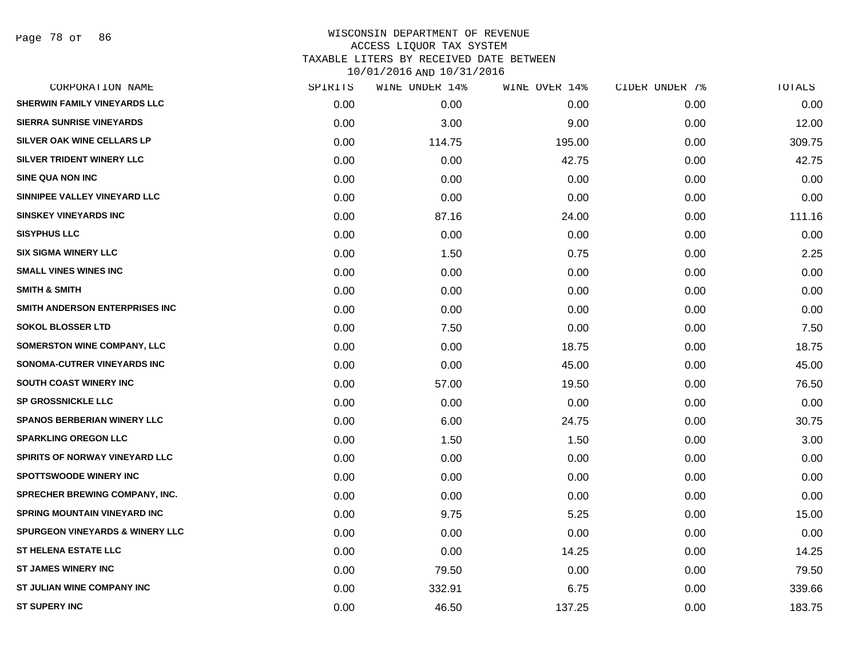Page 78 of 86

| CORPORATION NAME                           | SPIRITS | WINE UNDER 14% | WINE OVER 14% | CIDER UNDER 7% | TOTALS |
|--------------------------------------------|---------|----------------|---------------|----------------|--------|
| SHERWIN FAMILY VINEYARDS LLC               | 0.00    | 0.00           | 0.00          | 0.00           | 0.00   |
| <b>SIERRA SUNRISE VINEYARDS</b>            | 0.00    | 3.00           | 9.00          | 0.00           | 12.00  |
| SILVER OAK WINE CELLARS LP                 | 0.00    | 114.75         | 195.00        | 0.00           | 309.75 |
| SILVER TRIDENT WINERY LLC                  | 0.00    | 0.00           | 42.75         | 0.00           | 42.75  |
| <b>SINE QUA NON INC</b>                    | 0.00    | 0.00           | 0.00          | 0.00           | 0.00   |
| SINNIPEE VALLEY VINEYARD LLC               | 0.00    | 0.00           | 0.00          | 0.00           | 0.00   |
| <b>SINSKEY VINEYARDS INC</b>               | 0.00    | 87.16          | 24.00         | 0.00           | 111.16 |
| <b>SISYPHUS LLC</b>                        | 0.00    | 0.00           | 0.00          | 0.00           | 0.00   |
| <b>SIX SIGMA WINERY LLC</b>                | 0.00    | 1.50           | 0.75          | 0.00           | 2.25   |
| <b>SMALL VINES WINES INC</b>               | 0.00    | 0.00           | 0.00          | 0.00           | 0.00   |
| <b>SMITH &amp; SMITH</b>                   | 0.00    | 0.00           | 0.00          | 0.00           | 0.00   |
| SMITH ANDERSON ENTERPRISES INC             | 0.00    | 0.00           | 0.00          | 0.00           | 0.00   |
| <b>SOKOL BLOSSER LTD</b>                   | 0.00    | 7.50           | 0.00          | 0.00           | 7.50   |
| <b>SOMERSTON WINE COMPANY, LLC</b>         | 0.00    | 0.00           | 18.75         | 0.00           | 18.75  |
| SONOMA-CUTRER VINEYARDS INC                | 0.00    | 0.00           | 45.00         | 0.00           | 45.00  |
| SOUTH COAST WINERY INC                     | 0.00    | 57.00          | 19.50         | 0.00           | 76.50  |
| <b>SP GROSSNICKLE LLC</b>                  | 0.00    | 0.00           | 0.00          | 0.00           | 0.00   |
| <b>SPANOS BERBERIAN WINERY LLC</b>         | 0.00    | 6.00           | 24.75         | 0.00           | 30.75  |
| <b>SPARKLING OREGON LLC</b>                | 0.00    | 1.50           | 1.50          | 0.00           | 3.00   |
| SPIRITS OF NORWAY VINEYARD LLC             | 0.00    | 0.00           | 0.00          | 0.00           | 0.00   |
| <b>SPOTTSWOODE WINERY INC</b>              | 0.00    | 0.00           | 0.00          | 0.00           | 0.00   |
| SPRECHER BREWING COMPANY, INC.             | 0.00    | 0.00           | 0.00          | 0.00           | 0.00   |
| <b>SPRING MOUNTAIN VINEYARD INC</b>        | 0.00    | 9.75           | 5.25          | 0.00           | 15.00  |
| <b>SPURGEON VINEYARDS &amp; WINERY LLC</b> | 0.00    | 0.00           | 0.00          | 0.00           | 0.00   |
| <b>ST HELENA ESTATE LLC</b>                | 0.00    | 0.00           | 14.25         | 0.00           | 14.25  |
| <b>ST JAMES WINERY INC</b>                 | 0.00    | 79.50          | 0.00          | 0.00           | 79.50  |
| ST JULIAN WINE COMPANY INC                 | 0.00    | 332.91         | 6.75          | 0.00           | 339.66 |
| <b>ST SUPERY INC</b>                       | 0.00    | 46.50          | 137.25        | 0.00           | 183.75 |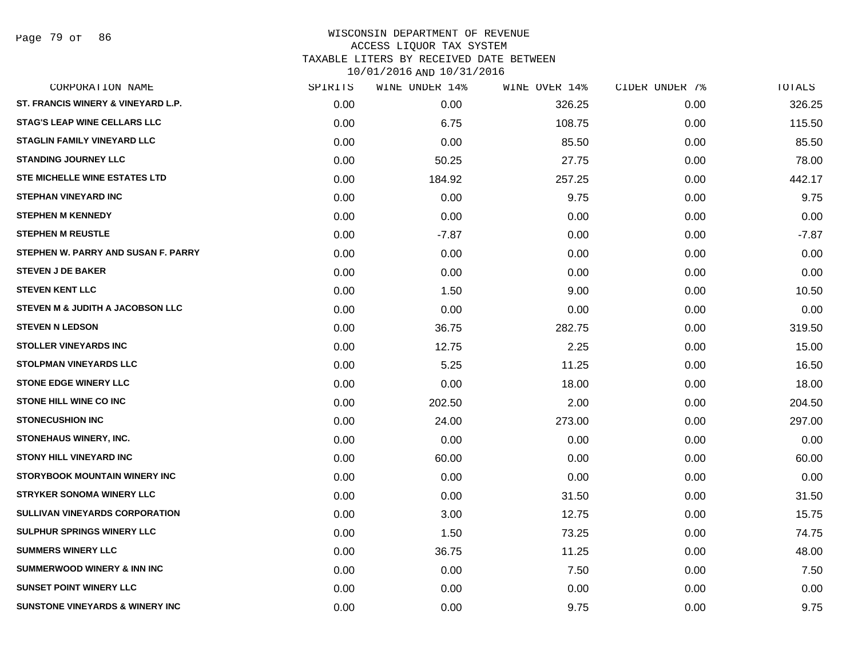Page 79 of 86

| CORPORATION NAME                           | SPIRITS | WINE UNDER 14% | WINE OVER 14% | CIDER UNDER 7% | TOTALS  |
|--------------------------------------------|---------|----------------|---------------|----------------|---------|
| ST. FRANCIS WINERY & VINEYARD L.P.         | 0.00    | 0.00           | 326.25        | 0.00           | 326.25  |
| <b>STAG'S LEAP WINE CELLARS LLC</b>        | 0.00    | 6.75           | 108.75        | 0.00           | 115.50  |
| <b>STAGLIN FAMILY VINEYARD LLC</b>         | 0.00    | 0.00           | 85.50         | 0.00           | 85.50   |
| <b>STANDING JOURNEY LLC</b>                | 0.00    | 50.25          | 27.75         | 0.00           | 78.00   |
| STE MICHELLE WINE ESTATES LTD              | 0.00    | 184.92         | 257.25        | 0.00           | 442.17  |
| <b>STEPHAN VINEYARD INC</b>                | 0.00    | 0.00           | 9.75          | 0.00           | 9.75    |
| <b>STEPHEN M KENNEDY</b>                   | 0.00    | 0.00           | 0.00          | 0.00           | 0.00    |
| <b>STEPHEN M REUSTLE</b>                   | 0.00    | $-7.87$        | 0.00          | 0.00           | $-7.87$ |
| STEPHEN W. PARRY AND SUSAN F. PARRY        | 0.00    | 0.00           | 0.00          | 0.00           | 0.00    |
| <b>STEVEN J DE BAKER</b>                   | 0.00    | 0.00           | 0.00          | 0.00           | 0.00    |
| <b>STEVEN KENT LLC</b>                     | 0.00    | 1.50           | 9.00          | 0.00           | 10.50   |
| STEVEN M & JUDITH A JACOBSON LLC           | 0.00    | 0.00           | 0.00          | 0.00           | 0.00    |
| <b>STEVEN N LEDSON</b>                     | 0.00    | 36.75          | 282.75        | 0.00           | 319.50  |
| <b>STOLLER VINEYARDS INC</b>               | 0.00    | 12.75          | 2.25          | 0.00           | 15.00   |
| <b>STOLPMAN VINEYARDS LLC</b>              | 0.00    | 5.25           | 11.25         | 0.00           | 16.50   |
| <b>STONE EDGE WINERY LLC</b>               | 0.00    | 0.00           | 18.00         | 0.00           | 18.00   |
| <b>STONE HILL WINE CO INC</b>              | 0.00    | 202.50         | 2.00          | 0.00           | 204.50  |
| <b>STONECUSHION INC</b>                    | 0.00    | 24.00          | 273.00        | 0.00           | 297.00  |
| <b>STONEHAUS WINERY, INC.</b>              | 0.00    | 0.00           | 0.00          | 0.00           | 0.00    |
| <b>STONY HILL VINEYARD INC</b>             | 0.00    | 60.00          | 0.00          | 0.00           | 60.00   |
| <b>STORYBOOK MOUNTAIN WINERY INC</b>       | 0.00    | 0.00           | 0.00          | 0.00           | 0.00    |
| <b>STRYKER SONOMA WINERY LLC</b>           | 0.00    | 0.00           | 31.50         | 0.00           | 31.50   |
| <b>SULLIVAN VINEYARDS CORPORATION</b>      | 0.00    | 3.00           | 12.75         | 0.00           | 15.75   |
| <b>SULPHUR SPRINGS WINERY LLC</b>          | 0.00    | 1.50           | 73.25         | 0.00           | 74.75   |
| <b>SUMMERS WINERY LLC</b>                  | 0.00    | 36.75          | 11.25         | 0.00           | 48.00   |
| SUMMERWOOD WINERY & INN INC                | 0.00    | 0.00           | 7.50          | 0.00           | 7.50    |
| <b>SUNSET POINT WINERY LLC</b>             | 0.00    | 0.00           | 0.00          | 0.00           | 0.00    |
| <b>SUNSTONE VINEYARDS &amp; WINERY INC</b> | 0.00    | 0.00           | 9.75          | 0.00           | 9.75    |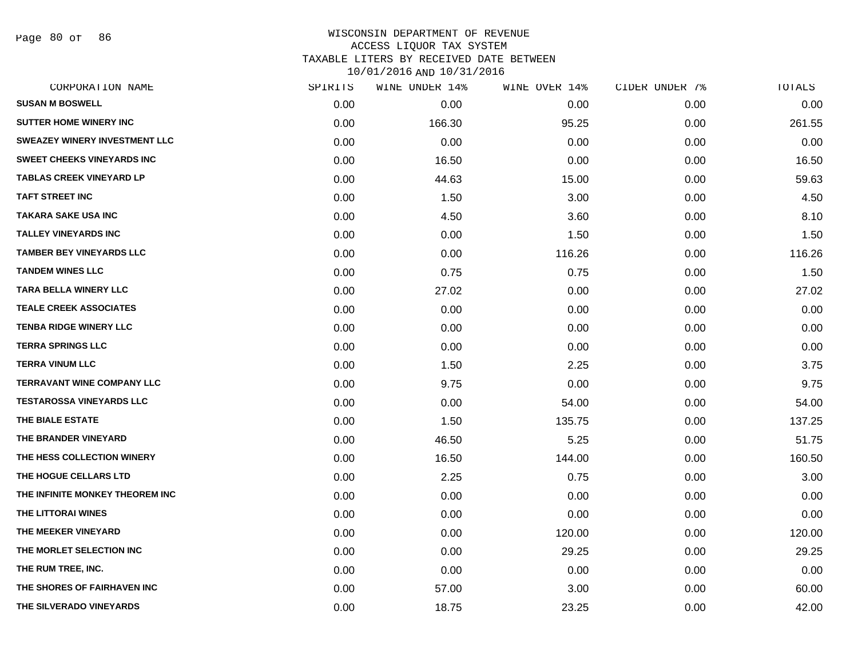Page 80 of 86

| CORPORATION NAME                     | SPIRITS | WINE UNDER 14% | WINE OVER 14% | CIDER UNDER 7% | TOTALS |
|--------------------------------------|---------|----------------|---------------|----------------|--------|
| <b>SUSAN M BOSWELL</b>               | 0.00    | 0.00           | 0.00          | 0.00           | 0.00   |
| <b>SUTTER HOME WINERY INC.</b>       | 0.00    | 166.30         | 95.25         | 0.00           | 261.55 |
| <b>SWEAZEY WINERY INVESTMENT LLC</b> | 0.00    | 0.00           | 0.00          | 0.00           | 0.00   |
| <b>SWEET CHEEKS VINEYARDS INC</b>    | 0.00    | 16.50          | 0.00          | 0.00           | 16.50  |
| <b>TABLAS CREEK VINEYARD LP</b>      | 0.00    | 44.63          | 15.00         | 0.00           | 59.63  |
| <b>TAFT STREET INC</b>               | 0.00    | 1.50           | 3.00          | 0.00           | 4.50   |
| <b>TAKARA SAKE USA INC</b>           | 0.00    | 4.50           | 3.60          | 0.00           | 8.10   |
| <b>TALLEY VINEYARDS INC</b>          | 0.00    | 0.00           | 1.50          | 0.00           | 1.50   |
| <b>TAMBER BEY VINEYARDS LLC</b>      | 0.00    | 0.00           | 116.26        | 0.00           | 116.26 |
| <b>TANDEM WINES LLC</b>              | 0.00    | 0.75           | 0.75          | 0.00           | 1.50   |
| <b>TARA BELLA WINERY LLC</b>         | 0.00    | 27.02          | 0.00          | 0.00           | 27.02  |
| <b>TEALE CREEK ASSOCIATES</b>        | 0.00    | 0.00           | 0.00          | 0.00           | 0.00   |
| <b>TENBA RIDGE WINERY LLC</b>        | 0.00    | 0.00           | 0.00          | 0.00           | 0.00   |
| <b>TERRA SPRINGS LLC</b>             | 0.00    | 0.00           | 0.00          | 0.00           | 0.00   |
| <b>TERRA VINUM LLC</b>               | 0.00    | 1.50           | 2.25          | 0.00           | 3.75   |
| <b>TERRAVANT WINE COMPANY LLC</b>    | 0.00    | 9.75           | 0.00          | 0.00           | 9.75   |
| <b>TESTAROSSA VINEYARDS LLC</b>      | 0.00    | 0.00           | 54.00         | 0.00           | 54.00  |
| THE BIALE ESTATE                     | 0.00    | 1.50           | 135.75        | 0.00           | 137.25 |
| THE BRANDER VINEYARD                 | 0.00    | 46.50          | 5.25          | 0.00           | 51.75  |
| THE HESS COLLECTION WINERY           | 0.00    | 16.50          | 144.00        | 0.00           | 160.50 |
| THE HOGUE CELLARS LTD                | 0.00    | 2.25           | 0.75          | 0.00           | 3.00   |
| THE INFINITE MONKEY THEOREM INC      | 0.00    | 0.00           | 0.00          | 0.00           | 0.00   |
| THE LITTORAI WINES                   | 0.00    | 0.00           | 0.00          | 0.00           | 0.00   |
| THE MEEKER VINEYARD                  | 0.00    | 0.00           | 120.00        | 0.00           | 120.00 |
| THE MORLET SELECTION INC             | 0.00    | 0.00           | 29.25         | 0.00           | 29.25  |
| THE RUM TREE, INC.                   | 0.00    | 0.00           | 0.00          | 0.00           | 0.00   |
| THE SHORES OF FAIRHAVEN INC          | 0.00    | 57.00          | 3.00          | 0.00           | 60.00  |
| THE SILVERADO VINEYARDS              | 0.00    | 18.75          | 23.25         | 0.00           | 42.00  |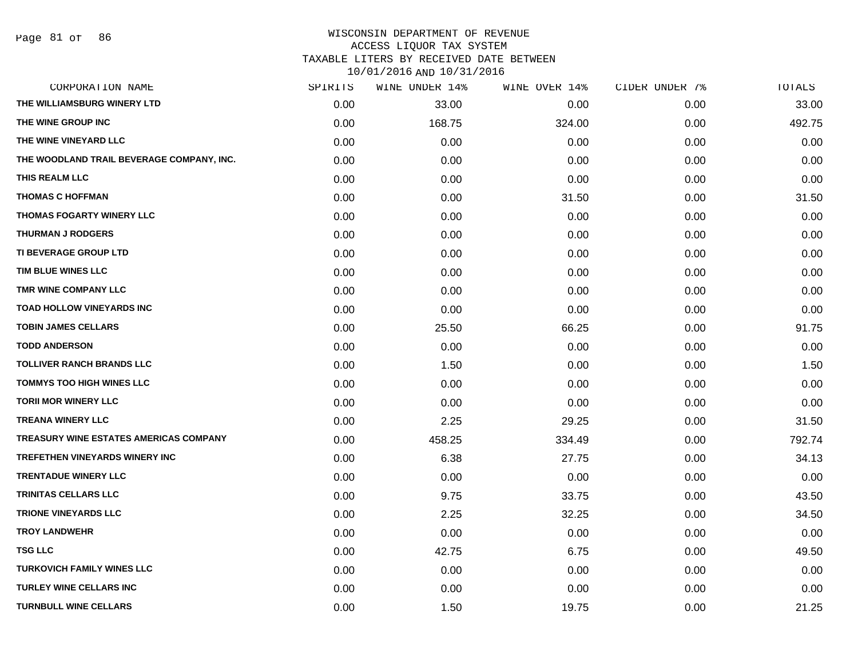#### WISCONSIN DEPARTMENT OF REVENUE ACCESS LIQUOR TAX SYSTEM TAXABLE LITERS BY RECEIVED DATE BETWEEN

| CORPORATION NAME                          | SPIRITS | WINE UNDER 14% | WINE OVER 14% | CIDER UNDER 7% | TOTALS |
|-------------------------------------------|---------|----------------|---------------|----------------|--------|
| THE WILLIAMSBURG WINERY LTD               | 0.00    | 33.00          | 0.00          | 0.00           | 33.00  |
| THE WINE GROUP INC                        | 0.00    | 168.75         | 324.00        | 0.00           | 492.75 |
| THE WINE VINEYARD LLC                     | 0.00    | 0.00           | 0.00          | 0.00           | 0.00   |
| THE WOODLAND TRAIL BEVERAGE COMPANY, INC. | 0.00    | 0.00           | 0.00          | 0.00           | 0.00   |
| THIS REALM LLC                            | 0.00    | 0.00           | 0.00          | 0.00           | 0.00   |
| <b>THOMAS C HOFFMAN</b>                   | 0.00    | 0.00           | 31.50         | 0.00           | 31.50  |
| THOMAS FOGARTY WINERY LLC                 | 0.00    | 0.00           | 0.00          | 0.00           | 0.00   |
| <b>THURMAN J RODGERS</b>                  | 0.00    | 0.00           | 0.00          | 0.00           | 0.00   |
| <b>TI BEVERAGE GROUP LTD</b>              | 0.00    | 0.00           | 0.00          | 0.00           | 0.00   |
| TIM BLUE WINES LLC                        | 0.00    | 0.00           | 0.00          | 0.00           | 0.00   |
| TMR WINE COMPANY LLC                      | 0.00    | 0.00           | 0.00          | 0.00           | 0.00   |
| TOAD HOLLOW VINEYARDS INC                 | 0.00    | 0.00           | 0.00          | 0.00           | 0.00   |
| <b>TOBIN JAMES CELLARS</b>                | 0.00    | 25.50          | 66.25         | 0.00           | 91.75  |
| <b>TODD ANDERSON</b>                      | 0.00    | 0.00           | 0.00          | 0.00           | 0.00   |
| <b>TOLLIVER RANCH BRANDS LLC</b>          | 0.00    | 1.50           | 0.00          | 0.00           | 1.50   |
| TOMMYS TOO HIGH WINES LLC                 | 0.00    | 0.00           | 0.00          | 0.00           | 0.00   |
| <b>TORII MOR WINERY LLC</b>               | 0.00    | 0.00           | 0.00          | 0.00           | 0.00   |
| <b>TREANA WINERY LLC</b>                  | 0.00    | 2.25           | 29.25         | 0.00           | 31.50  |
| TREASURY WINE ESTATES AMERICAS COMPANY    | 0.00    | 458.25         | 334.49        | 0.00           | 792.74 |
| TREFETHEN VINEYARDS WINERY INC            | 0.00    | 6.38           | 27.75         | 0.00           | 34.13  |
| <b>TRENTADUE WINERY LLC</b>               | 0.00    | 0.00           | 0.00          | 0.00           | 0.00   |
| <b>TRINITAS CELLARS LLC</b>               | 0.00    | 9.75           | 33.75         | 0.00           | 43.50  |
| <b>TRIONE VINEYARDS LLC</b>               | 0.00    | 2.25           | 32.25         | 0.00           | 34.50  |
| <b>TROY LANDWEHR</b>                      | 0.00    | 0.00           | 0.00          | 0.00           | 0.00   |
| <b>TSG LLC</b>                            | 0.00    | 42.75          | 6.75          | 0.00           | 49.50  |
| <b>TURKOVICH FAMILY WINES LLC</b>         | 0.00    | 0.00           | 0.00          | 0.00           | 0.00   |
| <b>TURLEY WINE CELLARS INC</b>            | 0.00    | 0.00           | 0.00          | 0.00           | 0.00   |
| <b>TURNBULL WINE CELLARS</b>              | 0.00    | 1.50           | 19.75         | 0.00           | 21.25  |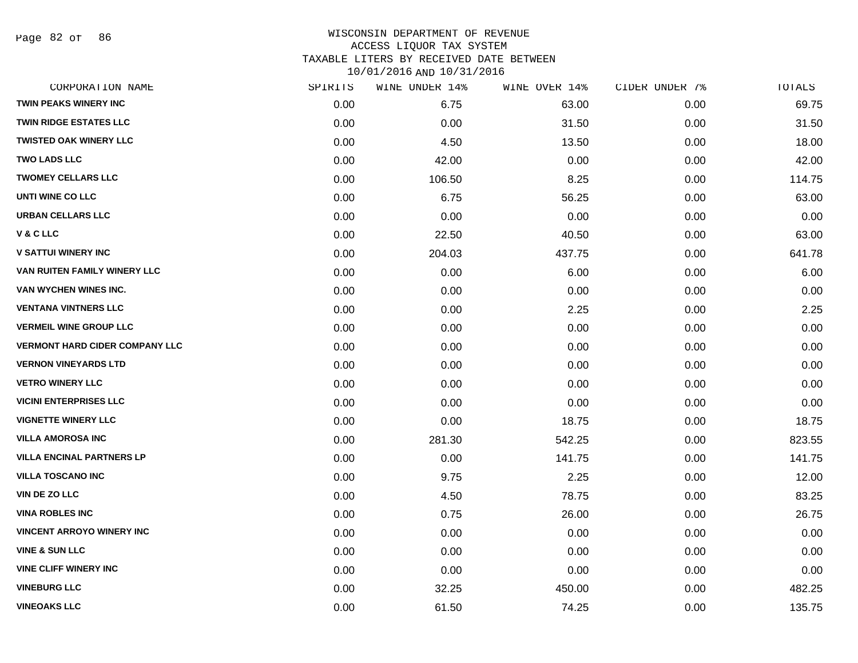Page 82 of 86

| CORPORATION NAME                      | SPIRITS | WINE UNDER 14% | WINE OVER 14% | CIDER UNDER 7% | TOTALS |
|---------------------------------------|---------|----------------|---------------|----------------|--------|
| <b>TWIN PEAKS WINERY INC</b>          | 0.00    | 6.75           | 63.00         | 0.00           | 69.75  |
| <b>TWIN RIDGE ESTATES LLC</b>         | 0.00    | 0.00           | 31.50         | 0.00           | 31.50  |
| <b>TWISTED OAK WINERY LLC</b>         | 0.00    | 4.50           | 13.50         | 0.00           | 18.00  |
| <b>TWO LADS LLC</b>                   | 0.00    | 42.00          | 0.00          | 0.00           | 42.00  |
| <b>TWOMEY CELLARS LLC</b>             | 0.00    | 106.50         | 8.25          | 0.00           | 114.75 |
| UNTI WINE CO LLC                      | 0.00    | 6.75           | 56.25         | 0.00           | 63.00  |
| <b>URBAN CELLARS LLC</b>              | 0.00    | 0.00           | 0.00          | 0.00           | 0.00   |
| V & C LLC                             | 0.00    | 22.50          | 40.50         | 0.00           | 63.00  |
| <b>V SATTUI WINERY INC</b>            | 0.00    | 204.03         | 437.75        | 0.00           | 641.78 |
| VAN RUITEN FAMILY WINERY LLC          | 0.00    | 0.00           | 6.00          | 0.00           | 6.00   |
| VAN WYCHEN WINES INC.                 | 0.00    | 0.00           | 0.00          | 0.00           | 0.00   |
| <b>VENTANA VINTNERS LLC</b>           | 0.00    | 0.00           | 2.25          | 0.00           | 2.25   |
| <b>VERMEIL WINE GROUP LLC</b>         | 0.00    | 0.00           | 0.00          | 0.00           | 0.00   |
| <b>VERMONT HARD CIDER COMPANY LLC</b> | 0.00    | 0.00           | 0.00          | 0.00           | 0.00   |
| <b>VERNON VINEYARDS LTD</b>           | 0.00    | 0.00           | 0.00          | 0.00           | 0.00   |
| <b>VETRO WINERY LLC</b>               | 0.00    | 0.00           | 0.00          | 0.00           | 0.00   |
| <b>VICINI ENTERPRISES LLC</b>         | 0.00    | 0.00           | 0.00          | 0.00           | 0.00   |
| <b>VIGNETTE WINERY LLC</b>            | 0.00    | 0.00           | 18.75         | 0.00           | 18.75  |
| <b>VILLA AMOROSA INC</b>              | 0.00    | 281.30         | 542.25        | 0.00           | 823.55 |
| <b>VILLA ENCINAL PARTNERS LP</b>      | 0.00    | 0.00           | 141.75        | 0.00           | 141.75 |
| <b>VILLA TOSCANO INC</b>              | 0.00    | 9.75           | 2.25          | 0.00           | 12.00  |
| VIN DE ZO LLC                         | 0.00    | 4.50           | 78.75         | 0.00           | 83.25  |
| <b>VINA ROBLES INC</b>                | 0.00    | 0.75           | 26.00         | 0.00           | 26.75  |
| <b>VINCENT ARROYO WINERY INC</b>      | 0.00    | 0.00           | 0.00          | 0.00           | 0.00   |
| <b>VINE &amp; SUN LLC</b>             | 0.00    | 0.00           | 0.00          | 0.00           | 0.00   |
| <b>VINE CLIFF WINERY INC</b>          | 0.00    | 0.00           | 0.00          | 0.00           | 0.00   |
| <b>VINEBURG LLC</b>                   | 0.00    | 32.25          | 450.00        | 0.00           | 482.25 |
| <b>VINEOAKS LLC</b>                   | 0.00    | 61.50          | 74.25         | 0.00           | 135.75 |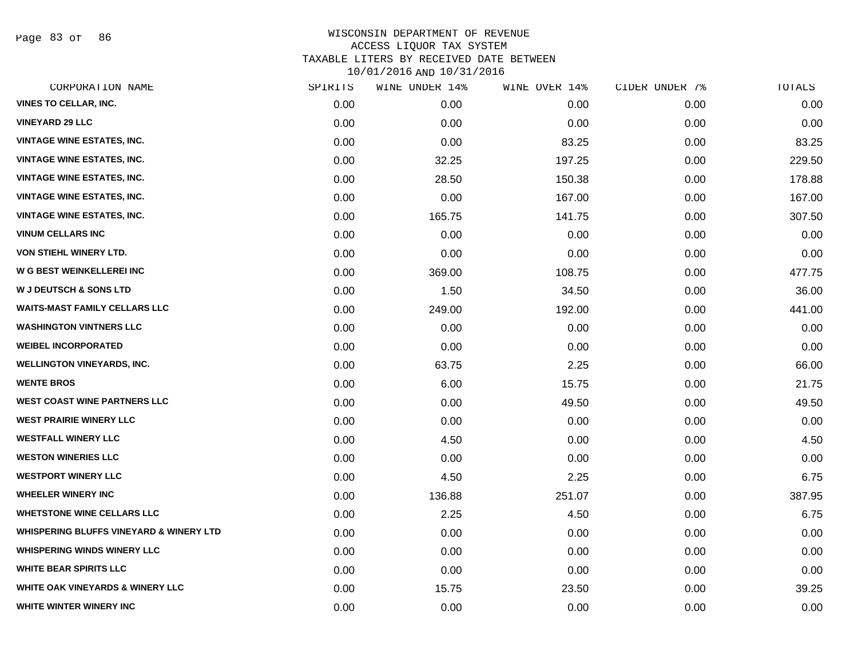Page 83 of 86

| CORPORATION NAME                                   | SPIRITS | WINE UNDER 14% | WINE OVER 14% | CIDER UNDER 7% | TOTALS |
|----------------------------------------------------|---------|----------------|---------------|----------------|--------|
| <b>VINES TO CELLAR, INC.</b>                       | 0.00    | 0.00           | 0.00          | 0.00           | 0.00   |
| <b>VINEYARD 29 LLC</b>                             | 0.00    | 0.00           | 0.00          | 0.00           | 0.00   |
| <b>VINTAGE WINE ESTATES, INC.</b>                  | 0.00    | 0.00           | 83.25         | 0.00           | 83.25  |
| <b>VINTAGE WINE ESTATES, INC.</b>                  | 0.00    | 32.25          | 197.25        | 0.00           | 229.50 |
| <b>VINTAGE WINE ESTATES, INC.</b>                  | 0.00    | 28.50          | 150.38        | 0.00           | 178.88 |
| <b>VINTAGE WINE ESTATES, INC.</b>                  | 0.00    | 0.00           | 167.00        | 0.00           | 167.00 |
| <b>VINTAGE WINE ESTATES, INC.</b>                  | 0.00    | 165.75         | 141.75        | 0.00           | 307.50 |
| <b>VINUM CELLARS INC</b>                           | 0.00    | 0.00           | 0.00          | 0.00           | 0.00   |
| VON STIEHL WINERY LTD.                             | 0.00    | 0.00           | 0.00          | 0.00           | 0.00   |
| W G BEST WEINKELLEREI INC                          | 0.00    | 369.00         | 108.75        | 0.00           | 477.75 |
| <b>W J DEUTSCH &amp; SONS LTD</b>                  | 0.00    | 1.50           | 34.50         | 0.00           | 36.00  |
| <b>WAITS-MAST FAMILY CELLARS LLC</b>               | 0.00    | 249.00         | 192.00        | 0.00           | 441.00 |
| <b>WASHINGTON VINTNERS LLC</b>                     | 0.00    | 0.00           | 0.00          | 0.00           | 0.00   |
| <b>WEIBEL INCORPORATED</b>                         | 0.00    | 0.00           | 0.00          | 0.00           | 0.00   |
| <b>WELLINGTON VINEYARDS, INC.</b>                  | 0.00    | 63.75          | 2.25          | 0.00           | 66.00  |
| <b>WENTE BROS</b>                                  | 0.00    | 6.00           | 15.75         | 0.00           | 21.75  |
| <b>WEST COAST WINE PARTNERS LLC</b>                | 0.00    | 0.00           | 49.50         | 0.00           | 49.50  |
| <b>WEST PRAIRIE WINERY LLC</b>                     | 0.00    | 0.00           | 0.00          | 0.00           | 0.00   |
| <b>WESTFALL WINERY LLC</b>                         | 0.00    | 4.50           | 0.00          | 0.00           | 4.50   |
| <b>WESTON WINERIES LLC</b>                         | 0.00    | 0.00           | 0.00          | 0.00           | 0.00   |
| <b>WESTPORT WINERY LLC</b>                         | 0.00    | 4.50           | 2.25          | 0.00           | 6.75   |
| <b>WHEELER WINERY INC</b>                          | 0.00    | 136.88         | 251.07        | 0.00           | 387.95 |
| <b>WHETSTONE WINE CELLARS LLC</b>                  | 0.00    | 2.25           | 4.50          | 0.00           | 6.75   |
| <b>WHISPERING BLUFFS VINEYARD &amp; WINERY LTD</b> | 0.00    | 0.00           | 0.00          | 0.00           | 0.00   |
| <b>WHISPERING WINDS WINERY LLC</b>                 | 0.00    | 0.00           | 0.00          | 0.00           | 0.00   |
| <b>WHITE BEAR SPIRITS LLC</b>                      | 0.00    | 0.00           | 0.00          | 0.00           | 0.00   |
| <b>WHITE OAK VINEYARDS &amp; WINERY LLC</b>        | 0.00    | 15.75          | 23.50         | 0.00           | 39.25  |
| WHITE WINTER WINERY INC                            | 0.00    | 0.00           | 0.00          | 0.00           | 0.00   |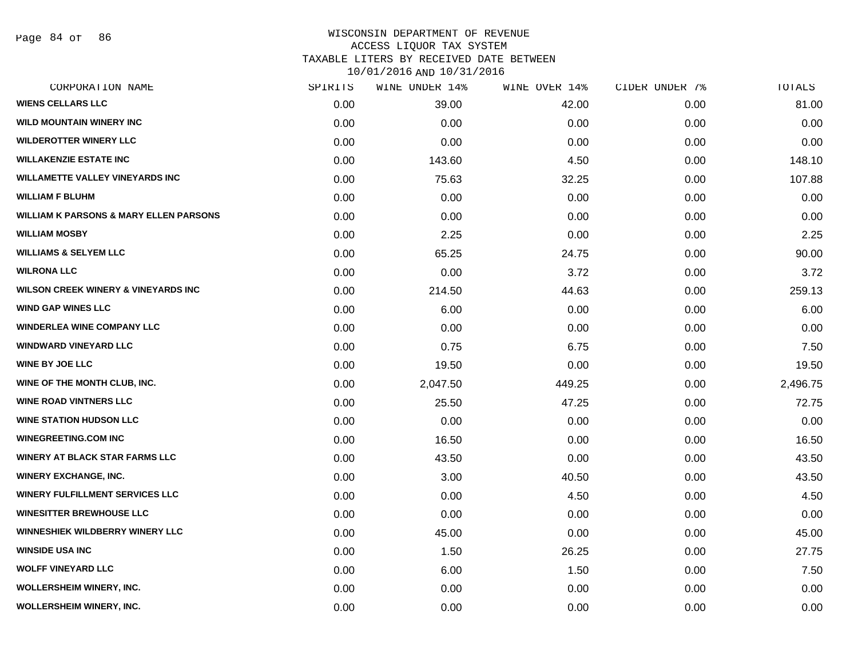Page 84 of 86

### WISCONSIN DEPARTMENT OF REVENUE ACCESS LIQUOR TAX SYSTEM TAXABLE LITERS BY RECEIVED DATE BETWEEN

| CORPORATION NAME                                  | SPIRITS | WINE UNDER 14% | WINE OVER 14% | CIDER UNDER 7% | TOTALS   |
|---------------------------------------------------|---------|----------------|---------------|----------------|----------|
| <b>WIENS CELLARS LLC</b>                          | 0.00    | 39.00          | 42.00         | 0.00           | 81.00    |
| <b>WILD MOUNTAIN WINERY INC</b>                   | 0.00    | 0.00           | 0.00          | 0.00           | 0.00     |
| <b>WILDEROTTER WINERY LLC</b>                     | 0.00    | 0.00           | 0.00          | 0.00           | 0.00     |
| <b>WILLAKENZIE ESTATE INC</b>                     | 0.00    | 143.60         | 4.50          | 0.00           | 148.10   |
| <b>WILLAMETTE VALLEY VINEYARDS INC</b>            | 0.00    | 75.63          | 32.25         | 0.00           | 107.88   |
| <b>WILLIAM F BLUHM</b>                            | 0.00    | 0.00           | 0.00          | 0.00           | 0.00     |
| <b>WILLIAM K PARSONS &amp; MARY ELLEN PARSONS</b> | 0.00    | 0.00           | 0.00          | 0.00           | 0.00     |
| <b>WILLIAM MOSBY</b>                              | 0.00    | 2.25           | 0.00          | 0.00           | 2.25     |
| <b>WILLIAMS &amp; SELYEM LLC</b>                  | 0.00    | 65.25          | 24.75         | 0.00           | 90.00    |
| <b>WILRONA LLC</b>                                | 0.00    | 0.00           | 3.72          | 0.00           | 3.72     |
| <b>WILSON CREEK WINERY &amp; VINEYARDS INC</b>    | 0.00    | 214.50         | 44.63         | 0.00           | 259.13   |
| <b>WIND GAP WINES LLC</b>                         | 0.00    | 6.00           | 0.00          | 0.00           | 6.00     |
| <b>WINDERLEA WINE COMPANY LLC</b>                 | 0.00    | 0.00           | 0.00          | 0.00           | 0.00     |
| <b>WINDWARD VINEYARD LLC</b>                      | 0.00    | 0.75           | 6.75          | 0.00           | 7.50     |
| <b>WINE BY JOE LLC</b>                            | 0.00    | 19.50          | 0.00          | 0.00           | 19.50    |
| WINE OF THE MONTH CLUB, INC.                      | 0.00    | 2,047.50       | 449.25        | 0.00           | 2,496.75 |
| <b>WINE ROAD VINTNERS LLC</b>                     | 0.00    | 25.50          | 47.25         | 0.00           | 72.75    |
| <b>WINE STATION HUDSON LLC</b>                    | 0.00    | 0.00           | 0.00          | 0.00           | 0.00     |
| <b>WINEGREETING.COM INC</b>                       | 0.00    | 16.50          | 0.00          | 0.00           | 16.50    |
| <b>WINERY AT BLACK STAR FARMS LLC</b>             | 0.00    | 43.50          | 0.00          | 0.00           | 43.50    |
| <b>WINERY EXCHANGE, INC.</b>                      | 0.00    | 3.00           | 40.50         | 0.00           | 43.50    |
| <b>WINERY FULFILLMENT SERVICES LLC</b>            | 0.00    | 0.00           | 4.50          | 0.00           | 4.50     |
| <b>WINESITTER BREWHOUSE LLC</b>                   | 0.00    | 0.00           | 0.00          | 0.00           | 0.00     |
| WINNESHIEK WILDBERRY WINERY LLC                   | 0.00    | 45.00          | 0.00          | 0.00           | 45.00    |
| <b>WINSIDE USA INC</b>                            | 0.00    | 1.50           | 26.25         | 0.00           | 27.75    |
| <b>WOLFF VINEYARD LLC</b>                         | 0.00    | 6.00           | 1.50          | 0.00           | 7.50     |
| <b>WOLLERSHEIM WINERY, INC.</b>                   | 0.00    | 0.00           | 0.00          | 0.00           | 0.00     |
| WOLLERSHEIM WINERY, INC.                          | 0.00    | 0.00           | 0.00          | 0.00           | 0.00     |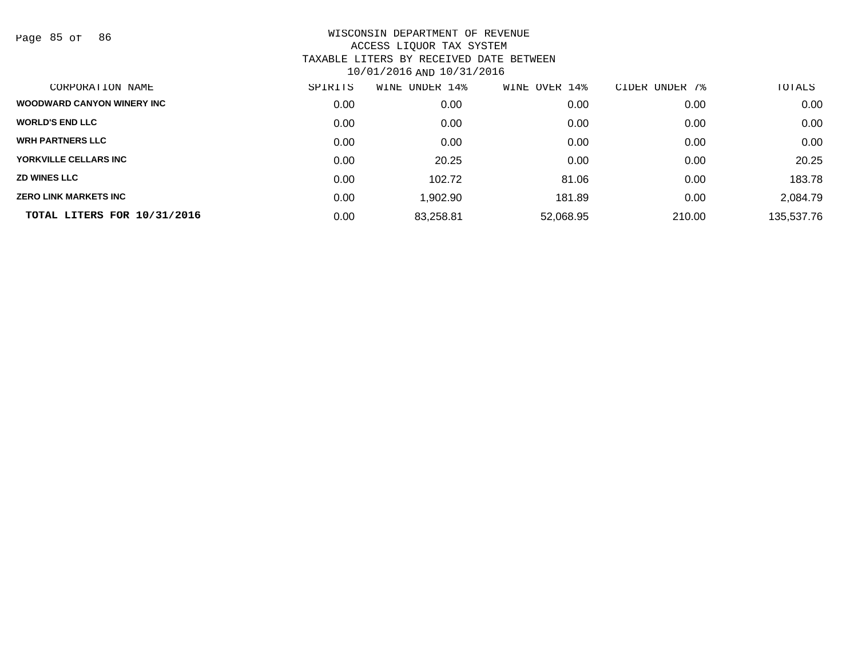Page 85 of 86

| CORPORATION NAME                  | SPIRITS | WINE UNDER 14% | WINE OVER 14% | CIDER UNDER 7% | TOTALS     |
|-----------------------------------|---------|----------------|---------------|----------------|------------|
| <b>WOODWARD CANYON WINERY INC</b> | 0.00    | 0.00           | 0.00          | 0.00           | 0.00       |
| <b>WORLD'S END LLC</b>            | 0.00    | 0.00           | 0.00          | 0.00           | 0.00       |
| <b>WRH PARTNERS LLC</b>           | 0.00    | 0.00           | 0.00          | 0.00           | 0.00       |
| YORKVILLE CELLARS INC             | 0.00    | 20.25          | 0.00          | 0.00           | 20.25      |
| <b>ZD WINES LLC</b>               | 0.00    | 102.72         | 81.06         | 0.00           | 183.78     |
| <b>ZERO LINK MARKETS INC</b>      | 0.00    | .902.90        | 181.89        | 0.00           | 2,084.79   |
| TOTAL LITERS FOR 10/31/2016       | 0.00    | 83,258.81      | 52,068.95     | 210.00         | 135,537.76 |